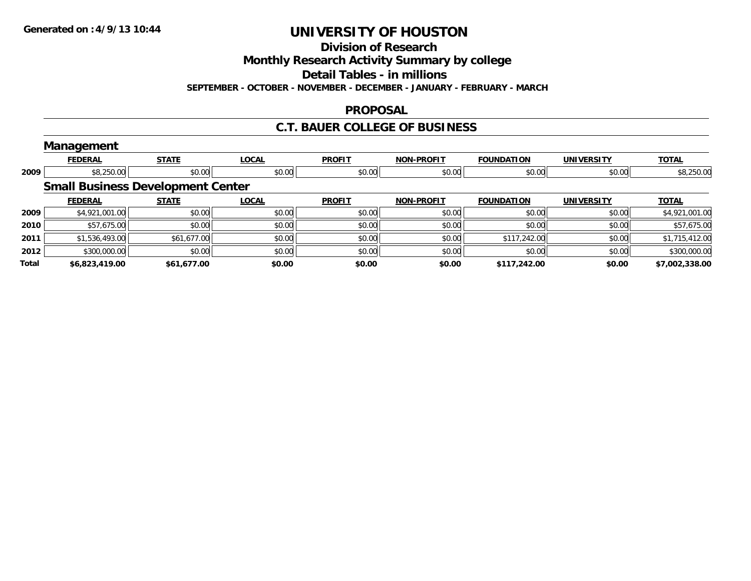**Division of Research**

**Monthly Research Activity Summary by college**

**Detail Tables - in millions**

**SEPTEMBER - OCTOBER - NOVEMBER - DECEMBER - JANUARY - FEBRUARY - MARCH**

#### **PROPOSAL**

#### **C.T. BAUER COLLEGE OF BUSINESS**

|              | Management                               |              |              |               |                   |                   |                   |                |
|--------------|------------------------------------------|--------------|--------------|---------------|-------------------|-------------------|-------------------|----------------|
|              | <b>FEDERAL</b>                           | <b>STATE</b> | <b>LOCAL</b> | <b>PROFIT</b> | <b>NON-PROFIT</b> | <b>FOUNDATION</b> | <b>UNIVERSITY</b> | <b>TOTAL</b>   |
| 2009         | \$8,250.00                               | \$0.00       | \$0.00       | \$0.00        | \$0.00            | \$0.00            | \$0.00            | \$8,250.00     |
|              | <b>Small Business Development Center</b> |              |              |               |                   |                   |                   |                |
|              | <b>FEDERAL</b>                           | <b>STATE</b> | <b>LOCAL</b> | <b>PROFIT</b> | <b>NON-PROFIT</b> | <b>FOUNDATION</b> | <b>UNIVERSITY</b> | <b>TOTAL</b>   |
| 2009         | \$4,921,001.00                           | \$0.00       | \$0.00       | \$0.00        | \$0.00            | \$0.00            | \$0.00            | \$4,921,001.00 |
| 2010         | \$57,675.00                              | \$0.00       | \$0.00       | \$0.00        | \$0.00            | \$0.00            | \$0.00            | \$57,675.00    |
| 2011         | \$1,536,493.00                           | \$61,677.00  | \$0.00       | \$0.00        | \$0.00            | \$117,242.00      | \$0.00            | \$1,715,412.00 |
| 2012         | \$300,000.00                             | \$0.00       | \$0.00       | \$0.00        | \$0.00            | \$0.00            | \$0.00            | \$300,000.00   |
| <b>Total</b> | \$6,823,419.00                           | \$61,677.00  | \$0.00       | \$0.00        | \$0.00            | \$117,242.00      | \$0.00            | \$7,002,338.00 |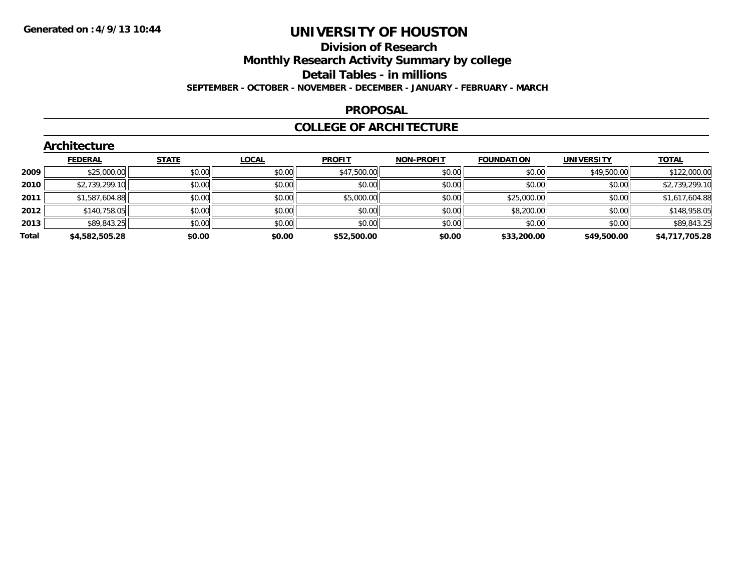#### **Division of Research Monthly Research Activity Summary by college Detail Tables - in millions SEPTEMBER - OCTOBER - NOVEMBER - DECEMBER - JANUARY - FEBRUARY - MARCH**

#### **PROPOSAL**

#### **COLLEGE OF ARCHITECTURE**

|       | Architecture   |              |              |               |                   |                   |                   |                |  |  |  |  |
|-------|----------------|--------------|--------------|---------------|-------------------|-------------------|-------------------|----------------|--|--|--|--|
|       | <b>FEDERAL</b> | <b>STATE</b> | <b>LOCAL</b> | <b>PROFIT</b> | <b>NON-PROFIT</b> | <b>FOUNDATION</b> | <b>UNIVERSITY</b> | <b>TOTAL</b>   |  |  |  |  |
| 2009  | \$25,000.00    | \$0.00       | \$0.00       | \$47,500.00   | \$0.00            | \$0.00            | \$49,500.00       | \$122,000.00   |  |  |  |  |
| 2010  | \$2,739,299.10 | \$0.00       | \$0.00       | \$0.00        | \$0.00            | \$0.00            | \$0.00            | \$2,739,299.10 |  |  |  |  |
| 2011  | \$1,587,604.88 | \$0.00       | \$0.00       | \$5,000.00    | \$0.00            | \$25,000.00       | \$0.00            | \$1,617,604.88 |  |  |  |  |
| 2012  | \$140,758.05   | \$0.00       | \$0.00       | \$0.00        | \$0.00            | \$8,200.00        | \$0.00            | \$148,958.05   |  |  |  |  |
| 2013  | \$89,843.25    | \$0.00       | \$0.00       | \$0.00        | \$0.00            | \$0.00            | \$0.00            | \$89,843.25    |  |  |  |  |
| Total | \$4,582,505.28 | \$0.00       | \$0.00       | \$52,500.00   | \$0.00            | \$33,200.00       | \$49,500.00       | \$4,717,705.28 |  |  |  |  |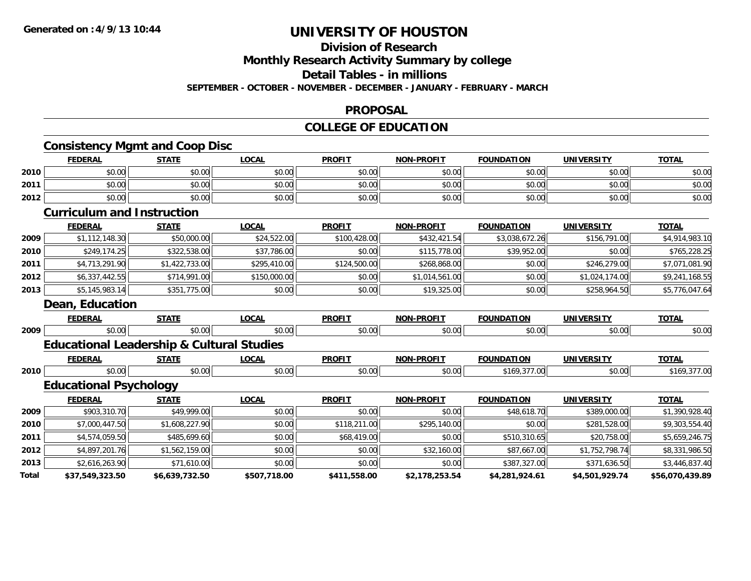## **Division of Research**

**Monthly Research Activity Summary by college**

**Detail Tables - in millions**

**SEPTEMBER - OCTOBER - NOVEMBER - DECEMBER - JANUARY - FEBRUARY - MARCH**

#### **PROPOSAL**

### **COLLEGE OF EDUCATION**

### **Consistency Mgmt and Coop Disc**

|              | <b>FEDERAL</b>                                       | <b>STATE</b>   | <b>LOCAL</b> | <b>PROFIT</b> | <b>NON-PROFIT</b> | <b>FOUNDATION</b> | <b>UNIVERSITY</b> | <b>TOTAL</b>    |
|--------------|------------------------------------------------------|----------------|--------------|---------------|-------------------|-------------------|-------------------|-----------------|
| 2010         | \$0.00                                               | \$0.00         | \$0.00       | \$0.00        | \$0.00            | \$0.00            | \$0.00            | \$0.00          |
| 2011         | \$0.00                                               | \$0.00         | \$0.00       | \$0.00        | \$0.00            | \$0.00            | \$0.00            | \$0.00          |
| 2012         | \$0.00                                               | \$0.00         | \$0.00       | \$0.00        | \$0.00            | \$0.00            | \$0.00            | \$0.00          |
|              | <b>Curriculum and Instruction</b>                    |                |              |               |                   |                   |                   |                 |
|              | <b>FEDERAL</b>                                       | <b>STATE</b>   | <b>LOCAL</b> | <b>PROFIT</b> | <b>NON-PROFIT</b> | <b>FOUNDATION</b> | <b>UNIVERSITY</b> | <b>TOTAL</b>    |
| 2009         | \$1,112,148.30                                       | \$50,000.00    | \$24,522.00  | \$100,428.00  | \$432,421.54      | \$3,038,672.26    | \$156,791.00      | \$4,914,983.10  |
| 2010         | \$249,174.25                                         | \$322,538.00   | \$37,786.00  | \$0.00        | \$115,778.00      | \$39,952.00       | \$0.00            | \$765,228.25    |
| 2011         | \$4,713,291.90                                       | \$1,422,733.00 | \$295,410.00 | \$124,500.00  | \$268,868.00      | \$0.00            | \$246,279.00      | \$7,071,081.90  |
| 2012         | \$6,337,442.55                                       | \$714,991.00   | \$150,000.00 | \$0.00        | \$1,014,561.00    | \$0.00            | \$1,024,174.00    | \$9,241,168.55  |
| 2013         | \$5,145,983.14                                       | \$351,775.00   | \$0.00       | \$0.00        | \$19,325.00       | \$0.00            | \$258,964.50      | \$5,776,047.64  |
|              | <b>Dean, Education</b>                               |                |              |               |                   |                   |                   |                 |
|              | <b>FEDERAL</b>                                       | <b>STATE</b>   | <b>LOCAL</b> | <b>PROFIT</b> | <b>NON-PROFIT</b> | <b>FOUNDATION</b> | <b>UNIVERSITY</b> | <b>TOTAL</b>    |
| 2009         | \$0.00                                               | \$0.00         | \$0.00       | \$0.00        | \$0.00            | \$0.00            | \$0.00            | \$0.00          |
|              | <b>Educational Leadership &amp; Cultural Studies</b> |                |              |               |                   |                   |                   |                 |
|              | <b>FEDERAL</b>                                       | <b>STATE</b>   | <b>LOCAL</b> | <b>PROFIT</b> | <b>NON-PROFIT</b> | <b>FOUNDATION</b> | <b>UNIVERSITY</b> | <b>TOTAL</b>    |
| 2010         | \$0.00                                               | \$0.00         | \$0.00       | \$0.00        | \$0.00            | \$169,377.00      | \$0.00            | \$169,377.00    |
|              | <b>Educational Psychology</b>                        |                |              |               |                   |                   |                   |                 |
|              | <b>FEDERAL</b>                                       | <b>STATE</b>   | <b>LOCAL</b> | <b>PROFIT</b> | <b>NON-PROFIT</b> | <b>FOUNDATION</b> | <b>UNIVERSITY</b> | <b>TOTAL</b>    |
| 2009         | \$903,310.70                                         | \$49,999.00    | \$0.00       | \$0.00        | \$0.00            | \$48,618.70       | \$389,000.00      | \$1,390,928.40  |
| 2010         | \$7,000,447.50                                       | \$1,608,227.90 | \$0.00       | \$118,211.00  | \$295,140.00      | \$0.00            | \$281,528.00      | \$9,303,554.40  |
| 2011         | \$4,574,059.50                                       | \$485,699.60   | \$0.00       | \$68,419.00   | \$0.00            | \$510,310.65      | \$20,758.00       | \$5,659,246.75  |
| 2012         | \$4,897,201.76                                       | \$1,562,159.00 | \$0.00       | \$0.00        | \$32,160.00       | \$87,667.00       | \$1,752,798.74    | \$8,331,986.50  |
| 2013         | \$2,616,263.90                                       | \$71,610.00    | \$0.00       | \$0.00        | \$0.00            | \$387,327.00      | \$371,636.50      | \$3,446,837.40  |
| <b>Total</b> | \$37,549,323.50                                      | \$6,639,732.50 | \$507,718.00 | \$411,558.00  | \$2,178,253.54    | \$4,281,924.61    | \$4,501,929.74    | \$56,070,439.89 |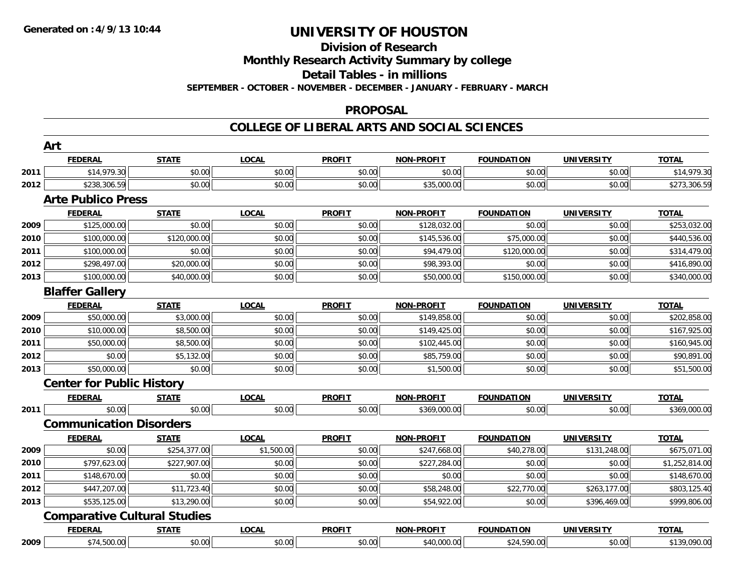#### **Division of Research**

**Monthly Research Activity Summary by college**

**Detail Tables - in millions**

**SEPTEMBER - OCTOBER - NOVEMBER - DECEMBER - JANUARY - FEBRUARY - MARCH**

#### **PROPOSAL**

|      | Art                                 |              |              |               |                   |                   |                   |                |
|------|-------------------------------------|--------------|--------------|---------------|-------------------|-------------------|-------------------|----------------|
|      | <b>FEDERAL</b>                      | <b>STATE</b> | <b>LOCAL</b> | <b>PROFIT</b> | <b>NON-PROFIT</b> | <b>FOUNDATION</b> | <b>UNIVERSITY</b> | <b>TOTAL</b>   |
| 2011 | \$14,979.30                         | \$0.00       | \$0.00       | \$0.00        | \$0.00            | \$0.00            | \$0.00            | \$14,979.30    |
| 2012 | \$238,306.59                        | \$0.00       | \$0.00       | \$0.00        | \$35,000.00       | \$0.00            | \$0.00            | \$273,306.59   |
|      | <b>Arte Publico Press</b>           |              |              |               |                   |                   |                   |                |
|      | <b>FEDERAL</b>                      | <b>STATE</b> | <b>LOCAL</b> | <b>PROFIT</b> | <b>NON-PROFIT</b> | <b>FOUNDATION</b> | <b>UNIVERSITY</b> | <b>TOTAL</b>   |
| 2009 | \$125,000.00                        | \$0.00       | \$0.00       | \$0.00        | \$128,032.00      | \$0.00            | \$0.00            | \$253,032.00   |
| 2010 | \$100,000.00                        | \$120,000.00 | \$0.00       | \$0.00        | \$145,536.00      | \$75,000.00       | \$0.00            | \$440,536.00   |
| 2011 | \$100,000.00                        | \$0.00       | \$0.00       | \$0.00        | \$94,479.00       | \$120,000.00      | \$0.00            | \$314,479.00   |
| 2012 | \$298,497.00                        | \$20,000.00  | \$0.00       | \$0.00        | \$98,393.00       | \$0.00            | \$0.00            | \$416,890.00   |
| 2013 | \$100,000.00                        | \$40,000.00  | \$0.00       | \$0.00        | \$50,000.00       | \$150,000.00      | \$0.00            | \$340,000.00   |
|      | <b>Blaffer Gallery</b>              |              |              |               |                   |                   |                   |                |
|      | <b>FEDERAL</b>                      | <b>STATE</b> | <b>LOCAL</b> | <b>PROFIT</b> | <b>NON-PROFIT</b> | <b>FOUNDATION</b> | <b>UNIVERSITY</b> | <b>TOTAL</b>   |
| 2009 | \$50,000.00                         | \$3,000.00   | \$0.00       | \$0.00        | \$149,858.00      | \$0.00            | \$0.00            | \$202,858.00   |
| 2010 | \$10,000.00                         | \$8,500.00   | \$0.00       | \$0.00        | \$149,425.00      | \$0.00            | \$0.00            | \$167,925.00   |
| 2011 | \$50,000.00                         | \$8,500.00   | \$0.00       | \$0.00        | \$102,445.00      | \$0.00            | \$0.00            | \$160,945.00   |
| 2012 | \$0.00                              | \$5,132.00   | \$0.00       | \$0.00        | \$85,759.00       | \$0.00            | \$0.00            | \$90,891.00    |
| 2013 | \$50,000.00                         | \$0.00       | \$0.00       | \$0.00        | \$1,500.00        | \$0.00            | \$0.00            | \$51,500.00    |
|      | <b>Center for Public History</b>    |              |              |               |                   |                   |                   |                |
|      | <b>FEDERAL</b>                      | <b>STATE</b> | <b>LOCAL</b> | <b>PROFIT</b> | <b>NON-PROFIT</b> | <b>FOUNDATION</b> | <b>UNIVERSITY</b> | <b>TOTAL</b>   |
| 2011 | \$0.00                              | \$0.00       | \$0.00       | \$0.00        | \$369,000.00      | \$0.00            | \$0.00            | \$369,000.00   |
|      | <b>Communication Disorders</b>      |              |              |               |                   |                   |                   |                |
|      | <b>FEDERAL</b>                      | <b>STATE</b> | <b>LOCAL</b> | <b>PROFIT</b> | <b>NON-PROFIT</b> | <b>FOUNDATION</b> | <b>UNIVERSITY</b> | <b>TOTAL</b>   |
| 2009 | \$0.00                              | \$254,377.00 | \$1,500.00   | \$0.00        | \$247,668.00      | \$40,278.00       | \$131,248.00      | \$675,071.00   |
| 2010 | \$797,623.00                        | \$227,907.00 | \$0.00       | \$0.00        | \$227,284.00      | \$0.00            | \$0.00            | \$1,252,814.00 |
| 2011 | \$148,670.00                        | \$0.00       | \$0.00       | \$0.00        | \$0.00            | \$0.00            | \$0.00            | \$148,670.00   |
| 2012 | \$447,207.00                        | \$11,723.40  | \$0.00       | \$0.00        | \$58,248.00       | \$22,770.00       | \$263,177.00      | \$803,125.40   |
| 2013 | \$535,125.00                        | \$13,290.00  | \$0.00       | \$0.00        | \$54,922.00       | \$0.00            | \$396,469.00      | \$999,806.00   |
|      | <b>Comparative Cultural Studies</b> |              |              |               |                   |                   |                   |                |
|      | <b>FEDERAL</b>                      | <b>STATE</b> | <b>LOCAL</b> | <b>PROFIT</b> | <b>NON-PROFIT</b> | <b>FOUNDATION</b> | <b>UNIVERSITY</b> | <b>TOTAL</b>   |
| 2009 | \$74,500.00                         | \$0.00       | \$0.00       | \$0.00        | \$40,000.00       | \$24,590.00       | \$0.00            | \$139,090.00   |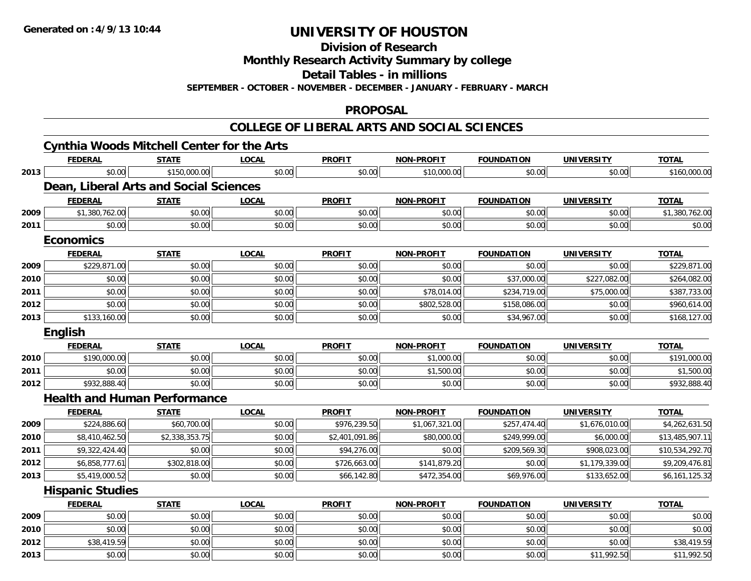**Division of Research**

**Monthly Research Activity Summary by college**

**Detail Tables - in millions**

**SEPTEMBER - OCTOBER - NOVEMBER - DECEMBER - JANUARY - FEBRUARY - MARCH**

#### **PROPOSAL**

|      | <b>Cynthia Woods Mitchell Center for the Arts</b> |                |              |                |                   |                   |                   |                 |
|------|---------------------------------------------------|----------------|--------------|----------------|-------------------|-------------------|-------------------|-----------------|
|      | <b>FEDERAL</b>                                    | <b>STATE</b>   | <b>LOCAL</b> | <b>PROFIT</b>  | <b>NON-PROFIT</b> | <b>FOUNDATION</b> | <b>UNIVERSITY</b> | <b>TOTAL</b>    |
| 2013 | \$0.00                                            | \$150,000.00   | \$0.00       | \$0.00         | \$10,000.00       | \$0.00            | \$0.00            | \$160,000.00    |
|      | Dean, Liberal Arts and Social Sciences            |                |              |                |                   |                   |                   |                 |
|      | <b>FEDERAL</b>                                    | <b>STATE</b>   | <b>LOCAL</b> | <b>PROFIT</b>  | <b>NON-PROFIT</b> | <b>FOUNDATION</b> | <b>UNIVERSITY</b> | <b>TOTAL</b>    |
| 2009 | \$1,380,762.00                                    | \$0.00         | \$0.00       | \$0.00         | \$0.00            | \$0.00            | \$0.00            | \$1,380,762.00  |
| 2011 | \$0.00                                            | \$0.00         | \$0.00       | \$0.00         | \$0.00            | \$0.00            | \$0.00            | \$0.00          |
|      | <b>Economics</b>                                  |                |              |                |                   |                   |                   |                 |
|      | <b>FEDERAL</b>                                    | <b>STATE</b>   | <b>LOCAL</b> | <b>PROFIT</b>  | <b>NON-PROFIT</b> | <b>FOUNDATION</b> | <b>UNIVERSITY</b> | <b>TOTAL</b>    |
| 2009 | \$229,871.00                                      | \$0.00         | \$0.00       | \$0.00         | \$0.00            | \$0.00            | \$0.00            | \$229,871.00    |
| 2010 | \$0.00                                            | \$0.00         | \$0.00       | \$0.00         | \$0.00            | \$37,000.00       | \$227,082.00      | \$264,082.00    |
| 2011 | \$0.00                                            | \$0.00         | \$0.00       | \$0.00         | \$78,014.00       | \$234,719.00      | \$75,000.00       | \$387,733.00    |
| 2012 | \$0.00                                            | \$0.00         | \$0.00       | \$0.00         | \$802,528.00      | \$158,086.00      | \$0.00            | \$960,614.00    |
| 2013 | \$133,160.00                                      | \$0.00         | \$0.00       | \$0.00         | \$0.00            | \$34,967.00       | \$0.00            | \$168,127.00    |
|      | <b>English</b>                                    |                |              |                |                   |                   |                   |                 |
|      | <b>FEDERAL</b>                                    | <b>STATE</b>   | <b>LOCAL</b> | <b>PROFIT</b>  | <b>NON-PROFIT</b> | <b>FOUNDATION</b> | <b>UNIVERSITY</b> | <b>TOTAL</b>    |
| 2010 | \$190,000.00                                      | \$0.00         | \$0.00       | \$0.00         | \$1,000.00        | \$0.00            | \$0.00            | \$191,000.00    |
| 2011 | \$0.00                                            | \$0.00         | \$0.00       | \$0.00         | \$1,500.00        | \$0.00            | \$0.00            | \$1,500.00      |
| 2012 | \$932,888.40                                      | \$0.00         | \$0.00       | \$0.00         | \$0.00            | \$0.00            | \$0.00            | \$932,888.40    |
|      | <b>Health and Human Performance</b>               |                |              |                |                   |                   |                   |                 |
|      | <b>FEDERAL</b>                                    | <b>STATE</b>   | <b>LOCAL</b> | <b>PROFIT</b>  | <b>NON-PROFIT</b> | <b>FOUNDATION</b> | <b>UNIVERSITY</b> | <b>TOTAL</b>    |
| 2009 | \$224,886.60                                      | \$60,700.00    | \$0.00       | \$976,239.50   | \$1,067,321.00    | \$257,474.40      | \$1,676,010.00    | \$4,262,631.50  |
| 2010 | \$8,410,462.50                                    | \$2,338,353.75 | \$0.00       | \$2,401,091.86 | \$80,000.00       | \$249,999.00      | \$6,000.00        | \$13,485,907.11 |
| 2011 | \$9,322,424.40                                    | \$0.00         | \$0.00       | \$94,276.00    | \$0.00            | \$209,569.30      | \$908,023.00      | \$10,534,292.70 |
| 2012 | \$6,858,777.61                                    | \$302,818.00   | \$0.00       | \$726,663.00   | \$141,879.20      | \$0.00            | \$1,179,339.00    | \$9,209,476.81  |
| 2013 | \$5,419,000.52                                    | \$0.00         | \$0.00       | \$66,142.80    | \$472,354.00      | \$69,976.00       | \$133,652.00      | \$6,161,125.32  |
|      | <b>Hispanic Studies</b>                           |                |              |                |                   |                   |                   |                 |
|      | <b>FEDERAL</b>                                    | <b>STATE</b>   | <b>LOCAL</b> | <b>PROFIT</b>  | <b>NON-PROFIT</b> | <b>FOUNDATION</b> | <b>UNIVERSITY</b> | <b>TOTAL</b>    |
| 2009 | \$0.00                                            | \$0.00         | \$0.00       | \$0.00         | \$0.00            | \$0.00            | \$0.00            | \$0.00          |
| 2010 | \$0.00                                            | \$0.00         | \$0.00       | \$0.00         | \$0.00            | \$0.00            | \$0.00            | \$0.00          |
| 2012 | \$38,419.59                                       | \$0.00         | \$0.00       | \$0.00         | \$0.00            | \$0.00            | \$0.00            | \$38,419.59     |
| 2013 | \$0.00                                            | \$0.00         | \$0.00       | \$0.00         | \$0.00            | \$0.00            | \$11,992.50       | \$11,992.50     |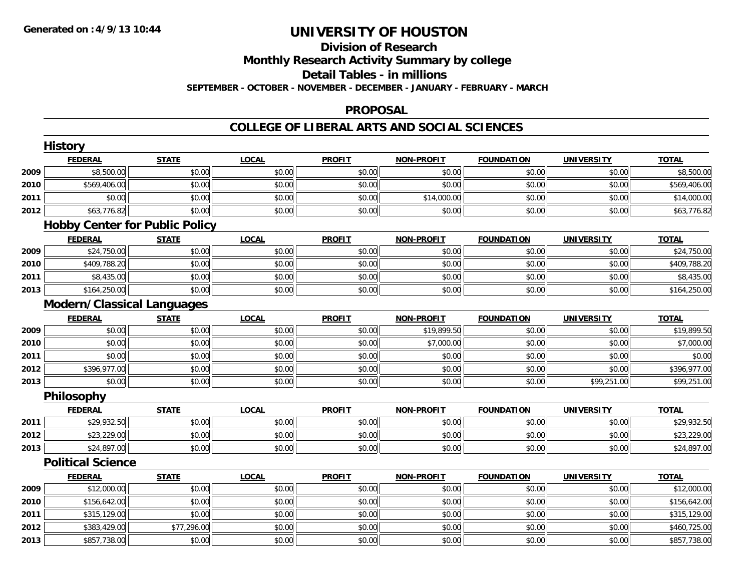### **Division of ResearchMonthly Research Activity Summary by college Detail Tables - in millions SEPTEMBER - OCTOBER - NOVEMBER - DECEMBER - JANUARY - FEBRUARY - MARCH**

#### **PROPOSAL**

|      | <b>History</b>                        |              |              |               |                   |                   |                   |              |
|------|---------------------------------------|--------------|--------------|---------------|-------------------|-------------------|-------------------|--------------|
|      | <b>FEDERAL</b>                        | <b>STATE</b> | <b>LOCAL</b> | <b>PROFIT</b> | <b>NON-PROFIT</b> | <b>FOUNDATION</b> | <b>UNIVERSITY</b> | <b>TOTAL</b> |
| 2009 | \$8,500.00                            | \$0.00       | \$0.00       | \$0.00        | \$0.00            | \$0.00            | \$0.00            | \$8,500.00   |
| 2010 | \$569,406.00                          | \$0.00       | \$0.00       | \$0.00        | \$0.00            | \$0.00            | \$0.00            | \$569,406.00 |
| 2011 | \$0.00                                | \$0.00       | \$0.00       | \$0.00        | \$14,000.00       | \$0.00            | \$0.00            | \$14,000.00  |
| 2012 | \$63,776.82                           | \$0.00       | \$0.00       | \$0.00        | \$0.00            | \$0.00            | \$0.00            | \$63,776.82  |
|      | <b>Hobby Center for Public Policy</b> |              |              |               |                   |                   |                   |              |
|      | <b>FEDERAL</b>                        | <b>STATE</b> | <b>LOCAL</b> | <b>PROFIT</b> | <b>NON-PROFIT</b> | <b>FOUNDATION</b> | <b>UNIVERSITY</b> | <b>TOTAL</b> |
| 2009 | \$24,750.00                           | \$0.00       | \$0.00       | \$0.00        | \$0.00            | \$0.00            | \$0.00            | \$24,750.00  |
| 2010 | \$409,788.20                          | \$0.00       | \$0.00       | \$0.00        | \$0.00            | \$0.00            | \$0.00            | \$409,788.20 |
| 2011 | \$8,435.00                            | \$0.00       | \$0.00       | \$0.00        | \$0.00            | \$0.00            | \$0.00            | \$8,435.00   |
| 2013 | \$164,250.00                          | \$0.00       | \$0.00       | \$0.00        | \$0.00            | \$0.00            | \$0.00            | \$164,250.00 |
|      | <b>Modern/Classical Languages</b>     |              |              |               |                   |                   |                   |              |
|      | <b>FEDERAL</b>                        | <b>STATE</b> | <b>LOCAL</b> | <b>PROFIT</b> | <b>NON-PROFIT</b> | <b>FOUNDATION</b> | <b>UNIVERSITY</b> | <b>TOTAL</b> |
| 2009 | \$0.00                                | \$0.00       | \$0.00       | \$0.00        | \$19,899.50       | \$0.00            | \$0.00            | \$19,899.50  |
| 2010 | \$0.00                                | \$0.00       | \$0.00       | \$0.00        | \$7,000.00        | \$0.00            | \$0.00            | \$7,000.00   |
| 2011 | \$0.00                                | \$0.00       | \$0.00       | \$0.00        | \$0.00            | \$0.00            | \$0.00            | \$0.00       |
| 2012 | \$396,977.00                          | \$0.00       | \$0.00       | \$0.00        | \$0.00            | \$0.00            | \$0.00            | \$396,977.00 |
| 2013 | \$0.00                                | \$0.00       | \$0.00       | \$0.00        | \$0.00            | \$0.00            | \$99,251.00       | \$99,251.00  |
|      | Philosophy                            |              |              |               |                   |                   |                   |              |
|      | <b>FEDERAL</b>                        | <b>STATE</b> | <b>LOCAL</b> | <b>PROFIT</b> | <b>NON-PROFIT</b> | <b>FOUNDATION</b> | <b>UNIVERSITY</b> | <b>TOTAL</b> |
| 2011 | \$29,932.50                           | \$0.00       | \$0.00       | \$0.00        | \$0.00            | \$0.00            | \$0.00            | \$29,932.50  |
| 2012 | \$23,229.00                           | \$0.00       | \$0.00       | \$0.00        | \$0.00            | \$0.00            | \$0.00            | \$23,229.00  |
| 2013 | \$24,897.00                           | \$0.00       | \$0.00       | \$0.00        | \$0.00            | \$0.00            | \$0.00            | \$24,897.00  |
|      | <b>Political Science</b>              |              |              |               |                   |                   |                   |              |
|      | <b>FEDERAL</b>                        | <b>STATE</b> | <b>LOCAL</b> | <b>PROFIT</b> | <b>NON-PROFIT</b> | <b>FOUNDATION</b> | <b>UNIVERSITY</b> | <b>TOTAL</b> |
| 2009 | \$12,000.00                           | \$0.00       | \$0.00       | \$0.00        | \$0.00            | \$0.00            | \$0.00            | \$12,000.00  |
| 2010 | \$156,642.00                          | \$0.00       | \$0.00       | \$0.00        | \$0.00            | \$0.00            | \$0.00            | \$156,642.00 |
| 2011 | \$315,129.00                          | \$0.00       | \$0.00       | \$0.00        | \$0.00            | \$0.00            | \$0.00            | \$315,129.00 |
| 2012 | \$383,429.00                          | \$77,296.00  | \$0.00       | \$0.00        | \$0.00            | \$0.00            | \$0.00            | \$460,725.00 |
| 2013 | \$857,738.00                          | \$0.00       | \$0.00       | \$0.00        | \$0.00            | \$0.00            | \$0.00            | \$857,738.00 |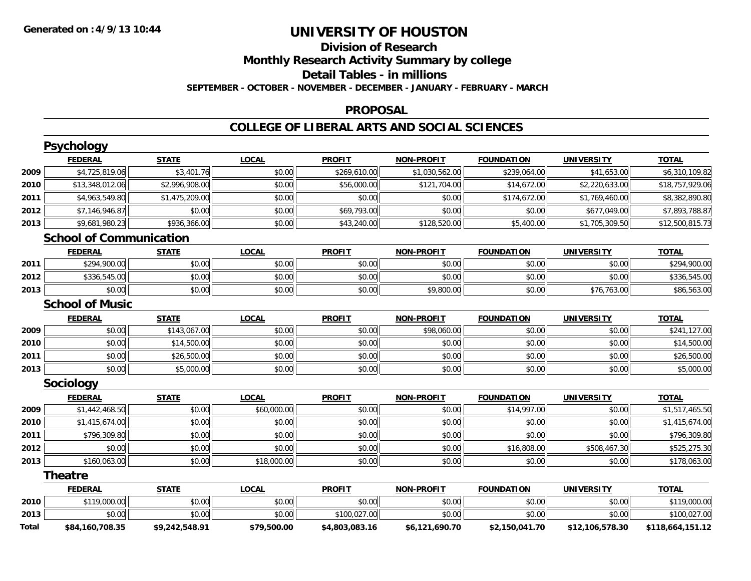### **Division of ResearchMonthly Research Activity Summary by college Detail Tables - in millions SEPTEMBER - OCTOBER - NOVEMBER - DECEMBER - JANUARY - FEBRUARY - MARCH**

#### **PROPOSAL**

|       | Psychology                     |                |              |                |                   |                   |                   |                  |
|-------|--------------------------------|----------------|--------------|----------------|-------------------|-------------------|-------------------|------------------|
|       | <b>FEDERAL</b>                 | <b>STATE</b>   | <b>LOCAL</b> | <b>PROFIT</b>  | <b>NON-PROFIT</b> | <b>FOUNDATION</b> | <b>UNIVERSITY</b> | <b>TOTAL</b>     |
| 2009  | \$4,725,819.06                 | \$3,401.76     | \$0.00       | \$269,610.00   | \$1,030,562.00    | \$239,064.00      | \$41,653.00       | \$6,310,109.82   |
| 2010  | \$13,348,012.06                | \$2,996,908.00 | \$0.00       | \$56,000.00    | \$121,704.00      | \$14,672.00       | \$2,220,633.00    | \$18,757,929.06  |
| 2011  | \$4,963,549.80                 | \$1,475,209.00 | \$0.00       | \$0.00         | \$0.00            | \$174,672.00      | \$1,769,460.00    | \$8,382,890.80   |
| 2012  | \$7,146,946.87                 | \$0.00         | \$0.00       | \$69,793.00    | \$0.00            | \$0.00            | \$677,049.00      | \$7,893,788.87   |
| 2013  | \$9,681,980.23                 | \$936,366.00   | \$0.00       | \$43,240.00    | \$128,520.00      | \$5,400.00        | \$1,705,309.50    | \$12,500,815.73  |
|       | <b>School of Communication</b> |                |              |                |                   |                   |                   |                  |
|       | <b>FEDERAL</b>                 | <b>STATE</b>   | <b>LOCAL</b> | <b>PROFIT</b>  | <b>NON-PROFIT</b> | <b>FOUNDATION</b> | <b>UNIVERSITY</b> | <b>TOTAL</b>     |
| 2011  | \$294,900.00                   | \$0.00         | \$0.00       | \$0.00         | \$0.00            | \$0.00            | \$0.00            | \$294,900.00     |
| 2012  | \$336,545.00                   | \$0.00         | \$0.00       | \$0.00         | \$0.00            | \$0.00            | \$0.00            | \$336,545.00     |
| 2013  | \$0.00                         | \$0.00         | \$0.00       | \$0.00         | \$9,800.00        | \$0.00            | \$76,763.00       | \$86,563.00      |
|       | <b>School of Music</b>         |                |              |                |                   |                   |                   |                  |
|       | <b>FEDERAL</b>                 | <b>STATE</b>   | <b>LOCAL</b> | <b>PROFIT</b>  | <b>NON-PROFIT</b> | <b>FOUNDATION</b> | <b>UNIVERSITY</b> | <b>TOTAL</b>     |
| 2009  | \$0.00                         | \$143,067.00   | \$0.00       | \$0.00         | \$98,060.00       | \$0.00            | \$0.00            | \$241,127.00     |
| 2010  | \$0.00                         | \$14,500.00    | \$0.00       | \$0.00         | \$0.00            | \$0.00            | \$0.00            | \$14,500.00      |
| 2011  | \$0.00                         | \$26,500.00    | \$0.00       | \$0.00         | \$0.00            | \$0.00            | \$0.00            | \$26,500.00      |
| 2013  | \$0.00                         | \$5,000.00     | \$0.00       | \$0.00         | \$0.00            | \$0.00            | \$0.00            | \$5,000.00       |
|       | Sociology                      |                |              |                |                   |                   |                   |                  |
|       | <b>FEDERAL</b>                 | <b>STATE</b>   | <b>LOCAL</b> | <b>PROFIT</b>  | <b>NON-PROFIT</b> | <b>FOUNDATION</b> | <b>UNIVERSITY</b> | <b>TOTAL</b>     |
| 2009  | \$1,442,468.50                 | \$0.00         | \$60,000.00  | \$0.00         | \$0.00            | \$14,997.00       | \$0.00            | \$1,517,465.50   |
| 2010  | \$1,415,674.00                 | \$0.00         | \$0.00       | \$0.00         | \$0.00            | \$0.00            | \$0.00            | \$1,415,674.00   |
| 2011  | \$796,309.80                   | \$0.00         | \$0.00       | \$0.00         | \$0.00            | \$0.00            | \$0.00            | \$796,309.80     |
| 2012  | \$0.00                         | \$0.00         | \$0.00       | \$0.00         | \$0.00            | \$16,808.00       | \$508,467.30      | \$525,275.30     |
| 2013  | \$160,063.00                   | \$0.00         | \$18,000.00  | \$0.00         | \$0.00            | \$0.00            | \$0.00            | \$178,063.00     |
|       | <b>Theatre</b>                 |                |              |                |                   |                   |                   |                  |
|       | <b>FEDERAL</b>                 | <b>STATE</b>   | <b>LOCAL</b> | <b>PROFIT</b>  | <b>NON-PROFIT</b> | <b>FOUNDATION</b> | <b>UNIVERSITY</b> | <b>TOTAL</b>     |
| 2010  | \$119,000.00                   | \$0.00         | \$0.00       | \$0.00         | \$0.00            | \$0.00            | \$0.00            | \$119,000.00     |
| 2013  | \$0.00                         | \$0.00         | \$0.00       | \$100,027.00   | \$0.00            | \$0.00            | \$0.00            | \$100,027.00     |
| Total | \$84,160,708.35                | \$9,242,548.91 | \$79,500.00  | \$4,803,083.16 | \$6,121,690.70    | \$2,150,041.70    | \$12,106,578.30   | \$118,664,151.12 |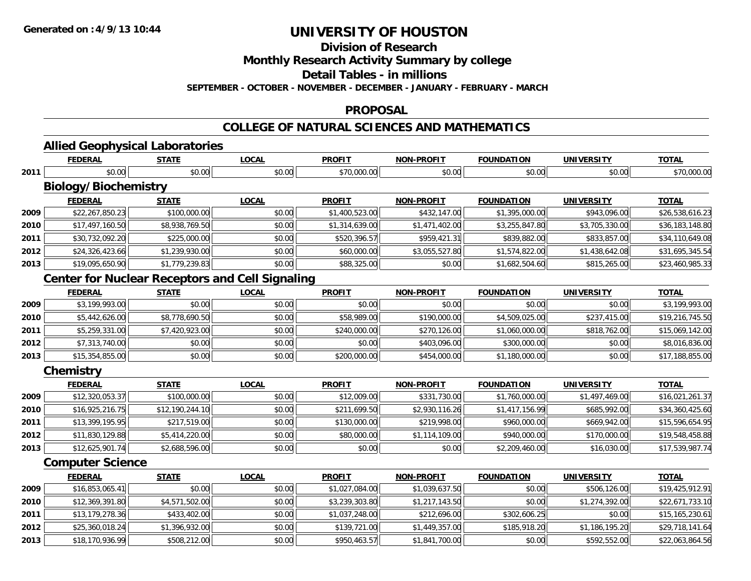**2011**

**2012**

**2013**

## **UNIVERSITY OF HOUSTON**

**Division of Research**

**Monthly Research Activity Summary by college**

**Detail Tables - in millions**

**SEPTEMBER - OCTOBER - NOVEMBER - DECEMBER - JANUARY - FEBRUARY - MARCH**

#### **PROPOSAL**

### **COLLEGE OF NATURAL SCIENCES AND MATHEMATICS**

|      | <b>Allied Geophysical Laboratories</b> |                 |                                                        |                |                   |                   |                   |                 |
|------|----------------------------------------|-----------------|--------------------------------------------------------|----------------|-------------------|-------------------|-------------------|-----------------|
|      | <b>FEDERAL</b>                         | <b>STATE</b>    | <b>LOCAL</b>                                           | <b>PROFIT</b>  | <b>NON-PROFIT</b> | <b>FOUNDATION</b> | <b>UNIVERSITY</b> | <b>TOTAL</b>    |
| 2011 | \$0.00                                 | \$0.00          | \$0.00                                                 | \$70,000.00    | \$0.00            | \$0.00            | \$0.00            | \$70,000.00     |
|      | <b>Biology/Biochemistry</b>            |                 |                                                        |                |                   |                   |                   |                 |
|      | <b>FEDERAL</b>                         | <b>STATE</b>    | <b>LOCAL</b>                                           | <b>PROFIT</b>  | <b>NON-PROFIT</b> | <b>FOUNDATION</b> | <b>UNIVERSITY</b> | <b>TOTAL</b>    |
| 2009 | \$22,267,850.23                        | \$100,000.00    | \$0.00                                                 | \$1,400,523.00 | \$432,147.00      | \$1,395,000.00    | \$943,096.00      | \$26,538,616.23 |
| 2010 | \$17,497,160.50                        | \$8,938,769.50  | \$0.00                                                 | \$1,314,639.00 | \$1,471,402.00    | \$3,255,847.80    | \$3,705,330.00    | \$36,183,148.80 |
| 2011 | \$30,732,092.20                        | \$225,000.00    | \$0.00                                                 | \$520,396.57   | \$959,421.31      | \$839,882.00      | \$833,857.00      | \$34,110,649.08 |
| 2012 | \$24,326,423.66                        | \$1,239,930.00  | \$0.00                                                 | \$60,000.00    | \$3,055,527.80    | \$1,574,822.00    | \$1,438,642.08    | \$31,695,345.54 |
| 2013 | \$19,095,650.90                        | \$1,779,239.83  | \$0.00                                                 | \$88,325.00    | \$0.00            | \$1,682,504.60    | \$815,265.00      | \$23,460,985.33 |
|      |                                        |                 | <b>Center for Nuclear Receptors and Cell Signaling</b> |                |                   |                   |                   |                 |
|      | <b>FEDERAL</b>                         | <b>STATE</b>    | <b>LOCAL</b>                                           | <b>PROFIT</b>  | <b>NON-PROFIT</b> | <b>FOUNDATION</b> | <b>UNIVERSITY</b> | <b>TOTAL</b>    |
| 2009 | \$3,199,993.00                         | \$0.00          | \$0.00                                                 | \$0.00         | \$0.00            | \$0.00            | \$0.00            | \$3,199,993.00  |
| 2010 | \$5,442,626.00                         | \$8,778,690.50  | \$0.00                                                 | \$58,989.00    | \$190,000.00      | \$4,509,025.00    | \$237,415.00      | \$19,216,745.50 |
| 2011 | \$5,259,331.00                         | \$7,420,923.00  | \$0.00                                                 | \$240,000.00   | \$270,126.00      | \$1,060,000.00    | \$818,762.00      | \$15,069,142.00 |
| 2012 | \$7,313,740.00                         | \$0.00          | \$0.00                                                 | \$0.00         | \$403,096.00      | \$300,000.00      | \$0.00            | \$8,016,836.00  |
| 2013 | \$15,354,855.00                        | \$0.00          | \$0.00                                                 | \$200,000.00   | \$454,000.00      | \$1,180,000.00    | \$0.00            | \$17,188,855.00 |
|      | Chemistry                              |                 |                                                        |                |                   |                   |                   |                 |
|      | <b>FEDERAL</b>                         | <b>STATE</b>    | <b>LOCAL</b>                                           | <b>PROFIT</b>  | <b>NON-PROFIT</b> | <b>FOUNDATION</b> | <b>UNIVERSITY</b> | <b>TOTAL</b>    |
| 2009 | \$12,320,053.37                        | \$100,000.00    | \$0.00                                                 | \$12,009.00    | \$331,730.00      | \$1,760,000.00    | \$1,497,469.00    | \$16,021,261.37 |
| 2010 | \$16,925,216.75                        | \$12,190,244.10 | \$0.00                                                 | \$211,699.50   | \$2,930,116.26    | \$1,417,156.99    | \$685,992.00      | \$34,360,425.60 |
| 2011 | \$13,399,195.95                        | \$217,519.00    | \$0.00                                                 | \$130,000.00   | \$219,998.00      | \$960,000.00      | \$669,942.00      | \$15,596,654.95 |
| 2012 | \$11,830,129.88                        | \$5,414,220.00  | \$0.00                                                 | \$80,000.00    | \$1,114,109.00    | \$940,000.00      | \$170,000.00      | \$19,548,458.88 |
| 2013 | \$12,625,901.74                        | \$2,688,596.00  | \$0.00                                                 | \$0.00         | \$0.00            | \$2,209,460.00    | \$16,030.00       | \$17,539,987.74 |
|      | <b>Computer Science</b>                |                 |                                                        |                |                   |                   |                   |                 |
|      | <b>FEDERAL</b>                         | <b>STATE</b>    | <b>LOCAL</b>                                           | <b>PROFIT</b>  | <b>NON-PROFIT</b> | <b>FOUNDATION</b> | <b>UNIVERSITY</b> | <b>TOTAL</b>    |
| 2009 | \$16,853,065.41                        | \$0.00          | \$0.00                                                 | \$1,027,084.00 | \$1,039,637.50    | \$0.00            | \$506,126.00      | \$19,425,912.91 |
| 2010 | \$12,369,391.80                        | \$4,571,502.00  | \$0.00                                                 | \$3.239.303.80 | \$1.217.143.50    | \$0.00            | \$1,274,392.00    | \$22.671.733.10 |

 \$12,369,391.80 \$4,571,502.00 \$0.00 \$3,239,303.80 \$1,217,143.50 \$0.00 \$1,274,392.00 \$22,671,733.10 **1** \$13,179,278.36| \$433,402.00| \$0.00| \$1,037,248.00| \$212,696.00| \$302,606.25| \$0.00| \$15,165,230.61 \$25,360,018.24 \$1,396,932.00 \$0.00 \$139,721.00 \$1,449,357.00 \$185,918.20 \$1,186,195.20 \$29,718,141.64  $\bf{3} \vert \bf{3} \vert \bf{4} \vert \bf{5} \vert \bf{70},936.99 \vert \bf{4} \vert \bf{5} \vert \bf{6} \vert \bf{6} \vert \bf{7} \vert \bf{6} \vert \bf{8} \vert \bf{6} \vert \bf{7} \vert \bf{6} \vert \bf{7} \vert \bf{8} \vert \bf{6} \vert \bf{7} \vert \bf{8} \vert \bf{8} \vert \bf{7} \vert \bf{8} \vert \bf{7} \vert \bf{7} \vert \bf{0} \vert \bf{0} \vert \bf{0} \vert \bf{0} \vert \bf{1} \vert \bf{1$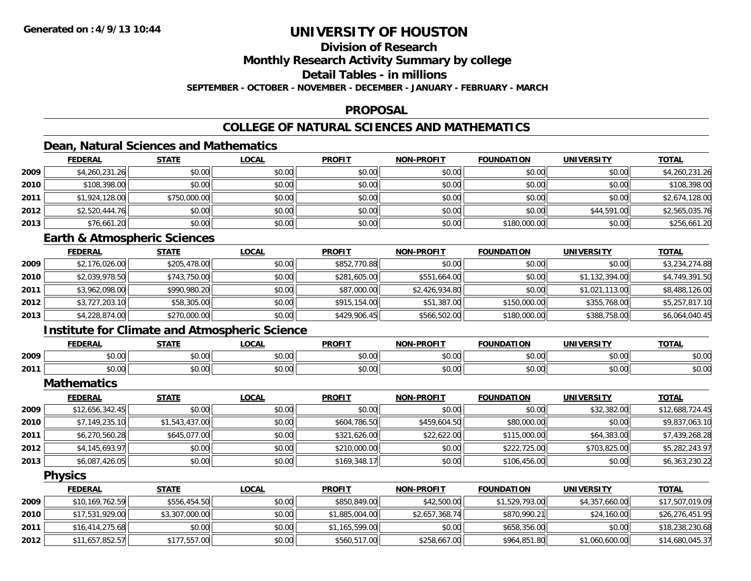### **Division of Research**

**Monthly Research Activity Summary by college**

**Detail Tables - in millions**

**SEPTEMBER - OCTOBER - NOVEMBER - DECEMBER - JANUARY - FEBRUARY - MARCH**

#### **PROPOSAL**

### **COLLEGE OF NATURAL SCIENCES AND MATHEMATICS**

### **Dean, Natural Sciences and Mathematics**

|      | <b>FEDERAL</b> | <b>STATE</b> | <u>LOCAL</u> | <b>PROFIT</b> | <b>NON-PROFIT</b> | <b>FOUNDATION</b> | <b>UNIVERSITY</b> | <b>TOTAL</b>   |
|------|----------------|--------------|--------------|---------------|-------------------|-------------------|-------------------|----------------|
| 2009 | \$4,260,231.26 | \$0.00       | \$0.00       | \$0.00        | \$0.00            | \$0.00            | \$0.00            | \$4,260,231.26 |
| 2010 | \$108,398.00   | \$0.00       | \$0.00       | \$0.00        | \$0.00            | \$0.00            | \$0.00            | \$108,398.00   |
| 2011 | \$1,924,128.00 | \$750,000.00 | \$0.00       | \$0.00        | \$0.00            | \$0.00            | \$0.00            | \$2,674,128.00 |
| 2012 | \$2,520,444.76 | \$0.00       | \$0.00       | \$0.00        | \$0.00            | \$0.00            | \$44,591.00       | \$2,565,035.76 |
| 2013 | \$76,661.20    | \$0.00       | \$0.00       | \$0.00        | \$0.00            | \$180,000.00      | \$0.00            | \$256,661.20   |

#### **Earth & Atmospheric Sciences**

|      | <b>FEDERAL</b> | <b>STATE</b> | <b>LOCAL</b> | <b>PROFIT</b> | <b>NON-PROFIT</b> | <b>FOUNDATION</b> | <b>UNIVERSITY</b> | <b>TOTAL</b>   |
|------|----------------|--------------|--------------|---------------|-------------------|-------------------|-------------------|----------------|
| 2009 | \$2,176,026.00 | \$205,478.00 | \$0.00       | \$852,770.88  | \$0.00            | \$0.00            | \$0.00            | \$3,234,274.88 |
| 2010 | \$2,039,978.50 | \$743,750.00 | \$0.00       | \$281,605.00  | \$551,664.00      | \$0.00            | \$1,132,394.00    | \$4,749,391.50 |
| 2011 | \$3,962,098.00 | \$990,980.20 | \$0.00       | \$87,000.00   | \$2,426,934.80    | \$0.00            | \$1,021,113.00    | \$8,488,126.00 |
| 2012 | \$3,727,203.10 | \$58,305.00  | \$0.00       | \$915,154,00  | \$51,387.00       | \$150,000.00      | \$355,768.00      | \$5,257,817.10 |
| 2013 | \$4,228,874.00 | \$270,000.00 | \$0.00       | \$429,906.45  | \$566,502.00      | \$180,000.00      | \$388,758.00      | \$6,064,040.45 |

### **Institute for Climate and Atmospheric Science**

|      | <b>FEDERAL</b> | <b>CTATE</b>           | .OCAI          | <b>PROFIT</b>    | ------       | ID A'                       | <b>INIVE</b><br><b>TDCITY</b><br>$\sim$ | <b>TOTAL</b>                                                              |
|------|----------------|------------------------|----------------|------------------|--------------|-----------------------------|-----------------------------------------|---------------------------------------------------------------------------|
| 2009 | 0000<br>DU.UU  | $\sim$ $\sim$<br>JU.UU | ሐሴ ሰሰ<br>DU.UU | $\sim$<br>\$0.00 | 400<br>JU.UL | nn nn<br>וטט.טש             | 0000<br>⊸∪∪∪⊪                           | \$0.00                                                                    |
| 2011 | 0000<br>pv.uu  | $\sim$ $\sim$<br>vv.vv | ሐሴ ሰሰ<br>PU.UU | 0000<br>MU.UU    | \$0.00       | 0.00<br>. <i>U U</i><br>ּשׁ | 0000<br>DU.UU                           | $\begin{array}{c} \uparrow \\ \uparrow \\ \uparrow \end{array}$<br>⊎0.∪پـ |

**Mathematics**

|      | <b>FEDERAL</b>  | <u>STATE</u>   | <b>LOCAL</b> | <b>PROFIT</b> | <b>NON-PROFIT</b> | <b>FOUNDATION</b> | UNIVERSITY   | <b>TOTAL</b>    |
|------|-----------------|----------------|--------------|---------------|-------------------|-------------------|--------------|-----------------|
| 2009 | \$12,656,342.45 | \$0.00         | \$0.00       | \$0.00        | \$0.00            | \$0.00            | \$32,382.00  | \$12,688,724.45 |
| 2010 | \$7,149,235.10  | \$1,543,437.00 | \$0.00       | \$604,786.50  | \$459,604.50      | \$80,000.00       | \$0.00       | \$9,837,063.10  |
| 2011 | \$6,270,560.28  | \$645,077,00   | \$0.00       | \$321,626.00  | \$22,622.00       | \$115,000.00      | \$64,383.00  | \$7,439,268.28  |
| 2012 | \$4,145,693.97  | \$0.00         | \$0.00       | \$210,000.00  | \$0.00            | \$222,725.00      | \$703,825,00 | \$5,282,243.97  |
| 2013 | \$6,087,426.05  | \$0.00         | \$0.00       | \$169,348.17  | \$0.00            | \$106,456.00      | \$0.00       | \$6,363,230.22  |

**Physics**

|      | <b>FEDERAL</b>  | <u>STATE</u>   | <u>LOCAL</u> | <b>PROFIT</b>  | <b>NON-PROFIT</b> | <b>FOUNDATION</b> | UNIVERSITY     | <u>TOTAL</u>    |
|------|-----------------|----------------|--------------|----------------|-------------------|-------------------|----------------|-----------------|
| 2009 | \$10,169,762.59 | \$556,454.50   | \$0.00       | \$850,849,00   | \$42,500.00       | \$1,529,793,00    | \$4,357,660.00 | \$17,507,019.09 |
| 2010 | \$17,531,929.00 | \$3,307,000.00 | \$0.00       | \$1,885,004.00 | \$2,657,368.74    | \$870,990.21      | \$24,160,00    | \$26,276,451.95 |
| 2011 | \$16,414,275.68 | \$0.00         | \$0.00       | \$1,165,599.00 | \$0.00            | \$658,356.00      | \$0.00         | \$18,238,230.68 |
| 2012 | \$11,657,852.57 | \$177,557.00   | \$0.00       | \$560,517.00   | \$258,667.00      | \$964,851.80      | \$1,060,600.00 | \$14,680,045.37 |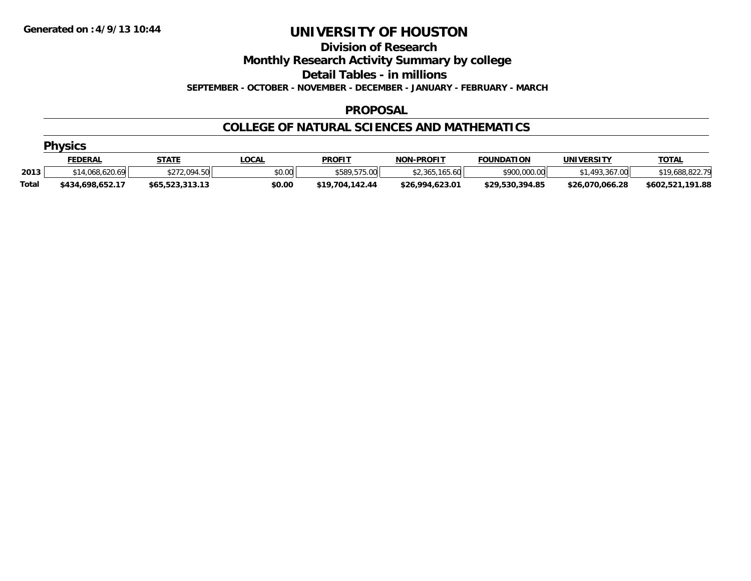#### **Division of Research**

**Monthly Research Activity Summary by college**

**Detail Tables - in millions**

**SEPTEMBER - OCTOBER - NOVEMBER - DECEMBER - JANUARY - FEBRUARY - MARCH**

#### **PROPOSAL**

#### **COLLEGE OF NATURAL SCIENCES AND MATHEMATICS**

|              | <b>Physics</b>   |                 |              |                 |                   |                   |                 |                  |  |  |  |
|--------------|------------------|-----------------|--------------|-----------------|-------------------|-------------------|-----------------|------------------|--|--|--|
|              | <u>FEDERAL</u>   | STATE           | <u>LOCAL</u> | <b>PROFIT</b>   | <b>NON-PROFIT</b> | <b>FOUNDATION</b> | UNIVERSITY      | <b>TOTAL</b>     |  |  |  |
| 2013         | \$14,068,620.69  | \$272,094.50    | \$0.00       | \$589,575,00    | \$2,365,165.60    | \$900,000.00      | \$1,493,367,00  | \$19,688,822.79  |  |  |  |
| <b>Total</b> | \$434.698.652.17 | \$65,523,313.13 | \$0.00       | \$19,704,142.44 | \$26,994,623.01   | \$29,530,394.85   | \$26,070,066.28 | \$602,521,191.88 |  |  |  |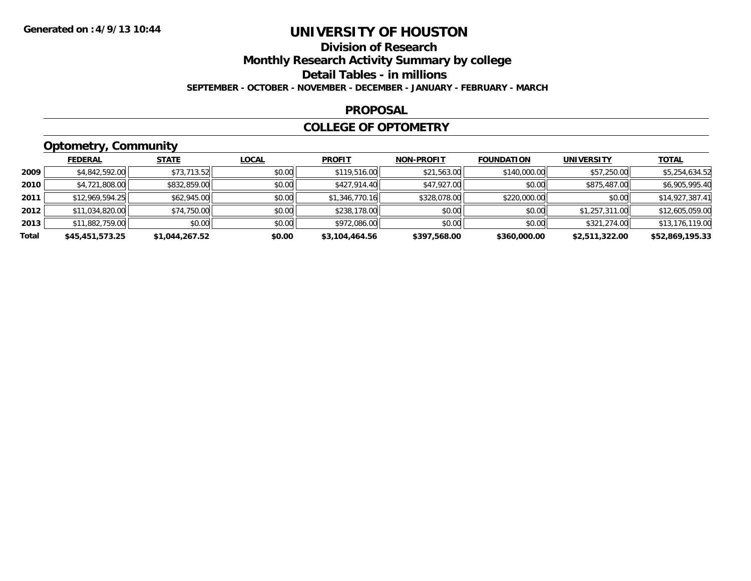### **Division of ResearchMonthly Research Activity Summary by college Detail Tables - in millions SEPTEMBER - OCTOBER - NOVEMBER - DECEMBER - JANUARY - FEBRUARY - MARCH**

#### **PROPOSAL**

#### **COLLEGE OF OPTOMETRY**

### **Optometry, Community**

|       | <b>FEDERAL</b>  | <b>STATE</b>   | <u>LOCAL</u> | <b>PROFIT</b>  | <b>NON-PROFIT</b> | <b>FOUNDATION</b> | <b>UNIVERSITY</b> | <u>TOTAL</u>    |
|-------|-----------------|----------------|--------------|----------------|-------------------|-------------------|-------------------|-----------------|
| 2009  | \$4,842,592.00  | \$73,713.52    | \$0.00       | \$119,516.00   | \$21,563.00       | \$140,000.00      | \$57,250.00       | \$5,254,634.52  |
| 2010  | \$4,721,808.00  | \$832,859.00   | \$0.00       | \$427,914.40   | \$47,927.00       | \$0.00            | \$875,487.00      | \$6,905,995.40  |
| 2011  | \$12,969,594.25 | \$62,945.00    | \$0.00       | \$1,346,770.16 | \$328,078.00      | \$220,000.00      | \$0.00            | \$14,927,387.41 |
| 2012  | \$11,034,820.00 | \$74,750.00    | \$0.00       | \$238,178.00   | \$0.00            | \$0.00            | \$1,257,311.00    | \$12,605,059.00 |
| 2013  | \$11,882,759.00 | \$0.00         | \$0.00       | \$972,086.00   | \$0.00            | \$0.00            | \$321,274.00      | \$13,176,119.00 |
| Total | \$45,451,573.25 | \$1,044,267.52 | \$0.00       | \$3,104,464.56 | \$397,568.00      | \$360,000.00      | \$2,511,322.00    | \$52,869,195.33 |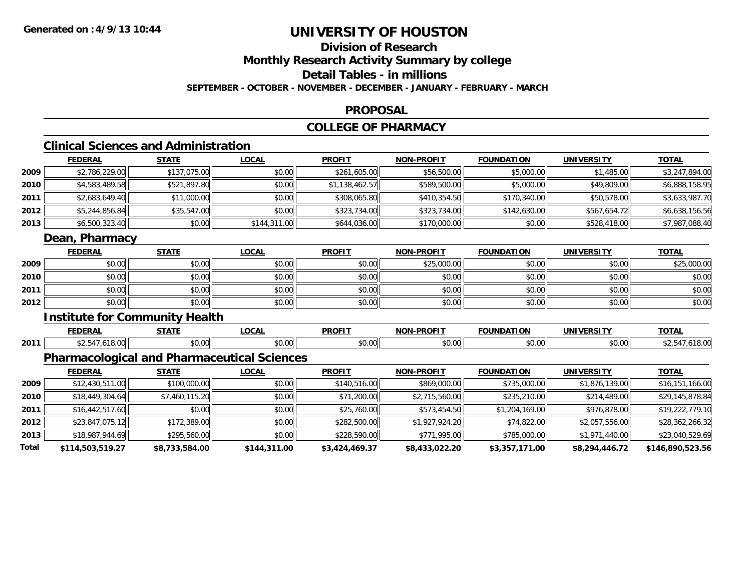**Total**

## **UNIVERSITY OF HOUSTON**

#### **Division of ResearchMonthly Research Activity Summary by college Detail Tables - in millions SEPTEMBER - OCTOBER - NOVEMBER - DECEMBER - JANUARY - FEBRUARY - MARCH**

#### **PROPOSAL**

#### **COLLEGE OF PHARMACY**

#### **Clinical Sciences and Administration**

|      | <b>FEDERAL</b>  | <b>STATE</b>                                       | <b>LOCAL</b> | <b>PROFIT</b>  | <b>NON-PROFIT</b> | <b>FOUNDATION</b> | <b>UNIVERSITY</b> | <b>TOTAL</b>    |
|------|-----------------|----------------------------------------------------|--------------|----------------|-------------------|-------------------|-------------------|-----------------|
| 2009 | \$2,786,229.00  | \$137,075.00                                       | \$0.00       | \$261,605.00   | \$56,500.00       | \$5,000.00        | \$1,485.00        | \$3,247,894.00  |
| 2010 | \$4,583,489.58  | \$521,897.80                                       | \$0.00       | \$1,138,462.57 | \$589,500.00      | \$5,000.00        | \$49,809.00       | \$6,888,158.95  |
| 2011 | \$2,683,649.40  | \$11,000.00                                        | \$0.00       | \$308,065.80   | \$410,354.50      | \$170,340.00      | \$50,578.00       | \$3,633,987.70  |
| 2012 | \$5,244,856.84  | \$35,547.00                                        | \$0.00       | \$323,734.00   | \$323,734.00      | \$142,630.00      | \$567,654.72      | \$6,638,156.56  |
| 2013 | \$6,500,323.40  | \$0.00                                             | \$144,311.00 | \$644,036.00   | \$170,000.00      | \$0.00            | \$528,418.00      | \$7,987,088.40  |
|      | Dean, Pharmacy  |                                                    |              |                |                   |                   |                   |                 |
|      | <b>FEDERAL</b>  | <b>STATE</b>                                       | <b>LOCAL</b> | <b>PROFIT</b>  | <b>NON-PROFIT</b> | <b>FOUNDATION</b> | <b>UNIVERSITY</b> | <b>TOTAL</b>    |
| 2009 | \$0.00          | \$0.00                                             | \$0.00       | \$0.00         | \$25,000.00       | \$0.00            | \$0.00            | \$25,000.00     |
| 2010 | \$0.00          | \$0.00                                             | \$0.00       | \$0.00         | \$0.00            | \$0.00            | \$0.00            | \$0.00          |
| 2011 | \$0.00          | \$0.00                                             | \$0.00       | \$0.00         | \$0.00            | \$0.00            | \$0.00            | \$0.00          |
| 2012 | \$0.00          | \$0.00                                             | \$0.00       | \$0.00         | \$0.00            | \$0.00            | \$0.00            | \$0.00          |
|      |                 | <b>Institute for Community Health</b>              |              |                |                   |                   |                   |                 |
|      | <b>FEDERAL</b>  | <b>STATE</b>                                       | <b>LOCAL</b> | <b>PROFIT</b>  | <b>NON-PROFIT</b> | <b>FOUNDATION</b> | <b>UNIVERSITY</b> | <b>TOTAL</b>    |
| 2011 | \$2,547,618.00  | \$0.00                                             | \$0.00       | \$0.00         | \$0.00            | \$0.00            | \$0.00            | \$2,547,618.00  |
|      |                 | <b>Pharmacological and Pharmaceutical Sciences</b> |              |                |                   |                   |                   |                 |
|      | <b>FEDERAL</b>  | <b>STATE</b>                                       | <b>LOCAL</b> | <b>PROFIT</b>  | <b>NON-PROFIT</b> | <b>FOUNDATION</b> | <b>UNIVERSITY</b> | <b>TOTAL</b>    |
| 2009 | \$12,430,511.00 | \$100,000.00                                       | \$0.00       | \$140,516.00   | \$869,000.00      | \$735,000.00      | \$1,876,139.00    | \$16,151,166.00 |
| 2010 | \$18,449,304.64 | \$7,460,115.20                                     | \$0.00       | \$71,200.00    | \$2,715,560.00    | \$235,210.00      | \$214,489.00      | \$29,145,878.84 |
| 2011 | \$16,442,517.60 | \$0.00                                             | \$0.00       | \$25,760.00    | \$573,454.50      | \$1,204,169.00    | \$976,878.00      | \$19,222,779.10 |
| 2012 | \$23,847,075.12 | \$172,389.00                                       | \$0.00       | \$282,500.00   | \$1,927,924.20    | \$74,822.00       | \$2,057,556.00    | \$28,362,266.32 |
| 2013 | \$18,987,944.69 | \$295,560.00                                       | \$0.00       | \$228,590.00   | \$771,995.00      | \$785,000.00      | \$1,971,440.00    | \$23,040,529.69 |

**\$114,503,519.27 \$8,733,584.00 \$144,311.00 \$3,424,469.37 \$8,433,022.20 \$3,357,171.00 \$8,294,446.72 \$146,890,523.56**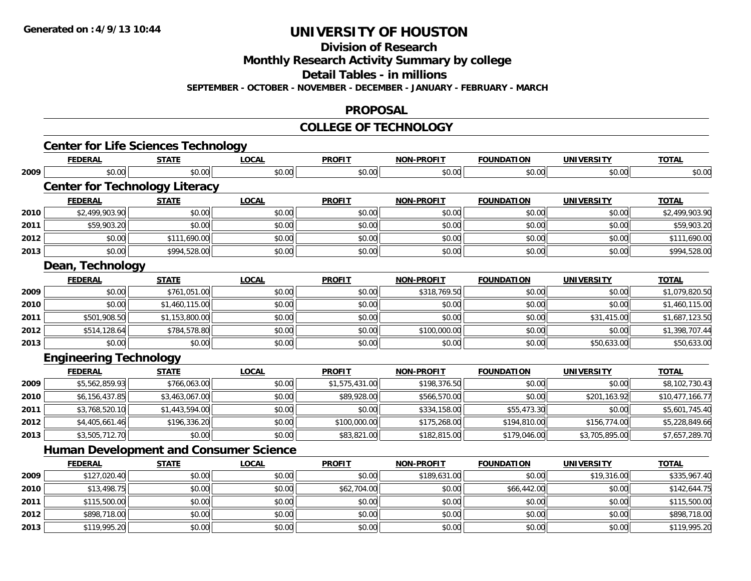**Division of Research**

**Monthly Research Activity Summary by college**

**Detail Tables - in millions**

**SEPTEMBER - OCTOBER - NOVEMBER - DECEMBER - JANUARY - FEBRUARY - MARCH**

#### **PROPOSAL**

#### **COLLEGE OF TECHNOLOGY**

|      | <b>Center for Life Sciences Technology</b>    |                |              |                |                   |                   |                   |                 |
|------|-----------------------------------------------|----------------|--------------|----------------|-------------------|-------------------|-------------------|-----------------|
|      | <b>FEDERAL</b>                                | <b>STATE</b>   | <b>LOCAL</b> | <b>PROFIT</b>  | <b>NON-PROFIT</b> | <b>FOUNDATION</b> | <b>UNIVERSITY</b> | <b>TOTAL</b>    |
| 2009 | \$0.00                                        | \$0.00         | \$0.00       | \$0.00         | \$0.00            | \$0.00            | \$0.00            | \$0.00          |
|      | <b>Center for Technology Literacy</b>         |                |              |                |                   |                   |                   |                 |
|      | <b>FEDERAL</b>                                | <b>STATE</b>   | <b>LOCAL</b> | <b>PROFIT</b>  | <b>NON-PROFIT</b> | <b>FOUNDATION</b> | <b>UNIVERSITY</b> | <b>TOTAL</b>    |
| 2010 | \$2,499,903.90                                | \$0.00         | \$0.00       | \$0.00         | \$0.00            | \$0.00            | \$0.00            | \$2,499,903.90  |
| 2011 | \$59,903.20                                   | \$0.00         | \$0.00       | \$0.00         | \$0.00            | \$0.00            | \$0.00            | \$59,903.20     |
| 2012 | \$0.00                                        | \$111,690.00   | \$0.00       | \$0.00         | \$0.00            | \$0.00            | \$0.00            | \$111,690.00    |
| 2013 | \$0.00                                        | \$994,528.00   | \$0.00       | \$0.00         | \$0.00            | \$0.00            | \$0.00            | \$994,528.00    |
|      | Dean, Technology                              |                |              |                |                   |                   |                   |                 |
|      | <b>FEDERAL</b>                                | <b>STATE</b>   | <b>LOCAL</b> | <b>PROFIT</b>  | <b>NON-PROFIT</b> | <b>FOUNDATION</b> | <b>UNIVERSITY</b> | <b>TOTAL</b>    |
| 2009 | \$0.00                                        | \$761,051.00   | \$0.00       | \$0.00         | \$318,769.50      | \$0.00            | \$0.00            | \$1,079,820.50  |
| 2010 | \$0.00                                        | \$1,460,115.00 | \$0.00       | \$0.00         | \$0.00            | \$0.00            | \$0.00            | \$1,460,115.00  |
| 2011 | \$501,908.50                                  | \$1,153,800.00 | \$0.00       | \$0.00         | \$0.00            | \$0.00            | \$31,415.00       | \$1,687,123.50  |
| 2012 | \$514,128.64                                  | \$784,578.80   | \$0.00       | \$0.00         | \$100,000.00      | \$0.00            | \$0.00            | \$1,398,707.44  |
| 2013 | \$0.00                                        | \$0.00         | \$0.00       | \$0.00         | \$0.00            | \$0.00            | \$50,633.00       | \$50,633.00     |
|      | <b>Engineering Technology</b>                 |                |              |                |                   |                   |                   |                 |
|      | <b>FEDERAL</b>                                | <b>STATE</b>   | <b>LOCAL</b> | <b>PROFIT</b>  | <b>NON-PROFIT</b> | <b>FOUNDATION</b> | <b>UNIVERSITY</b> | <b>TOTAL</b>    |
| 2009 | \$5,562,859.93                                | \$766,063.00   | \$0.00       | \$1,575,431.00 | \$198,376.50      | \$0.00            | \$0.00            | \$8,102,730.43  |
| 2010 | \$6,156,437.85                                | \$3,463,067.00 | \$0.00       | \$89,928.00    | \$566,570.00      | \$0.00            | \$201,163.92      | \$10,477,166.77 |
| 2011 | \$3,768,520.10                                | \$1,443,594.00 | \$0.00       | \$0.00         | \$334,158.00      | \$55,473.30       | \$0.00            | \$5,601,745.40  |
| 2012 | \$4,405,661.46                                | \$196,336.20   | \$0.00       | \$100,000.00   | \$175,268.00      | \$194,810.00      | \$156,774.00      | \$5,228,849.66  |
| 2013 | \$3,505,712.70                                | \$0.00         | \$0.00       | \$83,821.00    | \$182,815.00      | \$179,046.00      | \$3,705,895.00    | \$7,657,289.70  |
|      | <b>Human Development and Consumer Science</b> |                |              |                |                   |                   |                   |                 |
|      | <b>FEDERAL</b>                                | <b>STATE</b>   | <b>LOCAL</b> | <b>PROFIT</b>  | <b>NON-PROFIT</b> | <b>FOUNDATION</b> | <b>UNIVERSITY</b> | <b>TOTAL</b>    |
| 2009 | \$127,020.40                                  | \$0.00         | \$0.00       | \$0.00         | \$189,631.00      | \$0.00            | \$19,316.00       | \$335,967.40    |
| 2010 | \$13,498.75                                   | \$0.00         | \$0.00       | \$62,704.00    | \$0.00            | \$66,442.00       | \$0.00            | \$142,644.75    |
| 2011 | \$115,500.00                                  | \$0.00         | \$0.00       | \$0.00         | \$0.00            | \$0.00            | \$0.00            | \$115,500.00    |
| 2012 | \$898,718.00                                  | \$0.00         | \$0.00       | \$0.00         | \$0.00            | \$0.00            | \$0.00            | \$898,718.00    |
| 2013 | \$119,995.20                                  | \$0.00         | \$0.00       | \$0.00         | \$0.00            | \$0.00            | \$0.00            | \$119,995.20    |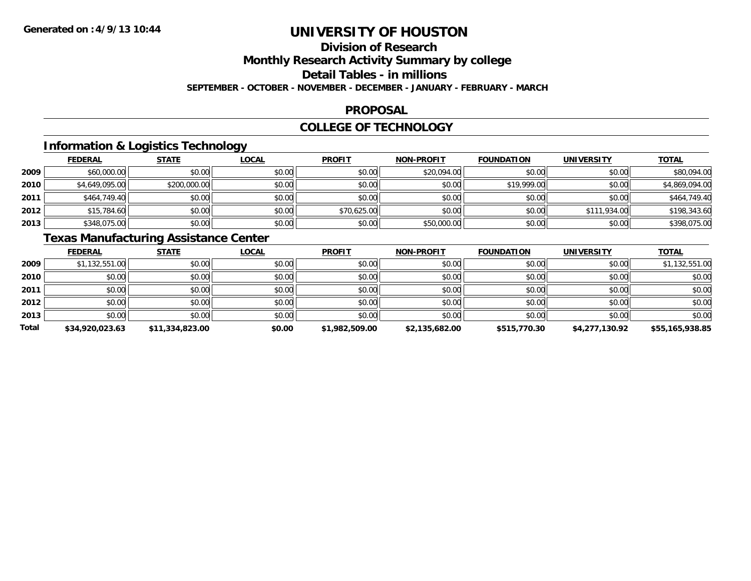### **Division of ResearchMonthly Research Activity Summary by college Detail Tables - in millions**

**SEPTEMBER - OCTOBER - NOVEMBER - DECEMBER - JANUARY - FEBRUARY - MARCH**

#### **PROPOSAL**

#### **COLLEGE OF TECHNOLOGY**

### **Information & Logistics Technology**

|      | <b>FEDERAL</b> | <b>STATE</b> | <u>LOCAL</u> | <b>PROFIT</b> | <b>NON-PROFIT</b> | <b>FOUNDATION</b> | <b>UNIVERSITY</b> | <b>TOTAL</b>   |
|------|----------------|--------------|--------------|---------------|-------------------|-------------------|-------------------|----------------|
| 2009 | \$60,000.00    | \$0.00       | \$0.00       | \$0.00        | \$20,094.00       | \$0.00            | \$0.00            | \$80,094.00    |
| 2010 | \$4,649,095.00 | \$200,000.00 | \$0.00       | \$0.00        | \$0.00            | \$19,999.00       | \$0.00            | \$4,869,094.00 |
| 2011 | \$464,749.40   | \$0.00       | \$0.00       | \$0.00        | \$0.00            | \$0.00            | \$0.00            | \$464,749.40   |
| 2012 | \$15,784.60    | \$0.00       | \$0.00       | \$70,625.00   | \$0.00            | \$0.00            | \$111,934.00      | \$198,343.60   |
| 2013 | \$348,075.00   | \$0.00       | \$0.00       | \$0.00        | \$50,000.00       | \$0.00            | \$0.00            | \$398,075.00   |

### **Texas Manufacturing Assistance Center**

|              | <b>FEDERAL</b>  | <b>STATE</b>    | <u>LOCAL</u> | <b>PROFIT</b>  | <b>NON-PROFIT</b> | <b>FOUNDATION</b> | <b>UNIVERSITY</b> | <b>TOTAL</b>    |
|--------------|-----------------|-----------------|--------------|----------------|-------------------|-------------------|-------------------|-----------------|
| 2009         | \$1,132,551.00  | \$0.00          | \$0.00       | \$0.00         | \$0.00            | \$0.00            | \$0.00            | \$1,132,551.00  |
| 2010         | \$0.00          | \$0.00          | \$0.00       | \$0.00         | \$0.00            | \$0.00            | \$0.00            | \$0.00          |
| 2011         | \$0.00          | \$0.00          | \$0.00       | \$0.00         | \$0.00            | \$0.00            | \$0.00            | \$0.00          |
| 2012         | \$0.00          | \$0.00          | \$0.00       | \$0.00         | \$0.00            | \$0.00            | \$0.00            | \$0.00          |
| 2013         | \$0.00          | \$0.00          | \$0.00       | \$0.00         | \$0.00            | \$0.00            | \$0.00            | \$0.00          |
| <b>Total</b> | \$34,920,023.63 | \$11,334,823.00 | \$0.00       | \$1,982,509.00 | \$2,135,682.00    | \$515,770.30      | \$4,277,130.92    | \$55,165,938.85 |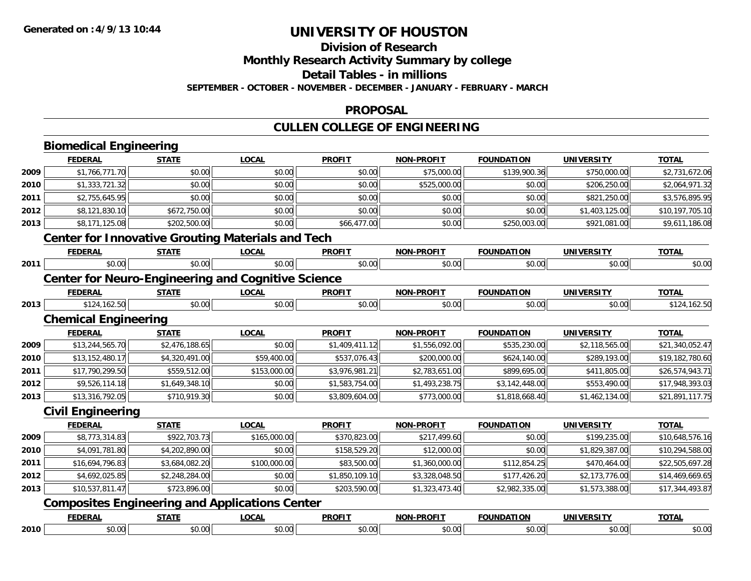#### **Division of Research**

**Monthly Research Activity Summary by college**

**Detail Tables - in millions**

**SEPTEMBER - OCTOBER - NOVEMBER - DECEMBER - JANUARY - FEBRUARY - MARCH**

#### **PROPOSAL**

### **CULLEN COLLEGE OF ENGINEERING**

|      | <b>Biomedical Engineering</b> |                |                                                           |                |                   |                   |                   |                 |
|------|-------------------------------|----------------|-----------------------------------------------------------|----------------|-------------------|-------------------|-------------------|-----------------|
|      | <b>FEDERAL</b>                | <b>STATE</b>   | <b>LOCAL</b>                                              | <b>PROFIT</b>  | <b>NON-PROFIT</b> | <b>FOUNDATION</b> | <b>UNIVERSITY</b> | <b>TOTAL</b>    |
| 2009 | \$1,766,771.70                | \$0.00         | \$0.00                                                    | \$0.00         | \$75,000.00       | \$139,900.36      | \$750,000.00      | \$2,731,672.06  |
| 2010 | \$1,333,721.32                | \$0.00         | \$0.00                                                    | \$0.00         | \$525,000.00      | \$0.00            | \$206,250.00      | \$2,064,971.32  |
| 2011 | \$2,755,645.95                | \$0.00         | \$0.00                                                    | \$0.00         | \$0.00            | \$0.00            | \$821,250.00      | \$3,576,895.95  |
| 2012 | \$8,121,830.10                | \$672,750.00   | \$0.00                                                    | \$0.00         | \$0.00            | \$0.00            | \$1,403,125.00    | \$10,197,705.10 |
| 2013 | \$8,171,125.08                | \$202,500.00   | \$0.00                                                    | \$66,477.00    | \$0.00            | \$250,003.00      | \$921,081.00      | \$9,611,186.08  |
|      |                               |                | <b>Center for Innovative Grouting Materials and Tech</b>  |                |                   |                   |                   |                 |
|      | <b>FEDERAL</b>                | <b>STATE</b>   | <b>LOCAL</b>                                              | <b>PROFIT</b>  | <b>NON-PROFIT</b> | <b>FOUNDATION</b> | <b>UNIVERSITY</b> | <b>TOTAL</b>    |
| 2011 | \$0.00                        | \$0.00         | \$0.00                                                    | \$0.00         | \$0.00            | \$0.00            | \$0.00            | \$0.00          |
|      |                               |                | <b>Center for Neuro-Engineering and Cognitive Science</b> |                |                   |                   |                   |                 |
|      | <b>FEDERAL</b>                | <b>STATE</b>   | <b>LOCAL</b>                                              | <b>PROFIT</b>  | <b>NON-PROFIT</b> | <b>FOUNDATION</b> | <b>UNIVERSITY</b> | <b>TOTAL</b>    |
| 2013 | \$124,162.50                  | \$0.00         | \$0.00                                                    | \$0.00         | \$0.00            | \$0.00            | \$0.00            | \$124,162.50    |
|      | <b>Chemical Engineering</b>   |                |                                                           |                |                   |                   |                   |                 |
|      | <b>FEDERAL</b>                | <b>STATE</b>   | <b>LOCAL</b>                                              | <b>PROFIT</b>  | <b>NON-PROFIT</b> | <b>FOUNDATION</b> | <b>UNIVERSITY</b> | <b>TOTAL</b>    |
| 2009 | \$13,244,565.70               | \$2,476,188.65 | \$0.00                                                    | \$1,409,411.12 | \$1,556,092.00    | \$535,230.00      | \$2,118,565.00    | \$21,340,052.47 |
| 2010 | \$13,152,480.17               | \$4,320,491.00 | \$59,400.00                                               | \$537,076.43   | \$200,000.00      | \$624,140.00      | \$289,193.00      | \$19,182,780.60 |
| 2011 | \$17,790,299.50               | \$559,512.00   | \$153,000.00                                              | \$3,976,981.21 | \$2,783,651.00    | \$899,695.00      | \$411,805.00      | \$26,574,943.71 |
| 2012 | \$9,526,114.18                | \$1,649,348.10 | \$0.00                                                    | \$1,583,754.00 | \$1,493,238.75    | \$3,142,448.00    | \$553,490.00      | \$17,948,393.03 |
| 2013 | \$13,316,792.05               | \$710,919.30   | \$0.00                                                    | \$3,809,604.00 | \$773,000.00      | \$1,818,668.40    | \$1,462,134.00    | \$21,891,117.75 |
|      | <b>Civil Engineering</b>      |                |                                                           |                |                   |                   |                   |                 |
|      | <b>FEDERAL</b>                | <b>STATE</b>   | <b>LOCAL</b>                                              | <b>PROFIT</b>  | <b>NON-PROFIT</b> | <b>FOUNDATION</b> | <b>UNIVERSITY</b> | <b>TOTAL</b>    |
| 2009 | \$8,773,314.83                | \$922,703.73   | \$165,000.00                                              | \$370,823.00   | \$217,499.60      | \$0.00            | \$199,235.00      | \$10,648,576.16 |
| 2010 | \$4,091,781.80                | \$4,202,890.00 | \$0.00                                                    | \$158,529.20   | \$12,000.00       | \$0.00            | \$1,829,387.00    | \$10,294,588.00 |
| 2011 | \$16,694,796.83               | \$3,684,082.20 | \$100,000.00                                              | \$83,500.00    | \$1,360,000.00    | \$112,854.25      | \$470,464.00      | \$22,505,697.28 |
| 2012 | \$4,692,025.85                | \$2,248,284.00 | \$0.00                                                    | \$1,850,109.10 | \$3,328,048.50    | \$177,426.20      | \$2,173,776.00    | \$14,469,669.65 |
| 2013 | \$10,537,811.47               | \$723,896.00   | \$0.00                                                    | \$203,590.00   | \$1,323,473.40    | \$2,982,335.00    | \$1,573,388.00    | \$17,344,493.87 |
|      |                               |                | <b>Composites Engineering and Applications Center</b>     |                |                   |                   |                   |                 |
|      | <b>FEDERAL</b>                | <b>STATE</b>   | <b>LOCAL</b>                                              | <b>PROFIT</b>  | <b>NON-PROFIT</b> | <b>FOUNDATION</b> | <b>UNIVERSITY</b> | <b>TOTAL</b>    |
| 2010 | \$0.00                        | \$0.00         | \$0.00                                                    | \$0.00         | \$0.00            | \$0.00            | \$0.00            | \$0.00          |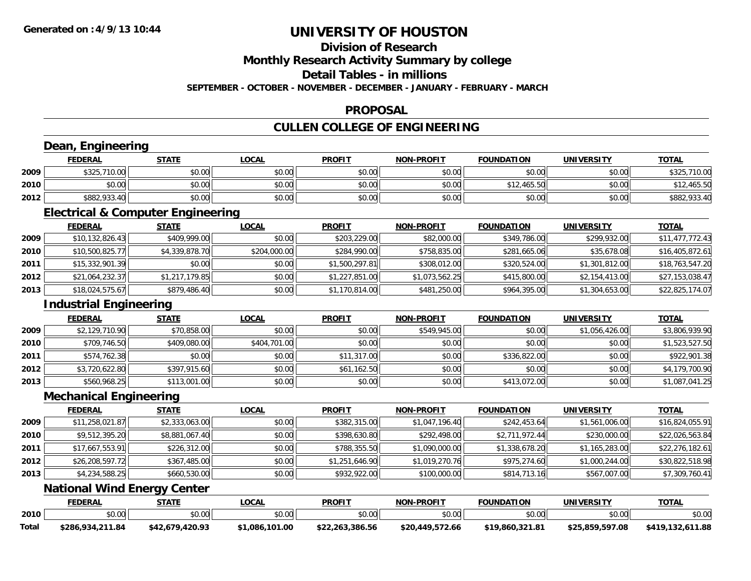### **Division of Research**

**Monthly Research Activity Summary by college**

**Detail Tables - in millions**

**SEPTEMBER - OCTOBER - NOVEMBER - DECEMBER - JANUARY - FEBRUARY - MARCH**

#### **PROPOSAL**

### **CULLEN COLLEGE OF ENGINEERING**

### **Dean, Engineering**

|      | Dean,          | Engineering  |              |               |                   |                   |            |              |  |  |
|------|----------------|--------------|--------------|---------------|-------------------|-------------------|------------|--------------|--|--|
|      | <b>FEDERAL</b> | <b>STATE</b> | <u>LOCAL</u> | <b>PROFIT</b> | <b>NON-PROFIT</b> | <b>FOUNDATION</b> | UNIVERSITY | <b>TOTAL</b> |  |  |
| 2009 | \$325,710.00   | \$0.00       | \$0.00       | \$0.00        | \$0.00            | \$0.00            | \$0.00     | \$325,710.00 |  |  |
| 2010 | \$0.00         | \$0.00       | \$0.00       | \$0.00        | \$0.00            | \$12,465.50       | \$0.00     | \$12,465.50  |  |  |
| 2012 | \$882,933.40   | \$0.00       | \$0.00       | \$0.00        | \$0.00            | \$0.00            | \$0.00     | \$882,933.40 |  |  |

<u> 1980 - Andrea Station Barbara, actor a component de la componentación de la componentación de la componentaci</u>

#### **Electrical & Computer Engineering**

|      | <b>FEDERAL</b>  | <u>STATE</u>   | <b>LOCAL</b> | <b>PROFIT</b>  | NON-PROFIT     | <b>FOUNDATION</b> | UNIVERSITY     | <u>TOTAL</u>    |
|------|-----------------|----------------|--------------|----------------|----------------|-------------------|----------------|-----------------|
| 2009 | \$10,132,826.43 | \$409,999.00   | \$0.00       | \$203,229.00   | \$82,000.00    | \$349,786.00      | \$299,932.00   | \$11,477,772.43 |
| 2010 | \$10,500,825.77 | \$4,339,878.70 | \$204,000.00 | \$284,990.00   | \$758,835.00   | \$281,665.06      | \$35,678.08    | \$16,405,872.61 |
| 2011 | \$15,332,901.39 | \$0.00         | \$0.00       | \$1,500,297.81 | \$308,012.00   | \$320,524.00      | \$1,301,812.00 | \$18,763,547.20 |
| 2012 | \$21,064,232.37 | \$1,217,179.85 | \$0.00       | \$1,227,851.00 | \$1,073,562.25 | \$415,800.00      | \$2,154,413.00 | \$27,153,038.47 |
| 2013 | \$18,024,575.67 | \$879,486.40   | \$0.00       | \$1,170,814.00 | \$481,250.00   | \$964,395.00      | \$1,304,653.00 | \$22,825,174.07 |

### **Industrial Engineering**

|      |                | <b>Industrial Engineering</b> |              |               |                   |                   |                   |                |  |  |  |
|------|----------------|-------------------------------|--------------|---------------|-------------------|-------------------|-------------------|----------------|--|--|--|
|      | <b>FEDERAL</b> | <b>STATE</b>                  | <u>LOCAL</u> | <b>PROFIT</b> | <b>NON-PROFIT</b> | <b>FOUNDATION</b> | <b>UNIVERSITY</b> | <b>TOTAL</b>   |  |  |  |
| 2009 | \$2,129,710.90 | \$70,858.00                   | \$0.00       | \$0.00        | \$549,945.00      | \$0.00            | \$1,056,426.00    | \$3,806,939.90 |  |  |  |
| 2010 | \$709,746.50   | \$409,080.00                  | \$404,701.00 | \$0.00        | \$0.00            | \$0.00            | \$0.00            | \$1,523,527.50 |  |  |  |
| 2011 | \$574,762.38   | \$0.00                        | \$0.00       | \$11,317.00   | \$0.00            | \$336,822.00      | \$0.00            | \$922,901.38   |  |  |  |
| 2012 | \$3,720,622.80 | \$397,915.60                  | \$0.00       | \$61,162.50   | \$0.00            | \$0.00            | \$0.00            | \$4,179,700.90 |  |  |  |
| 2013 | \$560,968.25   | \$113,001.00                  | \$0.00       | \$0.00        | \$0.00            | \$413,072.00      | \$0.00            | \$1,087,041.25 |  |  |  |

<u> 1989 - Johann Stoff, deutscher Stoffen und der Stoffen und der Stoffen und der Stoffen und der Stoffen und de</u>

#### **Mechanical Engineering**

|      | <b>FEDERAL</b>  | <b>STATE</b>   | <b>LOCAL</b> | <b>PROFIT</b>  | <b>NON-PROFIT</b> | <b>FOUNDATION</b> | <b>UNIVERSITY</b> | <b>TOTAL</b>    |
|------|-----------------|----------------|--------------|----------------|-------------------|-------------------|-------------------|-----------------|
| 2009 | \$11,258,021.87 | \$2,333,063.00 | \$0.00       | \$382,315.00   | \$1,047,196.40    | \$242,453.64      | \$1,561,006.00    | \$16,824,055.91 |
| 2010 | \$9,512,395.20  | \$8,881,067.40 | \$0.00       | \$398,630.80   | \$292,498.00      | \$2,711,972.44    | \$230,000.00      | \$22,026,563.84 |
| 2011 | \$17,667,553.91 | \$226,312.00   | \$0.00       | \$788,355.50   | \$1,090,000.00    | \$1,338,678.20    | \$1,165,283.00    | \$22,276,182.61 |
| 2012 | \$26,208,597.72 | \$367,485.00   | \$0.00       | \$1,251,646.90 | \$1,019,270.76    | \$975,274.60      | \$1,000,244.00    | \$30,822,518.98 |
| 2013 | \$4,234,588.25  | \$660,530.00   | \$0.00       | \$932,922.00   | \$100,000.00      | \$814,713.16      | \$567,007.00      | \$7,309,760.41  |

#### **National Wind Energy Center**

|       | <b>FEDERAL</b>      | <b>RTATE</b>              | .OCAL           | <b>PROFIT</b>         | <b>NON-PROFIT</b> | <b>FOUNDATION</b> | <b>UNIVERSITY</b> | <b>TOTAL</b>    |
|-------|---------------------|---------------------------|-----------------|-----------------------|-------------------|-------------------|-------------------|-----------------|
| 2010  | ደስ ሰሰ<br>PU.U       | 0000<br>vv.vv             | 0000<br>pu.uu   | 0 <sup>n</sup><br>. ש | 0000<br>PU.UU     | \$0.00            | \$0.00            | \$0.00          |
| Total | 934,211.84<br>\$286 | 420.93<br>— \$42.c<br>170 | 101.00<br>1.086 | \$22,263,386.56       | \$20,449,572.66   | $*19.860.321.8$   | \$25.859.597.08   | 611.88<br>\$419 |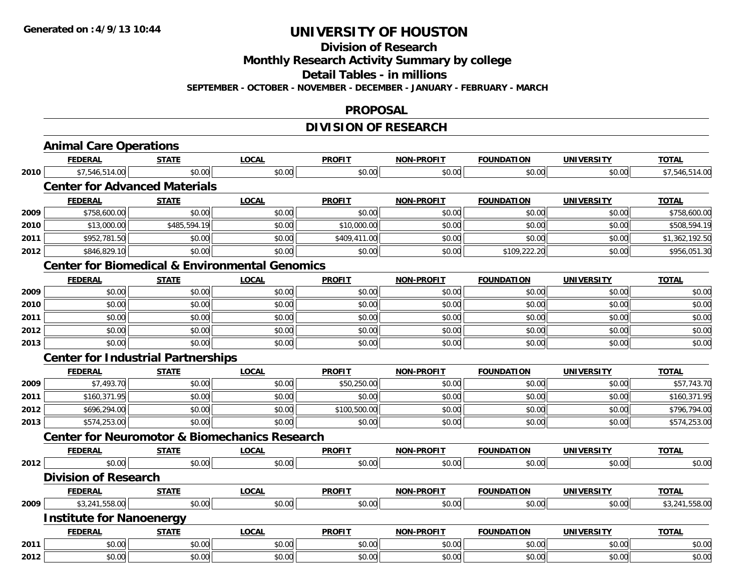#### **Division of Research**

**Monthly Research Activity Summary by college**

**Detail Tables - in millions**

**SEPTEMBER - OCTOBER - NOVEMBER - DECEMBER - JANUARY - FEBRUARY - MARCH**

#### **PROPOSAL**

### **DIVISION OF RESEARCH**

|      | <b>Animal Care Operations</b>             |                                      |                                                           |               |                   |                   |                   |                |  |  |  |
|------|-------------------------------------------|--------------------------------------|-----------------------------------------------------------|---------------|-------------------|-------------------|-------------------|----------------|--|--|--|
|      | <b>FEDERAL</b>                            | <b>STATE</b>                         | <b>LOCAL</b>                                              | <b>PROFIT</b> | NON-PROFIT        | <b>FOUNDATION</b> | <b>UNIVERSITY</b> | <b>TOTAL</b>   |  |  |  |
| 2010 | \$7,546,514.00                            | \$0.00                               | \$0.00                                                    | \$0.00        | \$0.00            | \$0.00            | \$0.00            | \$7,546,514.00 |  |  |  |
|      |                                           | <b>Center for Advanced Materials</b> |                                                           |               |                   |                   |                   |                |  |  |  |
|      | <b>FEDERAL</b>                            | <b>STATE</b>                         | <b>LOCAL</b>                                              | <b>PROFIT</b> | NON-PROFIT        | <b>FOUNDATION</b> | <b>UNIVERSITY</b> | <b>TOTAL</b>   |  |  |  |
| 2009 | \$758,600.00                              | \$0.00                               | \$0.00                                                    | \$0.00        | \$0.00            | \$0.00            | \$0.00            | \$758,600.00   |  |  |  |
| 2010 | \$13,000.00                               | \$485,594.19                         | \$0.00                                                    | \$10,000.00   | \$0.00            | \$0.00            | \$0.00            | \$508,594.19   |  |  |  |
| 2011 | \$952,781.50                              | \$0.00                               | \$0.00                                                    | \$409,411.00  | \$0.00            | \$0.00            | \$0.00            | \$1,362,192.50 |  |  |  |
| 2012 | \$846,829.10                              | \$0.00                               | \$0.00                                                    | \$0.00        | \$0.00            | \$109,222.20      | \$0.00            | \$956,051.30   |  |  |  |
|      |                                           |                                      | <b>Center for Biomedical &amp; Environmental Genomics</b> |               |                   |                   |                   |                |  |  |  |
|      | <b>FEDERAL</b>                            | <b>STATE</b>                         | <b>LOCAL</b>                                              | <b>PROFIT</b> | NON-PROFIT        | <b>FOUNDATION</b> | <b>UNIVERSITY</b> | <b>TOTAL</b>   |  |  |  |
| 2009 | \$0.00                                    | \$0.00                               | \$0.00                                                    | \$0.00        | \$0.00            | \$0.00            | \$0.00            | \$0.00         |  |  |  |
| 2010 | \$0.00                                    | \$0.00                               | \$0.00                                                    | \$0.00        | \$0.00            | \$0.00            | \$0.00            | \$0.00         |  |  |  |
| 2011 | \$0.00                                    | \$0.00                               | \$0.00                                                    | \$0.00        | \$0.00            | \$0.00            | \$0.00            | \$0.00         |  |  |  |
| 2012 | \$0.00                                    | \$0.00                               | \$0.00                                                    | \$0.00        | \$0.00            | \$0.00            | \$0.00            | \$0.00         |  |  |  |
| 2013 | \$0.00                                    | \$0.00                               | \$0.00                                                    | \$0.00        | \$0.00            | \$0.00            | \$0.00            | \$0.00         |  |  |  |
|      | <b>Center for Industrial Partnerships</b> |                                      |                                                           |               |                   |                   |                   |                |  |  |  |
|      | <b>FEDERAL</b>                            | <b>STATE</b>                         | <b>LOCAL</b>                                              | <b>PROFIT</b> | NON-PROFIT        | <b>FOUNDATION</b> | <b>UNIVERSITY</b> | <b>TOTAL</b>   |  |  |  |
| 2009 | \$7,493.70                                | \$0.00                               | \$0.00                                                    | \$50,250.00   | \$0.00            | \$0.00            | \$0.00            | \$57,743.70    |  |  |  |
| 2011 | \$160,371.95                              | \$0.00                               | \$0.00                                                    | \$0.00        | \$0.00            | \$0.00            | \$0.00            | \$160,371.95   |  |  |  |
| 2012 | \$696,294.00                              | \$0.00                               | \$0.00                                                    | \$100,500.00  | \$0.00            | \$0.00            | \$0.00            | \$796,794.00   |  |  |  |
| 2013 | \$574,253.00                              | \$0.00                               | \$0.00                                                    | \$0.00        | \$0.00            | \$0.00            | \$0.00            | \$574,253.00   |  |  |  |
|      |                                           |                                      | <b>Center for Neuromotor &amp; Biomechanics Research</b>  |               |                   |                   |                   |                |  |  |  |
|      | <b>FEDERAL</b>                            | <b>STATE</b>                         | <b>LOCAL</b>                                              | <b>PROFIT</b> | <b>NON-PROFIT</b> | <b>FOUNDATION</b> | <b>UNIVERSITY</b> | <b>TOTAL</b>   |  |  |  |
| 2012 | \$0.00                                    | \$0.00                               | \$0.00                                                    | \$0.00        | \$0.00            | \$0.00            | \$0.00            | \$0.00         |  |  |  |
|      | <b>Division of Research</b>               |                                      |                                                           |               |                   |                   |                   |                |  |  |  |
|      | <b>FEDERAL</b>                            | <b>STATE</b>                         | <b>LOCAL</b>                                              | <b>PROFIT</b> | <b>NON-PROFIT</b> | <b>FOUNDATION</b> | <b>UNIVERSITY</b> | <b>TOTAL</b>   |  |  |  |
| 2009 | \$3,241,558.00                            | \$0.00                               | \$0.00                                                    | \$0.00        | \$0.00            | \$0.00            | \$0.00            | \$3,241,558.00 |  |  |  |
|      | <b>Institute for Nanoenergy</b>           |                                      |                                                           |               |                   |                   |                   |                |  |  |  |
|      | <b>FEDERAL</b>                            | <b>STATE</b>                         | <b>LOCAL</b>                                              | <b>PROFIT</b> | <b>NON-PROFIT</b> | <b>FOUNDATION</b> | <b>UNIVERSITY</b> | <b>TOTAL</b>   |  |  |  |
| 2011 | \$0.00                                    | \$0.00                               | \$0.00                                                    | \$0.00        | \$0.00            | \$0.00            | \$0.00            | \$0.00         |  |  |  |
| 2012 | \$0.00                                    | \$0.00                               | \$0.00                                                    | \$0.00        | \$0.00            | \$0.00            | \$0.00            | \$0.00         |  |  |  |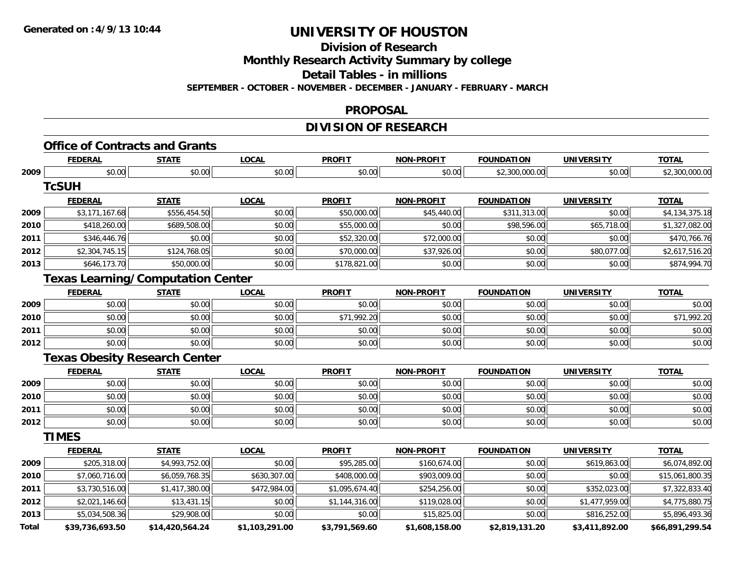**Division of Research**

**Monthly Research Activity Summary by college**

**Detail Tables - in millions**

**SEPTEMBER - OCTOBER - NOVEMBER - DECEMBER - JANUARY - FEBRUARY - MARCH**

### **PROPOSAL**

### **DIVISION OF RESEARCH**

## **Office of Contracts and Grants**

|              | <b>FEDERAL</b>                           | <b>STATE</b>    | <b>LOCAL</b>   | <b>PROFIT</b>  | <b>NON-PROFIT</b> | <b>FOUNDATION</b> | <b>UNIVERSITY</b> | <b>TOTAL</b>    |
|--------------|------------------------------------------|-----------------|----------------|----------------|-------------------|-------------------|-------------------|-----------------|
| 2009         | \$0.00                                   | \$0.00          | \$0.00         | \$0.00         | \$0.00            | \$2,300,000.00    | \$0.00            | \$2,300,000.00  |
|              | <b>TcSUH</b>                             |                 |                |                |                   |                   |                   |                 |
|              | <b>FEDERAL</b>                           | <b>STATE</b>    | <b>LOCAL</b>   | <b>PROFIT</b>  | <b>NON-PROFIT</b> | <b>FOUNDATION</b> | <b>UNIVERSITY</b> | <b>TOTAL</b>    |
| 2009         | \$3,171,167.68                           | \$556,454.50    | \$0.00         | \$50,000.00    | \$45,440.00       | \$311,313.00      | \$0.00            | \$4,134,375.18  |
| 2010         | \$418,260.00                             | \$689,508.00    | \$0.00         | \$55,000.00    | \$0.00            | \$98,596.00       | \$65,718.00       | \$1,327,082.00  |
| 2011         | \$346,446.76                             | \$0.00          | \$0.00         | \$52,320.00    | \$72,000.00       | \$0.00            | \$0.00            | \$470,766.76    |
| 2012         | \$2,304,745.15                           | \$124,768.05    | \$0.00         | \$70,000.00    | \$37,926.00       | \$0.00            | \$80,077.00       | \$2,617,516.20  |
| 2013         | \$646,173.70                             | \$50,000.00     | \$0.00         | \$178,821.00   | \$0.00            | \$0.00            | \$0.00            | \$874,994.70    |
|              | <b>Texas Learning/Computation Center</b> |                 |                |                |                   |                   |                   |                 |
|              | <b>FEDERAL</b>                           | <b>STATE</b>    | <b>LOCAL</b>   | <b>PROFIT</b>  | <b>NON-PROFIT</b> | <b>FOUNDATION</b> | <b>UNIVERSITY</b> | <b>TOTAL</b>    |
| 2009         | \$0.00                                   | \$0.00          | \$0.00         | \$0.00         | \$0.00            | \$0.00            | \$0.00            | \$0.00          |
| 2010         | \$0.00                                   | \$0.00          | \$0.00         | \$71,992.20    | \$0.00            | \$0.00            | \$0.00            | \$71,992.20     |
| 2011         | \$0.00                                   | \$0.00          | \$0.00         | \$0.00         | \$0.00            | \$0.00            | \$0.00            | \$0.00          |
| 2012         | \$0.00                                   | \$0.00          | \$0.00         | \$0.00         | \$0.00            | \$0.00            | \$0.00            | \$0.00          |
|              | <b>Texas Obesity Research Center</b>     |                 |                |                |                   |                   |                   |                 |
|              | <b>FEDERAL</b>                           | <b>STATE</b>    | <b>LOCAL</b>   | <b>PROFIT</b>  | <b>NON-PROFIT</b> | <b>FOUNDATION</b> | <b>UNIVERSITY</b> | <b>TOTAL</b>    |
| 2009         | \$0.00                                   | \$0.00          | \$0.00         | \$0.00         | \$0.00            | \$0.00            | \$0.00            | \$0.00          |
| 2010         | \$0.00                                   | \$0.00          | \$0.00         | \$0.00         | \$0.00            | \$0.00            | \$0.00            | \$0.00          |
| 2011         | \$0.00                                   | \$0.00          | \$0.00         | \$0.00         | \$0.00            | \$0.00            | \$0.00            | \$0.00          |
| 2012         | \$0.00                                   | \$0.00          | \$0.00         | \$0.00         | \$0.00            | \$0.00            | \$0.00            | \$0.00          |
|              | <b>TIMES</b>                             |                 |                |                |                   |                   |                   |                 |
|              | <b>FEDERAL</b>                           | <b>STATE</b>    | <b>LOCAL</b>   | <b>PROFIT</b>  | NON-PROFIT        | <b>FOUNDATION</b> | <b>UNIVERSITY</b> | <b>TOTAL</b>    |
| 2009         | \$205,318.00                             | \$4,993,752.00  | \$0.00         | \$95,285.00    | \$160,674.00      | \$0.00            | \$619,863.00      | \$6,074,892.00  |
| 2010         | \$7,060,716.00                           | \$6,059,768.35  | \$630,307.00   | \$408,000.00   | \$903,009.00      | \$0.00            | \$0.00            | \$15,061,800.35 |
| 2011         | \$3,730,516.00                           | \$1,417,380.00  | \$472,984.00   | \$1,095,674.40 | \$254,256.00      | \$0.00            | \$352,023.00      | \$7,322,833.40  |
| 2012         | \$2,021,146.60                           | \$13,431.15     | \$0.00         | \$1,144,316.00 | \$119,028.00      | \$0.00            | \$1,477,959.00    | \$4,775,880.75  |
| 2013         | \$5,034,508.36                           | \$29,908.00     | \$0.00         | \$0.00         | \$15,825.00       | \$0.00            | \$816,252.00      | \$5,896,493.36  |
| <b>Total</b> | \$39,736,693.50                          | \$14,420,564.24 | \$1,103,291.00 | \$3,791,569.60 | \$1,608,158.00    | \$2,819,131.20    | \$3,411,892.00    | \$66,891,299.54 |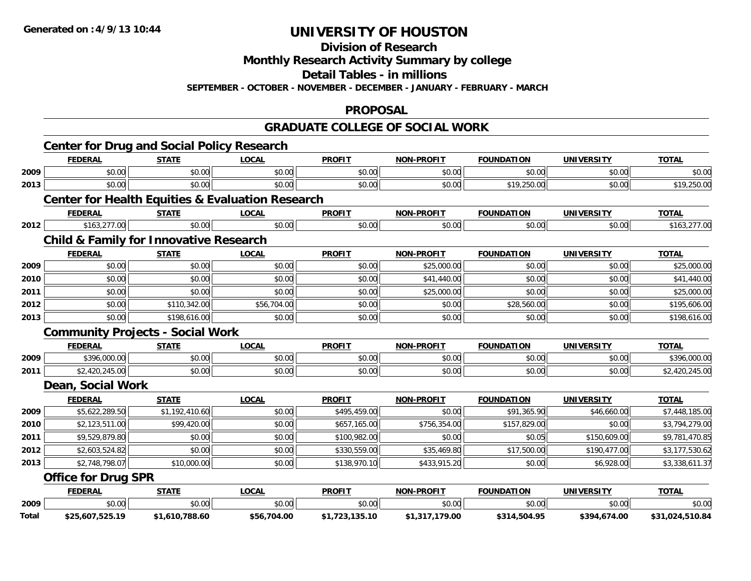**Division of Research**

**Monthly Research Activity Summary by college**

**Detail Tables - in millions**

**SEPTEMBER - OCTOBER - NOVEMBER - DECEMBER - JANUARY - FEBRUARY - MARCH**

#### **PROPOSAL**

#### **GRADUATE COLLEGE OF SOCIAL WORK**

|       | <b>Center for Drug and Social Policy Research</b> |                |                                                             |                |                   |                   |                   |                 |
|-------|---------------------------------------------------|----------------|-------------------------------------------------------------|----------------|-------------------|-------------------|-------------------|-----------------|
|       | <b>FEDERAL</b>                                    | <b>STATE</b>   | <b>LOCAL</b>                                                | <b>PROFIT</b>  | <b>NON-PROFIT</b> | <b>FOUNDATION</b> | <b>UNIVERSITY</b> | <b>TOTAL</b>    |
| 2009  | \$0.00                                            | \$0.00         | \$0.00                                                      | \$0.00         | \$0.00            | \$0.00            | \$0.00            | \$0.00          |
| 2013  | \$0.00                                            | \$0.00         | \$0.00                                                      | \$0.00         | \$0.00            | \$19,250.00       | \$0.00            | \$19,250.00     |
|       |                                                   |                | <b>Center for Health Equities &amp; Evaluation Research</b> |                |                   |                   |                   |                 |
|       | <b>FEDERAL</b>                                    | <b>STATE</b>   | <b>LOCAL</b>                                                | <b>PROFIT</b>  | <b>NON-PROFIT</b> | <b>FOUNDATION</b> | <b>UNIVERSITY</b> | <b>TOTAL</b>    |
| 2012  | \$163,277.00                                      | \$0.00         | \$0.00                                                      | \$0.00         | \$0.00            | \$0.00            | \$0.00            | \$163,277.00    |
|       | <b>Child &amp; Family for Innovative Research</b> |                |                                                             |                |                   |                   |                   |                 |
|       | <b>FEDERAL</b>                                    | <b>STATE</b>   | <b>LOCAL</b>                                                | <b>PROFIT</b>  | <b>NON-PROFIT</b> | <b>FOUNDATION</b> | <b>UNIVERSITY</b> | <b>TOTAL</b>    |
| 2009  | \$0.00                                            | \$0.00         | \$0.00                                                      | \$0.00         | \$25,000.00       | \$0.00            | \$0.00            | \$25,000.00     |
| 2010  | \$0.00                                            | \$0.00         | \$0.00                                                      | \$0.00         | \$41,440.00       | \$0.00            | \$0.00            | \$41,440.00     |
| 2011  | \$0.00                                            | \$0.00         | \$0.00                                                      | \$0.00         | \$25,000.00       | \$0.00            | \$0.00            | \$25,000.00     |
| 2012  | \$0.00                                            | \$110,342.00   | \$56,704.00                                                 | \$0.00         | \$0.00            | \$28,560.00       | \$0.00            | \$195,606.00    |
| 2013  | \$0.00                                            | \$198,616.00   | \$0.00                                                      | \$0.00         | \$0.00            | \$0.00            | \$0.00            | \$198,616.00    |
|       | <b>Community Projects - Social Work</b>           |                |                                                             |                |                   |                   |                   |                 |
|       | <b>FEDERAL</b>                                    | <b>STATE</b>   | <b>LOCAL</b>                                                | <b>PROFIT</b>  | <b>NON-PROFIT</b> | <b>FOUNDATION</b> | <b>UNIVERSITY</b> | <b>TOTAL</b>    |
| 2009  | \$396,000.00                                      | \$0.00         | \$0.00                                                      | \$0.00         | \$0.00            | \$0.00            | \$0.00            | \$396,000.00    |
| 2011  | \$2,420,245.00                                    | \$0.00         | \$0.00                                                      | \$0.00         | \$0.00            | \$0.00            | \$0.00            | \$2,420,245.00  |
|       | Dean, Social Work                                 |                |                                                             |                |                   |                   |                   |                 |
|       | <b>FEDERAL</b>                                    | <b>STATE</b>   | <b>LOCAL</b>                                                | <b>PROFIT</b>  | <b>NON-PROFIT</b> | <b>FOUNDATION</b> | <b>UNIVERSITY</b> | <b>TOTAL</b>    |
| 2009  | \$5,622,289.50                                    | \$1,192,410.60 | \$0.00                                                      | \$495,459.00   | \$0.00            | \$91,365.90       | \$46,660.00       | \$7,448,185.00  |
| 2010  | \$2,123,511.00                                    | \$99,420.00    | \$0.00                                                      | \$657,165.00   | \$756,354.00      | \$157,829.00      | \$0.00            | \$3,794,279.00  |
| 2011  | \$9,529,879.80                                    | \$0.00         | \$0.00                                                      | \$100,982.00   | \$0.00            | \$0.05            | \$150,609.00      | \$9,781,470.85  |
| 2012  | \$2,603,524.82                                    | \$0.00         | \$0.00                                                      | \$330,559.00   | \$35,469.80       | \$17,500.00       | \$190,477.00      | \$3,177,530.62  |
| 2013  | \$2,748,798.07                                    | \$10,000.00    | \$0.00                                                      | \$138,970.10   | \$433,915.20      | \$0.00            | \$6,928.00        | \$3,338,611.37  |
|       | <b>Office for Drug SPR</b>                        |                |                                                             |                |                   |                   |                   |                 |
|       | <b>FEDERAL</b>                                    | <b>STATE</b>   | <b>LOCAL</b>                                                | <b>PROFIT</b>  | <b>NON-PROFIT</b> | <b>FOUNDATION</b> | <b>UNIVERSITY</b> | <b>TOTAL</b>    |
| 2009  | \$0.00                                            | \$0.00         | \$0.00                                                      | \$0.00         | \$0.00            | \$0.00            | \$0.00            | \$0.00          |
| Total | \$25,607,525.19                                   | \$1,610,788.60 | \$56,704.00                                                 | \$1,723,135.10 | \$1,317,179.00    | \$314,504.95      | \$394,674.00      | \$31,024,510.84 |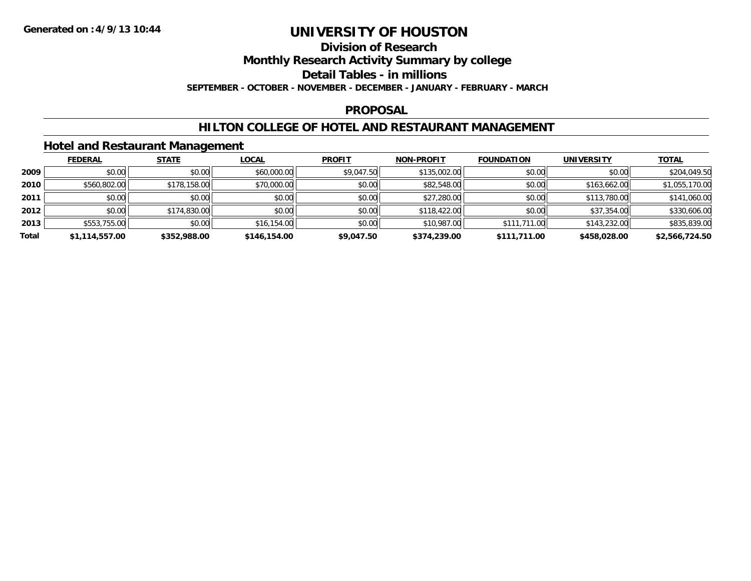#### **Division of Research**

**Monthly Research Activity Summary by college**

**Detail Tables - in millions**

**SEPTEMBER - OCTOBER - NOVEMBER - DECEMBER - JANUARY - FEBRUARY - MARCH**

#### **PROPOSAL**

#### **HILTON COLLEGE OF HOTEL AND RESTAURANT MANAGEMENT**

#### **Hotel and Restaurant Management**

|       | <b>FEDERAL</b> | <b>STATE</b> | <b>LOCAL</b> | <b>PROFIT</b> | <b>NON-PROFIT</b> | <b>FOUNDATION</b> | <b>UNIVERSITY</b> | <b>TOTAL</b>   |
|-------|----------------|--------------|--------------|---------------|-------------------|-------------------|-------------------|----------------|
| 2009  | \$0.00         | \$0.00       | \$60,000.00  | \$9,047.50    | \$135,002.00      | \$0.00            | \$0.00            | \$204,049.50   |
| 2010  | \$560,802.00   | \$178,158.00 | \$70,000.00  | \$0.00        | \$82,548.00       | \$0.00            | \$163,662.00      | \$1,055,170.00 |
| 2011  | \$0.00         | \$0.00       | \$0.00       | \$0.00        | \$27,280.00       | \$0.00            | \$113,780.00      | \$141,060.00   |
| 2012  | \$0.00         | \$174,830.00 | \$0.00       | \$0.00        | \$118,422.00      | \$0.00            | \$37,354.00       | \$330,606.00   |
| 2013  | \$553,755.00   | \$0.00       | \$16,154.00  | \$0.00        | \$10,987.00       | \$111,711.00      | \$143,232.00      | \$835,839.00   |
| Total | \$1,114,557.00 | \$352,988.00 | \$146,154.00 | \$9,047.50    | \$374,239.00      | \$111,711.00      | \$458,028.00      | \$2,566,724.50 |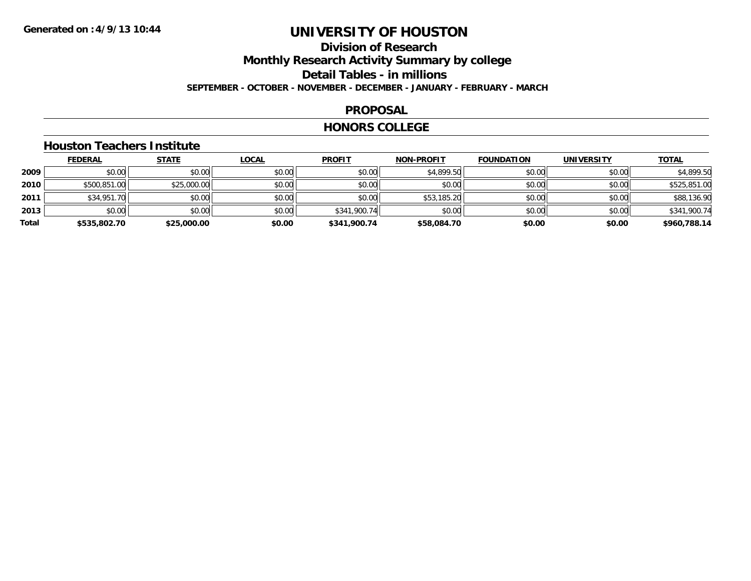### **Division of ResearchMonthly Research Activity Summary by college Detail Tables - in millions SEPTEMBER - OCTOBER - NOVEMBER - DECEMBER - JANUARY - FEBRUARY - MARCH**

#### **PROPOSAL**

#### **HONORS COLLEGE**

#### **Houston Teachers Institute**

|       | <b>FEDERAL</b> | <u>STATE</u> | <b>LOCAL</b> | <b>PROFIT</b> | <b>NON-PROFIT</b> | <b>FOUNDATION</b> | <b>UNIVERSITY</b> | <b>TOTAL</b> |
|-------|----------------|--------------|--------------|---------------|-------------------|-------------------|-------------------|--------------|
| 2009  | \$0.00         | \$0.00       | \$0.00       | \$0.00        | \$4,899.50        | \$0.00            | \$0.00            | \$4,899.50   |
| 2010  | \$500,851.00   | \$25,000.00  | \$0.00       | \$0.00        | \$0.00            | \$0.00            | \$0.00            | \$525,851.00 |
| 2011  | \$34,951.70    | \$0.00       | \$0.00       | \$0.00        | \$53,185.20       | \$0.00            | \$0.00            | \$88,136.90  |
| 2013  | \$0.00         | \$0.00       | \$0.00       | \$341,900.74  | \$0.00            | \$0.00            | \$0.00            | \$341,900.74 |
| Total | \$535,802.70   | \$25,000.00  | \$0.00       | \$341,900.74  | \$58,084.70       | \$0.00            | \$0.00            | \$960,788.14 |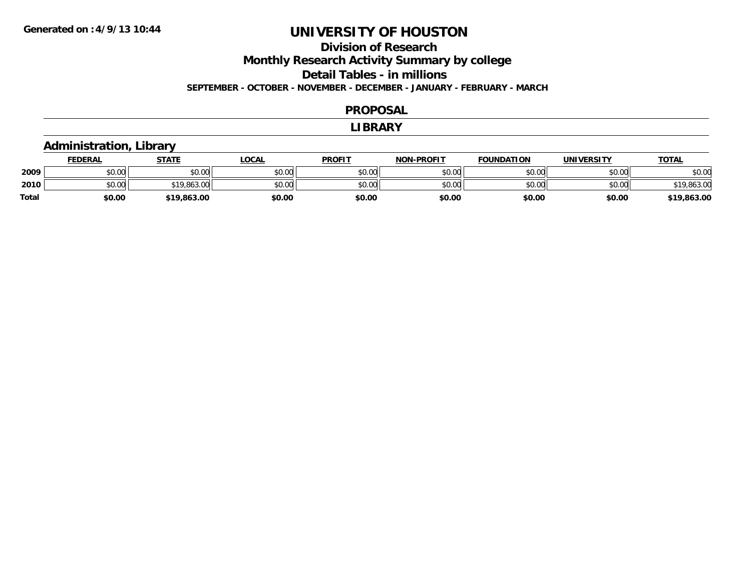#### **Division of Research Monthly Research Activity Summary by college Detail Tables - in millions SEPTEMBER - OCTOBER - NOVEMBER - DECEMBER - JANUARY - FEBRUARY - MARCH**

#### **PROPOSAL**

#### **LIBRARY**

#### **Administration, Library**

|       | <b>FEDERAL</b> | STATE       | LOCAL  | <b>PROFIT</b> | <b>NON-PROFIT</b> | <b>FOUNDATION</b> | UNIVERSITY | <u> ΤΟΤΑL</u> |
|-------|----------------|-------------|--------|---------------|-------------------|-------------------|------------|---------------|
| 2009  | \$0.00         | \$0.00      | \$0.00 | \$0.00        | \$0.00            | \$0.00            | \$0.00     | \$0.00        |
| 2010  | \$0.00         | \$19,863.00 | \$0.00 | \$0.00        | \$0.00            | \$0.00            | \$0.00     | \$19,863.00   |
| Total | \$0.00         | \$19,863.00 | \$0.00 | \$0.00        | \$0.00            | \$0.00            | \$0.00     | \$19,863.00   |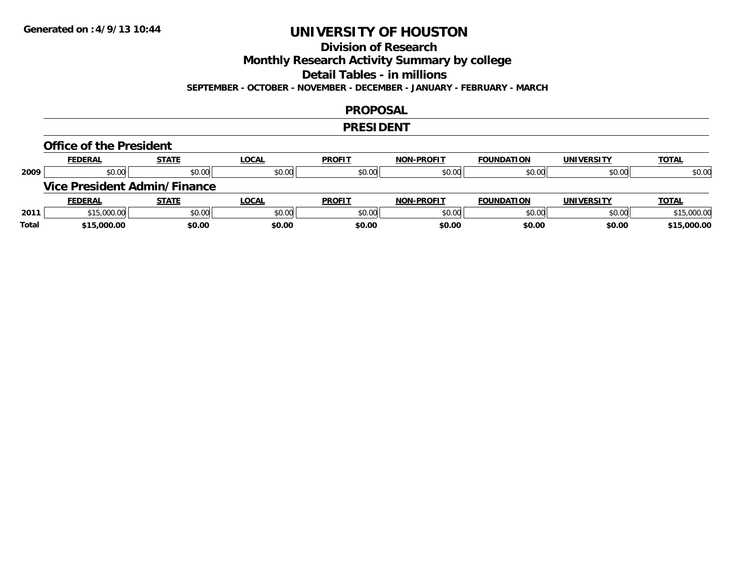### **Division of Research**

**Monthly Research Activity Summary by college**

**Detail Tables - in millions**

**SEPTEMBER - OCTOBER - NOVEMBER - DECEMBER - JANUARY - FEBRUARY - MARCH**

#### **PROPOSAL**

#### **PRESIDENT**

#### **Office of the President**

|      | <b>FEDERAL</b> | <b>STATE</b>                        | <b>LOCAL</b> | <b>PROFIT</b> | <b>NON-PROFIT</b> | <b>FOUNDATION</b> | <b>UNIVERSITY</b> | <b>TOTAL</b> |
|------|----------------|-------------------------------------|--------------|---------------|-------------------|-------------------|-------------------|--------------|
| 2009 | \$0.00         | \$0.00                              | \$0.00       | \$0.00        | \$0.00            | \$0.00            | \$0.00            | \$0.00       |
|      |                | <b>Vice President Admin/Finance</b> |              |               |                   |                   |                   |              |
|      |                |                                     |              |               |                   |                   |                   |              |
|      | <b>FEDERAL</b> | <b>STATE</b>                        | <u>LOCAL</u> | <b>PROFIT</b> | <b>NON-PROFIT</b> | <b>FOUNDATION</b> | <b>UNIVERSITY</b> | <b>TOTAL</b> |
| 2011 | \$15,000.00    | \$0.00                              | \$0.00       | \$0.00        | \$0.00            | \$0.00            | \$0.00            | \$15,000.00  |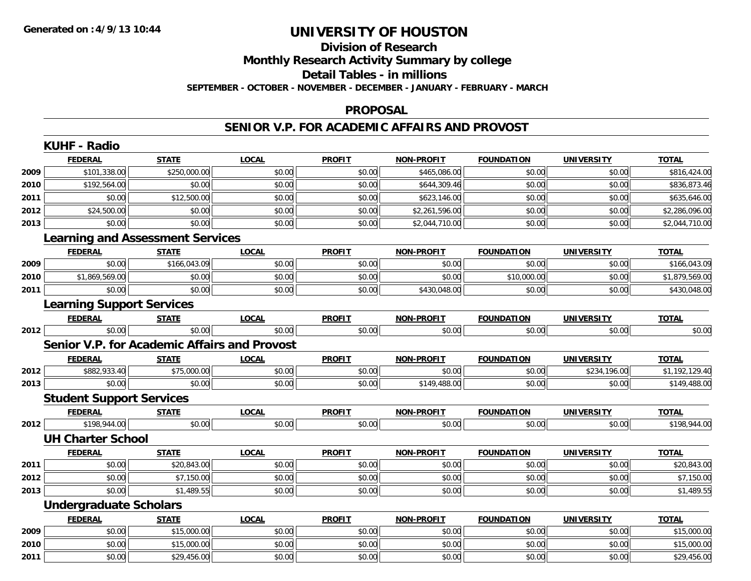### **Division of ResearchMonthly Research Activity Summary by college Detail Tables - in millions SEPTEMBER - OCTOBER - NOVEMBER - DECEMBER - JANUARY - FEBRUARY - MARCH**

#### **PROPOSAL**

#### **SENIOR V.P. FOR ACADEMIC AFFAIRS AND PROVOST**

|      | <b>KUHF - Radio</b>              |                                                     |              |               |                   |                   |                   |                |
|------|----------------------------------|-----------------------------------------------------|--------------|---------------|-------------------|-------------------|-------------------|----------------|
|      | <b>FEDERAL</b>                   | <b>STATE</b>                                        | <b>LOCAL</b> | <b>PROFIT</b> | <b>NON-PROFIT</b> | <b>FOUNDATION</b> | <b>UNIVERSITY</b> | <b>TOTAL</b>   |
| 2009 | \$101,338.00                     | \$250,000.00                                        | \$0.00       | \$0.00        | \$465,086.00      | \$0.00            | \$0.00            | \$816,424.00   |
| 2010 | \$192,564.00                     | \$0.00                                              | \$0.00       | \$0.00        | \$644,309.46      | \$0.00            | \$0.00            | \$836,873.46   |
| 2011 | \$0.00                           | \$12,500.00                                         | \$0.00       | \$0.00        | \$623,146.00      | \$0.00            | \$0.00            | \$635,646.00   |
| 2012 | \$24,500.00                      | \$0.00                                              | \$0.00       | \$0.00        | \$2,261,596.00    | \$0.00            | \$0.00            | \$2,286,096.00 |
| 2013 | \$0.00                           | \$0.00                                              | \$0.00       | \$0.00        | \$2,044,710.00    | \$0.00            | \$0.00            | \$2,044,710.00 |
|      |                                  | <b>Learning and Assessment Services</b>             |              |               |                   |                   |                   |                |
|      | <b>FEDERAL</b>                   | <b>STATE</b>                                        | <b>LOCAL</b> | <b>PROFIT</b> | <b>NON-PROFIT</b> | <b>FOUNDATION</b> | <b>UNIVERSITY</b> | <b>TOTAL</b>   |
| 2009 | \$0.00                           | \$166,043.09                                        | \$0.00       | \$0.00        | \$0.00            | \$0.00            | \$0.00            | \$166,043.09   |
| 2010 | \$1,869,569.00                   | \$0.00                                              | \$0.00       | \$0.00        | \$0.00            | \$10,000.00       | \$0.00            | \$1,879,569.00 |
| 2011 | \$0.00                           | \$0.00                                              | \$0.00       | \$0.00        | \$430,048.00      | \$0.00            | \$0.00            | \$430,048.00   |
|      | <b>Learning Support Services</b> |                                                     |              |               |                   |                   |                   |                |
|      | <b>FEDERAL</b>                   | <b>STATE</b>                                        | <b>LOCAL</b> | <b>PROFIT</b> | <b>NON-PROFIT</b> | <b>FOUNDATION</b> | <b>UNIVERSITY</b> | <b>TOTAL</b>   |
| 2012 | \$0.00                           | \$0.00                                              | \$0.00       | \$0.00        | \$0.00            | \$0.00            | \$0.00            | \$0.00         |
|      |                                  | <b>Senior V.P. for Academic Affairs and Provost</b> |              |               |                   |                   |                   |                |
|      | <b>FEDERAL</b>                   | <b>STATE</b>                                        | <b>LOCAL</b> | <b>PROFIT</b> | <b>NON-PROFIT</b> | <b>FOUNDATION</b> | <b>UNIVERSITY</b> | <b>TOTAL</b>   |
| 2012 | \$882,933.40                     | \$75,000.00                                         | \$0.00       | \$0.00        | \$0.00            | \$0.00            | \$234,196.00      | \$1,192,129.40 |
| 2013 | \$0.00                           | \$0.00                                              | \$0.00       | \$0.00        | \$149,488.00      | \$0.00            | \$0.00            | \$149,488.00   |
|      | <b>Student Support Services</b>  |                                                     |              |               |                   |                   |                   |                |
|      | <b>FEDERAL</b>                   | <b>STATE</b>                                        | <b>LOCAL</b> | <b>PROFIT</b> | <b>NON-PROFIT</b> | <b>FOUNDATION</b> | <b>UNIVERSITY</b> | <b>TOTAL</b>   |
| 2012 | \$198,944.00                     | \$0.00                                              | \$0.00       | \$0.00        | \$0.00            | \$0.00            | \$0.00            | \$198,944.00   |
|      | <b>UH Charter School</b>         |                                                     |              |               |                   |                   |                   |                |
|      | <b>FEDERAL</b>                   | <b>STATE</b>                                        | <b>LOCAL</b> | <b>PROFIT</b> | <b>NON-PROFIT</b> | <b>FOUNDATION</b> | <b>UNIVERSITY</b> | <b>TOTAL</b>   |
| 2011 | \$0.00                           | \$20,843.00                                         | \$0.00       | \$0.00        | \$0.00            | \$0.00            | \$0.00            | \$20,843.00    |
| 2012 | \$0.00                           | \$7,150.00                                          | \$0.00       | \$0.00        | \$0.00            | \$0.00            | \$0.00            | \$7,150.00     |
| 2013 | \$0.00                           | \$1,489.55                                          | \$0.00       | \$0.00        | \$0.00            | \$0.00            | \$0.00            | \$1,489.55     |
|      | <b>Undergraduate Scholars</b>    |                                                     |              |               |                   |                   |                   |                |
|      | <b>FEDERAL</b>                   | <b>STATE</b>                                        | <b>LOCAL</b> | <b>PROFIT</b> | <b>NON-PROFIT</b> | <b>FOUNDATION</b> | <b>UNIVERSITY</b> | <b>TOTAL</b>   |
| 2009 | \$0.00                           | \$15,000.00                                         | \$0.00       | \$0.00        | \$0.00            | \$0.00            | \$0.00            | \$15,000.00    |
| 2010 | \$0.00                           | \$15,000.00                                         | \$0.00       | \$0.00        | \$0.00            | \$0.00            | \$0.00            | \$15,000.00    |
| 2011 | \$0.00                           | \$29,456.00                                         | \$0.00       | \$0.00        | \$0.00            | \$0.00            | \$0.00            | \$29,456.00    |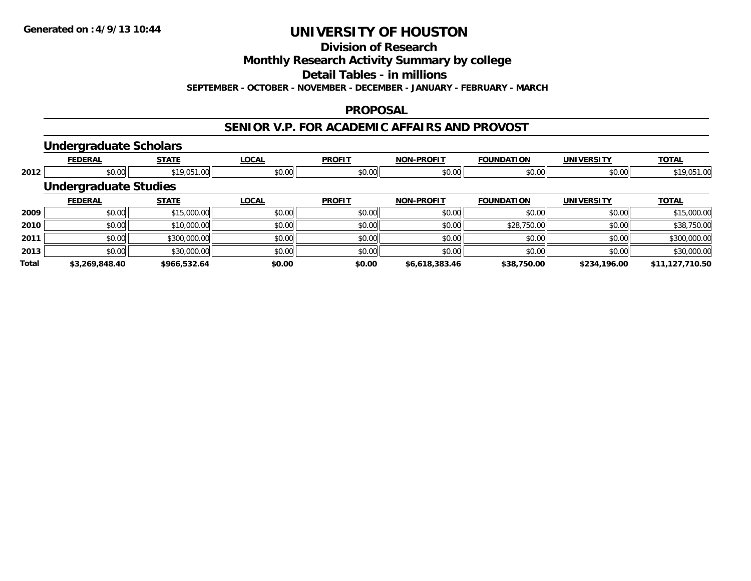**Division of Research**

**Monthly Research Activity Summary by college**

**Detail Tables - in millions**

**SEPTEMBER - OCTOBER - NOVEMBER - DECEMBER - JANUARY - FEBRUARY - MARCH**

#### **PROPOSAL**

#### **SENIOR V.P. FOR ACADEMIC AFFAIRS AND PROVOST**

#### **Undergraduate Scholars**

|              | <b>FEDERAL</b>               | <b>STATE</b> | <b>LOCAL</b> | <b>PROFIT</b> | <b>NON-PROFIT</b> | <b>FOUNDATION</b> | <b>UNIVERSITY</b> | <b>TOTAL</b>    |
|--------------|------------------------------|--------------|--------------|---------------|-------------------|-------------------|-------------------|-----------------|
| 2012         | \$0.00                       | \$19,051.00  | \$0.00       | \$0.00        | \$0.00            | \$0.00            | \$0.00            | \$19,051.00     |
|              | <b>Undergraduate Studies</b> |              |              |               |                   |                   |                   |                 |
|              | <b>FEDERAL</b>               | <b>STATE</b> | <b>LOCAL</b> | <b>PROFIT</b> | <b>NON-PROFIT</b> | <b>FOUNDATION</b> | <b>UNIVERSITY</b> | <b>TOTAL</b>    |
| 2009         | \$0.00                       | \$15,000.00  | \$0.00       | \$0.00        | \$0.00            | \$0.00            | \$0.00            | \$15,000.00     |
| 2010         | \$0.00                       | \$10,000.00  | \$0.00       | \$0.00        | \$0.00            | \$28,750.00       | \$0.00            | \$38,750.00     |
| 2011         | \$0.00                       | \$300,000.00 | \$0.00       | \$0.00        | \$0.00            | \$0.00            | \$0.00            | \$300,000.00    |
| 2013         | \$0.00                       | \$30,000.00  | \$0.00       | \$0.00        | \$0.00            | \$0.00            | \$0.00            | \$30,000.00     |
| <b>Total</b> | \$3,269,848.40               | \$966,532.64 | \$0.00       | \$0.00        | \$6,618,383.46    | \$38,750.00       | \$234,196.00      | \$11,127,710.50 |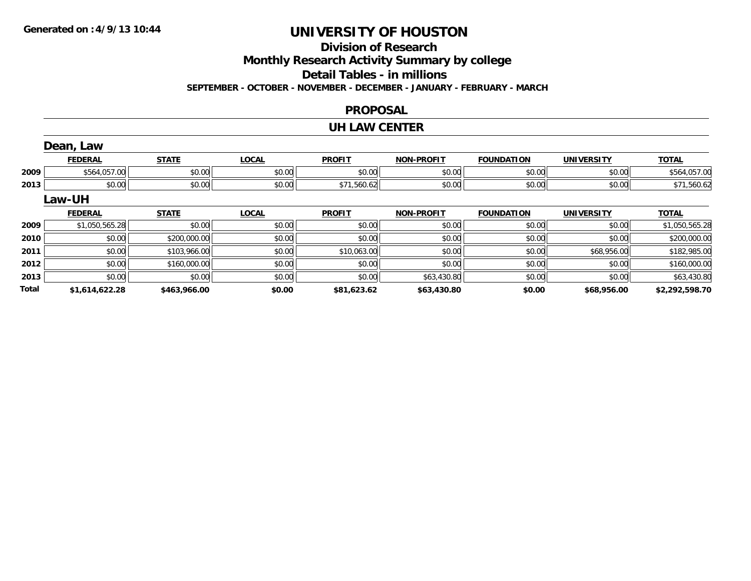# **Division of Research**

**Monthly Research Activity Summary by college**

**Detail Tables - in millions**

**SEPTEMBER - OCTOBER - NOVEMBER - DECEMBER - JANUARY - FEBRUARY - MARCH**

#### **PROPOSAL**

#### **UH LAW CENTER**

|              | Dean, Law      |              |              |               |                   |                   |                   |                |
|--------------|----------------|--------------|--------------|---------------|-------------------|-------------------|-------------------|----------------|
|              | <b>FEDERAL</b> | <b>STATE</b> | <b>LOCAL</b> | <b>PROFIT</b> | <b>NON-PROFIT</b> | <b>FOUNDATION</b> | <b>UNIVERSITY</b> | <b>TOTAL</b>   |
| 2009         | \$564,057.00   | \$0.00       | \$0.00       | \$0.00        | \$0.00            | \$0.00            | \$0.00            | \$564,057.00   |
| 2013         | \$0.00         | \$0.00       | \$0.00       | \$71,560.62   | \$0.00            | \$0.00            | \$0.00            | \$71,560.62    |
|              | Law-UH         |              |              |               |                   |                   |                   |                |
|              | <b>FEDERAL</b> | <b>STATE</b> | <b>LOCAL</b> | <b>PROFIT</b> | <b>NON-PROFIT</b> | <b>FOUNDATION</b> | <b>UNIVERSITY</b> | <b>TOTAL</b>   |
| 2009         | \$1,050,565.28 | \$0.00       | \$0.00       | \$0.00        | \$0.00            | \$0.00            | \$0.00            | \$1,050,565.28 |
| 2010         | \$0.00         | \$200,000.00 | \$0.00       | \$0.00        | \$0.00            | \$0.00            | \$0.00            | \$200,000.00   |
| 2011         | \$0.00         | \$103,966.00 | \$0.00       | \$10,063.00   | \$0.00            | \$0.00            | \$68,956.00       | \$182,985.00   |
| 2012         | \$0.00         | \$160,000.00 | \$0.00       | \$0.00        | \$0.00            | \$0.00            | \$0.00            | \$160,000.00   |
| 2013         | \$0.00         | \$0.00       | \$0.00       | \$0.00        | \$63,430.80       | \$0.00            | \$0.00            | \$63,430.80    |
| <b>Total</b> | \$1,614,622.28 | \$463,966.00 | \$0.00       | \$81,623.62   | \$63,430.80       | \$0.00            | \$68,956.00       | \$2,292,598.70 |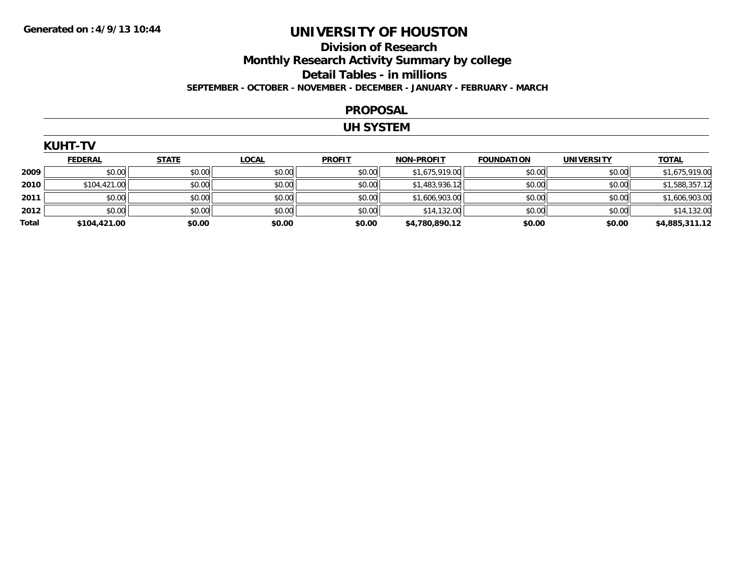### **Division of ResearchMonthly Research Activity Summary by college Detail Tables - in millions SEPTEMBER - OCTOBER - NOVEMBER - DECEMBER - JANUARY - FEBRUARY - MARCH**

#### **PROPOSAL**

#### **UH SYSTEM**

| <b>KUHT-TV</b> |                |              |              |               |                   |                   |            |                |
|----------------|----------------|--------------|--------------|---------------|-------------------|-------------------|------------|----------------|
|                | <b>FEDERAL</b> | <b>STATE</b> | <b>LOCAL</b> | <b>PROFIT</b> | <b>NON-PROFIT</b> | <b>FOUNDATION</b> | UNIVERSITY | <b>TOTAL</b>   |
| 2009           | \$0.00         | \$0.00       | \$0.00       | \$0.00        | \$1,675,919.00    | \$0.00            | \$0.00     | \$1,675,919.00 |
| 2010           | \$104,421.00   | \$0.00       | \$0.00       | \$0.00        | \$1,483,936.12    | \$0.00            | \$0.00     | \$1,588,357.12 |
| 2011           | \$0.00         | \$0.00       | \$0.00       | \$0.00        | \$1,606,903.00    | \$0.00            | \$0.00     | \$1,606,903.00 |
| 2012           | \$0.00         | \$0.00       | \$0.00       | \$0.00        | \$14,132.00       | \$0.00            | \$0.00     | \$14,132.00    |
| Total          | \$104,421.00   | \$0.00       | \$0.00       | \$0.00        | \$4,780,890.12    | \$0.00            | \$0.00     | \$4,885,311.12 |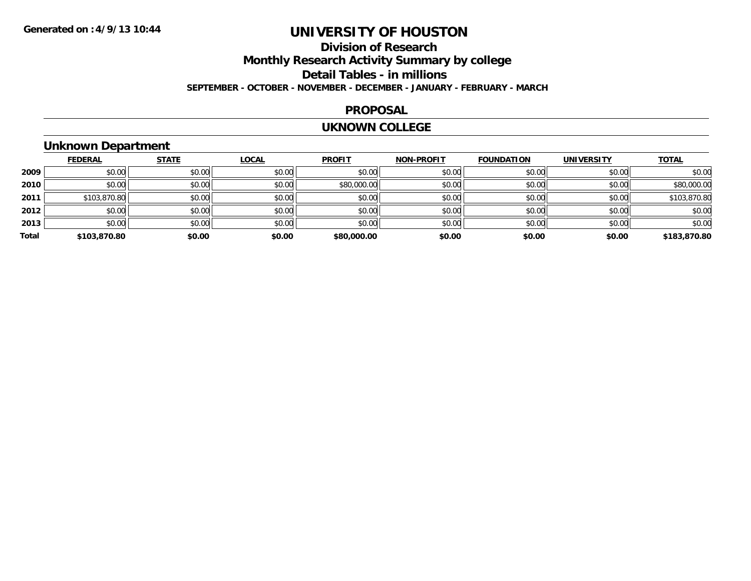### **Division of ResearchMonthly Research Activity Summary by college Detail Tables - in millions SEPTEMBER - OCTOBER - NOVEMBER - DECEMBER - JANUARY - FEBRUARY - MARCH**

#### **PROPOSAL**

#### **UKNOWN COLLEGE**

### **Unknown Department**

|       | <b>FEDERAL</b> | <b>STATE</b> | <b>LOCAL</b> | <b>PROFIT</b> | <b>NON-PROFIT</b> | <b>FOUNDATION</b> | <b>UNIVERSITY</b> | <b>TOTAL</b> |
|-------|----------------|--------------|--------------|---------------|-------------------|-------------------|-------------------|--------------|
| 2009  | \$0.00         | \$0.00       | \$0.00       | \$0.00        | \$0.00            | \$0.00            | \$0.00            | \$0.00       |
| 2010  | \$0.00         | \$0.00       | \$0.00       | \$80,000.00   | \$0.00            | \$0.00            | \$0.00            | \$80,000.00  |
| 2011  | \$103,870.80   | \$0.00       | \$0.00       | \$0.00        | \$0.00            | \$0.00            | \$0.00            | \$103,870.80 |
| 2012  | \$0.00         | \$0.00       | \$0.00       | \$0.00        | \$0.00            | \$0.00            | \$0.00            | \$0.00       |
| 2013  | \$0.00         | \$0.00       | \$0.00       | \$0.00        | \$0.00            | \$0.00            | \$0.00            | \$0.00       |
| Total | \$103,870.80   | \$0.00       | \$0.00       | \$80,000.00   | \$0.00            | \$0.00            | \$0.00            | \$183,870.80 |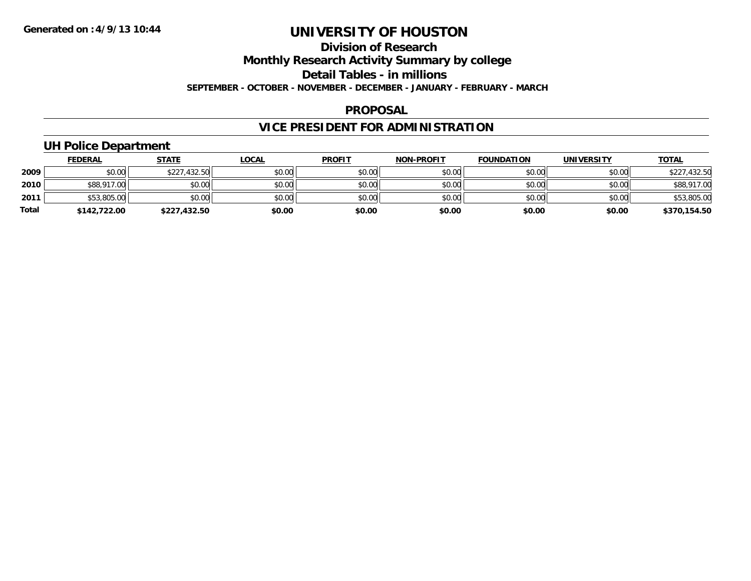### **Division of ResearchMonthly Research Activity Summary by college Detail Tables - in millions SEPTEMBER - OCTOBER - NOVEMBER - DECEMBER - JANUARY - FEBRUARY - MARCH**

#### **PROPOSAL**

### **VICE PRESIDENT FOR ADMINISTRATION**

### **UH Police Department**

|       | <b>FEDERAL</b> | <u>STATE</u> | <b>LOCAL</b> | <b>PROFIT</b> | <b>NON-PROFIT</b> | <b>FOUNDATION</b> | <b>UNIVERSITY</b> | <b>TOTAL</b> |
|-------|----------------|--------------|--------------|---------------|-------------------|-------------------|-------------------|--------------|
| 2009  | \$0.00         | \$227,432.50 | \$0.00       | \$0.00        | \$0.00            | \$0.00            | \$0.00            | \$227,432.50 |
| 2010  | \$88,917.00    | \$0.00       | \$0.00       | \$0.00        | \$0.00            | \$0.00            | \$0.00            | \$88,917.00  |
| 2011  | \$53,805.00    | \$0.00       | \$0.00       | \$0.00        | \$0.00            | \$0.00            | \$0.00            | \$53,805.00  |
| Total | \$142,722.00   | \$227,432.50 | \$0.00       | \$0.00        | \$0.00            | \$0.00            | \$0.00            | \$370,154.50 |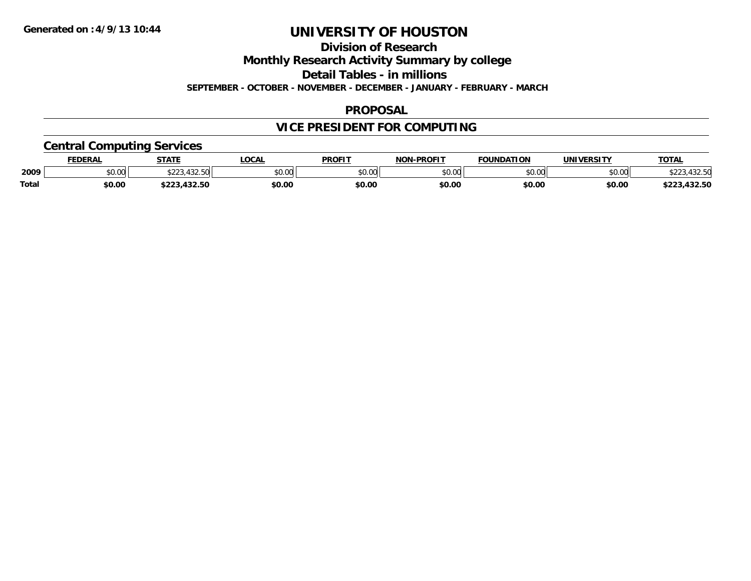**Division of Research**

**Monthly Research Activity Summary by college**

**Detail Tables - in millions**

**SEPTEMBER - OCTOBER - NOVEMBER - DECEMBER - JANUARY - FEBRUARY - MARCH**

#### **PROPOSAL**

### **VICE PRESIDENT FOR COMPUTING**

### **Central Computing Services**

|              | DERAI  | <b>STATE</b>       | <b>OCAL</b> | <b>PROFIT</b> | -PROFIT<br><b>NON</b> | <b>FOUNDATION</b> | 'JNIV.<br><b>JEDCIT</b> | TOTA.  |
|--------------|--------|--------------------|-------------|---------------|-----------------------|-------------------|-------------------------|--------|
| 2009         | \$0.00 | $\sqrt{2}$<br>ሐ へへ | \$0.00      | 0000<br>JU.UU | $\sim$ 00<br>pu.uu    | 0000<br>w.w       | \$0.00                  |        |
| <b>Total</b> | \$0.00 |                    | \$0.00      | \$0.00        | \$0.00                | \$0.00            | \$0.00                  | $\sim$ |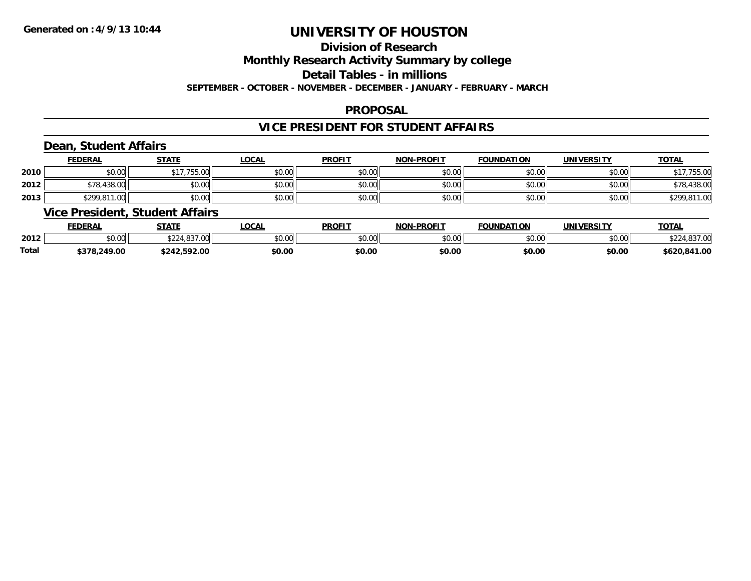### **Division of Research**

**Monthly Research Activity Summary by college**

**Detail Tables - in millions**

**SEPTEMBER - OCTOBER - NOVEMBER - DECEMBER - JANUARY - FEBRUARY - MARCH**

#### **PROPOSAL**

#### **VICE PRESIDENT FOR STUDENT AFFAIRS**

### **Dean, Student Affairs**

|      | <b>FEDERAL</b> | <b>STATE</b>          | <b>LOCAL</b> | <b>PROFIT</b> | <b>NON-PROFIT</b> | <b>FOUNDATION</b> | UNIVERSITY | <b>TOTAL</b> |
|------|----------------|-----------------------|--------------|---------------|-------------------|-------------------|------------|--------------|
| 2010 | \$0.00         | 755.00<br><b>c</b> 17 | \$0.00       | \$0.00        | \$0.00            | \$0.00            | \$0.00     | 755.00       |
| 2012 | \$78,438.00    | \$0.00                | \$0.00       | \$0.00        | \$0.00            | \$0.00            | \$0.00     | \$78,438.00  |
| 2013 | \$299,811.00   | \$0.00                | \$0.00       | \$0.00        | \$0.00            | \$0.00            | \$0.00     | \$299.811.00 |

#### **Vice President, Student Affairs**

|       | <b>FEDERAL</b>         | <b>STATE</b>                       | <b>OCAL</b>            | <b>PROFIT</b> | <b>NON-PROFIT</b>    | <b>FOUNDATION</b> | UNIVERSITY | TOTA.       |
|-------|------------------------|------------------------------------|------------------------|---------------|----------------------|-------------------|------------|-------------|
| 2012  | $\sim$ 00<br>vv.vv     | $\sim$<br>$\sim$ 227.00 $\mu$<br>w | $n \cap \neg$<br>DU.UG | 0000<br>JU.UU | 0000<br><b>JU.UU</b> | \$0.00            | \$0.00     | $\sim$      |
| Total | .249.00<br>ぐつつの<br>. . | -2.592.00                          | \$0.00                 | \$0.00        | \$0.00               | \$0.00            | \$0.00     | 620,841.00ء |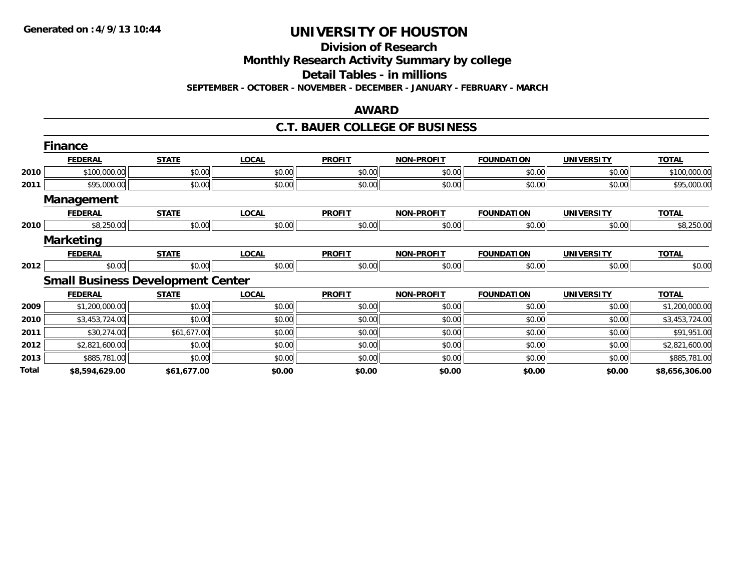#### **Division of Research**

**Monthly Research Activity Summary by college**

**Detail Tables - in millions**

**SEPTEMBER - OCTOBER - NOVEMBER - DECEMBER - JANUARY - FEBRUARY - MARCH**

#### **AWARD**

#### **C.T. BAUER COLLEGE OF BUSINESS**

|       | <b>Finance</b>    |                                          |              |               |                   |                   |                   |                |
|-------|-------------------|------------------------------------------|--------------|---------------|-------------------|-------------------|-------------------|----------------|
|       | <b>FEDERAL</b>    | <b>STATE</b>                             | <b>LOCAL</b> | <b>PROFIT</b> | <b>NON-PROFIT</b> | <b>FOUNDATION</b> | <b>UNIVERSITY</b> | <b>TOTAL</b>   |
| 2010  | \$100,000.00      | \$0.00                                   | \$0.00       | \$0.00        | \$0.00            | \$0.00            | \$0.00            | \$100,000.00   |
| 2011  | \$95,000.00       | \$0.00                                   | \$0.00       | \$0.00        | \$0.00            | \$0.00            | \$0.00            | \$95,000.00    |
|       | <b>Management</b> |                                          |              |               |                   |                   |                   |                |
|       | <b>FEDERAL</b>    | <b>STATE</b>                             | <b>LOCAL</b> | <b>PROFIT</b> | <b>NON-PROFIT</b> | <b>FOUNDATION</b> | <b>UNIVERSITY</b> | <b>TOTAL</b>   |
| 2010  | \$8,250.00        | \$0.00                                   | \$0.00       | \$0.00        | \$0.00            | \$0.00            | \$0.00            | \$8,250.00     |
|       | <b>Marketing</b>  |                                          |              |               |                   |                   |                   |                |
|       | <b>FEDERAL</b>    | <b>STATE</b>                             | <b>LOCAL</b> | <b>PROFIT</b> | <b>NON-PROFIT</b> | <b>FOUNDATION</b> | <b>UNIVERSITY</b> | <b>TOTAL</b>   |
| 2012  | \$0.00            | \$0.00                                   | \$0.00       | \$0.00        | \$0.00            | \$0.00            | \$0.00            | \$0.00         |
|       |                   | <b>Small Business Development Center</b> |              |               |                   |                   |                   |                |
|       | <b>FEDERAL</b>    | <b>STATE</b>                             | <b>LOCAL</b> | <b>PROFIT</b> | <b>NON-PROFIT</b> | <b>FOUNDATION</b> | <b>UNIVERSITY</b> | <b>TOTAL</b>   |
| 2009  | \$1,200,000.00    | \$0.00                                   | \$0.00       | \$0.00        | \$0.00            | \$0.00            | \$0.00            | \$1,200,000.00 |
| 2010  | \$3,453,724.00    | \$0.00                                   | \$0.00       | \$0.00        | \$0.00            | \$0.00            | \$0.00            | \$3,453,724.00 |
| 2011  | \$30,274.00       | \$61,677.00                              | \$0.00       | \$0.00        | \$0.00            | \$0.00            | \$0.00            | \$91,951.00    |
| 2012  | \$2,821,600.00    | \$0.00                                   | \$0.00       | \$0.00        | \$0.00            | \$0.00            | \$0.00            | \$2,821,600.00 |
| 2013  | \$885,781.00      | \$0.00                                   | \$0.00       | \$0.00        | \$0.00            | \$0.00            | \$0.00            | \$885,781.00   |
| Total | \$8,594,629.00    | \$61,677.00                              | \$0.00       | \$0.00        | \$0.00            | \$0.00            | \$0.00            | \$8,656,306.00 |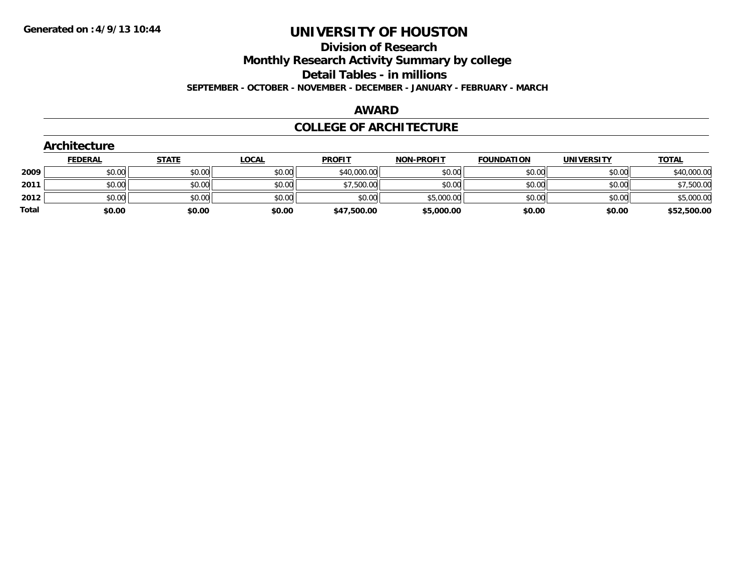#### **Division of Research**

**Monthly Research Activity Summary by college**

**Detail Tables - in millions**

**SEPTEMBER - OCTOBER - NOVEMBER - DECEMBER - JANUARY - FEBRUARY - MARCH**

#### **AWARD**

#### **COLLEGE OF ARCHITECTURE**

|       | Architecture   |              |              |               |                   |                   |                   |              |
|-------|----------------|--------------|--------------|---------------|-------------------|-------------------|-------------------|--------------|
|       | <b>FEDERAL</b> | <b>STATE</b> | <u>LOCAL</u> | <b>PROFIT</b> | <b>NON-PROFIT</b> | <b>FOUNDATION</b> | <b>UNIVERSITY</b> | <b>TOTAL</b> |
| 2009  | \$0.00         | \$0.00       | \$0.00       | \$40,000.00   | \$0.00            | \$0.00            | \$0.00            | \$40,000.00  |
| 2011  | \$0.00         | \$0.00       | \$0.00       | \$7,500.00    | \$0.00            | \$0.00            | \$0.00            | \$7,500.00   |
| 2012  | \$0.00         | \$0.00       | \$0.00       | \$0.00        | \$5,000.00        | \$0.00            | \$0.00            | \$5,000.00   |
| Total | \$0.00         | \$0.00       | \$0.00       | \$47,500.00   | \$5,000.00        | \$0.00            | \$0.00            | \$52,500.00  |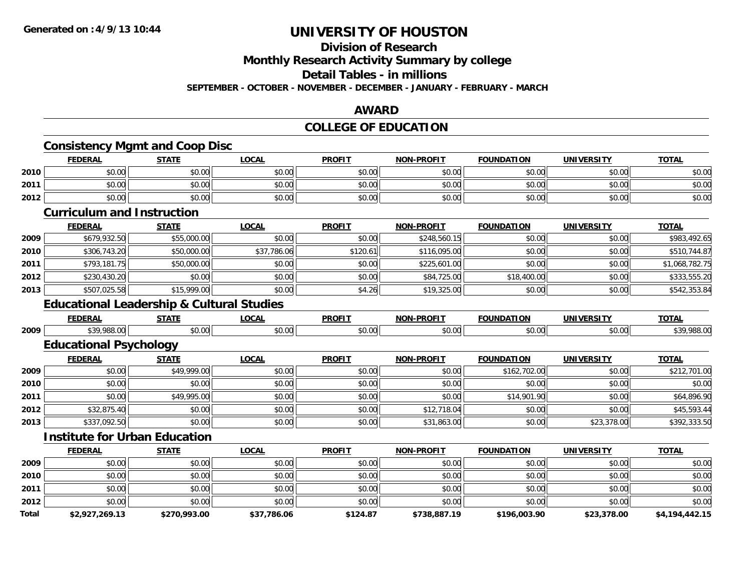## **Division of Research**

**Monthly Research Activity Summary by college**

**Detail Tables - in millions**

**SEPTEMBER - OCTOBER - NOVEMBER - DECEMBER - JANUARY - FEBRUARY - MARCH**

#### **AWARD**

### **COLLEGE OF EDUCATION**

|       | <b>FEDERAL</b>                                       | <b>STATE</b> | <b>LOCAL</b> | <b>PROFIT</b> | <b>NON-PROFIT</b> | <b>FOUNDATION</b> | <b>UNIVERSITY</b> | <b>TOTAL</b>   |
|-------|------------------------------------------------------|--------------|--------------|---------------|-------------------|-------------------|-------------------|----------------|
| 2010  | \$0.00                                               | \$0.00       | \$0.00       | \$0.00        | \$0.00            | \$0.00            | \$0.00            | \$0.00         |
| 2011  | \$0.00                                               | \$0.00       | \$0.00       | \$0.00        | \$0.00            | \$0.00            | \$0.00            | \$0.00         |
| 2012  | \$0.00                                               | \$0.00       | \$0.00       | \$0.00        | \$0.00            | \$0.00            | \$0.00            | \$0.00         |
|       | <b>Curriculum and Instruction</b>                    |              |              |               |                   |                   |                   |                |
|       | <b>FEDERAL</b>                                       | <b>STATE</b> | <b>LOCAL</b> | <b>PROFIT</b> | <b>NON-PROFIT</b> | <b>FOUNDATION</b> | <b>UNIVERSITY</b> | <b>TOTAL</b>   |
| 2009  | \$679,932.50                                         | \$55,000.00  | \$0.00       | \$0.00        | \$248,560.15      | \$0.00            | \$0.00            | \$983,492.65   |
| 2010  | \$306,743.20                                         | \$50,000.00  | \$37,786.06  | \$120.61      | \$116,095.00      | \$0.00            | \$0.00            | \$510,744.87   |
| 2011  | \$793,181.75                                         | \$50,000.00  | \$0.00       | \$0.00        | \$225,601.00      | \$0.00            | \$0.00            | \$1,068,782.75 |
| 2012  | \$230,430.20                                         | \$0.00       | \$0.00       | \$0.00        | \$84,725.00       | \$18,400.00       | \$0.00            | \$333,555.20   |
| 2013  | \$507,025.58                                         | \$15,999.00  | \$0.00       | \$4.26        | \$19,325.00       | \$0.00            | \$0.00            | \$542,353.84   |
|       | <b>Educational Leadership &amp; Cultural Studies</b> |              |              |               |                   |                   |                   |                |
|       | <b>FEDERAL</b>                                       | <b>STATE</b> | <b>LOCAL</b> | <b>PROFIT</b> | <b>NON-PROFIT</b> | <b>FOUNDATION</b> | <b>UNIVERSITY</b> | <b>TOTAL</b>   |
| 2009  | \$39,988.00                                          | \$0.00       | \$0.00       | \$0.00        | \$0.00            | \$0.00            | \$0.00            | \$39,988.00    |
|       | <b>Educational Psychology</b>                        |              |              |               |                   |                   |                   |                |
|       | <b>FEDERAL</b>                                       | <b>STATE</b> | <b>LOCAL</b> | <b>PROFIT</b> | <b>NON-PROFIT</b> | <b>FOUNDATION</b> | <b>UNIVERSITY</b> | <b>TOTAL</b>   |
| 2009  | \$0.00                                               | \$49,999.00  | \$0.00       | \$0.00        | \$0.00            | \$162,702.00      | \$0.00            | \$212,701.00   |
| 2010  | \$0.00                                               | \$0.00       | \$0.00       | \$0.00        | \$0.00            | \$0.00            | \$0.00            | \$0.00         |
| 2011  | \$0.00                                               | \$49,995.00  | \$0.00       | \$0.00        | \$0.00            | \$14,901.90       | \$0.00            | \$64,896.90    |
| 2012  | \$32,875.40                                          | \$0.00       | \$0.00       | \$0.00        | \$12,718.04       | \$0.00            | \$0.00            | \$45,593.44    |
| 2013  | \$337,092.50                                         | \$0.00       | \$0.00       | \$0.00        | \$31,863.00       | \$0.00            | \$23,378.00       | \$392,333.50   |
|       | <b>Institute for Urban Education</b>                 |              |              |               |                   |                   |                   |                |
|       | <b>FEDERAL</b>                                       | <b>STATE</b> | <b>LOCAL</b> | <b>PROFIT</b> | <b>NON-PROFIT</b> | <b>FOUNDATION</b> | <b>UNIVERSITY</b> | <b>TOTAL</b>   |
| 2009  | \$0.00                                               | \$0.00       | \$0.00       | \$0.00        | \$0.00            | \$0.00            | \$0.00            | \$0.00         |
| 2010  | \$0.00                                               | \$0.00       | \$0.00       | \$0.00        | \$0.00            | \$0.00            | \$0.00            | \$0.00         |
| 2011  | \$0.00                                               | \$0.00       | \$0.00       | \$0.00        | \$0.00            | \$0.00            | \$0.00            | \$0.00         |
| 2012  | \$0.00                                               | \$0.00       | \$0.00       | \$0.00        | \$0.00            | \$0.00            | \$0.00            | \$0.00         |
| Total | \$2,927,269.13                                       | \$270,993.00 | \$37,786.06  | \$124.87      | \$738,887.19      | \$196,003.90      | \$23,378.00       | \$4,194,442.15 |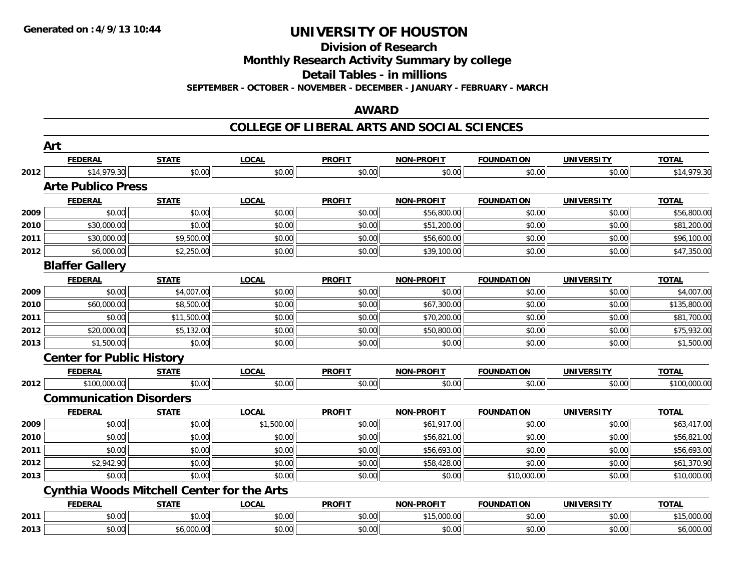**Division of Research**

**Monthly Research Activity Summary by college**

**Detail Tables - in millions**

**SEPTEMBER - OCTOBER - NOVEMBER - DECEMBER - JANUARY - FEBRUARY - MARCH**

#### **AWARD**

|      | Art                              |                                                   |              |               |                   |                   |                   |              |
|------|----------------------------------|---------------------------------------------------|--------------|---------------|-------------------|-------------------|-------------------|--------------|
|      | <b>FEDERAL</b>                   | <b>STATE</b>                                      | <b>LOCAL</b> | <b>PROFIT</b> | NON-PROFIT        | <b>FOUNDATION</b> | <b>UNIVERSITY</b> | <b>TOTAL</b> |
| 2012 | \$14,979.30                      | \$0.00                                            | \$0.00       | \$0.00        | \$0.00            | \$0.00            | \$0.00            | \$14,979.30  |
|      | <b>Arte Publico Press</b>        |                                                   |              |               |                   |                   |                   |              |
|      | <b>FEDERAL</b>                   | <b>STATE</b>                                      | <b>LOCAL</b> | <b>PROFIT</b> | <b>NON-PROFIT</b> | <b>FOUNDATION</b> | <b>UNIVERSITY</b> | <b>TOTAL</b> |
| 2009 | \$0.00                           | \$0.00                                            | \$0.00       | \$0.00        | \$56,800.00       | \$0.00            | \$0.00            | \$56,800.00  |
| 2010 | \$30,000.00                      | \$0.00                                            | \$0.00       | \$0.00        | \$51,200.00       | \$0.00            | \$0.00            | \$81,200.00  |
| 2011 | \$30,000.00                      | \$9,500.00                                        | \$0.00       | \$0.00        | \$56,600.00       | \$0.00            | \$0.00            | \$96,100.00  |
| 2012 | \$6,000.00                       | \$2,250.00                                        | \$0.00       | \$0.00        | \$39,100.00       | \$0.00            | \$0.00            | \$47,350.00  |
|      | <b>Blaffer Gallery</b>           |                                                   |              |               |                   |                   |                   |              |
|      | <b>FEDERAL</b>                   | <b>STATE</b>                                      | <b>LOCAL</b> | <b>PROFIT</b> | <b>NON-PROFIT</b> | <b>FOUNDATION</b> | <b>UNIVERSITY</b> | <b>TOTAL</b> |
| 2009 | \$0.00                           | \$4,007.00                                        | \$0.00       | \$0.00        | \$0.00            | \$0.00            | \$0.00            | \$4,007.00   |
| 2010 | \$60,000.00                      | \$8,500.00                                        | \$0.00       | \$0.00        | \$67,300.00       | \$0.00            | \$0.00            | \$135,800.00 |
| 2011 | \$0.00                           | \$11,500.00                                       | \$0.00       | \$0.00        | \$70,200.00       | \$0.00            | \$0.00            | \$81,700.00  |
| 2012 | \$20,000.00                      | \$5,132.00                                        | \$0.00       | \$0.00        | \$50,800.00       | \$0.00            | \$0.00            | \$75,932.00  |
| 2013 | \$1,500.00                       | \$0.00                                            | \$0.00       | \$0.00        | \$0.00            | \$0.00            | \$0.00            | \$1,500.00   |
|      | <b>Center for Public History</b> |                                                   |              |               |                   |                   |                   |              |
|      | <b>FEDERAL</b>                   | <b>STATE</b>                                      | <b>LOCAL</b> | <b>PROFIT</b> | <b>NON-PROFIT</b> | <b>FOUNDATION</b> | <b>UNIVERSITY</b> | <b>TOTAL</b> |
| 2012 | \$100,000.00                     | \$0.00                                            | \$0.00       | \$0.00        | \$0.00            | \$0.00            | \$0.00            | \$100,000.00 |
|      | <b>Communication Disorders</b>   |                                                   |              |               |                   |                   |                   |              |
|      | <b>FEDERAL</b>                   | <b>STATE</b>                                      | <b>LOCAL</b> | <b>PROFIT</b> | <b>NON-PROFIT</b> | <b>FOUNDATION</b> | <b>UNIVERSITY</b> | <b>TOTAL</b> |
| 2009 | \$0.00                           | \$0.00                                            | \$1,500.00   | \$0.00        | \$61,917.00       | \$0.00            | \$0.00            | \$63,417.00  |
| 2010 | \$0.00                           | \$0.00                                            | \$0.00       | \$0.00        | \$56,821.00       | \$0.00            | \$0.00            | \$56,821.00  |
| 2011 | \$0.00                           | \$0.00                                            | \$0.00       | \$0.00        | \$56,693.00       | \$0.00            | \$0.00            | \$56,693.00  |
| 2012 | \$2,942.90                       | \$0.00                                            | \$0.00       | \$0.00        | \$58,428.00       | \$0.00            | \$0.00            | \$61,370.90  |
| 2013 | \$0.00                           | \$0.00                                            | \$0.00       | \$0.00        | \$0.00            | \$10,000.00       | \$0.00            | \$10,000.00  |
|      |                                  | <b>Cynthia Woods Mitchell Center for the Arts</b> |              |               |                   |                   |                   |              |
|      | <b>FEDERAL</b>                   | <b>STATE</b>                                      | <b>LOCAL</b> | <b>PROFIT</b> | <b>NON-PROFIT</b> | <b>FOUNDATION</b> | <b>UNIVERSITY</b> | <b>TOTAL</b> |
| 2011 | \$0.00                           | \$0.00                                            | \$0.00       | \$0.00        | \$15,000.00       | \$0.00            | \$0.00            | \$15,000.00  |
| 2013 | \$0.00                           | \$6,000.00                                        | \$0.00       | \$0.00        | \$0.00            | \$0.00            | \$0.00            | \$6,000.00   |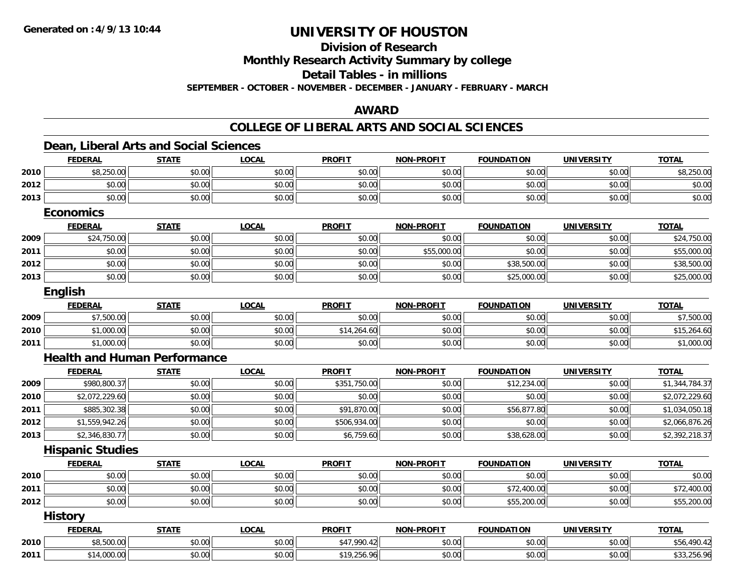### **Division of Research**

**Monthly Research Activity Summary by college**

**Detail Tables - in millions**

**SEPTEMBER - OCTOBER - NOVEMBER - DECEMBER - JANUARY - FEBRUARY - MARCH**

#### **AWARD**

#### **COLLEGE OF LIBERAL ARTS AND SOCIAL SCIENCES**

#### **Dean, Liberal Arts and Social Sciences FEDERAL STATE LOCAL PROFIT NON-PROFIT FOUNDATION UNIVERSITY TOTALTOTAL 2010** $\textsf{0} \parallel \textsf{0} \parallel \textsf{0} \parallel \textsf{0} \parallel \textsf{0} \parallel \textsf{0} \parallel \textsf{0} \parallel \textsf{0} \parallel \textsf{0} \parallel \textsf{0} \parallel \textsf{0} \parallel \textsf{0} \parallel \textsf{0} \parallel \textsf{0} \parallel \textsf{0} \parallel \textsf{0} \parallel \textsf{0} \parallel \textsf{0} \parallel \textsf{0} \parallel \textsf{0} \parallel \textsf{0} \parallel \textsf{0} \parallel \textsf{0} \parallel \textsf{0} \parallel \textsf{0} \parallel \textsf{0} \parallel \textsf{0} \parallel \textsf{$ **2012**2 | \$0.00 \$0.00 \$0.00 \$0.00 \$0.00 \$0.00 \$0.00 \$0.00 \$0.00 \$0.00 \$0.00 \$0.00 \$0.00 \$0.00 \$0.00 \$0.00 \$0.00 \$0.0 **2013** $\textbf{3} \quad \textbf{\textcolor{blue}{\textbf{50.00}}} \quad \textbf{\textcolor{blue}{\textbf{50.00}}} \quad \textbf{\textcolor{blue}{\textbf{50.00}}} \quad \textbf{\textcolor{blue}{\textbf{50.00}}} \quad \textbf{\textcolor{blue}{\textbf{50.00}}} \quad \textbf{\textcolor{blue}{\textbf{50.00}}} \quad \textbf{\textcolor{blue}{\textbf{50.00}}} \quad \textbf{\textcolor{blue}{\textbf{50.00}}} \quad \textbf{\textcolor{blue}{\textbf{50.00}}} \quad \textbf{\textcolor{blue}{\textbf{50.00}}} \quad \text$ **EconomicsFEDERAL STATE LOCAL PROFIT NON-PROFIT FOUNDATION UNIVERSITY TOTAL2009**9│ \$24,750.00│ \$0.00│ \$0.00│ \$0.00│ \$0.00│ \$0.00│ \$24,750.00 **2011** \$0.00 \$0.00 \$0.00 \$0.00 \$55,000.00 \$0.00 \$0.00 \$55,000.00 **2012**2 | \$0.00 | \$0.00 | \$0.00 | \$0.00 | \$38,500.00 | \$0.00 | \$38,500.00 | \$38,500.00 | \$38,500.00 | \$38,500.00 | \$38,500.0 **2013**3 | \$0.00 \$0.00 \$0.00 \$0.00 \$0.00 \$0.00 \$0.00 \$0.00 \$0.00 \$0.00 \$0.00 \$25,000.00 \$0.00 \$0.00 \$25,000.00 \$25,00 **English FEDERAL STATE LOCAL PROFIT NON-PROFIT FOUNDATION UNIVERSITY TOTAL2009** \$7,500.00 \$0.00 \$0.00 \$0.00 \$0.00 \$0.00 \$0.00 \$7,500.00 **2010** $\textsf{0} \parallel \textsf{0} \parallel \textsf{0} \parallel \textsf{0} \parallel \textsf{0} \parallel \textsf{0} \parallel \textsf{0} \parallel \textsf{0} \parallel \textsf{0} \parallel \textsf{0} \parallel \textsf{0} \parallel \textsf{0} \parallel \textsf{0} \parallel \textsf{0} \parallel \textsf{0} \parallel \textsf{0} \parallel \textsf{0} \parallel \textsf{0} \parallel \textsf{0} \parallel \textsf{0} \parallel \textsf{0} \parallel \textsf{0} \parallel \textsf{0} \parallel \textsf{0} \parallel \textsf{0} \parallel \textsf{0} \parallel \textsf{0} \parallel \textsf{$ **2011**1 \$1,000.00 \$0.00 \$0.00 \$0.00 \$0.00 \$0.00 \$1,000.00 **Health and Human PerformanceFEDERAL STATE LOCAL PROFIT NON-PROFIT FOUNDATION UNIVERSITY TOTAL20099** \$980,800.37 \$0.00 \$0.00 \$351,750.00 \$0.00 \$12,234.00 \$0.00 \$1,344,784.37 **2010** \$2,072,229.60 \$0.00 \$0.00 \$0.00 \$0.00 \$0.00 \$0.00 \$2,072,229.60 **2011** \$885,302.38 \$0.00 \$0.00 \$91,870.00 \$0.00 \$56,877.80 \$0.00 \$1,034,050.18 **2012** \$1,559,942.26 \$0.00 \$0.00 \$506,934.00 \$0.00 \$0.00 \$0.00 \$2,066,876.26 **2013** $\bf{3} \quad \rm{3} \quad \rm{5} \quad \rm{3} \quad \rm{5} \quad \rm{5} \quad \rm{5} \quad \rm{5} \quad \rm{6} \quad \rm{7} \quad \rm{5} \quad \rm{6} \quad \rm{6} \quad \rm{6} \quad \rm{7} \quad \rm{5} \quad \rm{6} \quad \rm{7} \quad \rm{5} \quad \rm{6} \quad \rm{6} \quad \rm{7} \quad \rm{5} \quad \rm{6} \quad \rm{6} \quad \rm{6} \quad \rm{6} \quad \rm{6} \quad \rm{6} \quad \rm{6} \quad \rm{7} \quad \rm{$ **Hispanic Studies FEDERAL STATE LOCAL PROFIT NON-PROFIT FOUNDATION UNIVERSITY TOTALTOTAL 2010** $\, \mathsf{D} \, | \,$   $\qquad \qquad \mathsf{80.00} | \,$   $\qquad \qquad \mathsf{80.00} | \,$   $\qquad \qquad \mathsf{80.00} | \,$   $\qquad \qquad \mathsf{80.00} | \,$   $\qquad \qquad \mathsf{80.00} | \,$   $\qquad \qquad \mathsf{80.00} | \,$   $\qquad \qquad \mathsf{80.00} |$ **2011** \$0.00 \$0.00 \$0.00 \$0.00 \$0.00 \$72,400.00 \$0.00 \$72,400.00 **2012** $\bm{2} \parallel 30.00 \parallel 40.00 \parallel 50.00 \parallel 50.00 \parallel 50.00 \parallel 50.00 \parallel 50.00 \parallel 55.200.00 \parallel 55.200.00 \parallel 55.200.00 \parallel 55.200.00 \parallel 55.200.00 \parallel 55.200.00 \parallel 55.200.00 \parallel 55.200.00 \parallel 55.200.00 \parallel 55.200.00 \parallel 55.200.00 \parallel 55.200.00 \parallel 55.200.00 \parallel$ **History FEDERAL STATE LOCAL PROFIT NON-PROFIT FOUNDATION UNIVERSITY TOTALTOTAL 2010** \$8,500.00 \$0.00 \$0.00 \$47,990.42 \$0.00 \$0.00 \$0.00 \$56,490.42 **2011**\$14,000.00 \$0.00 \$0.00 \$19,256.96 \$0.00 \$0.00 \$0.00 \$33,256.96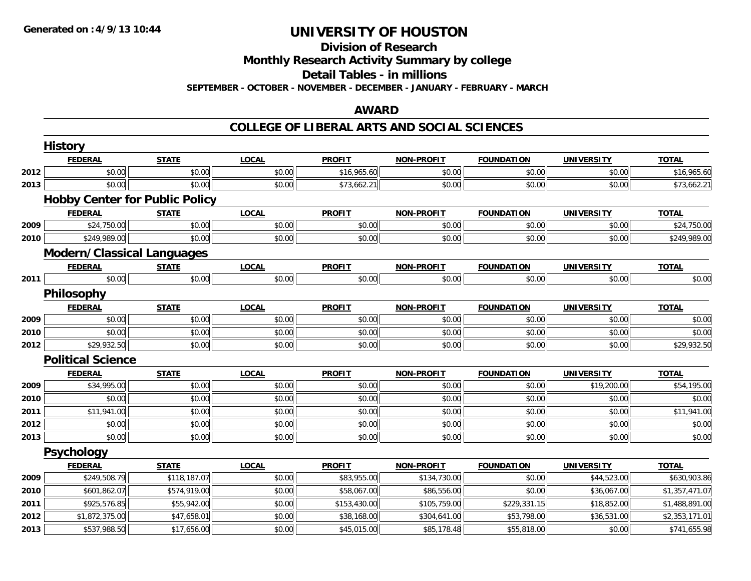#### **Division of Research**

**Monthly Research Activity Summary by college**

**Detail Tables - in millions**

**SEPTEMBER - OCTOBER - NOVEMBER - DECEMBER - JANUARY - FEBRUARY - MARCH**

### **AWARD**

### **COLLEGE OF LIBERAL ARTS AND SOCIAL SCIENCES**

|      | <b>History</b>                        |              |              |               |                   |                   |                   |                |
|------|---------------------------------------|--------------|--------------|---------------|-------------------|-------------------|-------------------|----------------|
|      | <b>FEDERAL</b>                        | <b>STATE</b> | <b>LOCAL</b> | <b>PROFIT</b> | <b>NON-PROFIT</b> | <b>FOUNDATION</b> | <b>UNIVERSITY</b> | <b>TOTAL</b>   |
| 2012 | \$0.00                                | \$0.00       | \$0.00       | \$16,965.60   | \$0.00            | \$0.00            | \$0.00            | \$16,965.60    |
| 2013 | \$0.00                                | \$0.00       | \$0.00       | \$73,662.21   | \$0.00            | \$0.00            | \$0.00            | \$73,662.21    |
|      | <b>Hobby Center for Public Policy</b> |              |              |               |                   |                   |                   |                |
|      | <b>FEDERAL</b>                        | <b>STATE</b> | <b>LOCAL</b> | <b>PROFIT</b> | <b>NON-PROFIT</b> | <b>FOUNDATION</b> | <b>UNIVERSITY</b> | <b>TOTAL</b>   |
| 2009 | \$24,750.00                           | \$0.00       | \$0.00       | \$0.00        | \$0.00            | \$0.00            | \$0.00            | \$24,750.00    |
| 2010 | \$249,989.00                          | \$0.00       | \$0.00       | \$0.00        | \$0.00            | \$0.00            | \$0.00            | \$249,989.00   |
|      | <b>Modern/Classical Languages</b>     |              |              |               |                   |                   |                   |                |
|      | <b>FEDERAL</b>                        | <b>STATE</b> | <b>LOCAL</b> | <b>PROFIT</b> | <b>NON-PROFIT</b> | <b>FOUNDATION</b> | <b>UNIVERSITY</b> | <b>TOTAL</b>   |
| 2011 | \$0.00                                | \$0.00       | \$0.00       | \$0.00        | \$0.00            | \$0.00            | \$0.00            | \$0.00         |
|      | Philosophy                            |              |              |               |                   |                   |                   |                |
|      | <b>FEDERAL</b>                        | <b>STATE</b> | <b>LOCAL</b> | <b>PROFIT</b> | <b>NON-PROFIT</b> | <b>FOUNDATION</b> | <b>UNIVERSITY</b> | <b>TOTAL</b>   |
| 2009 | \$0.00                                | \$0.00       | \$0.00       | \$0.00        | \$0.00            | \$0.00            | \$0.00            | \$0.00         |
| 2010 | \$0.00                                | \$0.00       | \$0.00       | \$0.00        | \$0.00            | \$0.00            | \$0.00            | \$0.00         |
| 2012 | \$29,932.50                           | \$0.00       | \$0.00       | \$0.00        | \$0.00            | \$0.00            | \$0.00            | \$29,932.50    |
|      | <b>Political Science</b>              |              |              |               |                   |                   |                   |                |
|      | <b>FEDERAL</b>                        | <b>STATE</b> | <b>LOCAL</b> | <b>PROFIT</b> | <b>NON-PROFIT</b> | <b>FOUNDATION</b> | <b>UNIVERSITY</b> | <b>TOTAL</b>   |
| 2009 | \$34,995.00                           | \$0.00       | \$0.00       | \$0.00        | \$0.00            | \$0.00            | \$19,200.00       | \$54,195.00    |
| 2010 | \$0.00                                | \$0.00       | \$0.00       | \$0.00        | \$0.00            | \$0.00            | \$0.00            | \$0.00         |
| 2011 | \$11,941.00                           | \$0.00       | \$0.00       | \$0.00        | \$0.00            | \$0.00            | \$0.00            | \$11,941.00    |
| 2012 | \$0.00                                | \$0.00       | \$0.00       | \$0.00        | \$0.00            | \$0.00            | \$0.00            | \$0.00         |
| 2013 | \$0.00                                | \$0.00       | \$0.00       | \$0.00        | \$0.00            | \$0.00            | \$0.00            | \$0.00         |
|      | <b>Psychology</b>                     |              |              |               |                   |                   |                   |                |
|      | <b>FEDERAL</b>                        | <b>STATE</b> | <b>LOCAL</b> | <b>PROFIT</b> | <b>NON-PROFIT</b> | <b>FOUNDATION</b> | <b>UNIVERSITY</b> | <b>TOTAL</b>   |
| 2009 | \$249,508.79                          | \$118,187.07 | \$0.00       | \$83,955.00   | \$134,730.00      | \$0.00            | \$44,523.00       | \$630,903.86   |
| 2010 | \$601,862.07                          | \$574,919.00 | \$0.00       | \$58,067.00   | \$86,556.00       | \$0.00            | \$36,067.00       | \$1,357,471.07 |
| 2011 | \$925,576.85                          | \$55,942.00  | \$0.00       | \$153,430.00  | \$105,759.00      | \$229,331.15      | \$18,852.00       | \$1,488,891.00 |
| 2012 | \$1,872,375.00                        | \$47,658.01  | \$0.00       | \$38,168.00   | \$304,641.00      | \$53,798.00       | \$36,531.00       | \$2,353,171.01 |
| 2013 | \$537,988.50                          | \$17,656.00  | \$0.00       | \$45,015.00   | \$85,178.48       | \$55,818.00       | \$0.00            | \$741,655.98   |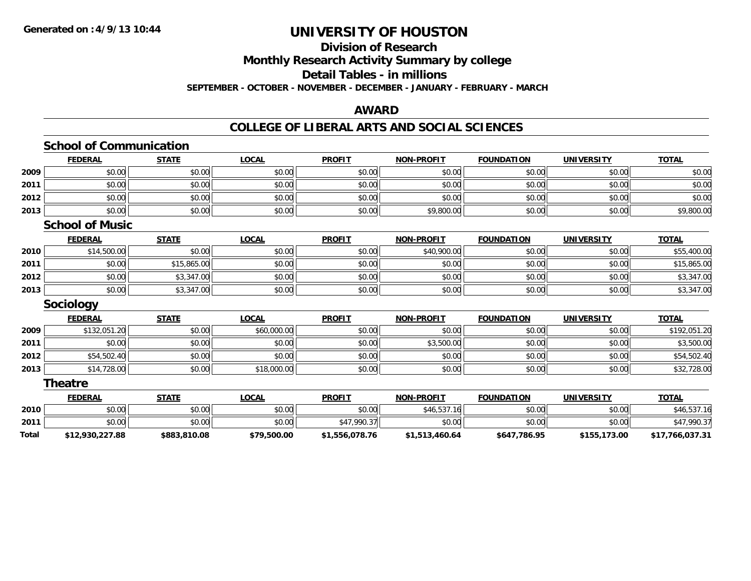#### **Division of Research Monthly Research Activity Summary by college**

**Detail Tables - in millions**

**SEPTEMBER - OCTOBER - NOVEMBER - DECEMBER - JANUARY - FEBRUARY - MARCH**

### **AWARD**

### **COLLEGE OF LIBERAL ARTS AND SOCIAL SCIENCES**

|              | <b>FEDERAL</b>         | <b>STATE</b> | <b>LOCAL</b> | <b>PROFIT</b>  | <b>NON-PROFIT</b> | <b>FOUNDATION</b> | <b>UNIVERSITY</b> | <b>TOTAL</b>    |
|--------------|------------------------|--------------|--------------|----------------|-------------------|-------------------|-------------------|-----------------|
| 2009         | \$0.00                 | \$0.00       | \$0.00       | \$0.00         | \$0.00            | \$0.00            | \$0.00            | \$0.00          |
| 2011         | \$0.00                 | \$0.00       | \$0.00       | \$0.00         | \$0.00            | \$0.00            | \$0.00            | \$0.00          |
| 2012         | \$0.00                 | \$0.00       | \$0.00       | \$0.00         | \$0.00            | \$0.00            | \$0.00            | \$0.00          |
| 2013         | \$0.00                 | \$0.00       | \$0.00       | \$0.00         | \$9,800.00        | \$0.00            | \$0.00            | \$9,800.00      |
|              | <b>School of Music</b> |              |              |                |                   |                   |                   |                 |
|              | <b>FEDERAL</b>         | <b>STATE</b> | <b>LOCAL</b> | <b>PROFIT</b>  | <b>NON-PROFIT</b> | <b>FOUNDATION</b> | <b>UNIVERSITY</b> | <b>TOTAL</b>    |
| 2010         | \$14,500.00            | \$0.00       | \$0.00       | \$0.00         | \$40,900.00       | \$0.00            | \$0.00            | \$55,400.00     |
| 2011         | \$0.00                 | \$15,865.00  | \$0.00       | \$0.00         | \$0.00            | \$0.00            | \$0.00            | \$15,865.00     |
| 2012         | \$0.00                 | \$3,347.00   | \$0.00       | \$0.00         | \$0.00            | \$0.00            | \$0.00            | \$3,347.00      |
| 2013         | \$0.00                 | \$3,347.00   | \$0.00       | \$0.00         | \$0.00            | \$0.00            | \$0.00            | \$3,347.00      |
|              | <b>Sociology</b>       |              |              |                |                   |                   |                   |                 |
|              | <b>FEDERAL</b>         | <b>STATE</b> | <b>LOCAL</b> | <b>PROFIT</b>  | <b>NON-PROFIT</b> | <b>FOUNDATION</b> | <b>UNIVERSITY</b> | <b>TOTAL</b>    |
| 2009         | \$132,051.20           | \$0.00       | \$60,000.00  | \$0.00         | \$0.00            | \$0.00            | \$0.00            | \$192,051.20    |
| 2011         | \$0.00                 | \$0.00       | \$0.00       | \$0.00         | \$3,500.00        | \$0.00            | \$0.00            | \$3,500.00      |
| 2012         | \$54,502.40            | \$0.00       | \$0.00       | \$0.00         | \$0.00            | \$0.00            | \$0.00            | \$54,502.40     |
| 2013         | \$14,728.00            | \$0.00       | \$18,000.00  | \$0.00         | \$0.00            | \$0.00            | \$0.00            | \$32,728.00     |
|              | <b>Theatre</b>         |              |              |                |                   |                   |                   |                 |
|              | <b>FEDERAL</b>         | <b>STATE</b> | <b>LOCAL</b> | <b>PROFIT</b>  | <b>NON-PROFIT</b> | <b>FOUNDATION</b> | <b>UNIVERSITY</b> | <b>TOTAL</b>    |
| 2010         | \$0.00                 | \$0.00       | \$0.00       | \$0.00         | \$46,537.16       | \$0.00            | \$0.00            | \$46,537.16     |
| 2011         | \$0.00                 | \$0.00       | \$0.00       | \$47,990.37    | \$0.00            | \$0.00            | \$0.00            | \$47,990.37     |
| <b>Total</b> | \$12,930,227.88        | \$883,810.08 | \$79,500.00  | \$1,556,078.76 | \$1,513,460.64    | \$647,786.95      | \$155,173.00      | \$17,766,037.31 |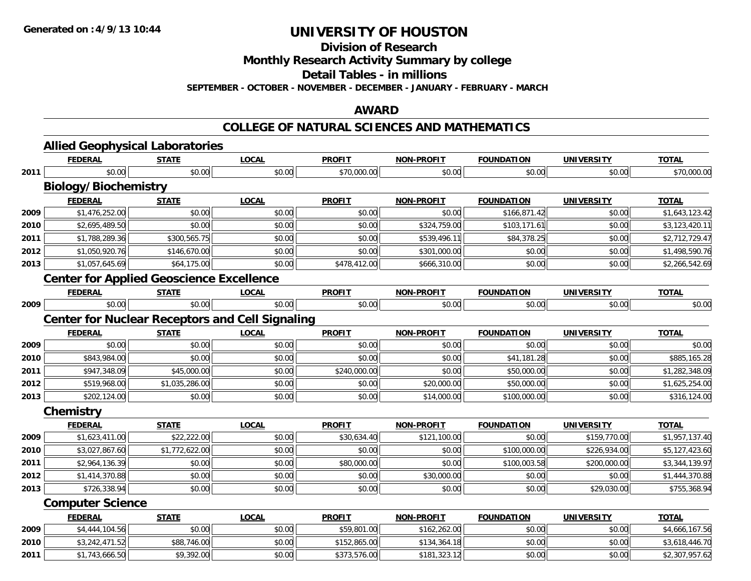**Division of Research**

**Monthly Research Activity Summary by college**

**Detail Tables - in millions**

**SEPTEMBER - OCTOBER - NOVEMBER - DECEMBER - JANUARY - FEBRUARY - MARCH**

#### **AWARD**

#### **COLLEGE OF NATURAL SCIENCES AND MATHEMATICS**

|      | <b>Allied Geophysical Laboratories</b>                 |                |              |               |                   |                   |                   |                |
|------|--------------------------------------------------------|----------------|--------------|---------------|-------------------|-------------------|-------------------|----------------|
|      | <b>FEDERAL</b>                                         | <b>STATE</b>   | <b>LOCAL</b> | <b>PROFIT</b> | <b>NON-PROFIT</b> | <b>FOUNDATION</b> | <b>UNIVERSITY</b> | <b>TOTAL</b>   |
| 2011 | \$0.00                                                 | \$0.00         | \$0.00       | \$70,000.00   | \$0.00            | \$0.00            | \$0.00            | \$70,000.00    |
|      | <b>Biology/Biochemistry</b>                            |                |              |               |                   |                   |                   |                |
|      | <b>FEDERAL</b>                                         | <b>STATE</b>   | <b>LOCAL</b> | <b>PROFIT</b> | <b>NON-PROFIT</b> | <b>FOUNDATION</b> | <b>UNIVERSITY</b> | <b>TOTAL</b>   |
| 2009 | \$1,476,252.00                                         | \$0.00         | \$0.00       | \$0.00        | \$0.00            | \$166,871.42      | \$0.00            | \$1,643,123.42 |
| 2010 | \$2,695,489.50                                         | \$0.00         | \$0.00       | \$0.00        | \$324,759.00      | \$103,171.61      | \$0.00            | \$3,123,420.11 |
| 2011 | \$1,788,289.36                                         | \$300,565.75   | \$0.00       | \$0.00        | \$539,496.11      | \$84,378.25       | \$0.00            | \$2,712,729.47 |
| 2012 | \$1,050,920.76                                         | \$146,670.00   | \$0.00       | \$0.00        | \$301,000.00      | \$0.00            | \$0.00            | \$1,498,590.76 |
| 2013 | \$1,057,645.69                                         | \$64,175.00    | \$0.00       | \$478,412.00  | \$666,310.00      | \$0.00            | \$0.00            | \$2,266,542.69 |
|      | <b>Center for Applied Geoscience Excellence</b>        |                |              |               |                   |                   |                   |                |
|      | <b>FEDERAL</b>                                         | <b>STATE</b>   | <b>LOCAL</b> | <b>PROFIT</b> | NON-PROFIT        | <b>FOUNDATION</b> | <b>UNIVERSITY</b> | <b>TOTAL</b>   |
| 2009 | \$0.00                                                 | \$0.00         | \$0.00       | \$0.00        | \$0.00            | \$0.00            | \$0.00            | \$0.00         |
|      | <b>Center for Nuclear Receptors and Cell Signaling</b> |                |              |               |                   |                   |                   |                |
|      | <b>FEDERAL</b>                                         | <b>STATE</b>   | <b>LOCAL</b> | <b>PROFIT</b> | <b>NON-PROFIT</b> | <b>FOUNDATION</b> | <b>UNIVERSITY</b> | <b>TOTAL</b>   |
| 2009 | \$0.00                                                 | \$0.00         | \$0.00       | \$0.00        | \$0.00            | \$0.00            | \$0.00            | \$0.00         |
| 2010 | \$843,984.00                                           | \$0.00         | \$0.00       | \$0.00        | \$0.00            | \$41,181.28       | \$0.00            | \$885,165.28   |
| 2011 | \$947,348.09                                           | \$45,000.00    | \$0.00       | \$240,000.00  | \$0.00            | \$50,000.00       | \$0.00            | \$1,282,348.09 |
| 2012 | \$519,968.00                                           | \$1,035,286.00 | \$0.00       | \$0.00        | \$20,000.00       | \$50,000.00       | \$0.00            | \$1,625,254.00 |
| 2013 | \$202,124.00                                           | \$0.00         | \$0.00       | \$0.00        | \$14,000.00       | \$100,000.00      | \$0.00            | \$316,124.00   |
|      | Chemistry                                              |                |              |               |                   |                   |                   |                |
|      | <b>FEDERAL</b>                                         | <b>STATE</b>   | <b>LOCAL</b> | <b>PROFIT</b> | <b>NON-PROFIT</b> | <b>FOUNDATION</b> | <b>UNIVERSITY</b> | <b>TOTAL</b>   |
| 2009 | \$1,623,411.00                                         | \$22,222.00    | \$0.00       | \$30,634.40   | \$121,100.00      | \$0.00            | \$159,770.00      | \$1,957,137.40 |
| 2010 | \$3,027,867.60                                         | \$1,772,622.00 | \$0.00       | \$0.00        | \$0.00            | \$100,000.00      | \$226,934.00      | \$5,127,423.60 |
| 2011 | \$2,964,136.39                                         | \$0.00         | \$0.00       | \$80,000.00   | \$0.00            | \$100,003.58      | \$200,000.00      | \$3,344,139.97 |
| 2012 | \$1,414,370.88                                         | \$0.00         | \$0.00       | \$0.00        | \$30,000.00       | \$0.00            | \$0.00            | \$1,444,370.88 |
| 2013 | \$726,338.94                                           | \$0.00         | \$0.00       | \$0.00        | \$0.00            | \$0.00            | \$29,030.00       | \$755,368.94   |
|      | <b>Computer Science</b>                                |                |              |               |                   |                   |                   |                |
|      | <b>FEDERAL</b>                                         | <b>STATE</b>   | <b>LOCAL</b> | <b>PROFIT</b> | <b>NON-PROFIT</b> | <b>FOUNDATION</b> | <b>UNIVERSITY</b> | TOTAL          |
| 2009 | \$4,444,104.56                                         | \$0.00         | \$0.00       | \$59,801.00   | \$162,262.00      | \$0.00            | \$0.00            | \$4,666,167.56 |
| 2010 | \$3,242,471.52                                         | \$88,746.00    | \$0.00       | \$152,865.00  | \$134,364.18      | \$0.00            | \$0.00            | \$3,618,446.70 |
| 2011 | \$1,743,666.50                                         | \$9,392.00     | \$0.00       | \$373,576.00  | \$181,323.12      | \$0.00            | \$0.00            | \$2,307,957.62 |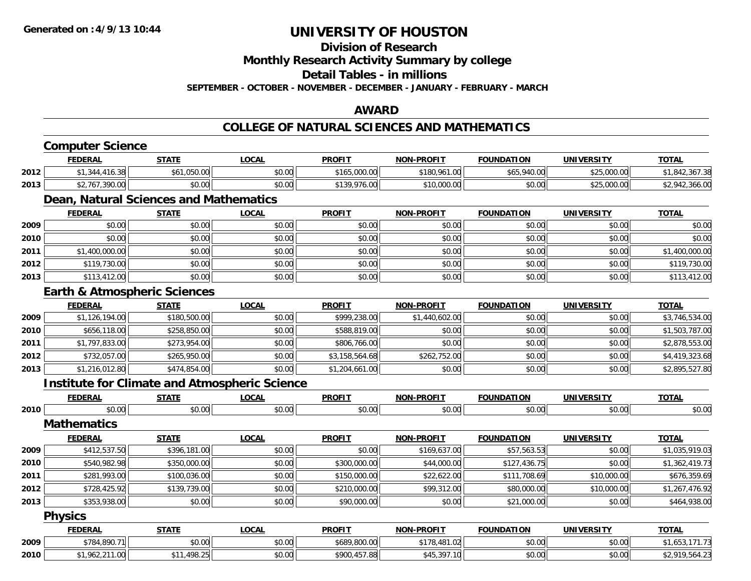# **Division of Research**

**Monthly Research Activity Summary by college**

**Detail Tables - in millions**

**SEPTEMBER - OCTOBER - NOVEMBER - DECEMBER - JANUARY - FEBRUARY - MARCH**

### **AWARD**

### **COLLEGE OF NATURAL SCIENCES AND MATHEMATICS**

|      | <b>Computer Science</b>                              |              |              |                |                   |                   |                   |                |  |  |
|------|------------------------------------------------------|--------------|--------------|----------------|-------------------|-------------------|-------------------|----------------|--|--|
|      | <b>FEDERAL</b>                                       | <b>STATE</b> | <b>LOCAL</b> | <b>PROFIT</b>  | <b>NON-PROFIT</b> | <b>FOUNDATION</b> | <b>UNIVERSITY</b> | <b>TOTAL</b>   |  |  |
| 2012 | \$1,344,416.38                                       | \$61,050.00  | \$0.00       | \$165,000.00   | \$180,961.00      | \$65,940.00       | \$25,000.00       | \$1,842,367.38 |  |  |
| 2013 | \$2,767,390.00                                       | \$0.00       | \$0.00       | \$139,976.00   | \$10,000.00       | \$0.00            | \$25,000.00       | \$2,942,366.00 |  |  |
|      | Dean, Natural Sciences and Mathematics               |              |              |                |                   |                   |                   |                |  |  |
|      | <b>FEDERAL</b>                                       | <b>STATE</b> | <b>LOCAL</b> | <b>PROFIT</b>  | <b>NON-PROFIT</b> | <b>FOUNDATION</b> | <b>UNIVERSITY</b> | <b>TOTAL</b>   |  |  |
| 2009 | \$0.00                                               | \$0.00       | \$0.00       | \$0.00         | \$0.00            | \$0.00            | \$0.00            | \$0.00         |  |  |
| 2010 | \$0.00                                               | \$0.00       | \$0.00       | \$0.00         | \$0.00            | \$0.00            | \$0.00            | \$0.00         |  |  |
| 2011 | \$1,400,000.00                                       | \$0.00       | \$0.00       | \$0.00         | \$0.00            | \$0.00            | \$0.00            | \$1,400,000.00 |  |  |
| 2012 | \$119,730.00                                         | \$0.00       | \$0.00       | \$0.00         | \$0.00            | \$0.00            | \$0.00            | \$119,730.00   |  |  |
| 2013 | \$113,412.00                                         | \$0.00       | \$0.00       | \$0.00         | \$0.00            | \$0.00            | \$0.00            | \$113,412.00   |  |  |
|      | <b>Earth &amp; Atmospheric Sciences</b>              |              |              |                |                   |                   |                   |                |  |  |
|      | <b>FEDERAL</b>                                       | <b>STATE</b> | <b>LOCAL</b> | <b>PROFIT</b>  | <b>NON-PROFIT</b> | <b>FOUNDATION</b> | <b>UNIVERSITY</b> | <b>TOTAL</b>   |  |  |
| 2009 | \$1,126,194.00                                       | \$180,500.00 | \$0.00       | \$999,238.00   | \$1,440,602.00    | \$0.00            | \$0.00            | \$3,746,534.00 |  |  |
| 2010 | \$656,118.00                                         | \$258,850.00 | \$0.00       | \$588,819.00   | \$0.00            | \$0.00            | \$0.00            | \$1,503,787.00 |  |  |
| 2011 | \$1,797,833.00                                       | \$273,954.00 | \$0.00       | \$806,766.00   | \$0.00            | \$0.00            | \$0.00            | \$2,878,553.00 |  |  |
| 2012 | \$732,057.00                                         | \$265,950.00 | \$0.00       | \$3,158,564.68 | \$262,752.00      | \$0.00            | \$0.00            | \$4,419,323.68 |  |  |
| 2013 | \$1,216,012.80                                       | \$474,854.00 | \$0.00       | \$1,204,661.00 | \$0.00            | \$0.00            | \$0.00            | \$2,895,527.80 |  |  |
|      | <b>Institute for Climate and Atmospheric Science</b> |              |              |                |                   |                   |                   |                |  |  |
|      | <b>FEDERAL</b>                                       | <b>STATE</b> | <b>LOCAL</b> | <b>PROFIT</b>  | <b>NON-PROFIT</b> | <b>FOUNDATION</b> | <b>UNIVERSITY</b> | <b>TOTAL</b>   |  |  |
| 2010 | \$0.00                                               | \$0.00       | \$0.00       | \$0.00         | \$0.00            | \$0.00            | \$0.00            | \$0.00         |  |  |
|      | <b>Mathematics</b>                                   |              |              |                |                   |                   |                   |                |  |  |
|      | <b>FEDERAL</b>                                       | <b>STATE</b> | <b>LOCAL</b> | <b>PROFIT</b>  | <b>NON-PROFIT</b> | <b>FOUNDATION</b> | <b>UNIVERSITY</b> | <b>TOTAL</b>   |  |  |
| 2009 | \$412,537.50                                         | \$396,181.00 | \$0.00       | \$0.00         | \$169,637.00      | \$57,563.53       | \$0.00            | \$1,035,919.03 |  |  |
| 2010 | \$540,982.98                                         | \$350,000.00 | \$0.00       | \$300,000.00   | \$44,000.00       | \$127,436.75      | \$0.00            | \$1,362,419.73 |  |  |
| 2011 | \$281,993.00                                         | \$100,036.00 | \$0.00       | \$150,000.00   | \$22,622.00       | \$111,708.69      | \$10,000.00       | \$676,359.69   |  |  |
| 2012 | \$728,425.92                                         | \$139,739.00 | \$0.00       | \$210,000.00   | \$99,312.00       | \$80,000.00       | \$10,000.00       | \$1,267,476.92 |  |  |
| 2013 | \$353,938.00                                         | \$0.00       | \$0.00       | \$90,000.00    | \$0.00            | \$21,000.00       | \$0.00            | \$464,938.00   |  |  |
|      | <b>Physics</b>                                       |              |              |                |                   |                   |                   |                |  |  |
|      | <b>FEDERAL</b>                                       | <b>STATE</b> | <b>LOCAL</b> | <b>PROFIT</b>  | <b>NON-PROFIT</b> | <b>FOUNDATION</b> | <b>UNIVERSITY</b> | <b>TOTAL</b>   |  |  |
| 2009 | \$784,890.71                                         | \$0.00       | \$0.00       | \$689,800.00   | \$178,481.02      | \$0.00            | \$0.00            | \$1,653,171.73 |  |  |
| 2010 | \$1,962,211.00                                       | \$11,498.25  | \$0.00       | \$900,457.88   | \$45,397.10       | \$0.00            | \$0.00            | \$2,919,564.23 |  |  |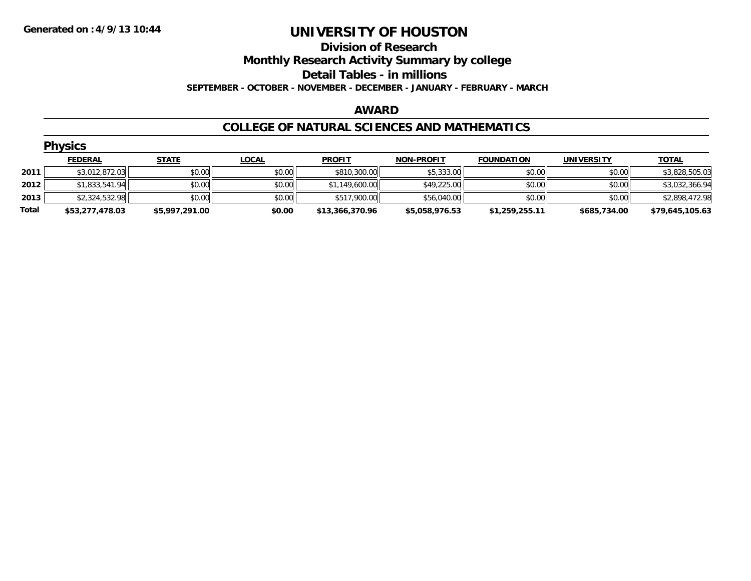### **Division of Research Monthly Research Activity Summary by college Detail Tables - in millions SEPTEMBER - OCTOBER - NOVEMBER - DECEMBER - JANUARY - FEBRUARY - MARCH**

#### **AWARD**

#### **COLLEGE OF NATURAL SCIENCES AND MATHEMATICS**

|       | <b>Physics</b>  |                |              |                 |                   |                   |                   |                 |  |  |  |
|-------|-----------------|----------------|--------------|-----------------|-------------------|-------------------|-------------------|-----------------|--|--|--|
|       | <b>FEDERAL</b>  | <b>STATE</b>   | <b>LOCAL</b> | <b>PROFIT</b>   | <b>NON-PROFIT</b> | <b>FOUNDATION</b> | <b>UNIVERSITY</b> | <b>TOTAL</b>    |  |  |  |
| 2011  | \$3,012,872.03  | \$0.00         | \$0.00       | \$810,300.00    | \$5,333.00        | \$0.00            | \$0.00            | \$3,828,505.03  |  |  |  |
| 2012  | \$1,833,541.94  | \$0.00         | \$0.00       | \$1,149,600.00  | \$49,225.00       | \$0.00            | \$0.00            | \$3,032,366.94  |  |  |  |
| 2013  | \$2,324,532.98  | \$0.00         | \$0.00       | \$517,900.00    | \$56,040.00       | \$0.00            | \$0.00            | \$2,898,472.98  |  |  |  |
| Total | \$53,277,478.03 | \$5,997,291.00 | \$0.00       | \$13,366,370.96 | \$5,058,976.53    | \$1,259,255.11    | \$685,734.00      | \$79,645,105.63 |  |  |  |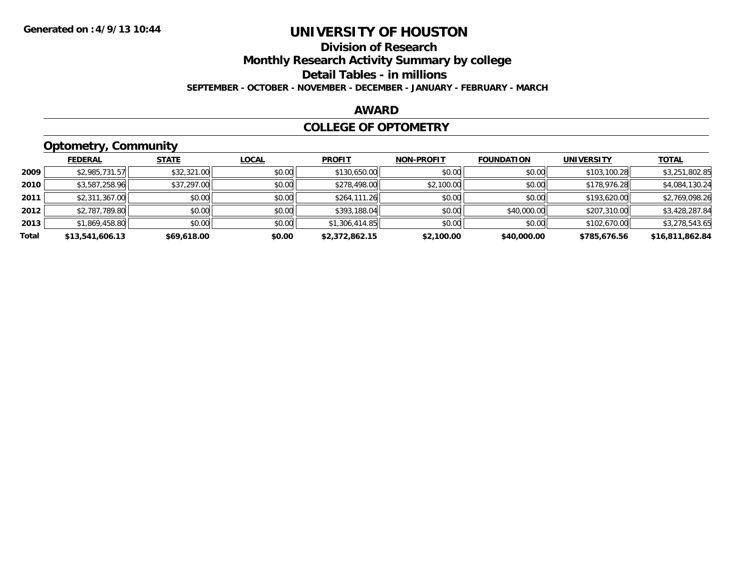### **Division of ResearchMonthly Research Activity Summary by college Detail Tables - in millions SEPTEMBER - OCTOBER - NOVEMBER - DECEMBER - JANUARY - FEBRUARY - MARCH**

### **AWARD**

### **COLLEGE OF OPTOMETRY**

# **Optometry, Community**

|       | <b>FEDERAL</b>  | <b>STATE</b> | <b>LOCAL</b> | <b>PROFIT</b>  | <b>NON-PROFIT</b> | <b>FOUNDATION</b> | <b>UNIVERSITY</b> | <b>TOTAL</b>    |
|-------|-----------------|--------------|--------------|----------------|-------------------|-------------------|-------------------|-----------------|
| 2009  | \$2,985,731.57  | \$32,321.00  | \$0.00       | \$130,650.00   | \$0.00            | \$0.00            | \$103,100.28      | \$3,251,802.85  |
| 2010  | \$3,587,258.96  | \$37,297.00  | \$0.00       | \$278,498.00   | \$2,100.00        | \$0.00            | \$178,976.28      | \$4,084,130.24  |
| 2011  | \$2,311,367.00  | \$0.00       | \$0.00       | \$264,111.26   | \$0.00            | \$0.00            | \$193,620.00      | \$2,769,098.26  |
| 2012  | \$2,787,789.80  | \$0.00       | \$0.00       | \$393,188.04   | \$0.00            | \$40,000.00       | \$207,310.00      | \$3,428,287.84  |
| 2013  | \$1,869,458.80  | \$0.00       | \$0.00       | \$1,306,414.85 | \$0.00            | \$0.00            | \$102,670.00      | \$3,278,543.65  |
| Total | \$13,541,606.13 | \$69,618.00  | \$0.00       | \$2,372,862.15 | \$2,100.00        | \$40,000.00       | \$785,676.56      | \$16,811,862.84 |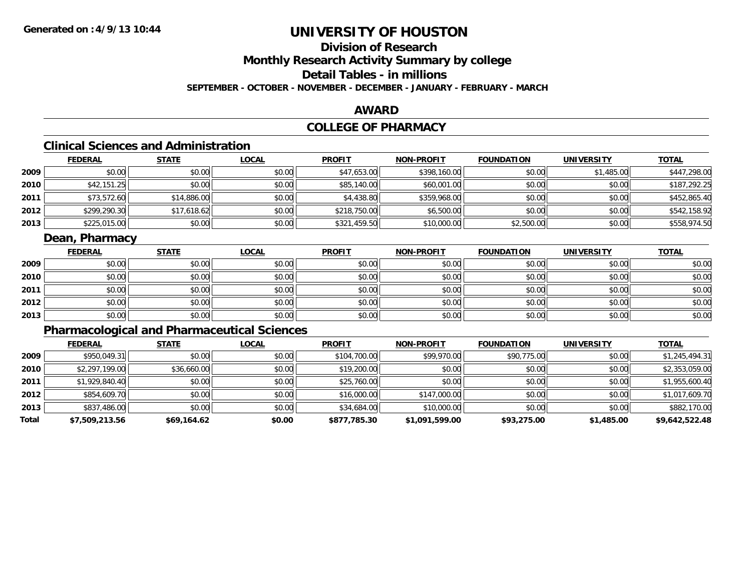# **Division of ResearchMonthly Research Activity Summary by college**

# **Detail Tables - in millions**

**SEPTEMBER - OCTOBER - NOVEMBER - DECEMBER - JANUARY - FEBRUARY - MARCH**

### **AWARD**

# **COLLEGE OF PHARMACY**

# **Clinical Sciences and Administration**

|      | <b>FEDERAL</b> | <b>STATE</b> | <b>LOCAL</b> | <b>PROFIT</b> | <b>NON-PROFIT</b> | <b>FOUNDATION</b> | <b>UNIVERSITY</b> | <b>TOTAL</b> |
|------|----------------|--------------|--------------|---------------|-------------------|-------------------|-------------------|--------------|
| 2009 | \$0.00         | \$0.00       | \$0.00       | \$47,653.00   | \$398,160.00      | \$0.00            | \$1,485.00        | \$447,298.00 |
| 2010 | \$42,151.25    | \$0.00       | \$0.00       | \$85,140.00   | \$60,001.00       | \$0.00            | \$0.00            | \$187,292.25 |
| 2011 | \$73,572.60    | \$14,886.00  | \$0.00       | \$4,438.80    | \$359,968.00      | \$0.00            | \$0.00            | \$452,865.40 |
| 2012 | \$299,290.30   | \$17,618.62  | \$0.00       | \$218,750.00  | \$6,500.00        | \$0.00            | \$0.00            | \$542,158.92 |
| 2013 | \$225,015.00   | \$0.00       | \$0.00       | \$321,459.50  | \$10,000.00       | \$2,500.00        | \$0.00            | \$558,974.50 |

### **Dean, Pharmacy**

|      | <b>FEDERAL</b> | <b>STATE</b> | <u>LOCAL</u> | <b>PROFIT</b> | <b>NON-PROFIT</b> | <b>FOUNDATION</b> | <b>UNIVERSITY</b> | <b>TOTAL</b> |
|------|----------------|--------------|--------------|---------------|-------------------|-------------------|-------------------|--------------|
| 2009 | \$0.00         | \$0.00       | \$0.00       | \$0.00        | \$0.00            | \$0.00            | \$0.00            | \$0.00       |
| 2010 | \$0.00         | \$0.00       | \$0.00       | \$0.00        | \$0.00            | \$0.00            | \$0.00            | \$0.00       |
| 2011 | \$0.00         | \$0.00       | \$0.00       | \$0.00        | \$0.00            | \$0.00            | \$0.00            | \$0.00       |
| 2012 | \$0.00         | \$0.00       | \$0.00       | \$0.00        | \$0.00            | \$0.00            | \$0.00            | \$0.00       |
| 2013 | \$0.00         | \$0.00       | \$0.00       | \$0.00        | \$0.00            | \$0.00            | \$0.00            | \$0.00       |

# **Pharmacological and Pharmaceutical Sciences**

|       | <b>FEDERAL</b> | <b>STATE</b> | <b>LOCAL</b> | <b>PROFIT</b> | <b>NON-PROFIT</b> | <b>FOUNDATION</b> | <b>UNIVERSITY</b> | <b>TOTAL</b>   |
|-------|----------------|--------------|--------------|---------------|-------------------|-------------------|-------------------|----------------|
| 2009  | \$950,049.31   | \$0.00       | \$0.00       | \$104,700.00  | \$99,970.00       | \$90,775.00       | \$0.00            | \$1,245,494.31 |
| 2010  | \$2,297,199.00 | \$36,660.00  | \$0.00       | \$19,200.00   | \$0.00            | \$0.00            | \$0.00            | \$2,353,059.00 |
| 2011  | \$1,929,840.40 | \$0.00       | \$0.00       | \$25,760.00   | \$0.00            | \$0.00            | \$0.00            | \$1,955,600.40 |
| 2012  | \$854,609.70   | \$0.00       | \$0.00       | \$16,000.00   | \$147,000.00      | \$0.00            | \$0.00            | \$1,017,609.70 |
| 2013  | \$837,486.00   | \$0.00       | \$0.00       | \$34,684.00   | \$10,000.00       | \$0.00            | \$0.00            | \$882,170.00   |
| Total | \$7,509,213.56 | \$69,164.62  | \$0.00       | \$877,785.30  | \$1,091,599.00    | \$93,275.00       | \$1,485.00        | \$9,642,522.48 |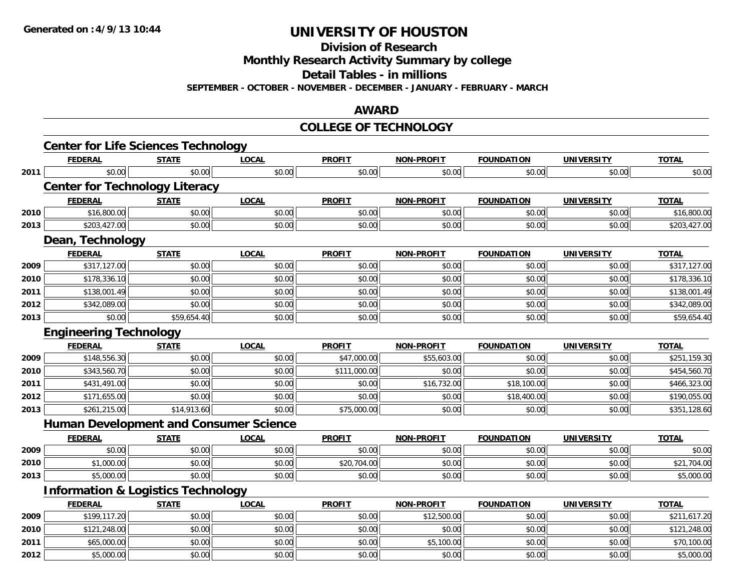**Division of Research**

**Monthly Research Activity Summary by college**

**Detail Tables - in millions**

**SEPTEMBER - OCTOBER - NOVEMBER - DECEMBER - JANUARY - FEBRUARY - MARCH**

#### **AWARD**

#### **COLLEGE OF TECHNOLOGY**

|      | <b>Center for Life Sciences Technology</b>    |              |              |               |                   |                   |                   |              |
|------|-----------------------------------------------|--------------|--------------|---------------|-------------------|-------------------|-------------------|--------------|
|      | <b>FEDERAL</b>                                | <b>STATE</b> | <b>LOCAL</b> | <b>PROFIT</b> | <b>NON-PROFIT</b> | <b>FOUNDATION</b> | <b>UNIVERSITY</b> | <b>TOTAL</b> |
| 2011 | \$0.00                                        | \$0.00       | \$0.00       | \$0.00        | \$0.00            | \$0.00            | \$0.00            | \$0.00       |
|      | <b>Center for Technology Literacy</b>         |              |              |               |                   |                   |                   |              |
|      | <b>FEDERAL</b>                                | <b>STATE</b> | <b>LOCAL</b> | <b>PROFIT</b> | <b>NON-PROFIT</b> | <b>FOUNDATION</b> | <b>UNIVERSITY</b> | <b>TOTAL</b> |
| 2010 | \$16,800.00                                   | \$0.00       | \$0.00       | \$0.00        | \$0.00            | \$0.00            | \$0.00            | \$16,800.00  |
| 2013 | \$203,427.00                                  | \$0.00       | \$0.00       | \$0.00        | \$0.00            | \$0.00            | \$0.00            | \$203,427.00 |
|      | Dean, Technology                              |              |              |               |                   |                   |                   |              |
|      | <b>FEDERAL</b>                                | <b>STATE</b> | <b>LOCAL</b> | <b>PROFIT</b> | <b>NON-PROFIT</b> | <b>FOUNDATION</b> | <b>UNIVERSITY</b> | <b>TOTAL</b> |
| 2009 | \$317,127.00                                  | \$0.00       | \$0.00       | \$0.00        | \$0.00            | \$0.00            | \$0.00            | \$317,127.00 |
| 2010 | \$178,336.10                                  | \$0.00       | \$0.00       | \$0.00        | \$0.00            | \$0.00            | \$0.00            | \$178,336.10 |
| 2011 | \$138,001.49                                  | \$0.00       | \$0.00       | \$0.00        | \$0.00            | \$0.00            | \$0.00            | \$138,001.49 |
| 2012 | \$342,089.00                                  | \$0.00       | \$0.00       | \$0.00        | \$0.00            | \$0.00            | \$0.00            | \$342,089.00 |
| 2013 | \$0.00                                        | \$59,654.40  | \$0.00       | \$0.00        | \$0.00            | \$0.00            | \$0.00            | \$59,654.40  |
|      | <b>Engineering Technology</b>                 |              |              |               |                   |                   |                   |              |
|      | <b>FEDERAL</b>                                | <b>STATE</b> | <b>LOCAL</b> | <b>PROFIT</b> | <b>NON-PROFIT</b> | <b>FOUNDATION</b> | <b>UNIVERSITY</b> | <b>TOTAL</b> |
| 2009 | \$148,556.30                                  | \$0.00       | \$0.00       | \$47,000.00   | \$55,603.00       | \$0.00            | \$0.00            | \$251,159.30 |
| 2010 | \$343,560.70                                  | \$0.00       | \$0.00       | \$111,000.00  | \$0.00            | \$0.00            | \$0.00            | \$454,560.70 |
| 2011 | \$431,491.00                                  | \$0.00       | \$0.00       | \$0.00        | \$16,732.00       | \$18,100.00       | \$0.00            | \$466,323.00 |
| 2012 | \$171,655.00                                  | \$0.00       | \$0.00       | \$0.00        | \$0.00            | \$18,400.00       | \$0.00            | \$190,055.00 |
| 2013 | \$261,215.00                                  | \$14,913.60  | \$0.00       | \$75,000.00   | \$0.00            | \$0.00            | \$0.00            | \$351,128.60 |
|      | <b>Human Development and Consumer Science</b> |              |              |               |                   |                   |                   |              |
|      | <b>FEDERAL</b>                                | <b>STATE</b> | <b>LOCAL</b> | <b>PROFIT</b> | <b>NON-PROFIT</b> | <b>FOUNDATION</b> | <b>UNIVERSITY</b> | <b>TOTAL</b> |
| 2009 | \$0.00                                        | \$0.00       | \$0.00       | \$0.00        | \$0.00            | \$0.00            | \$0.00            | \$0.00       |
| 2010 | \$1,000.00                                    | \$0.00       | \$0.00       | \$20,704.00   | \$0.00            | \$0.00            | \$0.00            | \$21,704.00  |
| 2013 | \$5,000.00                                    | \$0.00       | \$0.00       | \$0.00        | \$0.00            | \$0.00            | \$0.00            | \$5,000.00   |
|      | <b>Information &amp; Logistics Technology</b> |              |              |               |                   |                   |                   |              |
|      | <b>FEDERAL</b>                                | <b>STATE</b> | <b>LOCAL</b> | <b>PROFIT</b> | <b>NON-PROFIT</b> | <b>FOUNDATION</b> | <b>UNIVERSITY</b> | <b>TOTAL</b> |
| 2009 | \$199,117.20                                  | \$0.00       | \$0.00       | \$0.00        | \$12,500.00       | \$0.00            | \$0.00            | \$211,617.20 |
| 2010 | \$121,248.00                                  | \$0.00       | \$0.00       | \$0.00        | \$0.00            | \$0.00            | \$0.00            | \$121,248.00 |
| 2011 | \$65,000.00                                   | \$0.00       | \$0.00       | \$0.00        | \$5,100.00        | \$0.00            | \$0.00            | \$70,100.00  |
| 2012 | \$5,000.00                                    | \$0.00       | \$0.00       | \$0.00        | \$0.00            | \$0.00            | \$0.00            | \$5,000.00   |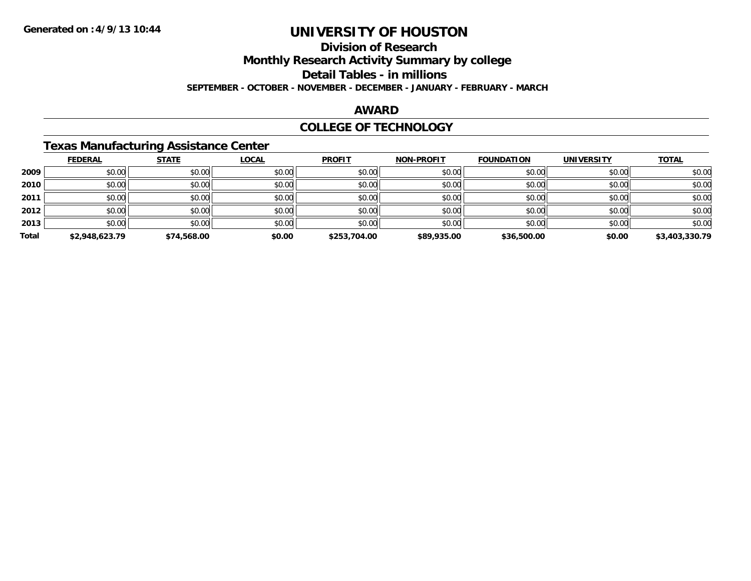# **Division of Research**

**Monthly Research Activity Summary by college**

**Detail Tables - in millions**

**SEPTEMBER - OCTOBER - NOVEMBER - DECEMBER - JANUARY - FEBRUARY - MARCH**

### **AWARD**

### **COLLEGE OF TECHNOLOGY**

### **Texas Manufacturing Assistance Center**

|       | <b>FEDERAL</b> | <b>STATE</b> | <b>LOCAL</b> | <b>PROFIT</b> | <b>NON-PROFIT</b> | <b>FOUNDATION</b> | <b>UNIVERSITY</b> | <b>TOTAL</b>   |
|-------|----------------|--------------|--------------|---------------|-------------------|-------------------|-------------------|----------------|
| 2009  | \$0.00         | \$0.00       | \$0.00       | \$0.00        | \$0.00            | \$0.00            | \$0.00            | \$0.00         |
| 2010  | \$0.00         | \$0.00       | \$0.00       | \$0.00        | \$0.00            | \$0.00            | \$0.00            | \$0.00         |
| 2011  | \$0.00         | \$0.00       | \$0.00       | \$0.00        | \$0.00            | \$0.00            | \$0.00            | \$0.00         |
| 2012  | \$0.00         | \$0.00       | \$0.00       | \$0.00        | \$0.00            | \$0.00            | \$0.00            | \$0.00         |
| 2013  | \$0.00         | \$0.00       | \$0.00       | \$0.00        | \$0.00            | \$0.00            | \$0.00            | \$0.00         |
| Total | \$2,948,623.79 | \$74,568.00  | \$0.00       | \$253,704.00  | \$89,935.00       | \$36,500.00       | \$0.00            | \$3,403,330.79 |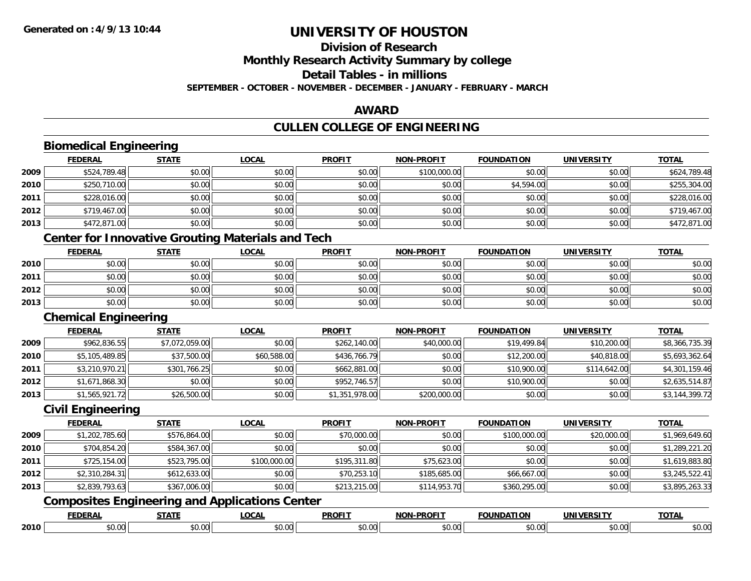#### **Division of Research**

**Monthly Research Activity Summary by college**

**Detail Tables - in millions**

**SEPTEMBER - OCTOBER - NOVEMBER - DECEMBER - JANUARY - FEBRUARY - MARCH**

#### **AWARD**

# **CULLEN COLLEGE OF ENGINEERING**

|      | <b>Biomedical Engineering</b> |                |                                                          |                |                   |                   |                   |                |
|------|-------------------------------|----------------|----------------------------------------------------------|----------------|-------------------|-------------------|-------------------|----------------|
|      | <b>FEDERAL</b>                | <b>STATE</b>   | <b>LOCAL</b>                                             | <b>PROFIT</b>  | <b>NON-PROFIT</b> | <b>FOUNDATION</b> | <b>UNIVERSITY</b> | <b>TOTAL</b>   |
| 2009 | \$524,789.48                  | \$0.00         | \$0.00                                                   | \$0.00         | \$100,000.00      | \$0.00            | \$0.00            | \$624,789.48   |
| 2010 | \$250,710.00                  | \$0.00         | \$0.00                                                   | \$0.00         | \$0.00            | \$4,594.00        | \$0.00            | \$255,304.00   |
| 2011 | \$228,016.00                  | \$0.00         | \$0.00                                                   | \$0.00         | \$0.00            | \$0.00            | \$0.00            | \$228,016.00   |
| 2012 | \$719,467.00                  | \$0.00         | \$0.00                                                   | \$0.00         | \$0.00            | \$0.00            | \$0.00            | \$719,467.00   |
| 2013 | \$472,871.00                  | \$0.00         | \$0.00                                                   | \$0.00         | \$0.00            | \$0.00            | \$0.00            | \$472,871.00   |
|      |                               |                | <b>Center for Innovative Grouting Materials and Tech</b> |                |                   |                   |                   |                |
|      | <b>FEDERAL</b>                | <b>STATE</b>   | <b>LOCAL</b>                                             | <b>PROFIT</b>  | <b>NON-PROFIT</b> | <b>FOUNDATION</b> | <b>UNIVERSITY</b> | <b>TOTAL</b>   |
| 2010 | \$0.00                        | \$0.00         | \$0.00                                                   | \$0.00         | \$0.00            | \$0.00            | \$0.00            | \$0.00         |
| 2011 | \$0.00                        | \$0.00         | \$0.00                                                   | \$0.00         | \$0.00            | \$0.00            | \$0.00            | \$0.00         |
| 2012 | \$0.00                        | \$0.00         | \$0.00                                                   | \$0.00         | \$0.00            | \$0.00            | \$0.00            | \$0.00         |
| 2013 | \$0.00                        | \$0.00         | \$0.00                                                   | \$0.00         | \$0.00            | \$0.00            | \$0.00            | \$0.00         |
|      | <b>Chemical Engineering</b>   |                |                                                          |                |                   |                   |                   |                |
|      | <b>FEDERAL</b>                | <b>STATE</b>   | <b>LOCAL</b>                                             | <b>PROFIT</b>  | <b>NON-PROFIT</b> | <b>FOUNDATION</b> | <b>UNIVERSITY</b> | <b>TOTAL</b>   |
| 2009 | \$962,836.55                  | \$7,072,059.00 | \$0.00                                                   | \$262,140.00   | \$40,000.00       | \$19,499.84       | \$10,200.00       | \$8,366,735.39 |
| 2010 | \$5,105,489.85                | \$37,500.00    | \$60,588.00                                              | \$436,766.79   | \$0.00            | \$12,200.00       | \$40,818.00       | \$5,693,362.64 |
| 2011 | \$3,210,970.21                | \$301,766.25   | \$0.00                                                   | \$662,881.00   | \$0.00            | \$10,900.00       | \$114,642.00      | \$4,301,159.46 |
| 2012 | \$1,671,868.30                | \$0.00         | \$0.00                                                   | \$952,746.57   | \$0.00            | \$10,900.00       | \$0.00            | \$2,635,514.87 |
| 2013 | \$1,565,921.72                | \$26,500.00    | \$0.00                                                   | \$1,351,978.00 | \$200,000.00      | \$0.00            | \$0.00            | \$3,144,399.72 |
|      | <b>Civil Engineering</b>      |                |                                                          |                |                   |                   |                   |                |
|      | <b>FEDERAL</b>                | <b>STATE</b>   | <b>LOCAL</b>                                             | <b>PROFIT</b>  | <b>NON-PROFIT</b> | <b>FOUNDATION</b> | <b>UNIVERSITY</b> | <b>TOTAL</b>   |
| 2009 | \$1,202,785.60                | \$576,864.00   | \$0.00                                                   | \$70,000.00    | \$0.00            | \$100,000.00      | \$20,000.00       | \$1,969,649.60 |
| 2010 | \$704,854.20                  | \$584,367.00   | \$0.00                                                   | \$0.00         | \$0.00            | \$0.00            | \$0.00            | \$1,289,221.20 |
| 2011 | \$725,154.00                  | \$523,795.00   | \$100,000.00                                             | \$195,311.80   | \$75,623.00       | \$0.00            | \$0.00            | \$1,619,883.80 |
| 2012 | \$2,310,284.31                | \$612,633.00   | \$0.00                                                   | \$70,253.10    | \$185,685.00      | \$66,667.00       | \$0.00            | \$3,245,522.41 |
| 2013 | \$2,839,793.63                | \$367,006.00   | \$0.00                                                   | \$213,215.00   | \$114,953.70      | \$360,295.00      | \$0.00            | \$3,895,263.33 |
|      |                               |                | <b>Composites Engineering and Applications Center</b>    |                |                   |                   |                   |                |
|      | <b>FEDERAL</b>                | <b>STATE</b>   | <b>LOCAL</b>                                             | <b>PROFIT</b>  | <b>NON-PROFIT</b> | <b>FOUNDATION</b> | <b>UNIVERSITY</b> | <b>TOTAL</b>   |
| 2010 | \$0.00                        | \$0.00         | \$0.00                                                   | \$0.00         | \$0.00            | \$0.00            | \$0.00            | \$0.00         |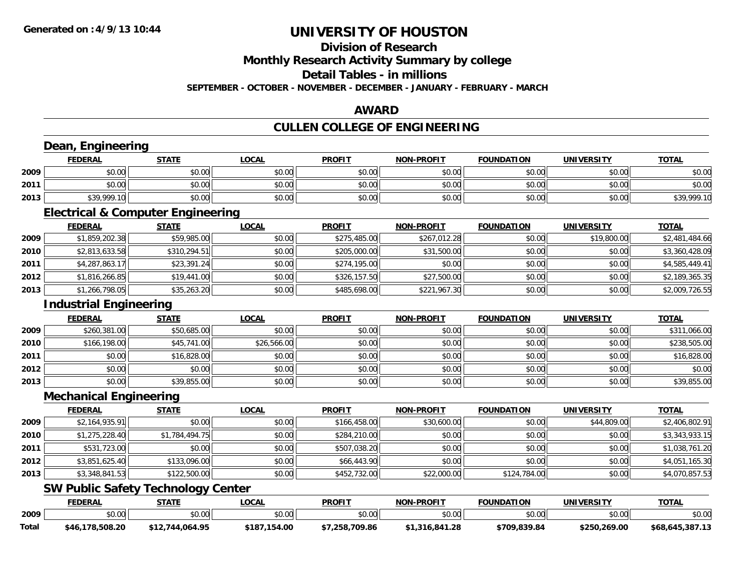**Total**

# **UNIVERSITY OF HOUSTON**

### **Division of Research**

**Monthly Research Activity Summary by college**

**Detail Tables - in millions**

**SEPTEMBER - OCTOBER - NOVEMBER - DECEMBER - JANUARY - FEBRUARY - MARCH**

### **AWARD**

# **CULLEN COLLEGE OF ENGINEERING**

|      | Dean, Engineering<br><b>FEDERAL</b>          | <b>STATE</b>   | <b>LOCAL</b> | <b>PROFIT</b> | <b>NON-PROFIT</b> | <b>FOUNDATION</b> | <b>UNIVERSITY</b> | <b>TOTAL</b>   |
|------|----------------------------------------------|----------------|--------------|---------------|-------------------|-------------------|-------------------|----------------|
| 2009 | \$0.00                                       | \$0.00         | \$0.00       | \$0.00        | \$0.00            | \$0.00            | \$0.00            | \$0.00         |
| 2011 | \$0.00                                       | \$0.00         | \$0.00       | \$0.00        | \$0.00            | \$0.00            | \$0.00            | \$0.00         |
| 2013 | \$39,999.10                                  | \$0.00         | \$0.00       | \$0.00        | \$0.00            | \$0.00            | \$0.00            | \$39,999.10    |
|      | <b>Electrical &amp; Computer Engineering</b> |                |              |               |                   |                   |                   |                |
|      | <b>FEDERAL</b>                               | <b>STATE</b>   | <b>LOCAL</b> | <b>PROFIT</b> | <b>NON-PROFIT</b> | <b>FOUNDATION</b> | <b>UNIVERSITY</b> | <b>TOTAL</b>   |
| 2009 | \$1,859,202.38                               | \$59,985.00    | \$0.00       | \$275,485.00  | \$267,012.28      | \$0.00            | \$19,800.00       | \$2,481,484.66 |
| 2010 | \$2,813,633.58                               | \$310,294.51   | \$0.00       | \$205,000.00  | \$31,500.00       | \$0.00            | \$0.00            | \$3,360,428.09 |
| 2011 | \$4,287,863.17                               | \$23,391.24    | \$0.00       | \$274,195.00  | \$0.00            | \$0.00            | \$0.00            | \$4,585,449.41 |
| 2012 | \$1,816,266.85                               | \$19,441.00    | \$0.00       | \$326,157.50  | \$27,500.00       | \$0.00            | \$0.00            | \$2,189,365.35 |
| 2013 | \$1,266,798.05                               | \$35,263.20    | \$0.00       | \$485,698.00  | \$221,967.30      | \$0.00            | \$0.00            | \$2,009,726.55 |
|      | <b>Industrial Engineering</b>                |                |              |               |                   |                   |                   |                |
|      | <b>FEDERAL</b>                               | <b>STATE</b>   | <b>LOCAL</b> | <b>PROFIT</b> | <b>NON-PROFIT</b> | <b>FOUNDATION</b> | <b>UNIVERSITY</b> | <b>TOTAL</b>   |
| 2009 | \$260,381.00                                 | \$50,685.00    | \$0.00       | \$0.00        | \$0.00            | \$0.00            | \$0.00            | \$311,066.00   |
| 2010 | \$166,198.00                                 | \$45,741.00    | \$26,566.00  | \$0.00        | \$0.00            | \$0.00            | \$0.00            | \$238,505.00   |
| 2011 | \$0.00                                       | \$16,828.00    | \$0.00       | \$0.00        | \$0.00            | \$0.00            | \$0.00            | \$16,828.00    |
| 2012 | \$0.00                                       | \$0.00         | \$0.00       | \$0.00        | \$0.00            | \$0.00            | \$0.00            | \$0.00         |
| 2013 | \$0.00                                       | \$39,855.00    | \$0.00       | \$0.00        | \$0.00            | \$0.00            | \$0.00            | \$39,855.00    |
|      | <b>Mechanical Engineering</b>                |                |              |               |                   |                   |                   |                |
|      | <b>FEDERAL</b>                               | <b>STATE</b>   | <b>LOCAL</b> | <b>PROFIT</b> | <b>NON-PROFIT</b> | <b>FOUNDATION</b> | <b>UNIVERSITY</b> | <b>TOTAL</b>   |
| 2009 | \$2,164,935.91                               | \$0.00         | \$0.00       | \$166,458.00  | \$30,600.00       | \$0.00            | \$44,809.00       | \$2,406,802.91 |
| 2010 | \$1,275,228.40                               | \$1,784,494.75 | \$0.00       | \$284,210.00  | \$0.00            | \$0.00            | \$0.00            | \$3,343,933.15 |
| 2011 | \$531,723.00                                 | \$0.00         | \$0.00       | \$507,038.20  | \$0.00            | \$0.00            | \$0.00            | \$1,038,761.20 |
| 2012 | \$3,851,625.40                               | \$133,096.00   | \$0.00       | \$66,443.90   | \$0.00            | \$0.00            | \$0.00            | \$4,051,165.30 |
| 2013 | \$3,348,841.53                               | \$122,500.00   | \$0.00       | \$452,732.00  | \$22,000.00       | \$124,784.00      | \$0.00            | \$4,070,857.53 |
|      | <b>SW Public Safety Technology Center</b>    |                |              |               |                   |                   |                   |                |
|      | <b>FEDERAL</b>                               | <b>STATE</b>   | <b>LOCAL</b> | <b>PROFIT</b> | <b>NON-PROFIT</b> | <b>FOUNDATION</b> | <b>UNIVERSITY</b> | <b>TOTAL</b>   |
| 2009 | \$0.00                                       | \$0.00         | \$0.00       | \$0.00        | \$0.00            | \$0.00            | \$0.00            | \$0.00         |

**\$46,178,508.20 \$12,744,064.95 \$187,154.00 \$7,258,709.86 \$1,316,841.28 \$709,839.84 \$250,269.00 \$68,645,387.13**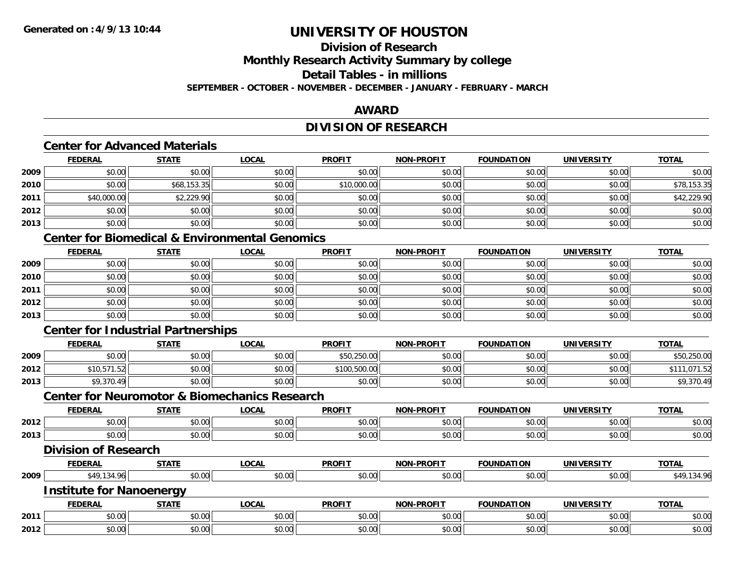# **Division of Research**

**Monthly Research Activity Summary by college**

**Detail Tables - in millions**

**SEPTEMBER - OCTOBER - NOVEMBER - DECEMBER - JANUARY - FEBRUARY - MARCH**

### **AWARD**

### **DIVISION OF RESEARCH**

### **Center for Advanced Materials**

|      | <b>FEDERAL</b> | <b>STATE</b> | <u>LOCAL</u> | <b>PROFIT</b> | <b>NON-PROFIT</b> | <b>FOUNDATION</b> | <b>UNIVERSITY</b> | <b>TOTAL</b> |
|------|----------------|--------------|--------------|---------------|-------------------|-------------------|-------------------|--------------|
| 2009 | \$0.00         | \$0.00       | \$0.00       | \$0.00        | \$0.00            | \$0.00            | \$0.00            | \$0.00       |
| 2010 | \$0.00         | \$68,153.35  | \$0.00       | \$10,000.00   | \$0.00            | \$0.00            | \$0.00            | \$78,153.35  |
| 2011 | \$40,000.00    | \$2,229.90   | \$0.00       | \$0.00        | \$0.00            | \$0.00            | \$0.00            | \$42,229.90  |
| 2012 | \$0.00         | \$0.00       | \$0.00       | \$0.00        | \$0.00            | \$0.00            | \$0.00            | \$0.00       |
| 2013 | \$0.00         | \$0.00       | \$0.00       | \$0.00        | \$0.00            | \$0.00            | \$0.00            | \$0.00       |

### **Center for Biomedical & Environmental Genomics**

|      | <b>FEDERAL</b> | <b>STATE</b> | <b>LOCAL</b> | <b>PROFIT</b> | <b>NON-PROFIT</b> | <b>FOUNDATION</b> | <b>UNIVERSITY</b> | <b>TOTAL</b> |
|------|----------------|--------------|--------------|---------------|-------------------|-------------------|-------------------|--------------|
| 2009 | \$0.00         | \$0.00       | \$0.00       | \$0.00        | \$0.00            | \$0.00            | \$0.00            | \$0.00       |
| 2010 | \$0.00         | \$0.00       | \$0.00       | \$0.00        | \$0.00            | \$0.00            | \$0.00            | \$0.00       |
| 2011 | \$0.00         | \$0.00       | \$0.00       | \$0.00        | \$0.00            | \$0.00            | \$0.00            | \$0.00       |
| 2012 | \$0.00         | \$0.00       | \$0.00       | \$0.00        | \$0.00            | \$0.00            | \$0.00            | \$0.00       |
| 2013 | \$0.00         | \$0.00       | \$0.00       | \$0.00        | \$0.00            | \$0.00            | \$0.00            | \$0.00       |

### **Center for Industrial Partnerships**

**2012**

|      | <b>FEDERAL</b> | <b>STATE</b> | <b>_OCAL</b> | <b>PROFIT</b> | <b>NON-PROFIT</b> | <b>FOUNDATION</b> | UNIVERSITY | <b>TOTAL</b> |
|------|----------------|--------------|--------------|---------------|-------------------|-------------------|------------|--------------|
| 2009 | \$0.00         | \$0.00       | \$0.00       | \$50,250.00   | \$0.00            | \$0.00            | \$0.00     | \$50,250.00  |
| 2012 | \$10,571.52    | \$0.00       | \$0.00       | \$100,500.00  | \$0.00            | \$0.00            | \$0.00     |              |
| 2013 | \$9,370.49     | \$0.00       | \$0.00       | \$0.00        | \$0.00            | \$0.00            | \$0.00     | \$9,370.49   |

#### **Center for Neuromotor & Biomechanics Research**

|      | <u>ochtol tol houd onder a biolitographo hougen in</u> |              |              |               |                   |                   |                   |              |
|------|--------------------------------------------------------|--------------|--------------|---------------|-------------------|-------------------|-------------------|--------------|
|      | <b>FEDERAL</b>                                         | <b>STATE</b> | <b>LOCAL</b> | <b>PROFIT</b> | <b>NON-PROFIT</b> | <b>FOUNDATION</b> | <b>UNIVERSITY</b> | <b>TOTAL</b> |
| 2012 | \$0.00                                                 | \$0.00       | \$0.00       | \$0.00        | \$0.00            | \$0.00            | \$0.00            | \$0.00       |
| 2013 | \$0.00                                                 | \$0.00       | \$0.00       | \$0.00        | \$0.00            | \$0.00            | \$0.00            | \$0.00       |
|      | <b>Division of Research</b>                            |              |              |               |                   |                   |                   |              |
|      | <b>FEDERAL</b>                                         | <b>STATE</b> | <b>LOCAL</b> | <b>PROFIT</b> | <b>NON-PROFIT</b> | <b>FOUNDATION</b> | <b>UNIVERSITY</b> | <b>TOTAL</b> |
| 2009 | \$49,134.96                                            | \$0.00       | \$0.00       | \$0.00        | \$0.00            | \$0.00            | \$0.00            | \$49,134.96  |
|      | <b>Institute for Nanoenergy</b>                        |              |              |               |                   |                   |                   |              |
|      | <b>FEDERAL</b>                                         | <b>STATE</b> | <b>LOCAL</b> | <b>PROFIT</b> | <b>NON-PROFIT</b> | <b>FOUNDATION</b> | <b>UNIVERSITY</b> | <b>TOTAL</b> |
| 2011 | \$0.00                                                 | \$0.00       | \$0.00       | \$0.00        | \$0.00            | \$0.00            | \$0.00            | \$0.00       |

\$0.00 \$0.00 \$0.00 \$0.00 \$0.00 \$0.00 \$0.00 \$0.00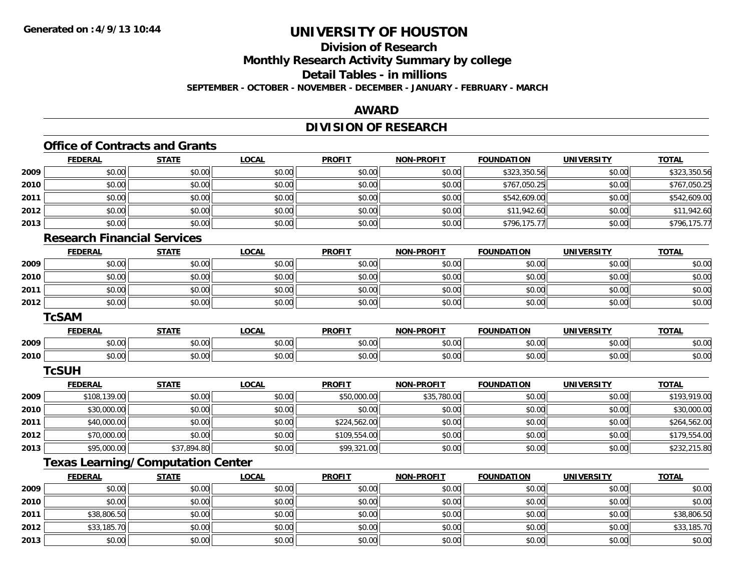**2013**

# **UNIVERSITY OF HOUSTON**

# **Division of Research**

**Monthly Research Activity Summary by college**

**Detail Tables - in millions**

**SEPTEMBER - OCTOBER - NOVEMBER - DECEMBER - JANUARY - FEBRUARY - MARCH**

### **AWARD**

# **DIVISION OF RESEARCH**

|      |                                    | <b>Office of Contracts and Grants</b>    |              |               |                   |                   |                   |              |
|------|------------------------------------|------------------------------------------|--------------|---------------|-------------------|-------------------|-------------------|--------------|
|      | <b>FEDERAL</b>                     | <b>STATE</b>                             | <b>LOCAL</b> | <b>PROFIT</b> | <b>NON-PROFIT</b> | <b>FOUNDATION</b> | <b>UNIVERSITY</b> | <b>TOTAL</b> |
| 2009 | \$0.00                             | \$0.00                                   | \$0.00       | \$0.00        | \$0.00            | \$323,350.56      | \$0.00            | \$323,350.56 |
| 2010 | \$0.00                             | \$0.00                                   | \$0.00       | \$0.00        | \$0.00            | \$767,050.25      | \$0.00            | \$767,050.25 |
| 2011 | \$0.00                             | \$0.00                                   | \$0.00       | \$0.00        | \$0.00            | \$542,609.00      | \$0.00            | \$542,609.00 |
| 2012 | \$0.00                             | \$0.00                                   | \$0.00       | \$0.00        | \$0.00            | \$11,942.60       | \$0.00            | \$11,942.60  |
| 2013 | \$0.00                             | \$0.00                                   | \$0.00       | \$0.00        | \$0.00            | \$796,175.77      | \$0.00            | \$796,175.77 |
|      | <b>Research Financial Services</b> |                                          |              |               |                   |                   |                   |              |
|      | <b>FEDERAL</b>                     | <b>STATE</b>                             | <b>LOCAL</b> | <b>PROFIT</b> | <b>NON-PROFIT</b> | <b>FOUNDATION</b> | <b>UNIVERSITY</b> | <b>TOTAL</b> |
| 2009 | \$0.00                             | \$0.00                                   | \$0.00       | \$0.00        | \$0.00            | \$0.00            | \$0.00            | \$0.00       |
| 2010 | \$0.00                             | \$0.00                                   | \$0.00       | \$0.00        | \$0.00            | \$0.00            | \$0.00            | \$0.00       |
| 2011 | \$0.00                             | \$0.00                                   | \$0.00       | \$0.00        | \$0.00            | \$0.00            | \$0.00            | \$0.00       |
| 2012 | \$0.00                             | \$0.00                                   | \$0.00       | \$0.00        | \$0.00            | \$0.00            | \$0.00            | \$0.00       |
|      | <b>TcSAM</b>                       |                                          |              |               |                   |                   |                   |              |
|      | <b>FEDERAL</b>                     | <b>STATE</b>                             | <b>LOCAL</b> | <b>PROFIT</b> | <b>NON-PROFIT</b> | <b>FOUNDATION</b> | <b>UNIVERSITY</b> | <b>TOTAL</b> |
| 2009 | \$0.00                             | \$0.00                                   | \$0.00       | \$0.00        | \$0.00            | \$0.00            | \$0.00            | \$0.00       |
| 2010 | \$0.00                             | \$0.00                                   | \$0.00       | \$0.00        | \$0.00            | \$0.00            | \$0.00            | \$0.00       |
|      | <b>TcSUH</b>                       |                                          |              |               |                   |                   |                   |              |
|      | <b>FEDERAL</b>                     | <b>STATE</b>                             | <b>LOCAL</b> | <b>PROFIT</b> | <b>NON-PROFIT</b> | <b>FOUNDATION</b> | <b>UNIVERSITY</b> | <b>TOTAL</b> |
| 2009 | \$108,139.00                       | \$0.00                                   | \$0.00       | \$50,000.00   | \$35,780.00       | \$0.00            | \$0.00            | \$193,919.00 |
| 2010 | \$30,000.00                        | \$0.00                                   | \$0.00       | \$0.00        | \$0.00            | \$0.00            | \$0.00            | \$30,000.00  |
| 2011 | \$40,000.00                        | \$0.00                                   | \$0.00       | \$224,562.00  | \$0.00            | \$0.00            | \$0.00            | \$264,562.00 |
| 2012 | \$70,000.00                        | \$0.00                                   | \$0.00       | \$109,554.00  | \$0.00            | \$0.00            | \$0.00            | \$179,554.00 |
| 2013 | \$95,000.00                        | \$37,894.80                              | \$0.00       | \$99,321.00   | \$0.00            | \$0.00            | \$0.00            | \$232,215.80 |
|      |                                    | <b>Texas Learning/Computation Center</b> |              |               |                   |                   |                   |              |
|      | <b>FEDERAL</b>                     | <b>STATE</b>                             | <b>LOCAL</b> | <b>PROFIT</b> | <b>NON-PROFIT</b> | <b>FOUNDATION</b> | <b>UNIVERSITY</b> | <b>TOTAL</b> |
| 2009 | \$0.00                             | \$0.00                                   | \$0.00       | \$0.00        | \$0.00            | \$0.00            | \$0.00            | \$0.00       |
| 2010 | \$0.00                             | \$0.00                                   | \$0.00       | \$0.00        | \$0.00            | \$0.00            | \$0.00            | \$0.00       |
| 2011 | \$38,806.50                        | \$0.00                                   | \$0.00       | \$0.00        | \$0.00            | \$0.00            | \$0.00            | \$38,806.50  |
| 2012 | \$33,185.70                        | \$0.00                                   | \$0.00       | \$0.00        | \$0.00            | \$0.00            | \$0.00            | \$33,185.70  |

3 \$0.00 | \$0.00 | \$0.00 | \$0.00 | \$0.00 | \$0.00 | \$0.00 | \$0.00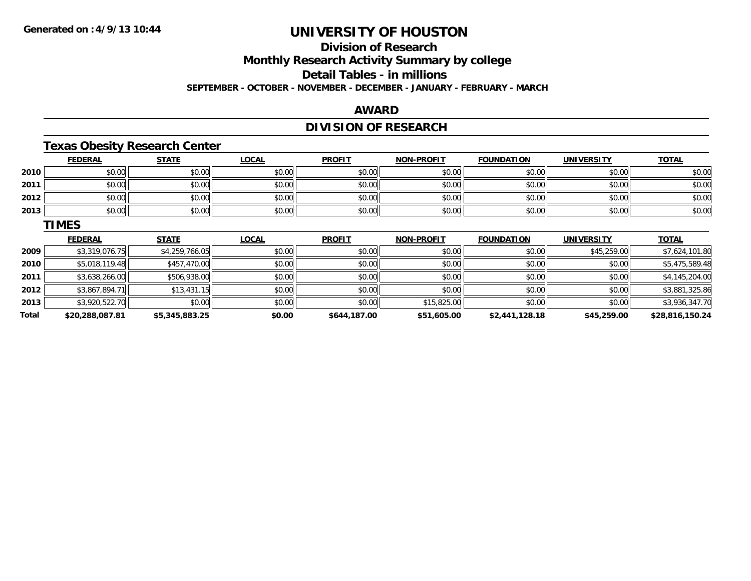# **Division of ResearchMonthly Research Activity Summary by college**

**Detail Tables - in millions**

**SEPTEMBER - OCTOBER - NOVEMBER - DECEMBER - JANUARY - FEBRUARY - MARCH**

### **AWARD**

# **DIVISION OF RESEARCH**

# **Texas Obesity Research Center**

|      | <b>FEDERAL</b> | <b>STATE</b> | <b>LOCAL</b> | <b>PROFIT</b> | <b>NON-PROFIT</b> | <b>FOUNDATION</b> | <b>UNIVERSITY</b> | <b>TOTAL</b> |
|------|----------------|--------------|--------------|---------------|-------------------|-------------------|-------------------|--------------|
| 2010 | \$0.00         | \$0.00       | \$0.00       | \$0.00        | \$0.00            | \$0.00            | \$0.00            | \$0.00       |
| 2011 | \$0.00         | \$0.00       | \$0.00       | \$0.00        | \$0.00            | \$0.00            | \$0.00            | \$0.00       |
| 2012 | \$0.00         | \$0.00       | \$0.00       | \$0.00        | \$0.00            | \$0.00            | \$0.00            | \$0.00       |
| 2013 | \$0.00         | \$0.00       | \$0.00       | \$0.00        | \$0.00            | \$0.00            | \$0.00            | \$0.00       |

#### **TIMES**

|       | <b>FEDERAL</b>  | <b>STATE</b>   | <u>LOCAL</u> | <b>PROFIT</b> | <b>NON-PROFIT</b> | <b>FOUNDATION</b> | UNIVERSITY  | <b>TOTAL</b>    |
|-------|-----------------|----------------|--------------|---------------|-------------------|-------------------|-------------|-----------------|
| 2009  | \$3,319,076.75  | \$4,259,766.05 | \$0.00       | \$0.00        | \$0.00            | \$0.00            | \$45,259.00 | \$7,624,101.80  |
| 2010  | \$5,018,119.48  | \$457,470.00   | \$0.00       | \$0.00        | \$0.00            | \$0.00            | \$0.00      | \$5,475,589.48  |
| 2011  | \$3,638,266.00  | \$506,938.00   | \$0.00       | \$0.00        | \$0.00            | \$0.00            | \$0.00      | \$4,145,204.00  |
| 2012  | \$3,867,894.71  | \$13,431.15    | \$0.00       | \$0.00        | \$0.00            | \$0.00            | \$0.00      | \$3,881,325.86  |
| 2013  | \$3,920,522.70  | \$0.00         | \$0.00       | \$0.00        | \$15,825.00       | \$0.00            | \$0.00      | \$3,936,347.70  |
| Total | \$20,288,087.81 | \$5,345,883.25 | \$0.00       | \$644,187.00  | \$51,605.00       | \$2,441,128.18    | \$45,259.00 | \$28,816,150.24 |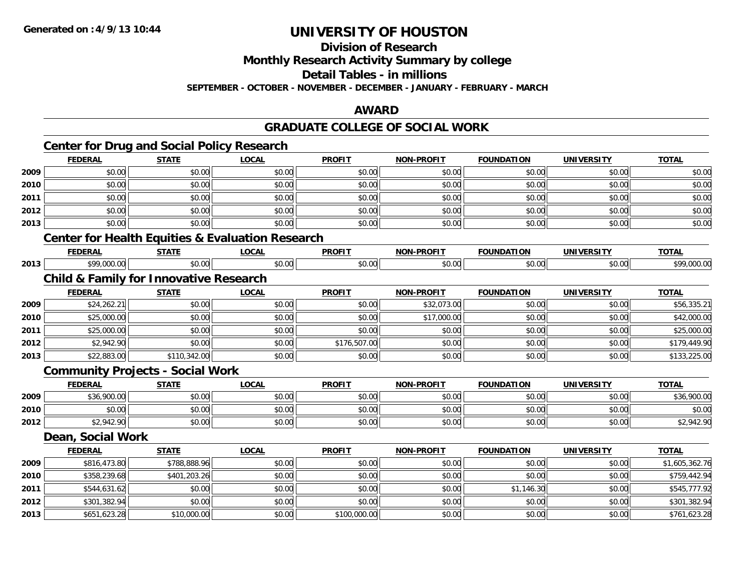**Division of Research**

**Monthly Research Activity Summary by college**

**Detail Tables - in millions**

**SEPTEMBER - OCTOBER - NOVEMBER - DECEMBER - JANUARY - FEBRUARY - MARCH**

### **AWARD**

### **GRADUATE COLLEGE OF SOCIAL WORK**

# **Center for Drug and Social Policy Research**

|      | <b>FEDERAL</b>                                    | <b>STATE</b> | <b>LOCAL</b>                                                | <b>PROFIT</b> | <b>NON-PROFIT</b> | <b>FOUNDATION</b> | <b>UNIVERSITY</b> | <b>TOTAL</b>   |
|------|---------------------------------------------------|--------------|-------------------------------------------------------------|---------------|-------------------|-------------------|-------------------|----------------|
| 2009 | \$0.00                                            | \$0.00       | \$0.00                                                      | \$0.00        | \$0.00            | \$0.00            | \$0.00            | \$0.00         |
| 2010 | \$0.00                                            | \$0.00       | \$0.00                                                      | \$0.00        | \$0.00            | \$0.00            | \$0.00            | \$0.00         |
| 2011 | \$0.00                                            | \$0.00       | \$0.00                                                      | \$0.00        | \$0.00            | \$0.00            | \$0.00            | \$0.00         |
| 2012 | \$0.00                                            | \$0.00       | \$0.00                                                      | \$0.00        | \$0.00            | \$0.00            | \$0.00            | \$0.00         |
| 2013 | \$0.00                                            | \$0.00       | \$0.00                                                      | \$0.00        | \$0.00            | \$0.00            | \$0.00            | \$0.00         |
|      |                                                   |              | <b>Center for Health Equities &amp; Evaluation Research</b> |               |                   |                   |                   |                |
|      | <b>FEDERAL</b>                                    | <b>STATE</b> | <b>LOCAL</b>                                                | <b>PROFIT</b> | <b>NON-PROFIT</b> | <b>FOUNDATION</b> | <b>UNIVERSITY</b> | <b>TOTAL</b>   |
| 2013 | \$99,000.00                                       | \$0.00       | \$0.00                                                      | \$0.00        | \$0.00            | \$0.00            | \$0.00            | \$99,000.00    |
|      | <b>Child &amp; Family for Innovative Research</b> |              |                                                             |               |                   |                   |                   |                |
|      | <b>FEDERAL</b>                                    | <b>STATE</b> | <b>LOCAL</b>                                                | <b>PROFIT</b> | <b>NON-PROFIT</b> | <b>FOUNDATION</b> | <b>UNIVERSITY</b> | <b>TOTAL</b>   |
| 2009 | \$24,262.21                                       | \$0.00       | \$0.00                                                      | \$0.00        | \$32,073.00       | \$0.00            | \$0.00            | \$56,335.21    |
| 2010 | \$25,000.00                                       | \$0.00       | \$0.00                                                      | \$0.00        | \$17,000.00       | \$0.00            | \$0.00            | \$42,000.00    |
| 2011 | \$25,000.00                                       | \$0.00       | \$0.00                                                      | \$0.00        | \$0.00            | \$0.00            | \$0.00            | \$25,000.00    |
| 2012 | \$2,942.90                                        | \$0.00       | \$0.00                                                      | \$176,507.00  | \$0.00            | \$0.00            | \$0.00            | \$179,449.90   |
| 2013 | \$22,883.00                                       | \$110,342.00 | \$0.00                                                      | \$0.00        | \$0.00            | \$0.00            | \$0.00            | \$133,225.00   |
|      | <b>Community Projects - Social Work</b>           |              |                                                             |               |                   |                   |                   |                |
|      | <b>FEDERAL</b>                                    | <b>STATE</b> | <b>LOCAL</b>                                                | <b>PROFIT</b> | <b>NON-PROFIT</b> | <b>FOUNDATION</b> | <b>UNIVERSITY</b> | <b>TOTAL</b>   |
| 2009 | \$36,900.00                                       | \$0.00       | \$0.00                                                      | \$0.00        | \$0.00            | \$0.00            | \$0.00            | \$36,900.00    |
| 2010 | \$0.00                                            | \$0.00       | \$0.00                                                      | \$0.00        | \$0.00            | \$0.00            | \$0.00            | \$0.00         |
| 2012 | \$2,942.90                                        | \$0.00       | \$0.00                                                      | \$0.00        | \$0.00            | \$0.00            | \$0.00            | \$2,942.90     |
|      | Dean, Social Work                                 |              |                                                             |               |                   |                   |                   |                |
|      | <b>FEDERAL</b>                                    | <b>STATE</b> | <b>LOCAL</b>                                                | <b>PROFIT</b> | <b>NON-PROFIT</b> | <b>FOUNDATION</b> | <b>UNIVERSITY</b> | <b>TOTAL</b>   |
| 2009 | \$816,473.80                                      | \$788,888.96 | \$0.00                                                      | \$0.00        | \$0.00            | \$0.00            | \$0.00            | \$1,605,362.76 |
| 2010 | \$358,239.68                                      | \$401,203.26 | \$0.00                                                      | \$0.00        | \$0.00            | \$0.00            | \$0.00            | \$759,442.94   |
| 2011 | \$544,631.62                                      | \$0.00       | \$0.00                                                      | \$0.00        | \$0.00            | \$1,146.30        | \$0.00            | \$545,777.92   |
| 2012 | \$301,382.94                                      | \$0.00       | \$0.00                                                      | \$0.00        | \$0.00            | \$0.00            | \$0.00            | \$301,382.94   |
| 2013 | \$651,623.28                                      | \$10,000.00  | \$0.00                                                      | \$100,000.00  | \$0.00            | \$0.00            | \$0.00            | \$761,623.28   |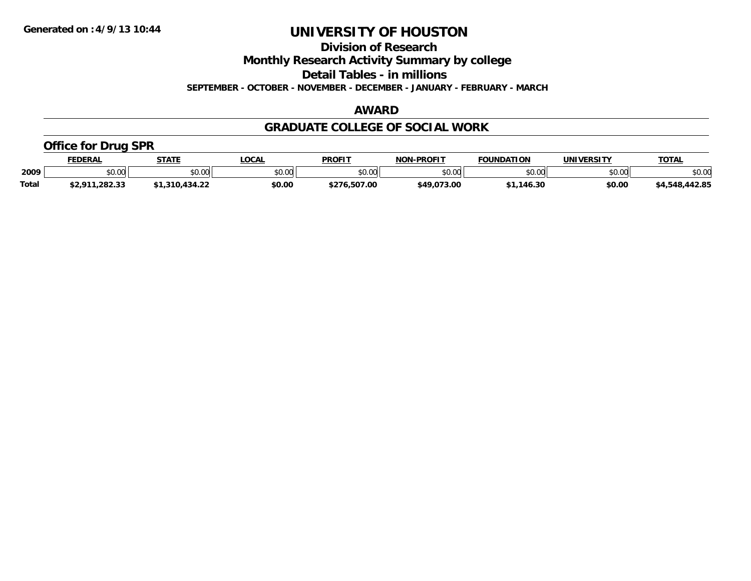**Division of Research**

**Monthly Research Activity Summary by college**

**Detail Tables - in millions**

**SEPTEMBER - OCTOBER - NOVEMBER - DECEMBER - JANUARY - FEBRUARY - MARCH**

### **AWARD**

### **GRADUATE COLLEGE OF SOCIAL WORK**

### **Office for Drug SPR**

|              | FEDERAL                   | <b>STATE</b>         | .OCAL  | <b>PROFIT</b> | <b>NON-PROFIT</b> | <b>FOUNDATION</b> | UNIVERSITY    | <b>TOTAL</b>   |
|--------------|---------------------------|----------------------|--------|---------------|-------------------|-------------------|---------------|----------------|
| 2009         | \$0.00                    | 0.00<br><b>JU.UU</b> | \$0.00 | \$0.00        | ልስ ስስ<br>PO.OO    | \$0.00            | 0000<br>ง∪.∪บ | \$0.00         |
| <b>Total</b> | 1,282.33<br><b>¢ 2011</b> | 1,310,434.22٪        | \$0.00 | \$276.507.00  | \$49,073.00       | .146.30           | \$0.00        | \$4,548,442.85 |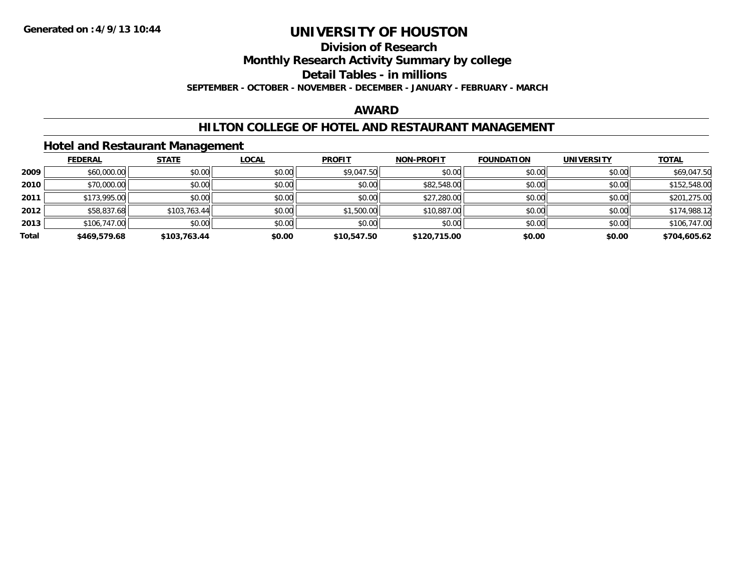#### **Division of Research**

**Monthly Research Activity Summary by college**

**Detail Tables - in millions**

**SEPTEMBER - OCTOBER - NOVEMBER - DECEMBER - JANUARY - FEBRUARY - MARCH**

### **AWARD**

### **HILTON COLLEGE OF HOTEL AND RESTAURANT MANAGEMENT**

### **Hotel and Restaurant Management**

|       | <b>FEDERAL</b> | <b>STATE</b> | <b>LOCAL</b> | <b>PROFIT</b> | <b>NON-PROFIT</b> | <b>FOUNDATION</b> | <b>UNIVERSITY</b> | <b>TOTAL</b> |
|-------|----------------|--------------|--------------|---------------|-------------------|-------------------|-------------------|--------------|
| 2009  | \$60,000.00    | \$0.00       | \$0.00       | \$9,047.50    | \$0.00            | \$0.00            | \$0.00            | \$69,047.50  |
| 2010  | \$70,000.00    | \$0.00       | \$0.00       | \$0.00        | \$82,548.00       | \$0.00            | \$0.00            | \$152,548.00 |
| 2011  | \$173,995.00   | \$0.00       | \$0.00       | \$0.00        | \$27,280.00       | \$0.00            | \$0.00            | \$201,275.00 |
| 2012  | \$58,837.68    | \$103,763.44 | \$0.00       | \$1,500.00    | \$10,887.00       | \$0.00            | \$0.00            | \$174,988.12 |
| 2013  | \$106,747.00   | \$0.00       | \$0.00       | \$0.00        | \$0.00            | \$0.00            | \$0.00            | \$106,747.00 |
| Total | \$469,579.68   | \$103,763.44 | \$0.00       | \$10,547.50   | \$120,715.00      | \$0.00            | \$0.00            | \$704,605.62 |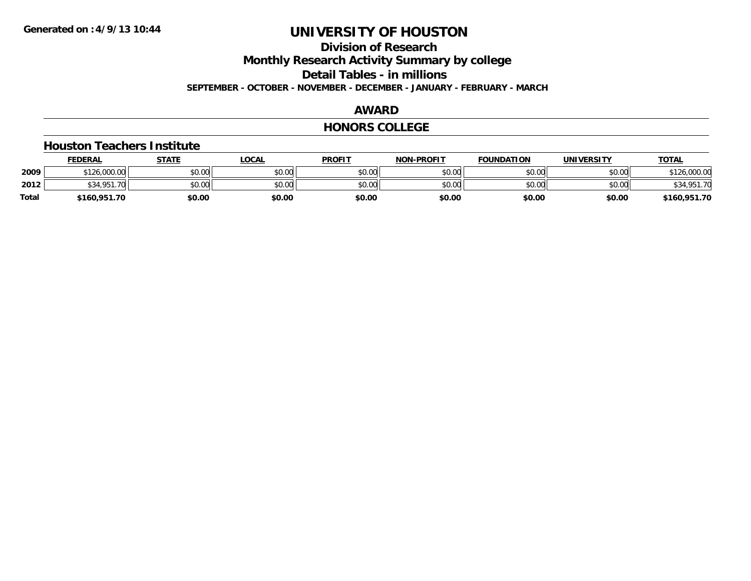### **Division of ResearchMonthly Research Activity Summary by college Detail Tables - in millions SEPTEMBER - OCTOBER - NOVEMBER - DECEMBER - JANUARY - FEBRUARY - MARCH**

### **AWARD**

#### **HONORS COLLEGE**

#### **Houston Teachers Institute**

|       | <b>FEDERAL</b> | <b>STATE</b> | LOCAL  | <b>PROFIT</b> | <b>NON-PROFIT</b> | <b>FOUNDATION</b> | <b>UNIVERSITY</b> | <b>TOTAL</b> |
|-------|----------------|--------------|--------|---------------|-------------------|-------------------|-------------------|--------------|
| 2009  | \$126,000.00   | \$0.00       | \$0.00 | \$0.00        | \$0.00            | \$0.00            | \$0.00            | \$126,000.00 |
| 2012  | \$34.951       | \$0.00       | \$0.00 | \$0.00        | \$0.00            | \$0.00            | \$0.00            | \$34,951.70  |
| Total | \$160,951.70   | \$0.00       | \$0.00 | \$0.00        | \$0.00            | \$0.00            | \$0.00            | \$160,951.70 |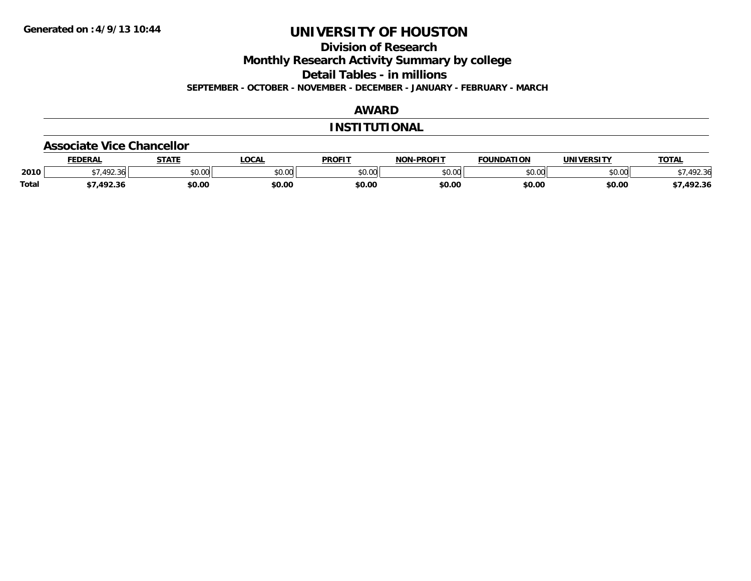**Division of Research**

**Monthly Research Activity Summary by college**

**Detail Tables - in millions**

**SEPTEMBER - OCTOBER - NOVEMBER - DECEMBER - JANUARY - FEBRUARY - MARCH**

### **AWARD**

### **INSTITUTIONAL**

#### **Associate Vice Chancellor**

|              | <b>FEDERAL</b> | CTATE<br>" | <b>_OCAL</b>  | <b>PROFIT</b> | <b>NON-PROFIT</b> | <b>FOUNDATION</b>              | UNIVERSITY     | TOTA.            |
|--------------|----------------|------------|---------------|---------------|-------------------|--------------------------------|----------------|------------------|
| 2010         | $\sqrt{2}$     | \$0.00     | 0000<br>DU.UU | \$0.00        | 0000<br>JU.UU     | $\circ$ $\circ$ $\circ$<br>,uu | eu uu<br>DU.UG | 102.21<br>.42.30 |
| <b>Total</b> | 102.2<br>92.SI | \$0.00     | \$0.00        | \$0.00        | \$0.00            | \$0.00                         | \$0.00         | 492.36           |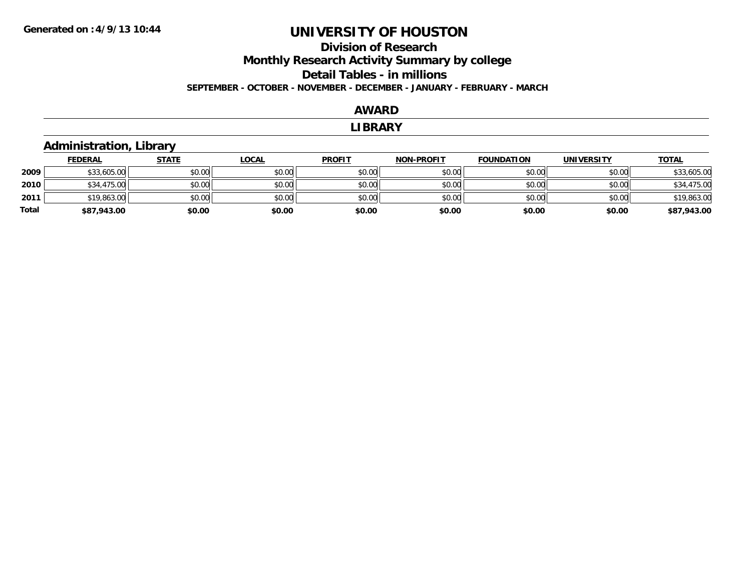### **Division of Research Monthly Research Activity Summary by college Detail Tables - in millions SEPTEMBER - OCTOBER - NOVEMBER - DECEMBER - JANUARY - FEBRUARY - MARCH**

#### **AWARD**

#### **LIBRARY**

### **Administration, Library**

|       | <b>FEDERAL</b> | <u>STATE</u> | <u>LOCAL</u> | <b>PROFIT</b> | <b>NON-PROFIT</b> | <b>FOUNDATION</b> | UNIVERSITY | <b>TOTAL</b> |
|-------|----------------|--------------|--------------|---------------|-------------------|-------------------|------------|--------------|
| 2009  | \$33,605.00    | \$0.00       | \$0.00       | \$0.00        | \$0.00            | \$0.00            | \$0.00     | \$33,605.00  |
| 2010  | \$34,475.00    | \$0.00       | \$0.00       | \$0.00        | \$0.00            | \$0.00            | \$0.00     | \$34,475.00  |
| 2011  | \$19,863.00    | \$0.00       | \$0.00       | \$0.00        | \$0.00            | \$0.00            | \$0.00     | \$19,863.00  |
| Total | \$87,943.00    | \$0.00       | \$0.00       | \$0.00        | \$0.00            | \$0.00            | \$0.00     | \$87,943.00  |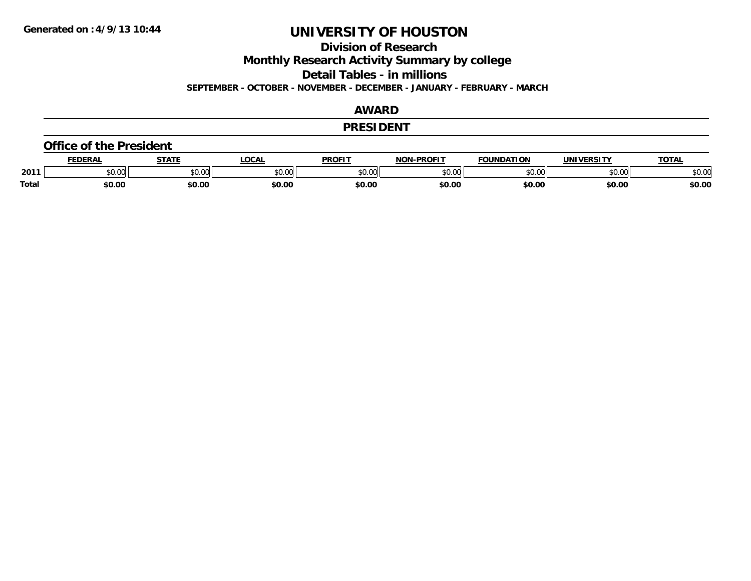**Division of Research**

**Monthly Research Activity Summary by college**

**Detail Tables - in millions**

**SEPTEMBER - OCTOBER - NOVEMBER - DECEMBER - JANUARY - FEBRUARY - MARCH**

### **AWARD**

#### **PRESIDENT**

#### **Office of the President**

|              |                 | <b>CTATE</b> | ∟OCA   | <b>PROFIT</b> | <b>DRAFIT</b><br><b>NON</b> | <b>FOUNDATION</b>                             | UNIVERSITY        | <b>TAT</b>         |
|--------------|-----------------|--------------|--------|---------------|-----------------------------|-----------------------------------------------|-------------------|--------------------|
| 2011         | $\sim$<br>JU.UU | JU.UU        | JU.UU  | 0000<br>JU.UU | $\sim$ 0.00 $\sim$<br>JU.UU | $\uparrow$ $\uparrow$ $\uparrow$<br>- ⊓00. ل. | $\sim$ 00<br>וטיט | $\sim$ 00<br>JU.UU |
| <b>Total</b> | \$0.00          | \$0.00       | \$0.00 | \$0.00        | \$0.00                      | \$0.00                                        | \$0.00            | \$0.00             |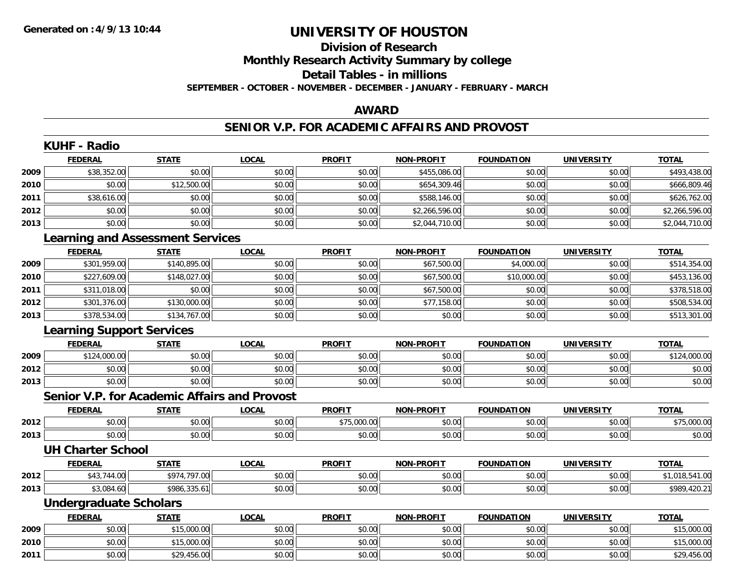### **Division of ResearchMonthly Research Activity Summary by college Detail Tables - in millions SEPTEMBER - OCTOBER - NOVEMBER - DECEMBER - JANUARY - FEBRUARY - MARCH**

### **AWARD**

### **SENIOR V.P. FOR ACADEMIC AFFAIRS AND PROVOST**

|      | <b>FEDERAL</b>                   | <b>STATE</b>                                        | <b>LOCAL</b> | <b>PROFIT</b> | <b>NON-PROFIT</b> | <b>FOUNDATION</b> | <b>UNIVERSITY</b> | <b>TOTAL</b>   |
|------|----------------------------------|-----------------------------------------------------|--------------|---------------|-------------------|-------------------|-------------------|----------------|
| 2009 | \$38,352.00                      | \$0.00                                              | \$0.00       | \$0.00        | \$455,086.00      | \$0.00            | \$0.00            | \$493,438.00   |
| 2010 | \$0.00                           | \$12,500.00                                         | \$0.00       | \$0.00        | \$654,309.46      | \$0.00            | \$0.00            | \$666,809.46   |
| 2011 | \$38,616.00                      | \$0.00                                              | \$0.00       | \$0.00        | \$588,146.00      | \$0.00            | \$0.00            | \$626,762.00   |
| 2012 | \$0.00                           | \$0.00                                              | \$0.00       | \$0.00        | \$2,266,596.00    | \$0.00            | \$0.00            | \$2,266,596.00 |
| 2013 | \$0.00                           | \$0.00                                              | \$0.00       | \$0.00        | \$2,044,710.00    | \$0.00            | \$0.00            | \$2,044,710.00 |
|      |                                  | <b>Learning and Assessment Services</b>             |              |               |                   |                   |                   |                |
|      | <b>FEDERAL</b>                   | <b>STATE</b>                                        | <b>LOCAL</b> | <b>PROFIT</b> | <b>NON-PROFIT</b> | <b>FOUNDATION</b> | <b>UNIVERSITY</b> | <b>TOTAL</b>   |
| 2009 | \$301,959.00                     | \$140,895.00                                        | \$0.00       | \$0.00        | \$67,500.00       | \$4,000.00        | \$0.00            | \$514,354.00   |
| 2010 | \$227,609.00                     | \$148,027.00                                        | \$0.00       | \$0.00        | \$67,500.00       | \$10,000.00       | \$0.00            | \$453,136.00   |
| 2011 | \$311,018.00                     | \$0.00                                              | \$0.00       | \$0.00        | \$67,500.00       | \$0.00            | \$0.00            | \$378,518.00   |
| 2012 | \$301,376.00                     | \$130,000.00                                        | \$0.00       | \$0.00        | \$77,158.00       | \$0.00            | \$0.00            | \$508,534.00   |
| 2013 | \$378,534.00                     | \$134,767.00                                        | \$0.00       | \$0.00        | \$0.00            | \$0.00            | \$0.00            | \$513,301.00   |
|      | <b>Learning Support Services</b> |                                                     |              |               |                   |                   |                   |                |
|      | <b>FEDERAL</b>                   | <b>STATE</b>                                        | <b>LOCAL</b> | <b>PROFIT</b> | <b>NON-PROFIT</b> | <b>FOUNDATION</b> | <b>UNIVERSITY</b> | <b>TOTAL</b>   |
| 2009 | \$124,000.00                     | \$0.00                                              | \$0.00       | \$0.00        | \$0.00            | \$0.00            | \$0.00            | \$124,000.00   |
| 2012 | \$0.00                           | \$0.00                                              | \$0.00       | \$0.00        | \$0.00            | \$0.00            | \$0.00            | \$0.00         |
| 2013 | \$0.00                           | \$0.00                                              | \$0.00       | \$0.00        | \$0.00            | \$0.00            | \$0.00            | \$0.00         |
|      |                                  | <b>Senior V.P. for Academic Affairs and Provost</b> |              |               |                   |                   |                   |                |
|      | <b>FEDERAL</b>                   | <b>STATE</b>                                        | <b>LOCAL</b> | <b>PROFIT</b> | <b>NON-PROFIT</b> | <b>FOUNDATION</b> | <b>UNIVERSITY</b> | <b>TOTAL</b>   |
| 2012 | \$0.00                           | \$0.00                                              | \$0.00       | \$75,000.00   | \$0.00            | \$0.00            | \$0.00            | \$75,000.00    |
| 2013 | \$0.00                           | \$0.00                                              | \$0.00       | \$0.00        | \$0.00            | \$0.00            | \$0.00            | \$0.00         |
|      | <b>UH Charter School</b>         |                                                     |              |               |                   |                   |                   |                |
|      | <b>FEDERAL</b>                   | <b>STATE</b>                                        | <b>LOCAL</b> | <b>PROFIT</b> | <b>NON-PROFIT</b> | <b>FOUNDATION</b> | <b>UNIVERSITY</b> | <b>TOTAL</b>   |
| 2012 | \$43,744.00                      | \$974,797.00                                        | \$0.00       | \$0.00        | \$0.00            | \$0.00            | \$0.00            | \$1,018,541.00 |
| 2013 | \$3,084.60                       | \$986,335.61                                        | \$0.00       | \$0.00        | \$0.00            | \$0.00            | \$0.00            | \$989,420.21   |
|      | <b>Undergraduate Scholars</b>    |                                                     |              |               |                   |                   |                   |                |
|      | <b>FEDERAL</b>                   | <b>STATE</b>                                        | <b>LOCAL</b> | <b>PROFIT</b> | <b>NON-PROFIT</b> | <b>FOUNDATION</b> | UNIVERSITY        | <b>TOTAL</b>   |
| 2009 | \$0.00                           | \$15,000.00                                         | \$0.00       | \$0.00        | \$0.00            | \$0.00            | \$0.00            | \$15,000.00    |
| 2010 | \$0.00                           | \$15,000.00                                         | \$0.00       | \$0.00        | \$0.00            | \$0.00            | \$0.00            | \$15,000.00    |
| 2011 | \$0.00                           | \$29,456.00                                         | \$0.00       | \$0.00        | \$0.00            | \$0.00            | \$0.00            | \$29,456.00    |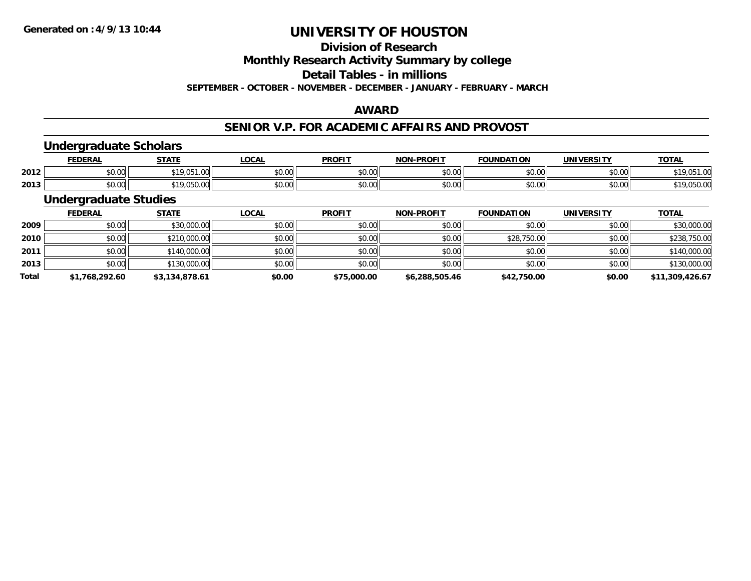# **Division of Research**

**Monthly Research Activity Summary by college**

**Detail Tables - in millions**

**SEPTEMBER - OCTOBER - NOVEMBER - DECEMBER - JANUARY - FEBRUARY - MARCH**

### **AWARD**

### **SENIOR V.P. FOR ACADEMIC AFFAIRS AND PROVOST**

### **Undergraduate Scholars**

|      | EDERAI             | <b>CTATE</b>        | ∟OCA                           | <b>PROFIT</b> | <b>DDAFIT</b><br>NON       | <b>FOUNDATION</b> | <b>UNIVERSITY</b>  | <b>TOT</b><br>. . |
|------|--------------------|---------------------|--------------------------------|---------------|----------------------------|-------------------|--------------------|-------------------|
| 2012 | $\sim$ 00<br>vv.vv | 540.05<br>, , , , , | $\uparrow$ $\uparrow$<br>vv.vv | 0000<br>JU.UL | $\sim$ 00<br>vv.vv         | \$0.00            | $\sim$ 00<br>pu.uu |                   |
| 2013 | $\sim$ 00<br>JU.UU | $\sim$<br>. v. v    | vv.vv                          | 0000<br>JU.UL | $\sim$ 0.0 $\sim$<br>vv.vv | \$0.00            | $\sim$ 00<br>JU.UU | 10<br>υυ.υτ       |

### **Undergraduate Studies**

|              | <b>FEDERAL</b> | <b>STATE</b>   | <u>LOCAL</u> | <b>PROFIT</b> | <b>NON-PROFIT</b> | <b>FOUNDATION</b> | <b>UNIVERSITY</b> | <b>TOTAL</b>    |
|--------------|----------------|----------------|--------------|---------------|-------------------|-------------------|-------------------|-----------------|
| 2009         | \$0.00         | \$30,000.00    | \$0.00       | \$0.00        | \$0.00            | \$0.00            | \$0.00            | \$30,000.00     |
| 2010         | \$0.00         | \$210,000.00   | \$0.00       | \$0.00        | \$0.00            | \$28,750.00       | \$0.00            | \$238,750.00    |
| 2011         | \$0.00         | \$140,000.00   | \$0.00       | \$0.00        | \$0.00            | \$0.00            | \$0.00            | \$140,000.00    |
| 2013         | \$0.00         | \$130,000.00   | \$0.00       | \$0.00        | \$0.00            | \$0.00            | \$0.00            | \$130,000.00    |
| <b>Total</b> | \$1,768,292.60 | \$3,134,878.61 | \$0.00       | \$75,000.00   | \$6,288,505.46    | \$42,750.00       | \$0.00            | \$11,309,426.67 |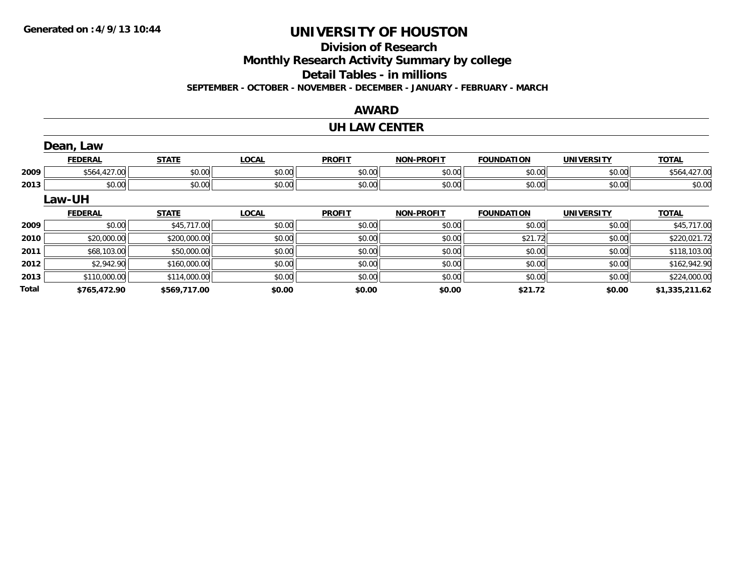**Total**

# **UNIVERSITY OF HOUSTON**

# **Division of Research**

**Monthly Research Activity Summary by college**

**Detail Tables - in millions**

**SEPTEMBER - OCTOBER - NOVEMBER - DECEMBER - JANUARY - FEBRUARY - MARCH**

### **AWARD**

#### **UH LAW CENTER**

|      | Dean, Law      |              |              |               |                   |                   |                   |              |
|------|----------------|--------------|--------------|---------------|-------------------|-------------------|-------------------|--------------|
|      | <b>FEDERAL</b> | <b>STATE</b> | <b>LOCAL</b> | <b>PROFIT</b> | <b>NON-PROFIT</b> | <b>FOUNDATION</b> | <b>UNIVERSITY</b> | <b>TOTAL</b> |
| 2009 | \$564,427.00   | \$0.00       | \$0.00       | \$0.00        | \$0.00            | \$0.00            | \$0.00            | \$564,427.00 |
| 2013 | \$0.00         | \$0.00       | \$0.00       | \$0.00        | \$0.00            | \$0.00            | \$0.00            | \$0.00       |
|      | Law-UH         |              |              |               |                   |                   |                   |              |
|      | <b>FEDERAL</b> | <b>STATE</b> | <b>LOCAL</b> | <b>PROFIT</b> | <b>NON-PROFIT</b> | <b>FOUNDATION</b> | <b>UNIVERSITY</b> | <b>TOTAL</b> |
| 2009 | \$0.00         | \$45,717.00  | \$0.00       | \$0.00        | \$0.00            | \$0.00            | \$0.00            | \$45,717.00  |
| 2010 | \$20,000.00    | \$200,000.00 | \$0.00       | \$0.00        | \$0.00            | \$21.72           | \$0.00            | \$220,021.72 |
| 2011 | \$68,103.00    | \$50,000.00  | \$0.00       | \$0.00        | \$0.00            | \$0.00            | \$0.00            | \$118,103.00 |
| 2012 | \$2,942.90     | \$160,000.00 | \$0.00       | \$0.00        | \$0.00            | \$0.00            | \$0.00            | \$162,942.90 |
| 2013 | \$110,000.00   | \$114,000.00 | \$0.00       | \$0.00        | \$0.00            | \$0.00            | \$0.00            | \$224,000.00 |

**\$765,472.90 \$569,717.00 \$0.00 \$0.00 \$0.00 \$21.72 \$0.00 \$1,335,211.62**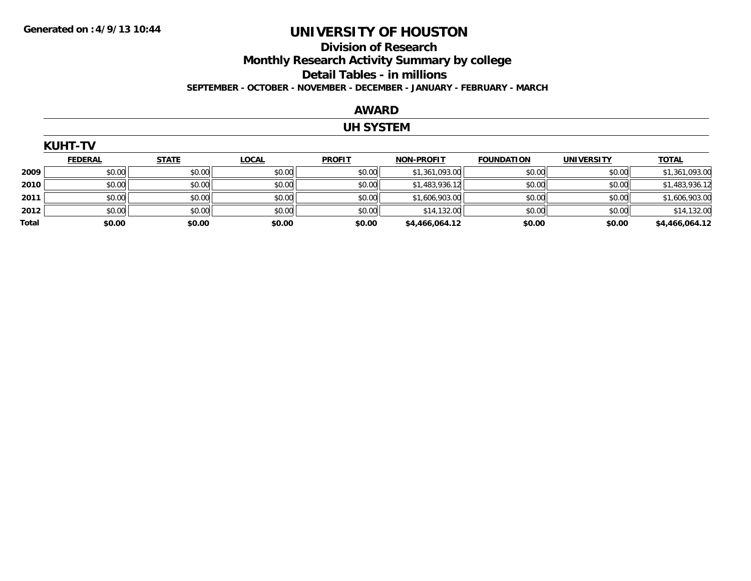### **Division of Research Monthly Research Activity Summary by college Detail Tables - in millions SEPTEMBER - OCTOBER - NOVEMBER - DECEMBER - JANUARY - FEBRUARY - MARCH**

### **AWARD**

### **UH SYSTEM**

|       | <b>KUHT-TV</b> |              |              |               |                   |                   |                   |                |
|-------|----------------|--------------|--------------|---------------|-------------------|-------------------|-------------------|----------------|
|       | <b>FEDERAL</b> | <b>STATE</b> | <b>LOCAL</b> | <b>PROFIT</b> | <b>NON-PROFIT</b> | <b>FOUNDATION</b> | <b>UNIVERSITY</b> | <b>TOTAL</b>   |
| 2009  | \$0.00         | \$0.00       | \$0.00       | \$0.00        | \$1,361,093.00    | \$0.00            | \$0.00            | \$1,361,093.00 |
| 2010  | \$0.00         | \$0.00       | \$0.00       | \$0.00        | \$1,483,936.12    | \$0.00            | \$0.00            | \$1,483,936.12 |
| 2011  | \$0.00         | \$0.00       | \$0.00       | \$0.00        | \$1,606,903.00    | \$0.00            | \$0.00            | \$1,606,903.00 |
| 2012  | \$0.00         | \$0.00       | \$0.00       | \$0.00        | \$14,132.00       | \$0.00            | \$0.00            | \$14,132.00    |
| Total | \$0.00         | \$0.00       | \$0.00       | \$0.00        | \$4,466,064.12    | \$0.00            | \$0.00            | \$4,466,064.12 |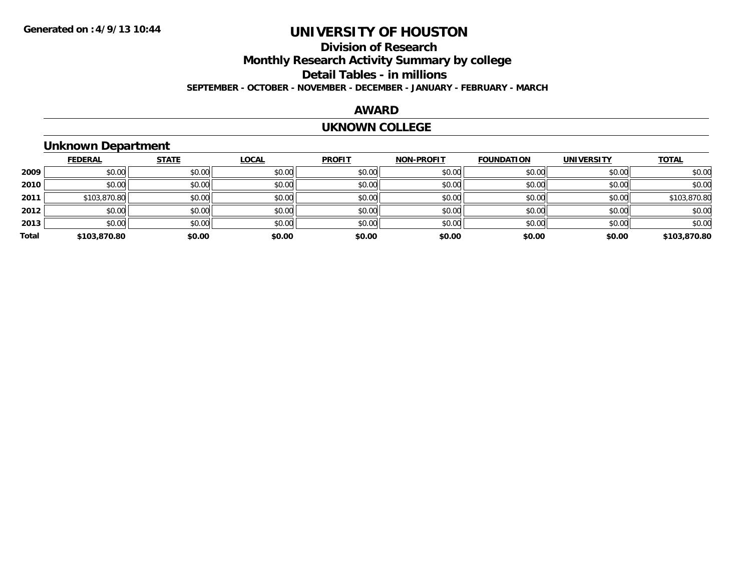### **Division of ResearchMonthly Research Activity Summary by college Detail Tables - in millions SEPTEMBER - OCTOBER - NOVEMBER - DECEMBER - JANUARY - FEBRUARY - MARCH**

### **AWARD**

#### **UKNOWN COLLEGE**

# **Unknown Department**

|       | <b>FEDERAL</b> | <b>STATE</b> | LOCAL  | <b>PROFIT</b> | <b>NON-PROFIT</b> | <b>FOUNDATION</b> | <b>UNIVERSITY</b> | <b>TOTAL</b> |
|-------|----------------|--------------|--------|---------------|-------------------|-------------------|-------------------|--------------|
| 2009  | \$0.00         | \$0.00       | \$0.00 | \$0.00        | \$0.00            | \$0.00            | \$0.00            | \$0.00       |
| 2010  | \$0.00         | \$0.00       | \$0.00 | \$0.00        | \$0.00            | \$0.00            | \$0.00            | \$0.00       |
| 2011  | \$103,870.80   | \$0.00       | \$0.00 | \$0.00        | \$0.00            | \$0.00            | \$0.00            | \$103,870.80 |
| 2012  | \$0.00         | \$0.00       | \$0.00 | \$0.00        | \$0.00            | \$0.00            | \$0.00            | \$0.00       |
| 2013  | \$0.00         | \$0.00       | \$0.00 | \$0.00        | \$0.00            | \$0.00            | \$0.00            | \$0.00       |
| Total | \$103,870.80   | \$0.00       | \$0.00 | \$0.00        | \$0.00            | \$0.00            | \$0.00            | \$103,870.80 |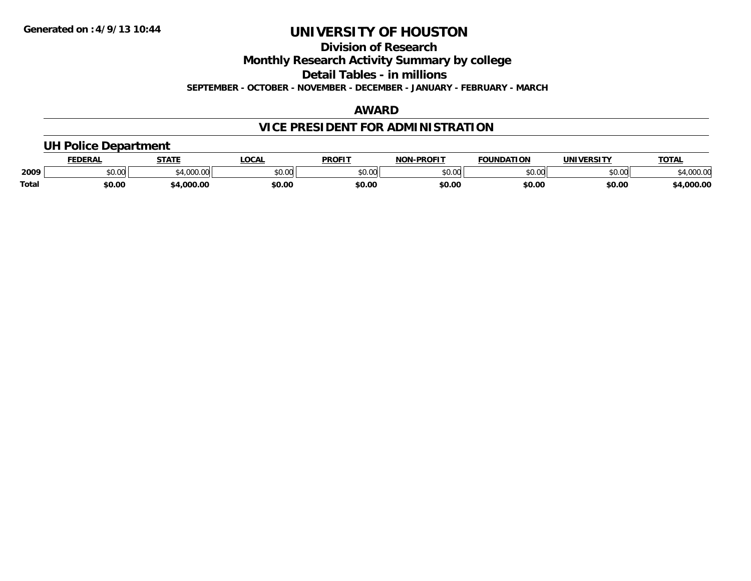**Division of Research**

**Monthly Research Activity Summary by college**

**Detail Tables - in millions**

**SEPTEMBER - OCTOBER - NOVEMBER - DECEMBER - JANUARY - FEBRUARY - MARCH**

### **AWARD**

# **VICE PRESIDENT FOR ADMINISTRATION**

### **UH Police Department**

|       | <b>FEDERAL</b> | <b>STATE</b>                | <b>LOCAL</b>  | <b>PROFIT</b> | -PROFIT<br>חחו | <b>FOUNDATION</b> | UNIVERSITY | <b>TOTA</b>        |
|-------|----------------|-----------------------------|---------------|---------------|----------------|-------------------|------------|--------------------|
| 2009  | ሶስ ስስ<br>vv.vv | $^{\ast}$ 1.000.00<br>uuu.u | 0.00<br>PU.UU | 0000<br>JU.UU | 0000<br>ט.טע   | \$0.00            | \$0.00     | מח החו<br>, JUU.UU |
| Total | \$0.00         | .000.00                     | \$0.00        | \$0.00        | \$0.00         | \$0.00            | \$0.00     | ,000.00            |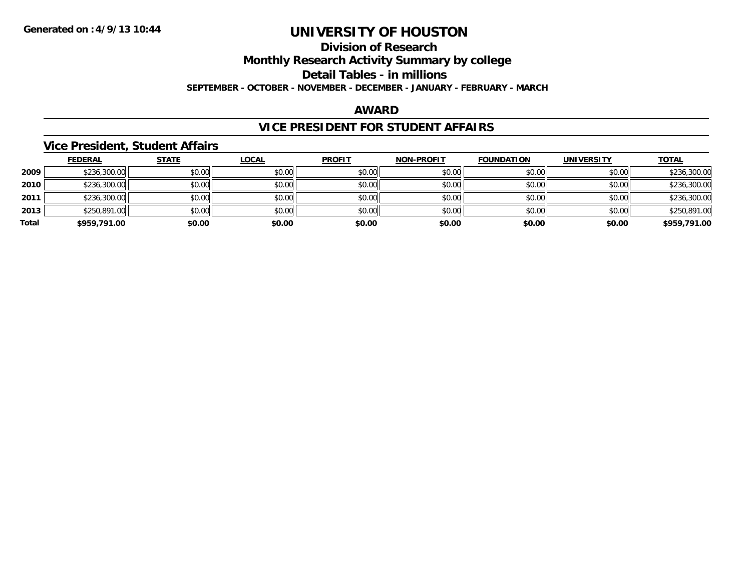# **Division of ResearchMonthly Research Activity Summary by college Detail Tables - in millions**

**SEPTEMBER - OCTOBER - NOVEMBER - DECEMBER - JANUARY - FEBRUARY - MARCH**

### **AWARD**

# **VICE PRESIDENT FOR STUDENT AFFAIRS**

### **Vice President, Student Affairs**

|       | <b>FEDERAL</b> | <b>STATE</b> | <b>LOCAL</b> | <b>PROFIT</b> | <b>NON-PROFIT</b> | <b>FOUNDATION</b> | <b>UNIVERSITY</b> | <b>TOTAL</b> |
|-------|----------------|--------------|--------------|---------------|-------------------|-------------------|-------------------|--------------|
| 2009  | \$236,300.00   | \$0.00       | \$0.00       | \$0.00        | \$0.00            | \$0.00            | \$0.00            | \$236,300.00 |
| 2010  | \$236,300.00   | \$0.00       | \$0.00       | \$0.00        | \$0.00            | \$0.00            | \$0.00            | \$236,300.00 |
| 2011  | \$236,300.00   | \$0.00       | \$0.00       | \$0.00        | \$0.00            | \$0.00            | \$0.00            | \$236,300.00 |
| 2013  | \$250,891.00   | \$0.00       | \$0.00       | \$0.00        | \$0.00            | \$0.00            | \$0.00            | \$250,891.00 |
| Total | \$959,791.00   | \$0.00       | \$0.00       | \$0.00        | \$0.00            | \$0.00            | \$0.00            | \$959,791.00 |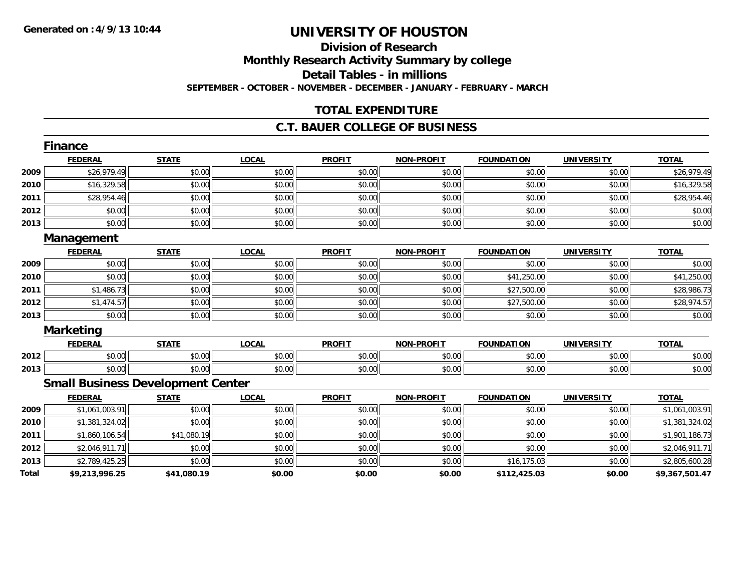### **Division of ResearchMonthly Research Activity Summary by college Detail Tables - in millions SEPTEMBER - OCTOBER - NOVEMBER - DECEMBER - JANUARY - FEBRUARY - MARCH**

### **TOTAL EXPENDITURE**

### **C.T. BAUER COLLEGE OF BUSINESS**

|       | Finance                                  |              |              |               |                   |                   |                   |                |
|-------|------------------------------------------|--------------|--------------|---------------|-------------------|-------------------|-------------------|----------------|
|       | <b>FEDERAL</b>                           | <b>STATE</b> | <b>LOCAL</b> | <b>PROFIT</b> | <b>NON-PROFIT</b> | <b>FOUNDATION</b> | <b>UNIVERSITY</b> | <b>TOTAL</b>   |
| 2009  | \$26,979.49                              | \$0.00       | \$0.00       | \$0.00        | \$0.00            | \$0.00            | \$0.00            | \$26,979.49    |
| 2010  | \$16,329.58                              | \$0.00       | \$0.00       | \$0.00        | \$0.00            | \$0.00            | \$0.00            | \$16,329.58    |
| 2011  | \$28,954.46                              | \$0.00       | \$0.00       | \$0.00        | \$0.00            | \$0.00            | \$0.00            | \$28,954.46    |
| 2012  | \$0.00                                   | \$0.00       | \$0.00       | \$0.00        | \$0.00            | \$0.00            | \$0.00            | \$0.00         |
| 2013  | \$0.00                                   | \$0.00       | \$0.00       | \$0.00        | \$0.00            | \$0.00            | \$0.00            | \$0.00         |
|       | Management                               |              |              |               |                   |                   |                   |                |
|       | <b>FEDERAL</b>                           | <b>STATE</b> | <b>LOCAL</b> | <b>PROFIT</b> | <b>NON-PROFIT</b> | <b>FOUNDATION</b> | <b>UNIVERSITY</b> | <b>TOTAL</b>   |
| 2009  | \$0.00                                   | \$0.00       | \$0.00       | \$0.00        | \$0.00            | \$0.00            | \$0.00            | \$0.00         |
| 2010  | \$0.00                                   | \$0.00       | \$0.00       | \$0.00        | \$0.00            | \$41,250.00       | \$0.00            | \$41,250.00    |
| 2011  | \$1,486.73                               | \$0.00       | \$0.00       | \$0.00        | \$0.00            | \$27,500.00       | \$0.00            | \$28,986.73    |
| 2012  | \$1,474.57                               | \$0.00       | \$0.00       | \$0.00        | \$0.00            | \$27,500.00       | \$0.00            | \$28,974.57    |
| 2013  | \$0.00                                   | \$0.00       | \$0.00       | \$0.00        | \$0.00            | \$0.00            | \$0.00            | \$0.00         |
|       | <b>Marketing</b>                         |              |              |               |                   |                   |                   |                |
|       | <b>FEDERAL</b>                           | <b>STATE</b> | <b>LOCAL</b> | <b>PROFIT</b> | <b>NON-PROFIT</b> | <b>FOUNDATION</b> | <b>UNIVERSITY</b> | <b>TOTAL</b>   |
| 2012  | \$0.00                                   | \$0.00       | \$0.00       | \$0.00        | \$0.00            | \$0.00            | \$0.00            | \$0.00         |
| 2013  | \$0.00                                   | \$0.00       | \$0.00       | \$0.00        | \$0.00            | \$0.00            | \$0.00            | \$0.00         |
|       | <b>Small Business Development Center</b> |              |              |               |                   |                   |                   |                |
|       | <b>FEDERAL</b>                           | <b>STATE</b> | <b>LOCAL</b> | <b>PROFIT</b> | <b>NON-PROFIT</b> | <b>FOUNDATION</b> | <b>UNIVERSITY</b> | <b>TOTAL</b>   |
| 2009  | \$1,061,003.91                           | \$0.00       | \$0.00       | \$0.00        | \$0.00            | \$0.00            | \$0.00            | \$1,061,003.91 |
| 2010  | \$1,381,324.02                           | \$0.00       | \$0.00       | \$0.00        | \$0.00            | \$0.00            | \$0.00            | \$1,381,324.02 |
| 2011  | \$1,860,106.54                           | \$41,080.19  | \$0.00       | \$0.00        | \$0.00            | \$0.00            | \$0.00            | \$1,901,186.73 |
| 2012  | \$2,046,911.71                           | \$0.00       | \$0.00       | \$0.00        | \$0.00            | \$0.00            | \$0.00            | \$2,046,911.71 |
| 2013  | \$2,789,425.25                           | \$0.00       | \$0.00       | \$0.00        | \$0.00            | \$16,175.03       | \$0.00            | \$2,805,600.28 |
| Total | \$9,213,996.25                           | \$41,080.19  | \$0.00       | \$0.00        | \$0.00            | \$112,425.03      | \$0.00            | \$9,367,501.47 |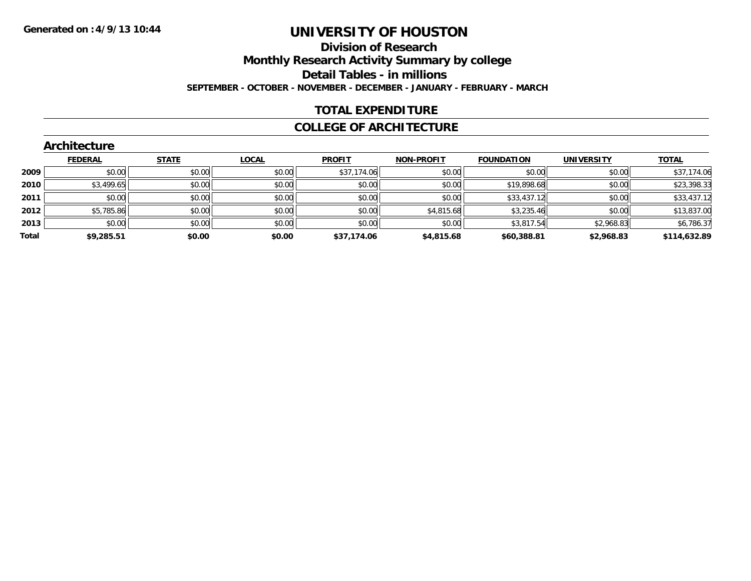### **Division of Research Monthly Research Activity Summary by college Detail Tables - in millions SEPTEMBER - OCTOBER - NOVEMBER - DECEMBER - JANUARY - FEBRUARY - MARCH**

### **TOTAL EXPENDITURE**

#### **COLLEGE OF ARCHITECTURE**

|       | Architecture   |              |              |               |                   |                   |                   |              |
|-------|----------------|--------------|--------------|---------------|-------------------|-------------------|-------------------|--------------|
|       | <b>FEDERAL</b> | <b>STATE</b> | <b>LOCAL</b> | <b>PROFIT</b> | <b>NON-PROFIT</b> | <b>FOUNDATION</b> | <b>UNIVERSITY</b> | <b>TOTAL</b> |
| 2009  | \$0.00         | \$0.00       | \$0.00       | \$37,174.06   | \$0.00            | \$0.00            | \$0.00            | \$37,174.06  |
| 2010  | \$3,499.65     | \$0.00       | \$0.00       | \$0.00        | \$0.00            | \$19,898.68       | \$0.00            | \$23,398.33  |
| 2011  | \$0.00         | \$0.00       | \$0.00       | \$0.00        | \$0.00            | \$33,437.12       | \$0.00            | \$33,437.12  |
| 2012  | \$5,785.86     | \$0.00       | \$0.00       | \$0.00        | \$4,815.68        | \$3,235.46        | \$0.00            | \$13,837.00  |
| 2013  | \$0.00         | \$0.00       | \$0.00       | \$0.00        | \$0.00            | \$3,817.54        | \$2,968.83        | \$6,786.37   |
| Total | \$9,285.51     | \$0.00       | \$0.00       | \$37,174.06   | \$4,815.68        | \$60,388.81       | \$2,968.83        | \$114,632.89 |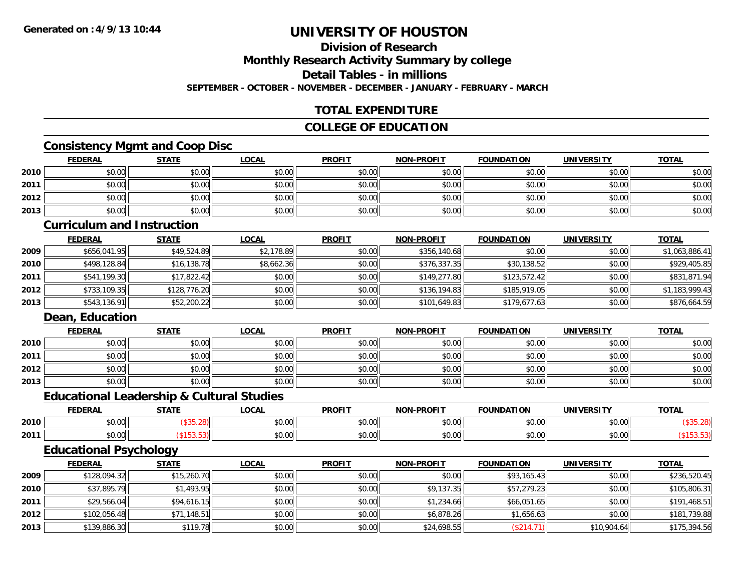### **Division of ResearchMonthly Research Activity Summary by college Detail Tables - in millionsSEPTEMBER - OCTOBER - NOVEMBER - DECEMBER - JANUARY - FEBRUARY - MARCH**

### **TOTAL EXPENDITURE**

### **COLLEGE OF EDUCATION**

### **Consistency Mgmt and Coop Disc**

|      | <b>FEDERAL</b> | <b>STATE</b> | <b>LOCAL</b> | <b>PROFIT</b> | <b>NON-PROFIT</b> | <b>FOUNDATION</b> | UNIVERSITY | <b>TOTAL</b> |
|------|----------------|--------------|--------------|---------------|-------------------|-------------------|------------|--------------|
| 2010 | \$0.00         | \$0.00       | \$0.00       | \$0.00        | \$0.00            | \$0.00            | \$0.00     | \$0.00       |
| 2011 | \$0.00         | \$0.00       | \$0.00       | \$0.00        | \$0.00            | \$0.00            | \$0.00     | \$0.00       |
| 2012 | \$0.00         | \$0.00       | \$0.00       | \$0.00        | \$0.00            | \$0.00            | \$0.00     | \$0.00       |
| 2013 | \$0.00         | \$0.00       | \$0.00       | \$0.00        | \$0.00            | \$0.00            | \$0.00     | \$0.00       |

#### **Curriculum and Instruction**

|      | <b>FEDERAL</b> | <b>STATE</b> | <b>LOCAL</b> | <b>PROFIT</b> | <b>NON-PROFIT</b> | <b>FOUNDATION</b> | <b>UNIVERSITY</b> | <b>TOTAL</b>   |
|------|----------------|--------------|--------------|---------------|-------------------|-------------------|-------------------|----------------|
| 2009 | \$656,041.95   | \$49,524.89  | \$2,178.89   | \$0.00        | \$356,140.68      | \$0.00            | \$0.00            | \$1,063,886.41 |
| 2010 | \$498,128.84   | \$16,138.78  | \$8,662.36   | \$0.00        | \$376,337.35      | \$30,138.52       | \$0.00            | \$929,405.85   |
| 2011 | \$541,199.30   | \$17,822.42  | \$0.00       | \$0.00        | \$149,277.80      | \$123,572.42      | \$0.00            | \$831,871.94   |
| 2012 | \$733,109.35   | \$128,776.20 | \$0.00       | \$0.00        | \$136,194.83      | \$185,919.05      | \$0.00            | \$1,183,999.43 |
| 2013 | \$543,136.91   | \$52,200.22  | \$0.00       | \$0.00        | \$101,649.83      | \$179,677.63      | \$0.00            | \$876,664.59   |

### **Dean, Education**

|      | <b>FEDERAL</b> | <b>STATE</b> | <b>LOCAL</b> | <b>PROFIT</b> | <b>NON-PROFIT</b> | <b>FOUNDATION</b> | <b>UNIVERSITY</b> | <b>TOTAL</b> |
|------|----------------|--------------|--------------|---------------|-------------------|-------------------|-------------------|--------------|
| 2010 | \$0.00         | \$0.00       | \$0.00       | \$0.00        | \$0.00            | \$0.00            | \$0.00            | \$0.00       |
| 2011 | \$0.00         | \$0.00       | \$0.00       | \$0.00        | \$0.00            | \$0.00            | \$0.00            | \$0.00       |
| 2012 | \$0.00         | \$0.00       | \$0.00       | \$0.00        | \$0.00            | \$0.00            | \$0.00            | \$0.00       |
| 2013 | \$0.00         | \$0.00       | \$0.00       | \$0.00        | \$0.00            | \$0.00            | \$0.00            | \$0.00       |

#### **Educational Leadership & Cultural Studies**

|      | <b>FEDERAL</b>                        | CTATE | .OCAL                    | <b>PROFIT</b> | <b>-PROFIT</b><br><b>NON</b>                          | <b>NDATION</b><br><b>FAUR</b> | <b>IINIVERSITY</b>                                    | <b>TOTA</b><br>101h |
|------|---------------------------------------|-------|--------------------------|---------------|-------------------------------------------------------|-------------------------------|-------------------------------------------------------|---------------------|
| 2010 | $\sim$<br>$\sim$<br>vv.vv             |       | $n \cap \Omega$<br>DU.UU | \$0.00        | 0000<br>pu.uu                                         | 0.00<br>JU.UU                 | $\mathsf{A} \cap \mathsf{A} \cap \mathsf{A}$<br>JU.UU |                     |
| 2011 | $\triangle$<br>$\sim$ $\sim$<br>vv.vv |       | \$0.00                   | \$0.00        | $\mathsf{A} \cap \mathsf{A} \cap \mathsf{A}$<br>pu.uu | 0.00<br>vv.vv                 | $\mathsf{A} \cap \mathsf{A} \cap \mathsf{A}$<br>JU.UU |                     |

### **Educational Psychology**

|      | <b>FEDERAL</b> | <u>STATE</u> | <b>LOCAL</b> | <b>PROFIT</b> | <b>NON-PROFIT</b> | <b>FOUNDATION</b> | <b>UNIVERSITY</b> | <b>TOTAL</b> |
|------|----------------|--------------|--------------|---------------|-------------------|-------------------|-------------------|--------------|
| 2009 | \$128,094.32   | \$15,260.70  | \$0.00       | \$0.00        | \$0.00            | \$93,165.43       | \$0.00            | \$236,520.45 |
| 2010 | \$37,895.79    | \$1,493.95   | \$0.00       | \$0.00        | \$9,137.35        | \$57,279.23       | \$0.00            | \$105,806.31 |
| 2011 | \$29,566.04    | \$94,616.15  | \$0.00       | \$0.00        | \$1,234.66        | \$66,051.65       | \$0.00            | \$191,468.51 |
| 2012 | \$102,056.48   | \$71,148.51  | \$0.00       | \$0.00        | \$6,878.26        | \$1,656.63        | \$0.00            | \$181,739.88 |
| 2013 | \$139,886.30   | \$119.78     | \$0.00       | \$0.00        | \$24,698.55       | (\$214.71)        | \$10,904.64       | \$175,394.56 |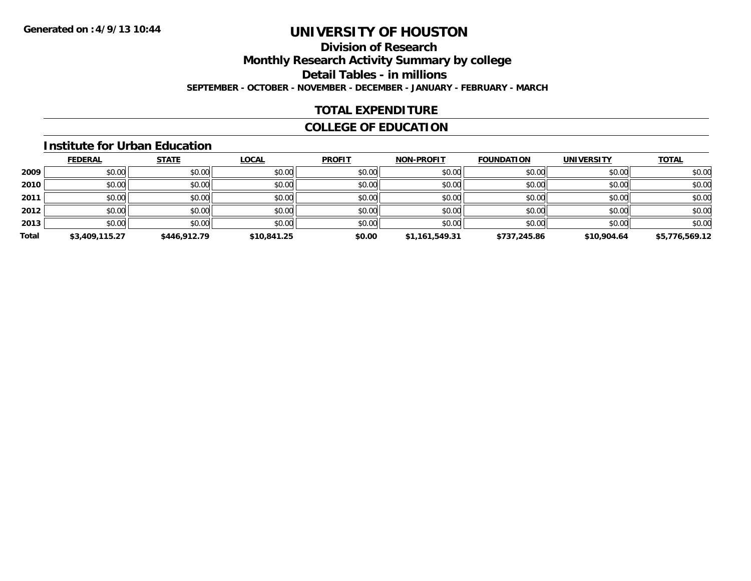### **Division of ResearchMonthly Research Activity Summary by college Detail Tables - in millions SEPTEMBER - OCTOBER - NOVEMBER - DECEMBER - JANUARY - FEBRUARY - MARCH**

### **TOTAL EXPENDITURE**

### **COLLEGE OF EDUCATION**

#### **Institute for Urban Education**

|       | <b>FEDERAL</b> | <b>STATE</b> | <b>LOCAL</b> | <b>PROFIT</b> | <b>NON-PROFIT</b> | <b>FOUNDATION</b> | <b>UNIVERSITY</b> | <b>TOTAL</b>   |
|-------|----------------|--------------|--------------|---------------|-------------------|-------------------|-------------------|----------------|
| 2009  | \$0.00         | \$0.00       | \$0.00       | \$0.00        | \$0.00            | \$0.00            | \$0.00            | \$0.00         |
| 2010  | \$0.00         | \$0.00       | \$0.00       | \$0.00        | \$0.00            | \$0.00            | \$0.00            | \$0.00         |
| 2011  | \$0.00         | \$0.00       | \$0.00       | \$0.00        | \$0.00            | \$0.00            | \$0.00            | \$0.00         |
| 2012  | \$0.00         | \$0.00       | \$0.00       | \$0.00        | \$0.00            | \$0.00            | \$0.00            | \$0.00         |
| 2013  | \$0.00         | \$0.00       | \$0.00       | \$0.00        | \$0.00            | \$0.00            | \$0.00            | \$0.00         |
| Total | \$3,409,115.27 | \$446,912.79 | \$10,841.25  | \$0.00        | \$1,161,549.31    | \$737,245.86      | \$10,904.64       | \$5,776,569.12 |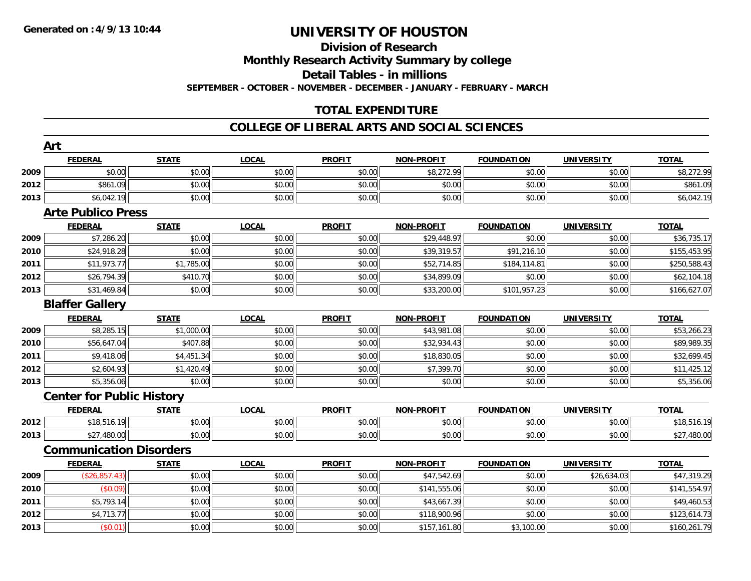# **Division of Research**

**Monthly Research Activity Summary by college**

**Detail Tables - in millions**

**SEPTEMBER - OCTOBER - NOVEMBER - DECEMBER - JANUARY - FEBRUARY - MARCH**

### **TOTAL EXPENDITURE**

### **COLLEGE OF LIBERAL ARTS AND SOCIAL SCIENCES**

|      | Art                              |              |              |               |                   |                   |                   |              |
|------|----------------------------------|--------------|--------------|---------------|-------------------|-------------------|-------------------|--------------|
|      | <b>FEDERAL</b>                   | <b>STATE</b> | <b>LOCAL</b> | <b>PROFIT</b> | <b>NON-PROFIT</b> | <b>FOUNDATION</b> | <b>UNIVERSITY</b> | <b>TOTAL</b> |
| 2009 | \$0.00                           | \$0.00       | \$0.00       | \$0.00        | \$8,272.99        | \$0.00            | \$0.00            | \$8,272.99   |
| 2012 | \$861.09                         | \$0.00       | \$0.00       | \$0.00        | \$0.00            | \$0.00            | \$0.00            | \$861.09     |
| 2013 | \$6,042.19                       | \$0.00       | \$0.00       | \$0.00        | \$0.00            | \$0.00            | \$0.00            | \$6,042.19   |
|      | <b>Arte Publico Press</b>        |              |              |               |                   |                   |                   |              |
|      | <b>FEDERAL</b>                   | <b>STATE</b> | <b>LOCAL</b> | <b>PROFIT</b> | <b>NON-PROFIT</b> | <b>FOUNDATION</b> | <b>UNIVERSITY</b> | <b>TOTAL</b> |
| 2009 | \$7,286.20                       | \$0.00       | \$0.00       | \$0.00        | \$29,448.97       | \$0.00            | \$0.00            | \$36,735.17  |
| 2010 | \$24,918.28                      | \$0.00       | \$0.00       | \$0.00        | \$39,319.57       | \$91,216.10       | \$0.00            | \$155,453.95 |
| 2011 | \$11,973.77                      | \$1,785.00   | \$0.00       | \$0.00        | \$52,714.85       | \$184,114.81      | \$0.00            | \$250,588.43 |
| 2012 | \$26,794.39                      | \$410.70     | \$0.00       | \$0.00        | \$34,899.09       | \$0.00            | \$0.00            | \$62,104.18  |
| 2013 | \$31,469.84                      | \$0.00       | \$0.00       | \$0.00        | \$33,200.00       | \$101,957.23      | \$0.00            | \$166,627.07 |
|      | <b>Blaffer Gallery</b>           |              |              |               |                   |                   |                   |              |
|      | <b>FEDERAL</b>                   | <b>STATE</b> | <b>LOCAL</b> | <b>PROFIT</b> | <b>NON-PROFIT</b> | <b>FOUNDATION</b> | <b>UNIVERSITY</b> | <b>TOTAL</b> |
| 2009 | \$8,285.15                       | \$1,000.00   | \$0.00       | \$0.00        | \$43,981.08       | \$0.00            | \$0.00            | \$53,266.23  |
| 2010 | \$56,647.04                      | \$407.88     | \$0.00       | \$0.00        | \$32,934.43       | \$0.00            | \$0.00            | \$89,989.35  |
| 2011 | \$9,418.06                       | \$4,451.34   | \$0.00       | \$0.00        | \$18,830.05       | \$0.00            | \$0.00            | \$32,699.45  |
| 2012 | \$2,604.93                       | \$1,420.49   | \$0.00       | \$0.00        | \$7,399.70        | \$0.00            | \$0.00            | \$11,425.12  |
| 2013 | \$5,356.06                       | \$0.00       | \$0.00       | \$0.00        | \$0.00            | \$0.00            | \$0.00            | \$5,356.06   |
|      | <b>Center for Public History</b> |              |              |               |                   |                   |                   |              |
|      | <b>FEDERAL</b>                   | <b>STATE</b> | <b>LOCAL</b> | <b>PROFIT</b> | <b>NON-PROFIT</b> | <b>FOUNDATION</b> | <b>UNIVERSITY</b> | <b>TOTAL</b> |
| 2012 | \$18,516.19                      | \$0.00       | \$0.00       | \$0.00        | \$0.00            | \$0.00            | \$0.00            | \$18,516.19  |
| 2013 | \$27,480.00                      | \$0.00       | \$0.00       | \$0.00        | \$0.00            | \$0.00            | \$0.00            | \$27,480.00  |
|      | <b>Communication Disorders</b>   |              |              |               |                   |                   |                   |              |
|      | <b>FEDERAL</b>                   | <b>STATE</b> | <b>LOCAL</b> | <b>PROFIT</b> | <b>NON-PROFIT</b> | <b>FOUNDATION</b> | <b>UNIVERSITY</b> | <b>TOTAL</b> |
| 2009 | (\$26,857.43)                    | \$0.00       | \$0.00       | \$0.00        | \$47,542.69       | \$0.00            | \$26,634.03       | \$47,319.29  |
| 2010 | (\$0.09)                         | \$0.00       | \$0.00       | \$0.00        | \$141,555.06      | \$0.00            | \$0.00            | \$141,554.97 |
| 2011 | \$5,793.14                       | \$0.00       | \$0.00       | \$0.00        | \$43,667.39       | \$0.00            | \$0.00            | \$49,460.53  |
| 2012 | \$4,713.77                       | \$0.00       | \$0.00       | \$0.00        | \$118,900.96      | \$0.00            | \$0.00            | \$123,614.73 |
| 2013 | (\$0.01)                         | \$0.00       | \$0.00       | \$0.00        | \$157,161.80      | \$3,100.00        | \$0.00            | \$160,261.79 |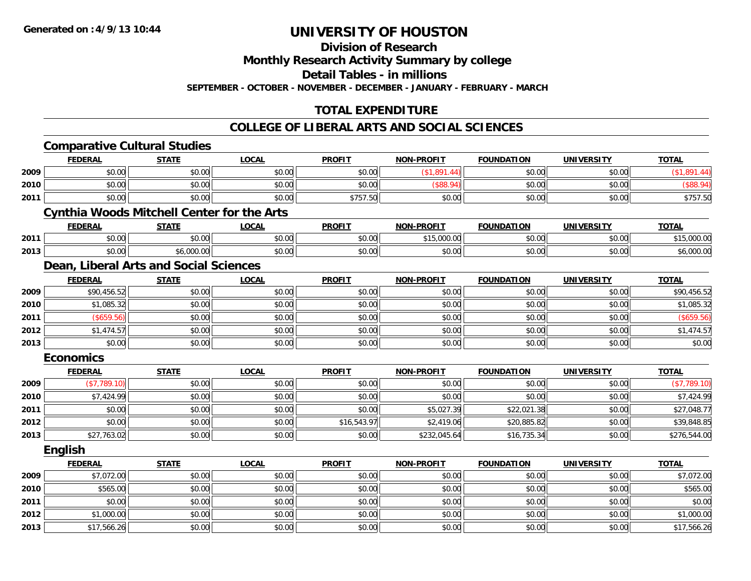**Division of Research**

**Monthly Research Activity Summary by college**

**Detail Tables - in millions**

**SEPTEMBER - OCTOBER - NOVEMBER - DECEMBER - JANUARY - FEBRUARY - MARCH**

### **TOTAL EXPENDITURE**

### **COLLEGE OF LIBERAL ARTS AND SOCIAL SCIENCES**

|      | <b>Comparative Cultural Studies</b>               |              |              |               |                   |                   |                   |              |
|------|---------------------------------------------------|--------------|--------------|---------------|-------------------|-------------------|-------------------|--------------|
|      | <b>FEDERAL</b>                                    | <b>STATE</b> | <b>LOCAL</b> | <b>PROFIT</b> | <b>NON-PROFIT</b> | <b>FOUNDATION</b> | <b>UNIVERSITY</b> | <b>TOTAL</b> |
| 2009 | \$0.00                                            | \$0.00       | \$0.00       | \$0.00        | (\$1,891.44)      | \$0.00            | \$0.00            | (\$1,891.44) |
| 2010 | \$0.00                                            | \$0.00       | \$0.00       | \$0.00        | (\$88.94)         | \$0.00            | \$0.00            | (\$88.94)    |
| 2011 | \$0.00                                            | \$0.00       | \$0.00       | \$757.50      | \$0.00            | \$0.00            | \$0.00            | \$757.50     |
|      | <b>Cynthia Woods Mitchell Center for the Arts</b> |              |              |               |                   |                   |                   |              |
|      | <b>FEDERAL</b>                                    | <b>STATE</b> | <b>LOCAL</b> | <b>PROFIT</b> | <b>NON-PROFIT</b> | <b>FOUNDATION</b> | <b>UNIVERSITY</b> | <b>TOTAL</b> |
| 2011 | \$0.00                                            | \$0.00       | \$0.00       | \$0.00        | \$15,000.00       | \$0.00            | \$0.00            | \$15,000.00  |
| 2013 | \$0.00                                            | \$6,000.00   | \$0.00       | \$0.00        | \$0.00            | \$0.00            | \$0.00            | \$6,000.00   |
|      | Dean, Liberal Arts and Social Sciences            |              |              |               |                   |                   |                   |              |
|      | <b>FEDERAL</b>                                    | <b>STATE</b> | <b>LOCAL</b> | <b>PROFIT</b> | <b>NON-PROFIT</b> | <b>FOUNDATION</b> | <b>UNIVERSITY</b> | <b>TOTAL</b> |
| 2009 | \$90,456.52                                       | \$0.00       | \$0.00       | \$0.00        | \$0.00            | \$0.00            | \$0.00            | \$90,456.52  |
| 2010 | \$1,085.32                                        | \$0.00       | \$0.00       | \$0.00        | \$0.00            | \$0.00            | \$0.00            | \$1,085.32   |
| 2011 | (\$659.56)                                        | \$0.00       | \$0.00       | \$0.00        | \$0.00            | \$0.00            | \$0.00            | (\$659.56)   |
| 2012 | \$1,474.57                                        | \$0.00       | \$0.00       | \$0.00        | \$0.00            | \$0.00            | \$0.00            | \$1,474.57   |
| 2013 | \$0.00                                            | \$0.00       | \$0.00       | \$0.00        | \$0.00            | \$0.00            | \$0.00            | \$0.00       |
|      | <b>Economics</b>                                  |              |              |               |                   |                   |                   |              |
|      | <b>FEDERAL</b>                                    | <b>STATE</b> | <b>LOCAL</b> | <b>PROFIT</b> | <b>NON-PROFIT</b> | <b>FOUNDATION</b> | <b>UNIVERSITY</b> | <b>TOTAL</b> |
| 2009 | (\$7,789.10)                                      | \$0.00       | \$0.00       | \$0.00        | \$0.00            | \$0.00            | \$0.00            | (\$7,789.10) |
| 2010 | \$7,424.99                                        | \$0.00       | \$0.00       | \$0.00        | \$0.00            | \$0.00            | \$0.00            | \$7,424.99   |
| 2011 | \$0.00                                            | \$0.00       | \$0.00       | \$0.00        | \$5,027.39        | \$22,021.38       | \$0.00            | \$27,048.77  |
| 2012 | \$0.00                                            | \$0.00       | \$0.00       | \$16,543.97   | \$2,419.06        | \$20,885.82       | \$0.00            | \$39,848.85  |
| 2013 | \$27,763.02                                       | \$0.00       | \$0.00       | \$0.00        | \$232,045.64      | \$16,735.34       | \$0.00            | \$276,544.00 |
|      | English                                           |              |              |               |                   |                   |                   |              |
|      | <b>FEDERAL</b>                                    | <b>STATE</b> | <b>LOCAL</b> | <b>PROFIT</b> | <b>NON-PROFIT</b> | <b>FOUNDATION</b> | <b>UNIVERSITY</b> | <b>TOTAL</b> |
| 2009 | \$7,072.00                                        | \$0.00       | \$0.00       | \$0.00        | \$0.00            | \$0.00            | \$0.00            | \$7,072.00   |
| 2010 | \$565.00                                          | \$0.00       | \$0.00       | \$0.00        | \$0.00            | \$0.00            | \$0.00            | \$565.00     |
| 2011 | \$0.00                                            | \$0.00       | \$0.00       | \$0.00        | \$0.00            | \$0.00            | \$0.00            | \$0.00       |
| 2012 | \$1,000.00                                        | \$0.00       | \$0.00       | \$0.00        | \$0.00            | \$0.00            | \$0.00            | \$1,000.00   |
| 2013 | \$17,566.26                                       | \$0.00       | \$0.00       | \$0.00        | \$0.00            | \$0.00            | \$0.00            | \$17,566.26  |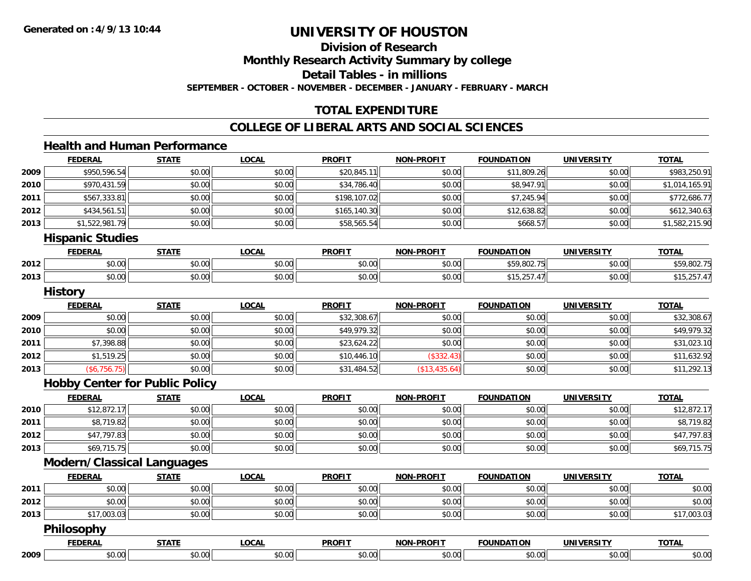**Division of Research**

**Monthly Research Activity Summary by college**

**Detail Tables - in millions**

**SEPTEMBER - OCTOBER - NOVEMBER - DECEMBER - JANUARY - FEBRUARY - MARCH**

### **TOTAL EXPENDITURE**

### **COLLEGE OF LIBERAL ARTS AND SOCIAL SCIENCES**

### **Health and Human Performance**

|      | <b>FEDERAL</b>                        | <b>STATE</b> | <b>LOCAL</b> | <b>PROFIT</b> | <b>NON-PROFIT</b> | <b>FOUNDATION</b> | <b>UNIVERSITY</b> | <b>TOTAL</b>   |
|------|---------------------------------------|--------------|--------------|---------------|-------------------|-------------------|-------------------|----------------|
| 2009 | \$950,596.54                          | \$0.00       | \$0.00       | \$20,845.11   | \$0.00            | \$11,809.26       | \$0.00            | \$983,250.91   |
| 2010 | \$970,431.59                          | \$0.00       | \$0.00       | \$34,786.40   | \$0.00            | \$8,947.91        | \$0.00            | \$1,014,165.91 |
| 2011 | \$567,333.81                          | \$0.00       | \$0.00       | \$198,107.02  | \$0.00            | \$7,245.94        | \$0.00            | \$772,686.77   |
| 2012 | \$434,561.51                          | \$0.00       | \$0.00       | \$165,140.30  | \$0.00            | \$12,638.82       | \$0.00            | \$612,340.63   |
| 2013 | \$1,522,981.79                        | \$0.00       | \$0.00       | \$58,565.54   | \$0.00            | \$668.57          | \$0.00            | \$1,582,215.90 |
|      | <b>Hispanic Studies</b>               |              |              |               |                   |                   |                   |                |
|      | <b>FEDERAL</b>                        | <b>STATE</b> | <b>LOCAL</b> | <b>PROFIT</b> | <b>NON-PROFIT</b> | <b>FOUNDATION</b> | <b>UNIVERSITY</b> | <b>TOTAL</b>   |
| 2012 | \$0.00                                | \$0.00       | \$0.00       | \$0.00        | \$0.00            | \$59,802.75       | \$0.00            | \$59,802.75    |
| 2013 | \$0.00                                | \$0.00       | \$0.00       | \$0.00        | \$0.00            | \$15,257.47       | \$0.00            | \$15,257.47    |
|      | <b>History</b>                        |              |              |               |                   |                   |                   |                |
|      | <b>FEDERAL</b>                        | <b>STATE</b> | <b>LOCAL</b> | <b>PROFIT</b> | <b>NON-PROFIT</b> | <b>FOUNDATION</b> | <b>UNIVERSITY</b> | <b>TOTAL</b>   |
| 2009 | \$0.00                                | \$0.00       | \$0.00       | \$32,308.67   | \$0.00            | \$0.00            | \$0.00            | \$32,308.67    |
| 2010 | \$0.00                                | \$0.00       | \$0.00       | \$49,979.32   | \$0.00            | \$0.00            | \$0.00            | \$49,979.32    |
| 2011 | \$7,398.88                            | \$0.00       | \$0.00       | \$23,624.22   | \$0.00            | \$0.00            | \$0.00            | \$31,023.10    |
| 2012 | \$1,519.25                            | \$0.00       | \$0.00       | \$10,446.10   | (\$332.43)        | \$0.00            | \$0.00            | \$11,632.92    |
| 2013 | (\$6,756.75)                          | \$0.00       | \$0.00       | \$31,484.52   | (\$13,435.64)     | \$0.00            | \$0.00            | \$11,292.13    |
|      | <b>Hobby Center for Public Policy</b> |              |              |               |                   |                   |                   |                |
|      | <b>FEDERAL</b>                        | <b>STATE</b> | <b>LOCAL</b> | <b>PROFIT</b> | <b>NON-PROFIT</b> | <b>FOUNDATION</b> | <b>UNIVERSITY</b> | <b>TOTAL</b>   |
| 2010 | \$12,872.17                           | \$0.00       | \$0.00       | \$0.00        | \$0.00            | \$0.00            | \$0.00            | \$12,872.17    |
| 2011 | \$8,719.82                            | \$0.00       | \$0.00       | \$0.00        | \$0.00            | \$0.00            | \$0.00            | \$8,719.82     |
| 2012 | \$47,797.83                           | \$0.00       | \$0.00       | \$0.00        | \$0.00            | \$0.00            | \$0.00            | \$47,797.83    |
| 2013 | \$69,715.75                           | \$0.00       | \$0.00       | \$0.00        | \$0.00            | \$0.00            | \$0.00            | \$69,715.75    |
|      | <b>Modern/Classical Languages</b>     |              |              |               |                   |                   |                   |                |
|      | <b>FEDERAL</b>                        | <b>STATE</b> | <b>LOCAL</b> | <b>PROFIT</b> | <b>NON-PROFIT</b> | <b>FOUNDATION</b> | <b>UNIVERSITY</b> | <b>TOTAL</b>   |
| 2011 | \$0.00                                | \$0.00       | \$0.00       | \$0.00        | \$0.00            | \$0.00            | \$0.00            | \$0.00         |
| 2012 | \$0.00                                | \$0.00       | \$0.00       | \$0.00        | \$0.00            | \$0.00            | \$0.00            | \$0.00         |
| 2013 | \$17,003.03                           | \$0.00       | \$0.00       | \$0.00        | \$0.00            | \$0.00            | \$0.00            | \$17,003.03    |
|      | Philosophy                            |              |              |               |                   |                   |                   |                |
|      | <b>FEDERAL</b>                        | <b>STATE</b> | <b>LOCAL</b> | <b>PROFIT</b> | <b>NON-PROFIT</b> | <b>FOUNDATION</b> | <b>UNIVERSITY</b> | <b>TOTAL</b>   |
| 2009 | \$0.00                                | \$0.00       | \$0.00       | \$0.00        | \$0.00            | \$0.00            | \$0.00            | \$0.00         |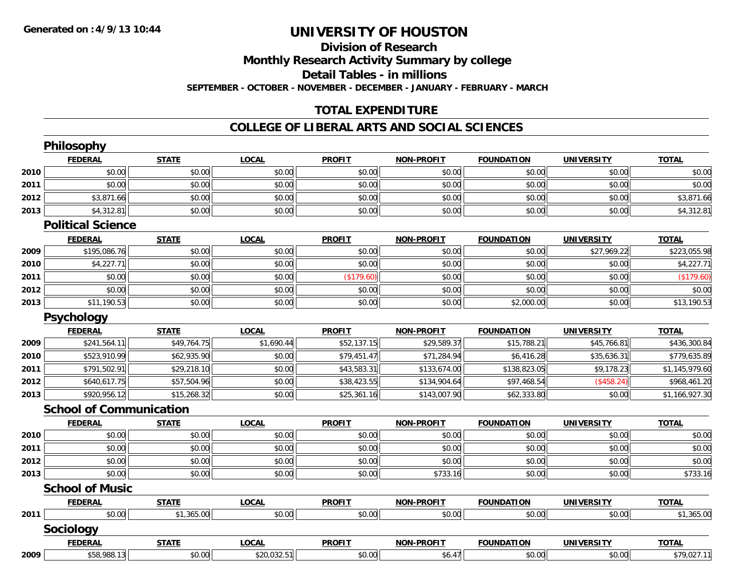### **Division of ResearchMonthly Research Activity Summary by college Detail Tables - in millions SEPTEMBER - OCTOBER - NOVEMBER - DECEMBER - JANUARY - FEBRUARY - MARCH**

### **TOTAL EXPENDITURE**

### **COLLEGE OF LIBERAL ARTS AND SOCIAL SCIENCES**

|      | Philosophy                     |              |                         |               |                   |                   |                   |                |
|------|--------------------------------|--------------|-------------------------|---------------|-------------------|-------------------|-------------------|----------------|
|      | <b>FEDERAL</b>                 | <b>STATE</b> | <b>LOCAL</b>            | <b>PROFIT</b> | <b>NON-PROFIT</b> | <b>FOUNDATION</b> | <b>UNIVERSITY</b> | <b>TOTAL</b>   |
| 2010 | \$0.00                         | \$0.00       | \$0.00                  | \$0.00        | \$0.00            | \$0.00            | \$0.00            | \$0.00         |
| 2011 | \$0.00                         | \$0.00       | \$0.00                  | \$0.00        | \$0.00            | \$0.00            | \$0.00            | \$0.00         |
| 2012 | \$3,871.66                     | \$0.00       | \$0.00                  | \$0.00        | \$0.00            | \$0.00            | \$0.00            | \$3,871.66     |
| 2013 | \$4,312.81                     | \$0.00       | \$0.00                  | \$0.00        | \$0.00            | \$0.00            | \$0.00            | \$4,312.81     |
|      | <b>Political Science</b>       |              |                         |               |                   |                   |                   |                |
|      | <b>FEDERAL</b>                 | <b>STATE</b> | <b>LOCAL</b>            | <b>PROFIT</b> | <b>NON-PROFIT</b> | <b>FOUNDATION</b> | <b>UNIVERSITY</b> | <b>TOTAL</b>   |
| 2009 | \$195,086.76                   | \$0.00       | \$0.00                  | \$0.00        | \$0.00            | \$0.00            | \$27,969.22       | \$223,055.98   |
| 2010 | \$4,227.71                     | \$0.00       | \$0.00                  | \$0.00        | \$0.00            | \$0.00            | \$0.00            | \$4,227.71     |
| 2011 | \$0.00                         | \$0.00       | \$0.00                  | (\$179.60)    | \$0.00            | \$0.00            | \$0.00            | (\$179.60)     |
| 2012 | \$0.00                         | \$0.00       | \$0.00                  | \$0.00        | \$0.00            | \$0.00            | \$0.00            | \$0.00         |
| 2013 | \$11,190.53                    | \$0.00       | \$0.00                  | \$0.00        | \$0.00            | \$2,000.00        | \$0.00            | \$13,190.53    |
|      | Psychology                     |              |                         |               |                   |                   |                   |                |
|      | <b>FEDERAL</b>                 | <b>STATE</b> | <b>LOCAL</b>            | <b>PROFIT</b> | <b>NON-PROFIT</b> | <b>FOUNDATION</b> | <b>UNIVERSITY</b> | <b>TOTAL</b>   |
| 2009 | \$241,564.11                   | \$49,764.75  | \$1,690.44              | \$52,137.15   | \$29,589.37       | \$15,788.21       | \$45,766.81       | \$436,300.84   |
| 2010 | \$523,910.99                   | \$62,935.90  | \$0.00                  | \$79,451.47   | \$71,284.94       | \$6,416.28        | \$35,636.31       | \$779,635.89   |
| 2011 | \$791,502.91                   | \$29,218.10  | \$0.00                  | \$43,583.31   | \$133,674.00      | \$138,823.05      | \$9,178.23        | \$1,145,979.60 |
| 2012 | \$640,617.75                   | \$57,504.96  | \$0.00                  | \$38,423.55   | \$134,904.64      | \$97,468.54       | (\$458.24)        | \$968,461.20   |
| 2013 | \$920,956.12                   | \$15,268.32  | \$0.00                  | \$25,361.16   | \$143,007.90      | \$62,333.80       | \$0.00            | \$1,166,927.30 |
|      | <b>School of Communication</b> |              |                         |               |                   |                   |                   |                |
|      | <b>FEDERAL</b>                 | <b>STATE</b> | <b>LOCAL</b>            | <b>PROFIT</b> | <b>NON-PROFIT</b> | <b>FOUNDATION</b> | <b>UNIVERSITY</b> | <b>TOTAL</b>   |
| 2010 | \$0.00                         | \$0.00       | \$0.00                  | \$0.00        | \$0.00            | \$0.00            | \$0.00            | \$0.00         |
| 2011 | \$0.00                         | \$0.00       | \$0.00                  | \$0.00        | \$0.00            | \$0.00            | \$0.00            | \$0.00         |
| 2012 | \$0.00                         | \$0.00       | \$0.00                  | \$0.00        | \$0.00            | \$0.00            | \$0.00            | \$0.00         |
| 2013 | \$0.00                         | \$0.00       | \$0.00                  | \$0.00        | \$733.16          | \$0.00            | \$0.00            | \$733.16       |
|      | <b>School of Music</b>         |              |                         |               |                   |                   |                   |                |
|      | <b>FEDERAL</b>                 | <b>STATE</b> | <b>LOCAL</b>            | <b>PROFIT</b> | <b>NON-PROFIT</b> | <b>FOUNDATION</b> | <b>UNIVERSITY</b> | <b>TOTAL</b>   |
| 2011 | \$0.00                         | \$1,365.00   | \$0.00                  | \$0.00        | \$0.00            | \$0.00            | \$0.00            | \$1,365.00     |
|      | Sociology                      |              |                         |               |                   |                   |                   |                |
|      | <b>FEDERAL</b>                 | <b>STATE</b> | <b>LOCAL</b>            | <b>PROFIT</b> | <b>NON-PROFIT</b> | <b>FOUNDATION</b> | <b>UNIVERSITY</b> | <b>TOTAL</b>   |
| 2009 | \$58,988.13                    | \$0.00       | $\overline{$20,032.51}$ | \$0.00        | \$6.47            | \$0.00            | \$0.00            | \$79,027.11    |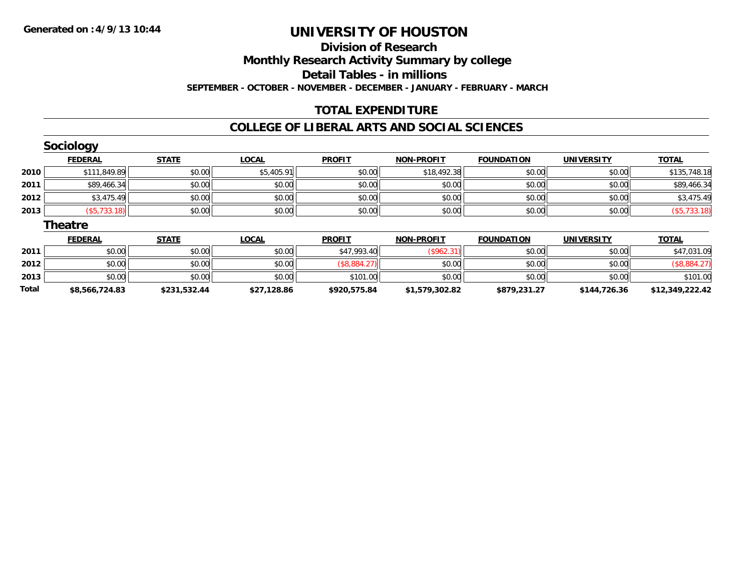# **Division of ResearchMonthly Research Activity Summary by college Detail Tables - in millions SEPTEMBER - OCTOBER - NOVEMBER - DECEMBER - JANUARY - FEBRUARY - MARCH**

### **TOTAL EXPENDITURE**

#### **COLLEGE OF LIBERAL ARTS AND SOCIAL SCIENCES**

|       | <b>Sociology</b> |              |              |               |                   |                   |                   |                 |
|-------|------------------|--------------|--------------|---------------|-------------------|-------------------|-------------------|-----------------|
|       | <b>FEDERAL</b>   | <b>STATE</b> | <b>LOCAL</b> | <b>PROFIT</b> | <b>NON-PROFIT</b> | <b>FOUNDATION</b> | <b>UNIVERSITY</b> | <b>TOTAL</b>    |
| 2010  | \$111,849.89     | \$0.00       | \$5,405.91   | \$0.00        | \$18,492.38       | \$0.00            | \$0.00            | \$135,748.18    |
| 2011  | \$89,466.34      | \$0.00       | \$0.00       | \$0.00        | \$0.00            | \$0.00            | \$0.00            | \$89,466.34     |
| 2012  | \$3,475.49       | \$0.00       | \$0.00       | \$0.00        | \$0.00            | \$0.00            | \$0.00            | \$3,475.49      |
| 2013  | (\$5,733.18)     | \$0.00       | \$0.00       | \$0.00        | \$0.00            | \$0.00            | \$0.00            | (\$5,733.18)    |
|       | <b>Theatre</b>   |              |              |               |                   |                   |                   |                 |
|       | <b>FEDERAL</b>   | <b>STATE</b> | <b>LOCAL</b> | <b>PROFIT</b> | <b>NON-PROFIT</b> | <b>FOUNDATION</b> | <b>UNIVERSITY</b> | <b>TOTAL</b>    |
| 2011  | \$0.00           | \$0.00       | \$0.00       | \$47,993.40   | (\$962.31)        | \$0.00            | \$0.00            | \$47,031.09     |
| 2012  | \$0.00           | \$0.00       | \$0.00       | (\$8,884.27)  | \$0.00            | \$0.00            | \$0.00            | (\$8,884.27)    |
| 2013  | \$0.00           | \$0.00       | \$0.00       | \$101.00      | \$0.00            | \$0.00            | \$0.00            | \$101.00        |
| Total | \$8,566,724.83   | \$231,532.44 | \$27,128.86  | \$920,575.84  | \$1,579,302.82    | \$879,231.27      | \$144,726.36      | \$12,349,222.42 |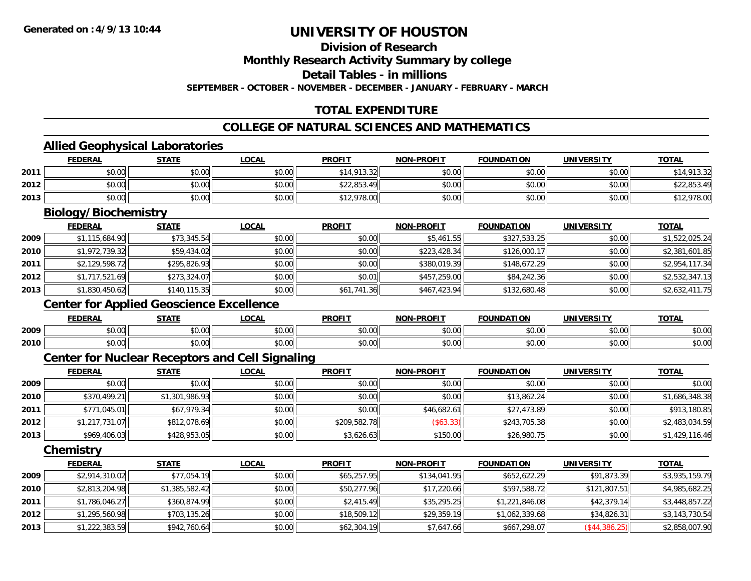# **Division of Research**

**Monthly Research Activity Summary by college**

**Detail Tables - in millions**

**SEPTEMBER - OCTOBER - NOVEMBER - DECEMBER - JANUARY - FEBRUARY - MARCH**

# **TOTAL EXPENDITURE**

### **COLLEGE OF NATURAL SCIENCES AND MATHEMATICS**

### **Allied Geophysical Laboratories**

|      | <b>FEDERAL</b>       | <b>STATE</b> | <b>LOCAL</b> | <b>PROFIT</b> | <b>NON-PROFIT</b> | <b>FOUNDATION</b> | <b>UNIVERSITY</b> | <b>TOTAL</b> |  |  |
|------|----------------------|--------------|--------------|---------------|-------------------|-------------------|-------------------|--------------|--|--|
| 2011 | \$0.00               | \$0.00       | \$0.00       | \$14,913.32   | \$0.00            | \$0.00            | \$0.00            | \$14,913.32  |  |  |
| 2012 | \$0.00               | \$0.00       | \$0.00       | \$22,853.49   | \$0.00            | \$0.00            | \$0.00            | \$22,853.49  |  |  |
| 2013 | \$0.00               | \$0.00       | \$0.00       | \$12,978.00   | \$0.00            | \$0.00            | \$0.00            | \$12,978.00  |  |  |
|      | Biology/Biochemistry |              |              |               |                   |                   |                   |              |  |  |

|      | <b>FEDERAL</b> | <b>STATE</b>  | <u>LOCAL</u> | <b>PROFIT</b> | <b>NON-PROFIT</b> | <b>FOUNDATION</b> | <b>UNIVERSITY</b> | <b>TOTAL</b>   |
|------|----------------|---------------|--------------|---------------|-------------------|-------------------|-------------------|----------------|
| 2009 | \$1,115,684.90 | \$73,345.54   | \$0.00       | \$0.00        | \$5,461.55        | \$327,533.25      | \$0.00            | \$1,522,025.24 |
| 2010 | \$1,972,739.32 | \$59,434.02   | \$0.00       | \$0.00        | \$223,428.34      | \$126,000.17      | \$0.00            | \$2,381,601.85 |
| 2011 | \$2,129,598.72 | \$295,826.93  | \$0.00       | \$0.00        | \$380,019.39      | \$148,672.29      | \$0.00            | \$2,954,117.34 |
| 2012 | \$1,717,521.69 | \$273,324.07  | \$0.00       | \$0.01        | \$457,259.00      | \$84,242.36       | \$0.00            | \$2,532,347.13 |
| 2013 | \$1,830,450.62 | \$140, 115.35 | \$0.00       | \$61,741.36   | \$467,423.94      | \$132,680.48      | \$0.00            | \$2,632,411.75 |

### **Center for Applied Geoscience Excellence**

|      | <b>FEDERAL</b> | <b>CTATE</b><br>, і А           | .OCAL              | <b>PROFIT</b>        | <b>DDAFIT</b><br><b>MAR</b> | <b>FOUNDATION</b> | ידו אח־<br>I INI VE | <b>TOT</b>    |
|------|----------------|---------------------------------|--------------------|----------------------|-----------------------------|-------------------|---------------------|---------------|
| 2009 | 0000<br>DU.UU  | $n \cap \Omega$<br><b>DU.UU</b> | $\sim$ 00<br>JU.UU | 0000<br>JU.UU        | 0000<br>vu.vu               | 0000<br>JU.UU     | 0000<br>JU.UU       | 0000<br>DU.UU |
| 2010 | 0000<br>JU.UU  | \$0.00                          | $\sim$ 00<br>PU.UU | 0000<br><b>JU.UU</b> | $\sim$ 00<br>PO.OO          | 0000<br>JU.UU     | \$0.00              | 0000<br>JU.UU |

# **Center for Nuclear Receptors and Cell Signaling**

|      | <b>FEDERAL</b> | <b>STATE</b>   | <u>LOCAL</u> | <b>PROFIT</b> | <b>NON-PROFIT</b> | <b>FOUNDATION</b> | <b>UNIVERSITY</b> | <b>TOTAL</b>   |
|------|----------------|----------------|--------------|---------------|-------------------|-------------------|-------------------|----------------|
| 2009 | \$0.00         | \$0.00         | \$0.00       | \$0.00        | \$0.00            | \$0.00            | \$0.00            | \$0.00         |
| 2010 | \$370,499.21   | \$1,301,986.93 | \$0.00       | \$0.00        | \$0.00            | \$13,862.24       | \$0.00            | \$1,686,348.38 |
| 2011 | \$771,045.01   | \$67,979.34    | \$0.00       | \$0.00        | \$46,682.61       | \$27,473.89       | \$0.00            | \$913,180.85   |
| 2012 | \$1,217,731.07 | \$812,078.69   | \$0.00       | \$209,582.78  | (\$63.33)         | \$243,705.38      | \$0.00            | \$2,483,034.59 |
| 2013 | \$969,406.03   | \$428,953.05   | \$0.00       | \$3,626.63    | \$150.00          | \$26,980.75       | \$0.00            | \$1,429,116.46 |

**Chemistry**

|      | <b>FEDERAL</b> | <b>STATE</b>   | <u>LOCAL</u> | <b>PROFIT</b> | NON-PROFIT   | <b>FOUNDATION</b> | <b>UNIVERSITY</b> | <b>TOTAL</b>   |
|------|----------------|----------------|--------------|---------------|--------------|-------------------|-------------------|----------------|
| 2009 | \$2,914,310.02 | \$77,054.19    | \$0.00       | \$65,257.95   | \$134,041.95 | \$652,622.29      | \$91,873.39       | \$3,935,159.79 |
| 2010 | \$2,813,204.98 | \$1,385,582.42 | \$0.00       | \$50,277.96   | \$17,220.66  | \$597,588.72      | \$121,807.51      | \$4,985,682.25 |
| 2011 | \$1,786,046.27 | \$360,874.99   | \$0.00       | \$2,415.49    | \$35,295.25  | \$1,221,846.08    | \$42,379.14       | \$3,448,857.22 |
| 2012 | \$1,295,560.98 | \$703,135.26   | \$0.00       | \$18,509.12   | \$29,359.19  | \$1,062,339.68    | \$34,826.31       | \$3,143,730.54 |
| 2013 | \$1,222,383.59 | \$942,760.64   | \$0.00       | \$62,304.19   | \$7,647.66   | \$667,298.07      | (\$44,386.25)     | \$2,858,007.90 |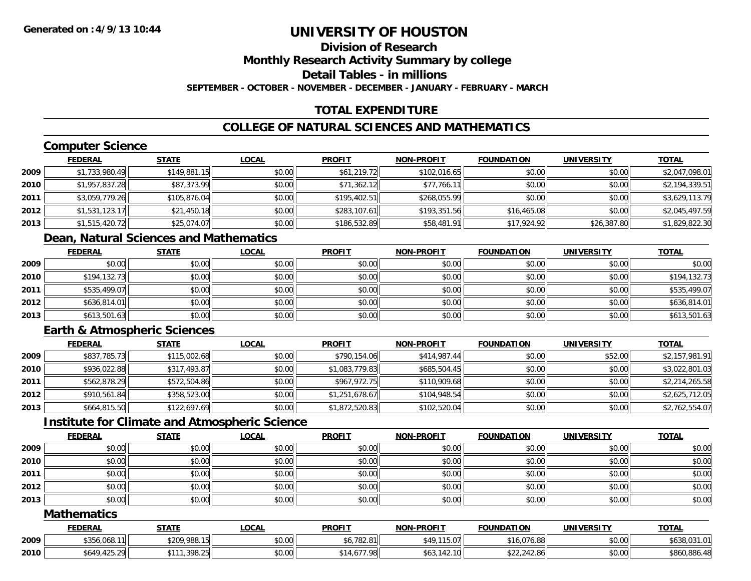### **Division of ResearchMonthly Research Activity Summary by college**

**Detail Tables - in millions**

**SEPTEMBER - OCTOBER - NOVEMBER - DECEMBER - JANUARY - FEBRUARY - MARCH**

# **TOTAL EXPENDITURE**

# **COLLEGE OF NATURAL SCIENCES AND MATHEMATICS**

# **Computer Science**

|      | <b>FEDERAL</b> | <b>STATE</b> | <b>LOCAL</b> | <b>PROFIT</b> | <b>NON-PROFIT</b> | <b>FOUNDATION</b> | <b>UNIVERSITY</b> | <b>TOTAL</b>   |
|------|----------------|--------------|--------------|---------------|-------------------|-------------------|-------------------|----------------|
| 2009 | \$1,733,980.49 | \$149,881.15 | \$0.00       | \$61,219.72   | \$102,016.65      | \$0.00            | \$0.00            | \$2,047,098.01 |
| 2010 | \$1,957,837.28 | \$87,373.99  | \$0.00       | \$71,362.12   | \$77,766.11       | \$0.00            | \$0.00            | \$2,194,339.51 |
| 2011 | \$3,059,779.26 | \$105,876.04 | \$0.00       | \$195,402.51  | \$268,055.99      | \$0.00            | \$0.00            | \$3,629,113.79 |
| 2012 | \$1,531,123.17 | \$21,450.18  | \$0.00       | \$283,107.61  | \$193,351.56      | \$16,465.08       | \$0.00            | \$2,045,497.59 |
| 2013 | \$1,515,420.72 | \$25,074.07  | \$0.00       | \$186,532.89  | \$58,481.91       | \$17,924.92       | \$26,387.80       | \$1,829,822.30 |

# **Dean, Natural Sciences and Mathematics**

|      | <b>FEDERAL</b> | <u>STATE</u> | <u>LOCAL</u> | <b>PROFIT</b> | <b>NON-PROFIT</b> | <b>FOUNDATION</b> | <b>UNIVERSITY</b> | <b>TOTAL</b> |
|------|----------------|--------------|--------------|---------------|-------------------|-------------------|-------------------|--------------|
| 2009 | \$0.00         | \$0.00       | \$0.00       | \$0.00        | \$0.00            | \$0.00            | \$0.00            | \$0.00       |
| 2010 | \$194,132.73   | \$0.00       | \$0.00       | \$0.00        | \$0.00            | \$0.00            | \$0.00            | \$194,132.73 |
| 2011 | \$535,499.07   | \$0.00       | \$0.00       | \$0.00        | \$0.00            | \$0.00            | \$0.00            | \$535,499.07 |
| 2012 | \$636,814.01   | \$0.00       | \$0.00       | \$0.00        | \$0.00            | \$0.00            | \$0.00            | \$636,814.01 |
| 2013 | \$613,501.63   | \$0.00       | \$0.00       | \$0.00        | \$0.00            | \$0.00            | \$0.00            | \$613,501.63 |

# **Earth & Atmospheric Sciences**

|      | <b>FEDERAL</b> | <b>STATE</b> | <b>LOCAL</b> | <b>PROFIT</b>  | <b>NON-PROFIT</b> | <b>FOUNDATION</b> | <b>UNIVERSITY</b> | <b>TOTAL</b>   |
|------|----------------|--------------|--------------|----------------|-------------------|-------------------|-------------------|----------------|
| 2009 | \$837,785.73   | \$115,002.68 | \$0.00       | \$790,154.06   | \$414,987.44      | \$0.00            | \$52.00           | \$2,157,981.91 |
| 2010 | \$936,022.88   | \$317,493.87 | \$0.00       | \$1,083,779.83 | \$685,504.45      | \$0.00            | \$0.00            | \$3,022,801.03 |
| 2011 | \$562,878.29   | \$572,504.86 | \$0.00       | \$967,972.75   | \$110,909.68      | \$0.00            | \$0.00            | \$2,214,265.58 |
| 2012 | \$910,561.84   | \$358,523.00 | \$0.00       | \$1,251,678.67 | \$104,948.54      | \$0.00            | \$0.00            | \$2,625,712.05 |
| 2013 | \$664,815.50   | \$122,697.69 | \$0.00       | \$1,872,520.83 | \$102,520.04      | \$0.00            | \$0.00            | \$2,762,554.07 |

### **Institute for Climate and Atmospheric Science**

|      | <b>FEDERAL</b> | <b>STATE</b> | <b>LOCAL</b> | <b>PROFIT</b> | <b>NON-PROFIT</b> | <b>FOUNDATION</b> | <b>UNIVERSITY</b> | <b>TOTAL</b> |
|------|----------------|--------------|--------------|---------------|-------------------|-------------------|-------------------|--------------|
| 2009 | \$0.00         | \$0.00       | \$0.00       | \$0.00        | \$0.00            | \$0.00            | \$0.00            | \$0.00       |
| 2010 | \$0.00         | \$0.00       | \$0.00       | \$0.00        | \$0.00            | \$0.00            | \$0.00            | \$0.00       |
| 2011 | \$0.00         | \$0.00       | \$0.00       | \$0.00        | \$0.00            | \$0.00            | \$0.00            | \$0.00       |
| 2012 | \$0.00         | \$0.00       | \$0.00       | \$0.00        | \$0.00            | \$0.00            | \$0.00            | \$0.00       |
| 2013 | \$0.00         | \$0.00       | \$0.00       | \$0.00        | \$0.00            | \$0.00            | \$0.00            | \$0.00       |

#### **Mathematics**

|      | <b>FEDERAL</b>         | <b>STATE</b>                 | <u>LOCAL</u> | <b>PROFIT</b>                  | <b>NON-PROFIT</b>                           | <b>FOUNDATION</b>               | <b>UNIVERSITY</b> | <b>TOTAL</b>                          |
|------|------------------------|------------------------------|--------------|--------------------------------|---------------------------------------------|---------------------------------|-------------------|---------------------------------------|
| 2009 | \$356,068.11           | \$209,988.15                 | \$0.00       | <b>¢4 709 01</b><br>10,782.811 | 0٨.<br>11507<br>19.U7                       | ററി<br>$\sqrt{71}$<br>16.076.88 | \$0.00            | 0.2101<br><b>ALOO</b><br>\$638.031.01 |
| 2010 | AA<br>\$649.<br>$\sim$ | 308.25<br>****<br>J / U. Z J | \$0.00       | 677.98                         | $\overline{a}$<br>42.10 <sup>I</sup><br>ັບປ | 22,242.86                       | \$0.00            | \$860,886.48                          |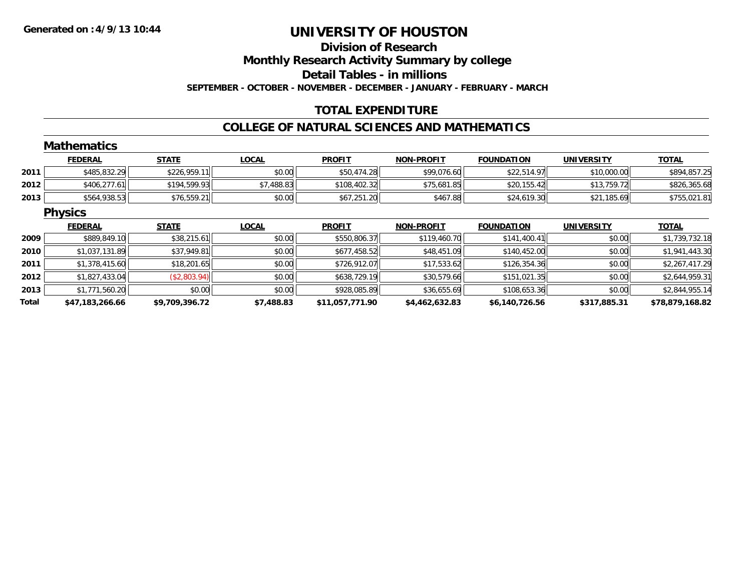# **Division of ResearchMonthly Research Activity Summary by college Detail Tables - in millions SEPTEMBER - OCTOBER - NOVEMBER - DECEMBER - JANUARY - FEBRUARY - MARCH**

### **TOTAL EXPENDITURE**

#### **COLLEGE OF NATURAL SCIENCES AND MATHEMATICS**

|       | <b>Mathematics</b> |                |              |                 |                   |                   |                   |                 |
|-------|--------------------|----------------|--------------|-----------------|-------------------|-------------------|-------------------|-----------------|
|       | <b>FEDERAL</b>     | <b>STATE</b>   | <b>LOCAL</b> | <b>PROFIT</b>   | <b>NON-PROFIT</b> | <b>FOUNDATION</b> | UNIVERSITY        | <b>TOTAL</b>    |
| 2011  | \$485,832.29       | \$226,959.11   | \$0.00       | \$50,474.28     | \$99,076.60       | \$22,514.97       | \$10,000.00       | \$894,857.25    |
| 2012  | \$406,277.61       | \$194,599.93   | \$7,488.83   | \$108,402.32    | \$75,681.85       | \$20,155.42       | \$13,759.72       | \$826,365.68    |
| 2013  | \$564,938.53       | \$76,559.21    | \$0.00       | \$67,251.20     | \$467.88          | \$24,619.30       | \$21,185.69       | \$755,021.81    |
|       | <b>Physics</b>     |                |              |                 |                   |                   |                   |                 |
|       | <b>FEDERAL</b>     | <b>STATE</b>   | <b>LOCAL</b> | <b>PROFIT</b>   | <b>NON-PROFIT</b> | <b>FOUNDATION</b> | <b>UNIVERSITY</b> | <b>TOTAL</b>    |
| 2009  | \$889,849.10       | \$38,215.61    | \$0.00       | \$550,806.37    | \$119,460.70      | \$141,400.41      | \$0.00            | \$1,739,732.18  |
| 2010  | \$1,037,131.89     | \$37,949.81    | \$0.00       | \$677,458.52    | \$48,451.09       | \$140,452.00      | \$0.00            | \$1,941,443.30  |
| 2011  | \$1,378,415.60     | \$18,201.65    | \$0.00       | \$726,912.07    | \$17,533.62       | \$126,354.36      | \$0.00            | \$2,267,417.29  |
| 2012  | \$1,827,433.04     | (\$2,803.94)   | \$0.00       | \$638,729.19    | \$30,579.66       | \$151,021.35      | \$0.00            | \$2,644,959.31  |
| 2013  | \$1,771,560.20     | \$0.00         | \$0.00       | \$928,085.89    | \$36,655.69       | \$108,653.36      | \$0.00            | \$2,844,955.14  |
| Total | \$47,183,266.66    | \$9,709,396.72 | \$7,488.83   | \$11,057,771.90 | \$4,462,632.83    | \$6,140,726.56    | \$317,885.31      | \$78,879,168.82 |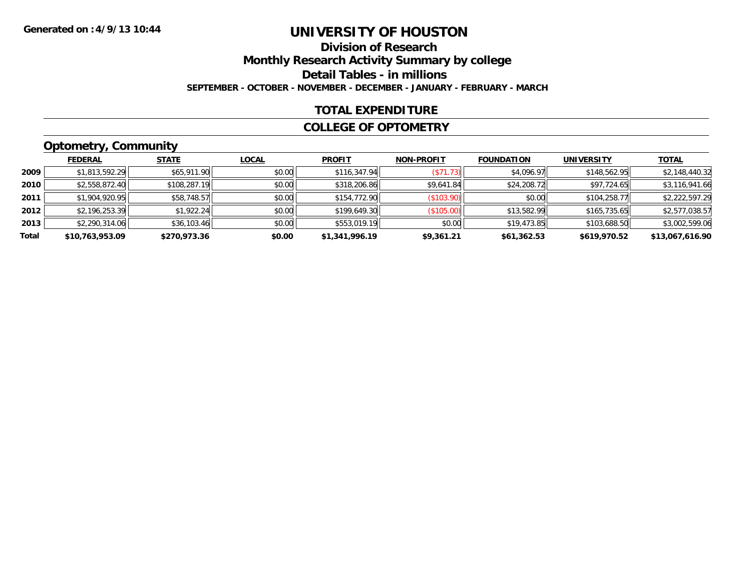# **Division of ResearchMonthly Research Activity Summary by college Detail Tables - in millions SEPTEMBER - OCTOBER - NOVEMBER - DECEMBER - JANUARY - FEBRUARY - MARCH**

### **TOTAL EXPENDITURE**

#### **COLLEGE OF OPTOMETRY**

# **Optometry, Community**

|       | <b>FEDERAL</b>  | <b>STATE</b> | <b>LOCAL</b> | <b>PROFIT</b>  | <b>NON-PROFIT</b> | <b>FOUNDATION</b> | <b>UNIVERSITY</b> | <u>TOTAL</u>    |
|-------|-----------------|--------------|--------------|----------------|-------------------|-------------------|-------------------|-----------------|
| 2009  | \$1,813,592.29  | \$65,911.90  | \$0.00       | \$116,347.94   | (S71.73)          | \$4,096.97        | \$148,562.95      | \$2,148,440.32  |
| 2010  | \$2,558,872.40  | \$108,287.19 | \$0.00       | \$318,206.86   | \$9,641.84        | \$24,208.72       | \$97,724.65       | \$3,116,941.66  |
| 2011  | \$1,904,920.95  | \$58,748.57  | \$0.00       | \$154,772.90   | (\$103.90)        | \$0.00            | \$104,258,77      | \$2,222,597.29  |
| 2012  | \$2,196,253.39  | \$1,922.24   | \$0.00       | \$199,649.30   | (\$105.00)        | \$13,582.99       | \$165,735.65      | \$2,577,038.57  |
| 2013  | \$2,290,314.06  | \$36,103.46  | \$0.00       | \$553,019.19   | \$0.00            | \$19,473.85       | \$103,688.50      | \$3,002,599.06  |
| Total | \$10,763,953.09 | \$270,973.36 | \$0.00       | \$1,341,996.19 | \$9,361.21        | \$61,362.53       | \$619,970.52      | \$13,067,616.90 |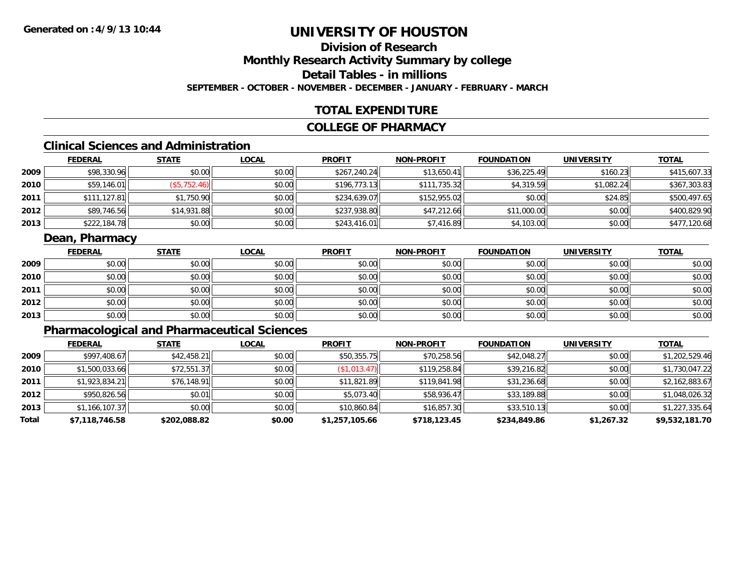### **Division of ResearchMonthly Research Activity Summary by college Detail Tables - in millionsSEPTEMBER - OCTOBER - NOVEMBER - DECEMBER - JANUARY - FEBRUARY - MARCH**

### **TOTAL EXPENDITURE**

#### **COLLEGE OF PHARMACY**

# **Clinical Sciences and Administration**

|      | <b>FEDERAL</b> | <u>STATE</u> | <u>LOCAL</u> | <b>PROFIT</b> | <b>NON-PROFIT</b> | <b>FOUNDATION</b> | <b>UNIVERSITY</b> | <b>TOTAL</b> |
|------|----------------|--------------|--------------|---------------|-------------------|-------------------|-------------------|--------------|
| 2009 | \$98,330.96    | \$0.00       | \$0.00       | \$267,240.24  | \$13,650.41       | \$36,225.49       | \$160.23          | \$415,607.33 |
| 2010 | \$59,146.01    | (\$5,752.46) | \$0.00       | \$196.773.13  | \$111,735.32      | \$4,319.59        | \$1,082.24        | \$367,303.83 |
| 2011 | \$111,127.81   | \$1,750.90   | \$0.00       | \$234,639.07  | \$152,955.02      | \$0.00            | \$24.85           | \$500,497.65 |
| 2012 | \$89,746.56    | \$14,931.88  | \$0.00       | \$237,938.80  | \$47,212.66       | \$11,000.00       | \$0.00            | \$400,829.90 |
| 2013 | \$222,184.78   | \$0.00       | \$0.00       | \$243,416.01  | \$7,416.89        | \$4,103.00        | \$0.00            | \$477,120.68 |

### **Dean, Pharmacy**

|      | <u>FEDERAL</u> | <b>STATE</b> | <u>LOCAL</u> | <b>PROFIT</b> | <b>NON-PROFIT</b> | <b>FOUNDATION</b> | <b>UNIVERSITY</b> | <b>TOTAL</b> |
|------|----------------|--------------|--------------|---------------|-------------------|-------------------|-------------------|--------------|
| 2009 | \$0.00         | \$0.00       | \$0.00       | \$0.00        | \$0.00            | \$0.00            | \$0.00            | \$0.00       |
| 2010 | \$0.00         | \$0.00       | \$0.00       | \$0.00        | \$0.00            | \$0.00            | \$0.00            | \$0.00       |
| 2011 | \$0.00         | \$0.00       | \$0.00       | \$0.00        | \$0.00            | \$0.00            | \$0.00            | \$0.00       |
| 2012 | \$0.00         | \$0.00       | \$0.00       | \$0.00        | \$0.00            | \$0.00            | \$0.00            | \$0.00       |
| 2013 | \$0.00         | \$0.00       | \$0.00       | \$0.00        | \$0.00            | \$0.00            | \$0.00            | \$0.00       |

# **Pharmacological and Pharmaceutical Sciences**

|       | <b>FEDERAL</b> | <b>STATE</b> | <b>LOCAL</b> | <b>PROFIT</b>  | <b>NON-PROFIT</b> | <b>FOUNDATION</b> | <b>UNIVERSITY</b> | <b>TOTAL</b>   |
|-------|----------------|--------------|--------------|----------------|-------------------|-------------------|-------------------|----------------|
| 2009  | \$997,408.67   | \$42,458.21  | \$0.00       | \$50,355.75    | \$70,258.56       | \$42,048.27       | \$0.00            | \$1,202,529.46 |
| 2010  | \$1,500,033.66 | \$72,551.37  | \$0.00       | (\$1,013.47)   | \$119,258.84      | \$39,216.82       | \$0.00            | \$1,730,047.22 |
| 2011  | \$1,923,834.21 | \$76,148.91  | \$0.00       | \$11,821.89    | \$119,841.98      | \$31,236.68       | \$0.00            | \$2,162,883.67 |
| 2012  | \$950.826.56   | \$0.01       | \$0.00       | \$5,073.40     | \$58,936.47       | \$33,189.88       | \$0.00            | \$1,048,026.32 |
| 2013  | \$1,166,107.37 | \$0.00       | \$0.00       | \$10,860.84    | \$16,857.30       | \$33,510.13       | \$0.00            | \$1,227,335.64 |
| Total | \$7,118,746.58 | \$202,088.82 | \$0.00       | \$1,257,105.66 | \$718,123.45      | \$234,849.86      | \$1,267.32        | \$9,532,181.70 |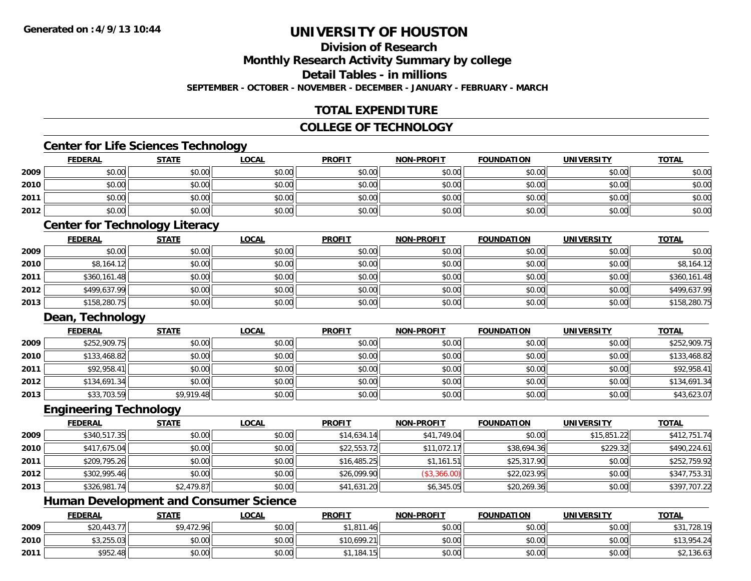# **Division of Research**

**Monthly Research Activity Summary by college**

**Detail Tables - in millions**

**SEPTEMBER - OCTOBER - NOVEMBER - DECEMBER - JANUARY - FEBRUARY - MARCH**

# **TOTAL EXPENDITURE**

### **COLLEGE OF TECHNOLOGY**

### **Center for Life Sciences Technology**

|      | <b>FEDERAL</b>                   | <b>STATE</b> | <u>LOCAL</u> | <b>PROFIT</b> | <b>NON-PROFIT</b> | <b>FOUNDATION</b> | <b>UNIVERSITY</b> | <b>TOTAL</b> |
|------|----------------------------------|--------------|--------------|---------------|-------------------|-------------------|-------------------|--------------|
| 2009 | \$0.00                           | \$0.00       | \$0.00       | \$0.00        | \$0.00            | \$0.00            | \$0.00            | \$0.00       |
| 2010 | \$0.00                           | \$0.00       | \$0.00       | \$0.00        | \$0.00            | \$0.00            | \$0.00            | \$0.00       |
| 2011 | \$0.00                           | \$0.00       | \$0.00       | \$0.00        | \$0.00            | \$0.00            | \$0.00            | \$0.00       |
| 2012 | \$0.00                           | \$0.00       | \$0.00       | \$0.00        | \$0.00            | \$0.00            | \$0.00            | \$0.00       |
|      | _____<br>$\sim$<br>$\sim$ $\sim$ | - - -        |              |               |                   |                   |                   |              |

#### **Center for Technology Literacy**

|      | <u>FEDERAL</u> | <b>STATE</b> | <u>LOCAL</u> | <b>PROFIT</b> | <b>NON-PROFIT</b> | <b>FOUNDATION</b> | <b>UNIVERSITY</b> | <b>TOTAL</b> |
|------|----------------|--------------|--------------|---------------|-------------------|-------------------|-------------------|--------------|
| 2009 | \$0.00         | \$0.00       | \$0.00       | \$0.00        | \$0.00            | \$0.00            | \$0.00            | \$0.00       |
| 2010 | \$8,164.12     | \$0.00       | \$0.00       | \$0.00        | \$0.00            | \$0.00            | \$0.00            | \$8,164.12   |
| 2011 | \$360,161.48   | \$0.00       | \$0.00       | \$0.00        | \$0.00            | \$0.00            | \$0.00            | \$360,161.48 |
| 2012 | \$499,637.99   | \$0.00       | \$0.00       | \$0.00        | \$0.00            | \$0.00            | \$0.00            | \$499,637.99 |
| 2013 | \$158,280.75   | \$0.00       | \$0.00       | \$0.00        | \$0.00            | \$0.00            | \$0.00            | \$158,280.75 |

### **Dean, Technology**

|      | <b>FEDERAL</b> | <b>STATE</b> | <u>LOCAL</u> | <b>PROFIT</b> | <b>NON-PROFIT</b> | <b>FOUNDATION</b> | <b>UNIVERSITY</b> | <b>TOTAL</b> |
|------|----------------|--------------|--------------|---------------|-------------------|-------------------|-------------------|--------------|
| 2009 | \$252,909.75   | \$0.00       | \$0.00       | \$0.00        | \$0.00            | \$0.00            | \$0.00            | \$252,909.75 |
| 2010 | \$133,468.82   | \$0.00       | \$0.00       | \$0.00        | \$0.00            | \$0.00            | \$0.00            | \$133,468.82 |
| 2011 | \$92,958.41    | \$0.00       | \$0.00       | \$0.00        | \$0.00            | \$0.00            | \$0.00            | \$92,958.41  |
| 2012 | \$134,691.34   | \$0.00       | \$0.00       | \$0.00        | \$0.00            | \$0.00            | \$0.00            | \$134,691.34 |
| 2013 | \$33,703.59    | \$9,919.48   | \$0.00       | \$0.00        | \$0.00            | \$0.00            | \$0.00            | \$43,623.07  |

#### **Engineering Technology**

|      | <b>FEDERAL</b> | <b>STATE</b> | <u>LOCAL</u> | <b>PROFIT</b> | <b>NON-PROFIT</b> | <b>FOUNDATION</b> | <b>UNIVERSITY</b> | <b>TOTAL</b> |
|------|----------------|--------------|--------------|---------------|-------------------|-------------------|-------------------|--------------|
| 2009 | \$340,517.35   | \$0.00       | \$0.00       | \$14,634.14   | \$41,749.04       | \$0.00            | \$15,851.22       | \$412,751.74 |
| 2010 | \$417,675.04   | \$0.00       | \$0.00       | \$22,553.72   | \$11,072.17       | \$38,694.36       | \$229.32          | \$490,224.61 |
| 2011 | \$209,795.26   | \$0.00       | \$0.00       | \$16,485.25   | \$1,161.51        | \$25,317.90       | \$0.00            | \$252,759.92 |
| 2012 | \$302,995.46   | \$0.00       | \$0.00       | \$26,099.90   | (\$3,366.00)      | \$22,023.95       | \$0.00            | \$347,753.31 |
| 2013 | \$326,981.74   | \$2,479.87   | \$0.00       | \$41,631.20   | \$6,345.05        | \$20,269.36       | \$0.00            | \$397,707.22 |

# **Human Development and Consumer Science**

|      | <u>FEDERAL</u> | <b>STATE</b> | <u>LOCAL</u> | <b>PROFIT</b> | <b>NON-PROFIT</b> | <b>FOUNDATION</b> | <b>UNIVERSITY</b> | <b>TOTAL</b> |
|------|----------------|--------------|--------------|---------------|-------------------|-------------------|-------------------|--------------|
| 2009 | \$20,443.77    | \$9,472.96   | \$0.00       | 1,811.46      | \$0.00            | \$0.00            | \$0.00            | 10.827,729 پ |
| 2010 | \$3,255.03     | \$0.00       | \$0.00       | \$10,699.21   | \$0.00            | \$0.00            | \$0.00            | \$13,954.24  |
| 2011 | \$952.48       | \$0.00       | \$0.00       | 1,184.15      | \$0.00            | \$0.00            | \$0.00            | \$2,136.63   |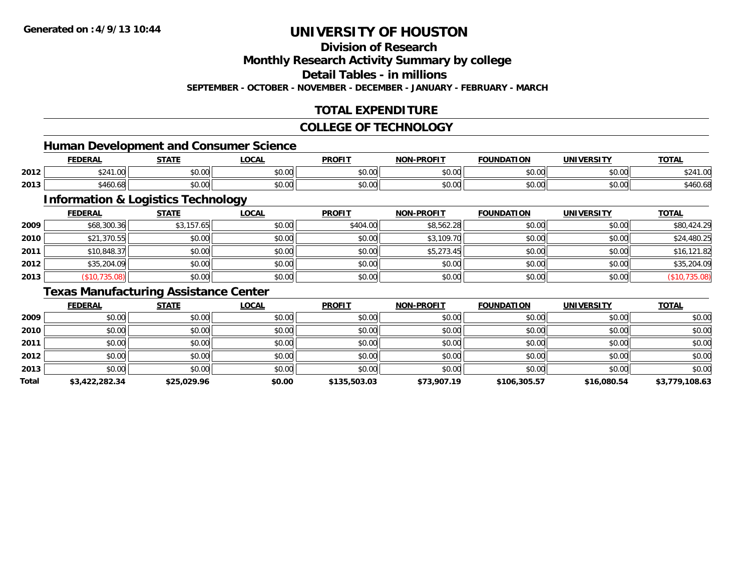# **Division of Research**

**Monthly Research Activity Summary by college**

**Detail Tables - in millions**

**SEPTEMBER - OCTOBER - NOVEMBER - DECEMBER - JANUARY - FEBRUARY - MARCH**

# **TOTAL EXPENDITURE**

#### **COLLEGE OF TECHNOLOGY**

### **Human Development and Consumer Science**

|      | <b>FEDERAL</b>               | <b>STATE</b>                                                                            | $\sim$<br>.UUAL                       | <b>PROFIT</b>          | -PROFIT<br>NON- | <b>FOUNDATION</b> | UNIVERSITY           | <b>TOTAL</b>          |
|------|------------------------------|-----------------------------------------------------------------------------------------|---------------------------------------|------------------------|-----------------|-------------------|----------------------|-----------------------|
| 2012 | $\sim$ $\sim$ $\sim$<br>יש.ו | ሐሴ ሰሰ<br>vv.vv                                                                          | $\uparrow$ $\wedge$ $\wedge$<br>DU.UU | JU.UU                  | 0000<br>PO.OO   | \$0.00            | 0000<br>JU.UU        | <b>ሰዓ</b> ላ<br>' 24∠د |
| 2013 | 0.11<br>546U.68              | $\begin{array}{c} \hline \text{A} & \text{A} & \text{A} \\ \hline \end{array}$<br>JU.UU | $\uparrow$ $\wedge$ $\wedge$<br>DU.UU | $\sim$ $\sim$<br>JU.UU | 0000<br>JU.UU   | \$0.00            | 0000<br><b>JU.UU</b> | \$460.68              |

<u> 1989 - Johann Stoff, deutscher Stoffen und der Stoffen und der Stoffen und der Stoffen und der Stoffen und de</u>

# **Information & Logistics Technology**

|      | <b>FEDERAL</b> | <b>STATE</b> | <u>LOCAL</u> | <b>PROFIT</b> | <b>NON-PROFIT</b> | <b>FOUNDATION</b> | <b>UNIVERSITY</b> | <b>TOTAL</b>  |
|------|----------------|--------------|--------------|---------------|-------------------|-------------------|-------------------|---------------|
| 2009 | \$68,300.36    | \$3,157.65   | \$0.00       | \$404.00      | \$8,562.28        | \$0.00            | \$0.00            | \$80,424.29   |
| 2010 | \$21,370.55    | \$0.00       | \$0.00       | \$0.00        | \$3,109.70        | \$0.00            | \$0.00            | \$24,480.25   |
| 2011 | \$10,848.37    | \$0.00       | \$0.00       | \$0.00        | \$5,273.45        | \$0.00            | \$0.00            | \$16,121.82   |
| 2012 | \$35,204.09    | \$0.00       | \$0.00       | \$0.00        | \$0.00            | \$0.00            | \$0.00            | \$35,204.09   |
| 2013 | (\$10,735.08)  | \$0.00       | \$0.00       | \$0.00        | \$0.00            | \$0.00            | \$0.00            | (\$10,735.08) |

# **Texas Manufacturing Assistance Center**

|       | <b>FEDERAL</b> | <b>STATE</b> | LOCAL  | <b>PROFIT</b> | <b>NON-PROFIT</b> | <b>FOUNDATION</b> | <b>UNIVERSITY</b> | <b>TOTAL</b>   |
|-------|----------------|--------------|--------|---------------|-------------------|-------------------|-------------------|----------------|
| 2009  | \$0.00         | \$0.00       | \$0.00 | \$0.00        | \$0.00            | \$0.00            | \$0.00            | \$0.00         |
| 2010  | \$0.00         | \$0.00       | \$0.00 | \$0.00        | \$0.00            | \$0.00            | \$0.00            | \$0.00         |
| 2011  | \$0.00         | \$0.00       | \$0.00 | \$0.00        | \$0.00            | \$0.00            | \$0.00            | \$0.00         |
| 2012  | \$0.00         | \$0.00       | \$0.00 | \$0.00        | \$0.00            | \$0.00            | \$0.00            | \$0.00         |
| 2013  | \$0.00         | \$0.00       | \$0.00 | \$0.00        | \$0.00            | \$0.00            | \$0.00            | \$0.00         |
| Total | \$3,422,282.34 | \$25,029.96  | \$0.00 | \$135,503.03  | \$73,907.19       | \$106,305.57      | \$16,080.54       | \$3,779,108.63 |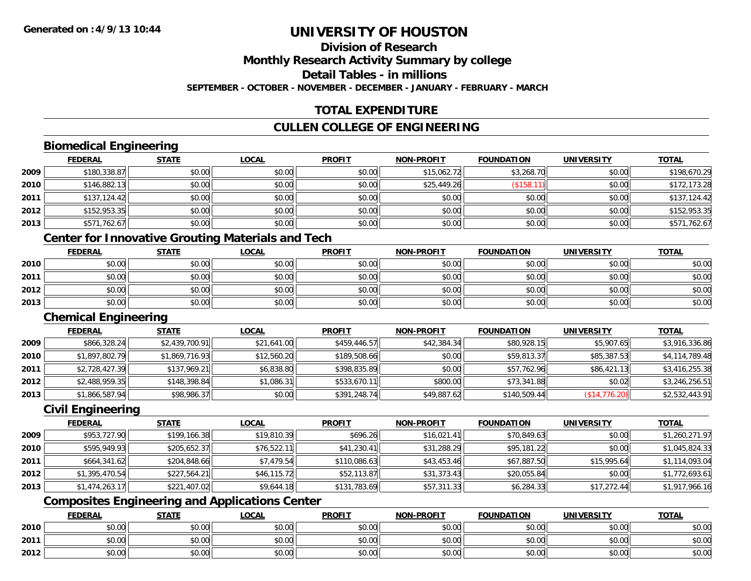### **Division of ResearchMonthly Research Activity Summary by college Detail Tables - in millions**

**SEPTEMBER - OCTOBER - NOVEMBER - DECEMBER - JANUARY - FEBRUARY - MARCH**

# **TOTAL EXPENDITURE**

# **CULLEN COLLEGE OF ENGINEERING**

# **Biomedical Engineering**

|      | <b>FEDERAL</b> | <b>STATE</b> | <u>LOCAL</u> | <b>PROFIT</b> | <b>NON-PROFIT</b> | <b>FOUNDATION</b> | <b>UNIVERSITY</b> | <b>TOTAL</b> |
|------|----------------|--------------|--------------|---------------|-------------------|-------------------|-------------------|--------------|
| 2009 | \$180,338.87   | \$0.00       | \$0.00       | \$0.00        | \$15,062.72       | \$3,268.70        | \$0.00            | \$198,670.29 |
| 2010 | \$146,882.13   | \$0.00       | \$0.00       | \$0.00        | \$25,449.26       | (\$158.11         | \$0.00            | \$172,173.28 |
| 2011 | \$137,124.42   | \$0.00       | \$0.00       | \$0.00        | \$0.00            | \$0.00            | \$0.00            | \$137,124.42 |
| 2012 | \$152,953.35   | \$0.00       | \$0.00       | \$0.00        | \$0.00            | \$0.00            | \$0.00            | \$152,953.35 |
| 2013 | \$571,762.67   | \$0.00       | \$0.00       | \$0.00        | \$0.00            | \$0.00            | \$0.00            | \$571,762.67 |

# **Center for Innovative Grouting Materials and Tech**

|      | <u>FEDERAL</u> | <b>STATE</b> | <u>LOCAL</u> | <b>PROFIT</b> | <b>NON-PROFIT</b> | <b>FOUNDATION</b> | <b>UNIVERSITY</b> | <b>TOTAL</b> |
|------|----------------|--------------|--------------|---------------|-------------------|-------------------|-------------------|--------------|
| 2010 | \$0.00         | \$0.00       | \$0.00       | \$0.00        | \$0.00            | \$0.00            | \$0.00            | \$0.00       |
| 2011 | \$0.00         | \$0.00       | \$0.00       | \$0.00        | \$0.00            | \$0.00            | \$0.00            | \$0.00       |
| 2012 | \$0.00         | \$0.00       | \$0.00       | \$0.00        | \$0.00            | \$0.00            | \$0.00            | \$0.00       |
| 2013 | \$0.00         | \$0.00       | \$0.00       | \$0.00        | \$0.00            | \$0.00            | \$0.00            | \$0.00       |

#### **Chemical Engineering**

|      | <b>FEDERAL</b> | <b>STATE</b>   | <u>LOCAL</u> | <b>PROFIT</b> | <b>NON-PROFIT</b> | <b>FOUNDATION</b> | UNIVERSITY    | <b>TOTAL</b>   |
|------|----------------|----------------|--------------|---------------|-------------------|-------------------|---------------|----------------|
| 2009 | \$866,328.24   | \$2,439,700.91 | \$21,641.00  | \$459,446.57  | \$42,384.34       | \$80,928.15       | \$5,907.65    | \$3,916,336.86 |
| 2010 | \$1,897,802.79 | \$1,869,716.93 | \$12,560.20  | \$189,508.66  | \$0.00            | \$59,813.37       | \$85,387.53   | \$4,114,789.48 |
| 2011 | \$2,728,427.39 | \$137,969.21   | \$6,838.80   | \$398,835.89  | \$0.00            | \$57,762.96       | \$86,421.13   | \$3,416,255.38 |
| 2012 | \$2,488,959.35 | \$148,398.84   | \$1,086.31   | \$533,670.11  | \$800.00          | \$73,341.88       | \$0.02        | \$3,246,256.51 |
| 2013 | \$1,866,587.94 | \$98,986.37    | \$0.00       | \$391,248.74  | \$49,887.62       | \$140,509.44      | (\$14,776.20) | \$2,532,443.91 |

### **Civil Engineering**

|      | <b>FEDERAL</b> | <b>STATE</b> | <u>LOCAL</u> | <b>PROFIT</b> | <b>NON-PROFIT</b> | <b>FOUNDATION</b> | <b>UNIVERSITY</b> | <b>TOTAL</b>   |
|------|----------------|--------------|--------------|---------------|-------------------|-------------------|-------------------|----------------|
| 2009 | \$953,727.90   | \$199,166.38 | \$19,810.39  | \$696.26      | \$16,021.41       | \$70,849.63       | \$0.00            | \$1,260,271.97 |
| 2010 | \$595,949.93   | \$205,652.37 | \$76,522.11  | \$41,230.41   | \$31,288.29       | \$95,181.22       | \$0.00            | \$1,045,824.33 |
| 2011 | \$664,341.62   | \$204,848.66 | \$7.479.54   | \$110,086.63  | \$43,453.46       | \$67,887.50       | \$15,995.64       | \$1,114,093.04 |
| 2012 | \$1,395,470.54 | \$227,564.21 | \$46,115.72  | \$52,113.87   | \$31,373.43       | \$20,055.84       | \$0.00            | \$1,772,693.61 |
| 2013 | \$1,474,263.17 | \$221,407.02 | \$9,644.18   | \$131,783.69  | \$57,311.33       | \$6,284.33        | \$17,272.44       | \$1,917,966.16 |

# **Composites Engineering and Applications Center**

|      | <b>FEDERAL</b> | <b>STATE</b> | <u>LOCAL</u> | <b>PROFIT</b> | <b>I-PROFIT</b><br><b>NON</b> | <b>FOUNDATION</b> | <b>UNIVERSITY</b> | <b>TOTAL</b> |
|------|----------------|--------------|--------------|---------------|-------------------------------|-------------------|-------------------|--------------|
| 2010 | \$0.00         | \$0.00       | \$0.00       | \$0.00        | \$0.00                        | \$0.00            | \$0.00            | \$0.00       |
| 2011 | \$0.00         | \$0.00       | \$0.00       | \$0.00        | \$0.00                        | \$0.00            | \$0.00            | \$0.00       |
| 2012 | \$0.00         | \$0.00       | \$0.00       | \$0.00        | \$0.00                        | \$0.00            | \$0.00            | \$0.00       |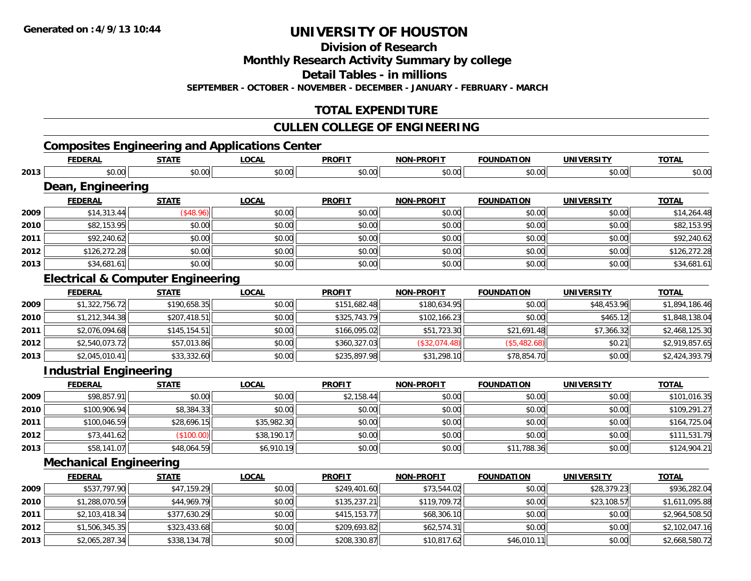**Division of Research**

**Monthly Research Activity Summary by college**

**Detail Tables - in millions**

**SEPTEMBER - OCTOBER - NOVEMBER - DECEMBER - JANUARY - FEBRUARY - MARCH**

# **TOTAL EXPENDITURE**

### **CULLEN COLLEGE OF ENGINEERING**

# **Composites Engineering and Applications Center**

|      | <b>FEDERAL</b>                               | <b>STATE</b> | <b>LOCAL</b> | <b>PROFIT</b> | <b>NON-PROFIT</b> | <b>FOUNDATION</b> | <b>UNIVERSITY</b> | <b>TOTAL</b>   |
|------|----------------------------------------------|--------------|--------------|---------------|-------------------|-------------------|-------------------|----------------|
| 2013 | \$0.00                                       | \$0.00       | \$0.00       | \$0.00        | \$0.00            | \$0.00            | \$0.00            | \$0.00         |
|      | Dean, Engineering                            |              |              |               |                   |                   |                   |                |
|      | <b>FEDERAL</b>                               | <b>STATE</b> | <b>LOCAL</b> | <b>PROFIT</b> | <b>NON-PROFIT</b> | <b>FOUNDATION</b> | <b>UNIVERSITY</b> | <b>TOTAL</b>   |
| 2009 | \$14,313.44                                  | (\$48.96)    | \$0.00       | \$0.00        | \$0.00            | \$0.00            | \$0.00            | \$14,264.48    |
| 2010 | \$82,153.95                                  | \$0.00       | \$0.00       | \$0.00        | \$0.00            | \$0.00            | \$0.00            | \$82,153.95    |
| 2011 | \$92,240.62                                  | \$0.00       | \$0.00       | \$0.00        | \$0.00            | \$0.00            | \$0.00            | \$92,240.62    |
| 2012 | \$126,272.28                                 | \$0.00       | \$0.00       | \$0.00        | \$0.00            | \$0.00            | \$0.00            | \$126,272.28   |
| 2013 | \$34,681.61                                  | \$0.00       | \$0.00       | \$0.00        | \$0.00            | \$0.00            | \$0.00            | \$34,681.61    |
|      | <b>Electrical &amp; Computer Engineering</b> |              |              |               |                   |                   |                   |                |
|      | <b>FEDERAL</b>                               | <b>STATE</b> | <b>LOCAL</b> | <b>PROFIT</b> | <b>NON-PROFIT</b> | <b>FOUNDATION</b> | <b>UNIVERSITY</b> | <b>TOTAL</b>   |
| 2009 | \$1,322,756.72                               | \$190,658.35 | \$0.00       | \$151,682.48  | \$180,634.95      | \$0.00            | \$48,453.96       | \$1,894,186.46 |
| 2010 | \$1,212,344.38                               | \$207,418.51 | \$0.00       | \$325,743.79  | \$102,166.23      | \$0.00            | \$465.12          | \$1,848,138.04 |
| 2011 | \$2,076,094.68                               | \$145,154.51 | \$0.00       | \$166,095.02  | \$51,723.30       | \$21,691.48       | \$7,366.32        | \$2,468,125.30 |
| 2012 | \$2,540,073.72                               | \$57,013.86  | \$0.00       | \$360,327.03  | (\$32,074.48)     | (\$5,482.68)      | \$0.21            | \$2,919,857.65 |
| 2013 | \$2,045,010.41                               | \$33,332.60  | \$0.00       | \$235,897.98  | \$31,298.10       | \$78,854.70       | \$0.00            | \$2,424,393.79 |
|      | <b>Industrial Engineering</b>                |              |              |               |                   |                   |                   |                |
|      | <b>FEDERAL</b>                               | <b>STATE</b> | <b>LOCAL</b> | <b>PROFIT</b> | <b>NON-PROFIT</b> | <b>FOUNDATION</b> | <b>UNIVERSITY</b> | <b>TOTAL</b>   |
| 2009 | \$98,857.91                                  | \$0.00       | \$0.00       | \$2,158.44    | \$0.00            | \$0.00            | \$0.00            | \$101,016.35   |
| 2010 | \$100,906.94                                 | \$8,384.33   | \$0.00       | \$0.00        | \$0.00            | \$0.00            | \$0.00            | \$109,291.27   |
| 2011 | \$100,046.59                                 | \$28,696.15  | \$35,982.30  | \$0.00        | \$0.00            | \$0.00            | \$0.00            | \$164,725.04   |
| 2012 | \$73,441.62                                  | (\$100.00)   | \$38,190.17  | \$0.00        | \$0.00            | \$0.00            | \$0.00            | \$111,531.79   |
| 2013 | \$58,141.07                                  | \$48,064.59  | \$6,910.19   | \$0.00        | \$0.00            | \$11,788.36       | \$0.00            | \$124,904.21   |
|      | <b>Mechanical Engineering</b>                |              |              |               |                   |                   |                   |                |
|      | <b>FEDERAL</b>                               | <b>STATE</b> | <b>LOCAL</b> | <b>PROFIT</b> | <b>NON-PROFIT</b> | <b>FOUNDATION</b> | <b>UNIVERSITY</b> | <b>TOTAL</b>   |
| 2009 | \$537,797.90                                 | \$47,159.29  | \$0.00       | \$249,401.60  | \$73,544.02       | \$0.00            | \$28,379.23       | \$936,282.04   |
| 2010 | \$1,288,070.59                               | \$44,969.79  | \$0.00       | \$135,237.21  | \$119,709.72      | \$0.00            | \$23,108.57       | \$1,611,095.88 |
| 2011 | \$2,103,418.34                               | \$377,630.29 | \$0.00       | \$415,153.77  | \$68,306.10       | \$0.00            | \$0.00            | \$2,964,508.50 |
| 2012 | \$1,506,345.35                               | \$323,433.68 | \$0.00       | \$209,693.82  | \$62,574.31       | \$0.00            | \$0.00            | \$2,102,047.16 |
| 2013 | \$2,065,287.34                               | \$338,134.78 | \$0.00       | \$208,330.87  | \$10,817.62       | \$46,010.11       | \$0.00            | \$2,668,580.72 |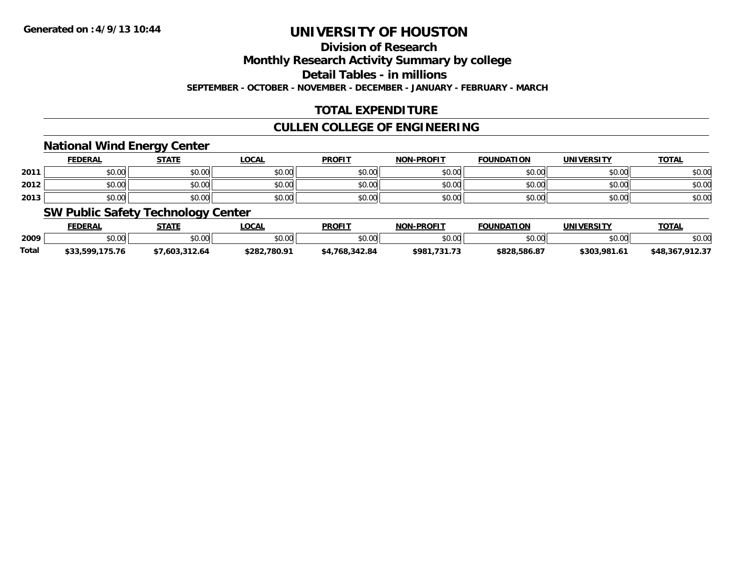# **Division of Research**

**Monthly Research Activity Summary by college**

**Detail Tables - in millions**

**SEPTEMBER - OCTOBER - NOVEMBER - DECEMBER - JANUARY - FEBRUARY - MARCH**

# **TOTAL EXPENDITURE**

### **CULLEN COLLEGE OF ENGINEERING**

### **National Wind Energy Center**

|      | <b>FEDERAL</b> | <b>STATE</b> | <u>LOCAL</u> | <b>PROFIT</b>                                         | <b>NON-PROFIT</b> | <b>FOUNDATION</b> | UNIVERSITY | <b>TOTAL</b> |
|------|----------------|--------------|--------------|-------------------------------------------------------|-------------------|-------------------|------------|--------------|
| 2011 | \$0.00         | \$0.00       | \$0.00       | $\mathsf{A} \cap \mathsf{A} \cap \mathsf{A}$<br>JU.UU | \$0.00            | \$0.00            | \$0.00     | \$0.00       |
| 2012 | \$0.00         | \$0.00       | \$0.00       | $\sim$<br><b>DU.UG</b>                                | \$0.00            | \$0.00            | \$0.00     | \$0.00       |
| 2013 | \$0.00         | \$0.00       | \$0.00       | \$0.00                                                | \$0.00            | \$0.00            | \$0.00     | \$0.00       |

### **SW Public Safety Technology Center**

|       | <b>FEDERAL</b>  | STATE        | _OCAL        | <b>PROFIT</b>  | <b>NON-PROFIT</b> | <b>FOUNDATION</b> | UNIVERSITY  | <b>TOTAL</b>    |
|-------|-----------------|--------------|--------------|----------------|-------------------|-------------------|-------------|-----------------|
| 2009  | \$0.00          | \$0.00       | \$0.00       | \$0.00         | \$0.00            | \$0.00            | \$0.00      | \$0.00          |
| Total | \$33,599,175.76 | 1.603.312.64 | \$282.780.91 | \$4,768,342.84 | \$981.731.73      | \$828.586.87      | \$303.981.6 | \$48,367,912.37 |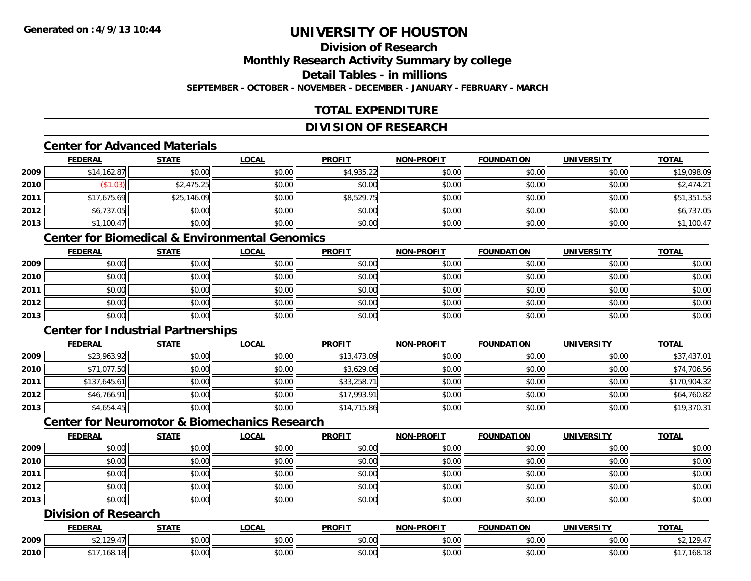#### **Division of ResearchMonthly Research Activity Summary by college Detail Tables - in millionsSEPTEMBER - OCTOBER - NOVEMBER - DECEMBER - JANUARY - FEBRUARY - MARCH**

# **TOTAL EXPENDITURE**

# **DIVISION OF RESEARCH**

### **Center for Advanced Materials**

|      | <b>FEDERAL</b> | <b>STATE</b> | <b>LOCAL</b> | <b>PROFIT</b> | <b>NON-PROFIT</b> | <b>FOUNDATION</b> | <b>UNIVERSITY</b> | <b>TOTAL</b> |
|------|----------------|--------------|--------------|---------------|-------------------|-------------------|-------------------|--------------|
| 2009 | \$14,162.87    | \$0.00       | \$0.00       | \$4,935.22    | \$0.00            | \$0.00            | \$0.00            | \$19,098.09  |
| 2010 | (\$1.03)       | \$2,475.25   | \$0.00       | \$0.00        | \$0.00            | \$0.00            | \$0.00            | \$2,474.21   |
| 2011 | \$17,675.69    | \$25,146.09  | \$0.00       | \$8,529.75    | \$0.00            | \$0.00            | \$0.00            | \$51,351.53  |
| 2012 | \$6,737.05     | \$0.00       | \$0.00       | \$0.00        | \$0.00            | \$0.00            | \$0.00            | \$6,737.05   |
| 2013 | \$1,100.47     | \$0.00       | \$0.00       | \$0.00        | \$0.00            | \$0.00            | \$0.00            | \$1,100.47   |

# **Center for Biomedical & Environmental Genomics**

|      | <u>FEDERAL</u> | <u>STATE</u> | <u>LOCAL</u> | <b>PROFIT</b> | <b>NON-PROFIT</b> | <b>FOUNDATION</b> | <b>UNIVERSITY</b> | <b>TOTAL</b> |
|------|----------------|--------------|--------------|---------------|-------------------|-------------------|-------------------|--------------|
| 2009 | \$0.00         | \$0.00       | \$0.00       | \$0.00        | \$0.00            | \$0.00            | \$0.00            | \$0.00       |
| 2010 | \$0.00         | \$0.00       | \$0.00       | \$0.00        | \$0.00            | \$0.00            | \$0.00            | \$0.00       |
| 2011 | \$0.00         | \$0.00       | \$0.00       | \$0.00        | \$0.00            | \$0.00            | \$0.00            | \$0.00       |
| 2012 | \$0.00         | \$0.00       | \$0.00       | \$0.00        | \$0.00            | \$0.00            | \$0.00            | \$0.00       |
| 2013 | \$0.00         | \$0.00       | \$0.00       | \$0.00        | \$0.00            | \$0.00            | \$0.00            | \$0.00       |

# **Center for Industrial Partnerships**

|      | <b>FEDERAL</b> | <b>STATE</b> | <b>LOCAL</b> | <b>PROFIT</b> | <b>NON-PROFIT</b> | <b>FOUNDATION</b> | <b>UNIVERSITY</b> | <b>TOTAL</b> |
|------|----------------|--------------|--------------|---------------|-------------------|-------------------|-------------------|--------------|
| 2009 | \$23,963.92    | \$0.00       | \$0.00       | \$13,473.09   | \$0.00            | \$0.00            | \$0.00            | \$37,437.01  |
| 2010 | \$71,077.50    | \$0.00       | \$0.00       | \$3,629.06    | \$0.00            | \$0.00            | \$0.00            | \$74,706.56  |
| 2011 | \$137,645.61   | \$0.00       | \$0.00       | \$33,258.71   | \$0.00            | \$0.00            | \$0.00            | \$170,904.32 |
| 2012 | \$46,766.91    | \$0.00       | \$0.00       | \$17,993.91   | \$0.00            | \$0.00            | \$0.00            | \$64,760.82  |
| 2013 | \$4,654.45     | \$0.00       | \$0.00       | \$14,715.86   | \$0.00            | \$0.00            | \$0.00            | \$19,370.31  |

# **Center for Neuromotor & Biomechanics Research**

|      | <b>FEDERAL</b> | <b>STATE</b> | <b>LOCAL</b> | <b>PROFIT</b> | <b>NON-PROFIT</b> | <b>FOUNDATION</b> | <b>UNIVERSITY</b> | <b>TOTAL</b> |
|------|----------------|--------------|--------------|---------------|-------------------|-------------------|-------------------|--------------|
| 2009 | \$0.00         | \$0.00       | \$0.00       | \$0.00        | \$0.00            | \$0.00            | \$0.00            | \$0.00       |
| 2010 | \$0.00         | \$0.00       | \$0.00       | \$0.00        | \$0.00            | \$0.00            | \$0.00            | \$0.00       |
| 2011 | \$0.00         | \$0.00       | \$0.00       | \$0.00        | \$0.00            | \$0.00            | \$0.00            | \$0.00       |
| 2012 | \$0.00         | \$0.00       | \$0.00       | \$0.00        | \$0.00            | \$0.00            | \$0.00            | \$0.00       |
| 2013 | \$0.00         | \$0.00       | \$0.00       | \$0.00        | \$0.00            | \$0.00            | \$0.00            | \$0.00       |

# **Division of Research**

|      | <b>FEDERAL</b> | <b>CTATI</b>                                          | .OCAL              | <b>PROFIT</b>    | <b>LPROFIT</b><br><b>NION</b> | <b>ີ</b> ∩UNDA<br>. | <b>HNIVE</b><br>DC IT                        | <b>TOTAL</b> |
|------|----------------|-------------------------------------------------------|--------------------|------------------|-------------------------------|---------------------|----------------------------------------------|--------------|
| 2009 | $\sim$         | $\mathsf{A} \cap \mathsf{A} \cap \mathsf{A}$<br>vv.vv | $\sim$ 00<br>vu.vu | 0.00<br>- ມບ.ບບຸ | \$0.00                        | vu.vu               | $\triangle$ $\triangle$ $\triangle$<br>vu.vu | 20A          |
| 2010 |                | $\sim$ 00<br>vv.vv                                    | $\sim$ 00<br>vu.uu | 0000<br>JU.UU    | \$0.00                        | JU.UU               | $\sim$ 00<br><b>DU.UU</b>                    | 168.18       |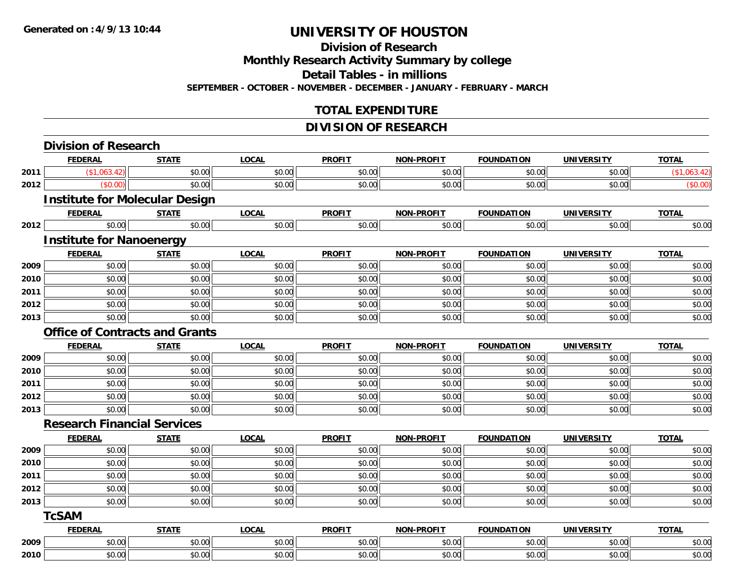# **Division of Research Monthly Research Activity Summary by college Detail Tables - in millions**

**SEPTEMBER - OCTOBER - NOVEMBER - DECEMBER - JANUARY - FEBRUARY - MARCH**

# **TOTAL EXPENDITURE**

# **DIVISION OF RESEARCH**

|      | <b>FEDERAL</b>                        | <b>STATE</b> | <b>LOCAL</b> | <b>PROFIT</b> | <b>NON-PROFIT</b> | <b>FOUNDATION</b> | <b>UNIVERSITY</b> | <b>TOTAL</b> |
|------|---------------------------------------|--------------|--------------|---------------|-------------------|-------------------|-------------------|--------------|
| 2011 | (\$1,063.42)                          | \$0.00       | \$0.00       | \$0.00        | \$0.00            | \$0.00            | \$0.00            | (\$1,063.42) |
| 2012 | (\$0.00)                              | \$0.00       | \$0.00       | \$0.00        | \$0.00            | \$0.00            | \$0.00            | (\$0.00)     |
|      | <b>Institute for Molecular Design</b> |              |              |               |                   |                   |                   |              |
|      | <b>FEDERAL</b>                        | <b>STATE</b> | <b>LOCAL</b> | <b>PROFIT</b> | NON-PROFIT        | <b>FOUNDATION</b> | <b>UNIVERSITY</b> | <b>TOTAL</b> |
| 2012 | \$0.00                                | \$0.00       | \$0.00       | \$0.00        | \$0.00            | \$0.00            | \$0.00            | \$0.00       |
|      | <b>Institute for Nanoenergy</b>       |              |              |               |                   |                   |                   |              |
|      | <b>FEDERAL</b>                        | <b>STATE</b> | <b>LOCAL</b> | <b>PROFIT</b> | NON-PROFIT        | <b>FOUNDATION</b> | <b>UNIVERSITY</b> | <b>TOTAL</b> |
| 2009 | \$0.00                                | \$0.00       | \$0.00       | \$0.00        | \$0.00            | \$0.00            | \$0.00            | \$0.00       |
| 2010 | \$0.00                                | \$0.00       | \$0.00       | \$0.00        | \$0.00            | \$0.00            | \$0.00            | \$0.00       |
| 2011 | \$0.00                                | \$0.00       | \$0.00       | \$0.00        | \$0.00            | \$0.00            | \$0.00            | \$0.00       |
| 2012 | \$0.00                                | \$0.00       | \$0.00       | \$0.00        | \$0.00            | \$0.00            | \$0.00            | \$0.00       |
| 2013 | \$0.00                                | \$0.00       | \$0.00       | \$0.00        | \$0.00            | \$0.00            | \$0.00            | \$0.00       |
|      | <b>Office of Contracts and Grants</b> |              |              |               |                   |                   |                   |              |
|      | <b>FEDERAL</b>                        | <b>STATE</b> | <b>LOCAL</b> | <b>PROFIT</b> | NON-PROFIT        | <b>FOUNDATION</b> | <b>UNIVERSITY</b> | <b>TOTAL</b> |
| 2009 | \$0.00                                | \$0.00       | \$0.00       | \$0.00        | \$0.00            | \$0.00            | \$0.00            | \$0.00       |
| 2010 | \$0.00                                | \$0.00       | \$0.00       | \$0.00        | \$0.00            | \$0.00            | \$0.00            | \$0.00       |
| 2011 | \$0.00                                | \$0.00       | \$0.00       | \$0.00        | \$0.00            | \$0.00            | \$0.00            | \$0.00       |
| 2012 | \$0.00                                | \$0.00       | \$0.00       | \$0.00        | \$0.00            | \$0.00            | \$0.00            | \$0.00       |
| 2013 | \$0.00                                | \$0.00       | \$0.00       | \$0.00        | \$0.00            | \$0.00            | \$0.00            | \$0.00       |
|      | <b>Research Financial Services</b>    |              |              |               |                   |                   |                   |              |
|      | <b>FEDERAL</b>                        | <b>STATE</b> | <b>LOCAL</b> | <b>PROFIT</b> | <b>NON-PROFIT</b> | <b>FOUNDATION</b> | <b>UNIVERSITY</b> | <b>TOTAL</b> |
| 2009 | \$0.00                                | \$0.00       | \$0.00       | \$0.00        | \$0.00            | \$0.00            | \$0.00            | \$0.00       |
| 2010 | \$0.00                                | \$0.00       | \$0.00       | \$0.00        | \$0.00            | \$0.00            | \$0.00            | \$0.00       |
| 2011 | \$0.00                                | \$0.00       | \$0.00       | \$0.00        | \$0.00            | \$0.00            | \$0.00            | \$0.00       |
| 2012 | \$0.00                                | \$0.00       | \$0.00       | \$0.00        | \$0.00            | \$0.00            | \$0.00            | \$0.00       |
| 2013 | \$0.00                                | \$0.00       | \$0.00       | \$0.00        | \$0.00            | \$0.00            | \$0.00            | \$0.00       |
|      | <b>TcSAM</b>                          |              |              |               |                   |                   |                   |              |
|      | <u>FEDERAL</u>                        | <b>STATE</b> | <b>LOCAL</b> | <b>PROFIT</b> | NON-PROFIT        | <b>FOUNDATION</b> | <b>UNIVERSITY</b> | <b>TOTAL</b> |
| 2009 | \$0.00                                | \$0.00       | \$0.00       | \$0.00        | \$0.00            | \$0.00            | \$0.00            | \$0.00       |
| 2010 | \$0.00                                | \$0.00       | \$0.00       | \$0.00        | \$0.00            | \$0.00            | \$0.00            | \$0.00       |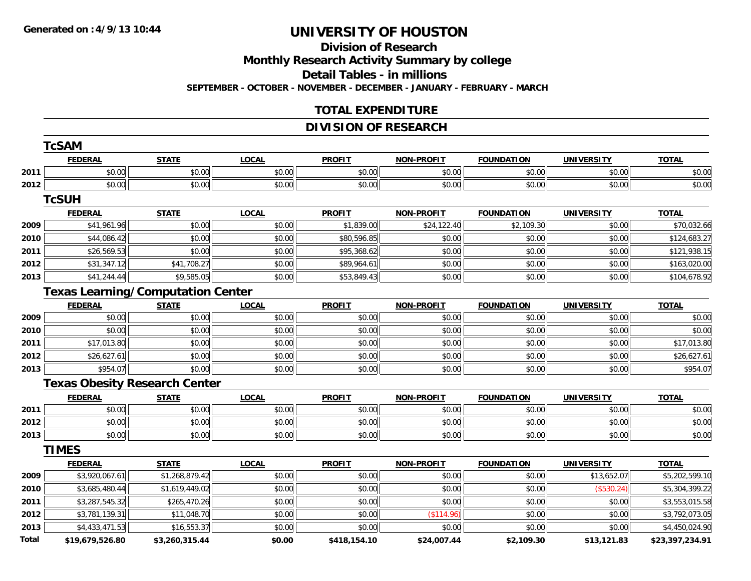#### **Division of Research Monthly Research Activity Summary by college Detail Tables - in millions SEPTEMBER - OCTOBER - NOVEMBER - DECEMBER - JANUARY - FEBRUARY - MARCH**

# **TOTAL EXPENDITURE**

# **DIVISION OF RESEARCH**

|       | <b>TcSAM</b>                             |                |              |               |                   |                   |                   |                 |
|-------|------------------------------------------|----------------|--------------|---------------|-------------------|-------------------|-------------------|-----------------|
|       | <b>FEDERAL</b>                           | <b>STATE</b>   | <b>LOCAL</b> | <b>PROFIT</b> | <b>NON-PROFIT</b> | <b>FOUNDATION</b> | <b>UNIVERSITY</b> | <b>TOTAL</b>    |
| 2011  | \$0.00                                   | \$0.00         | \$0.00       | \$0.00        | \$0.00            | \$0.00            | \$0.00            | \$0.00          |
| 2012  | \$0.00                                   | \$0.00         | \$0.00       | \$0.00        | \$0.00            | \$0.00            | \$0.00            | \$0.00          |
|       | <b>TcSUH</b>                             |                |              |               |                   |                   |                   |                 |
|       | <b>FEDERAL</b>                           | <b>STATE</b>   | <b>LOCAL</b> | <b>PROFIT</b> | NON-PROFIT        | <b>FOUNDATION</b> | <b>UNIVERSITY</b> | <b>TOTAL</b>    |
| 2009  | \$41,961.96                              | \$0.00         | \$0.00       | \$1,839.00    | \$24,122.40       | \$2,109.30        | \$0.00            | \$70,032.66     |
| 2010  | \$44,086.42                              | \$0.00         | \$0.00       | \$80,596.85   | \$0.00            | \$0.00            | \$0.00            | \$124,683.27    |
| 2011  | \$26,569.53                              | \$0.00         | \$0.00       | \$95,368.62   | \$0.00            | \$0.00            | \$0.00            | \$121,938.15    |
| 2012  | \$31,347.12                              | \$41,708.27    | \$0.00       | \$89,964.61   | \$0.00            | \$0.00            | \$0.00            | \$163,020.00    |
| 2013  | \$41,244.44                              | \$9,585.05     | \$0.00       | \$53,849.43   | \$0.00            | \$0.00            | \$0.00            | \$104,678.92    |
|       | <b>Texas Learning/Computation Center</b> |                |              |               |                   |                   |                   |                 |
|       | <b>FEDERAL</b>                           | <b>STATE</b>   | <b>LOCAL</b> | <b>PROFIT</b> | <b>NON-PROFIT</b> | <b>FOUNDATION</b> | <b>UNIVERSITY</b> | <b>TOTAL</b>    |
| 2009  | \$0.00                                   | \$0.00         | \$0.00       | \$0.00        | \$0.00            | \$0.00            | \$0.00            | \$0.00          |
| 2010  | \$0.00                                   | \$0.00         | \$0.00       | \$0.00        | \$0.00            | \$0.00            | \$0.00            | \$0.00          |
| 2011  | \$17,013.80                              | \$0.00         | \$0.00       | \$0.00        | \$0.00            | \$0.00            | \$0.00            | \$17,013.80     |
| 2012  | \$26,627.61                              | \$0.00         | \$0.00       | \$0.00        | \$0.00            | \$0.00            | \$0.00            | \$26,627.61     |
| 2013  | \$954.07                                 | \$0.00         | \$0.00       | \$0.00        | \$0.00            | \$0.00            | \$0.00            | \$954.07        |
|       | <b>Texas Obesity Research Center</b>     |                |              |               |                   |                   |                   |                 |
|       | <b>FEDERAL</b>                           | <b>STATE</b>   | <b>LOCAL</b> | <b>PROFIT</b> | <b>NON-PROFIT</b> | <b>FOUNDATION</b> | <b>UNIVERSITY</b> | <b>TOTAL</b>    |
| 2011  | \$0.00                                   | \$0.00         | \$0.00       | \$0.00        | \$0.00            | \$0.00            | \$0.00            | \$0.00          |
| 2012  | \$0.00                                   | \$0.00         | \$0.00       | \$0.00        | \$0.00            | \$0.00            | \$0.00            | \$0.00          |
| 2013  | \$0.00                                   | \$0.00         | \$0.00       | \$0.00        | \$0.00            | \$0.00            | \$0.00            | \$0.00          |
|       | <b>TIMES</b>                             |                |              |               |                   |                   |                   |                 |
|       | <b>FEDERAL</b>                           | <b>STATE</b>   | <b>LOCAL</b> | <b>PROFIT</b> | <b>NON-PROFIT</b> | <b>FOUNDATION</b> | <b>UNIVERSITY</b> | <b>TOTAL</b>    |
| 2009  | \$3,920,067.61                           | \$1,268,879.42 | \$0.00       | \$0.00        | \$0.00            | \$0.00            | \$13,652.07       | \$5,202,599.10  |
| 2010  | \$3,685,480.44                           | \$1,619,449.02 | \$0.00       | \$0.00        | \$0.00            | \$0.00            | (\$530.24)        | \$5,304,399.22  |
| 2011  | \$3,287,545.32                           | \$265,470.26   | \$0.00       | \$0.00        | \$0.00            | \$0.00            | \$0.00            | \$3,553,015.58  |
| 2012  | \$3,781,139.31                           | \$11,048.70    | \$0.00       | \$0.00        | (\$114.96)        | \$0.00            | \$0.00            | \$3,792,073.05  |
| 2013  | \$4,433,471.53                           | \$16,553.37    | \$0.00       | \$0.00        | \$0.00            | \$0.00            | \$0.00            | \$4,450,024.90  |
| Total | \$19,679,526.80                          | \$3,260,315.44 | \$0.00       | \$418,154.10  | \$24,007.44       | \$2,109.30        | \$13,121.83       | \$23,397,234.91 |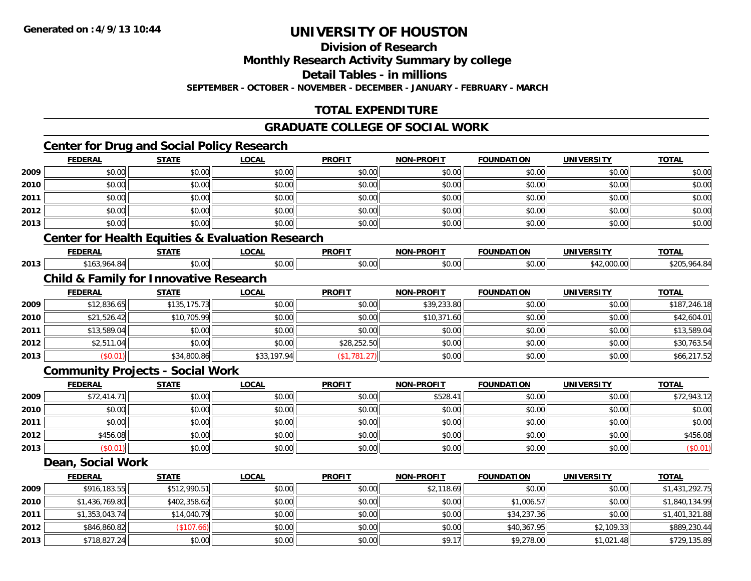**2013**

# **UNIVERSITY OF HOUSTON**

**Division of Research**

**Monthly Research Activity Summary by college**

**Detail Tables - in millions**

**SEPTEMBER - OCTOBER - NOVEMBER - DECEMBER - JANUARY - FEBRUARY - MARCH**

# **TOTAL EXPENDITURE**

### **GRADUATE COLLEGE OF SOCIAL WORK**

# **Center for Drug and Social Policy Research**

|      | <b>FEDERAL</b>    | <b>STATE</b>                                      | <b>LOCAL</b>                                                | <b>PROFIT</b> | <b>NON-PROFIT</b> | <b>FOUNDATION</b> | <b>UNIVERSITY</b> | <b>TOTAL</b>   |
|------|-------------------|---------------------------------------------------|-------------------------------------------------------------|---------------|-------------------|-------------------|-------------------|----------------|
| 2009 | \$0.00            | \$0.00                                            | \$0.00                                                      | \$0.00        | \$0.00            | \$0.00            | \$0.00            | \$0.00         |
| 2010 | \$0.00            | \$0.00                                            | \$0.00                                                      | \$0.00        | \$0.00            | \$0.00            | \$0.00            | \$0.00         |
| 2011 | \$0.00            | \$0.00                                            | \$0.00                                                      | \$0.00        | \$0.00            | \$0.00            | \$0.00            | \$0.00         |
| 2012 | \$0.00            | \$0.00                                            | \$0.00                                                      | \$0.00        | \$0.00            | \$0.00            | \$0.00            | \$0.00         |
| 2013 | \$0.00            | \$0.00                                            | \$0.00                                                      | \$0.00        | \$0.00            | \$0.00            | \$0.00            | \$0.00         |
|      |                   |                                                   | <b>Center for Health Equities &amp; Evaluation Research</b> |               |                   |                   |                   |                |
|      | <b>FEDERAL</b>    | <b>STATE</b>                                      | <b>LOCAL</b>                                                | <b>PROFIT</b> | <b>NON-PROFIT</b> | <b>FOUNDATION</b> | <b>UNIVERSITY</b> | <b>TOTAL</b>   |
| 2013 | \$163,964.84      | \$0.00                                            | \$0.00                                                      | \$0.00        | \$0.00            | \$0.00            | \$42,000.00       | \$205,964.84   |
|      |                   | <b>Child &amp; Family for Innovative Research</b> |                                                             |               |                   |                   |                   |                |
|      | <b>FEDERAL</b>    | <b>STATE</b>                                      | <b>LOCAL</b>                                                | <b>PROFIT</b> | <b>NON-PROFIT</b> | <b>FOUNDATION</b> | <b>UNIVERSITY</b> | <b>TOTAL</b>   |
| 2009 | \$12,836.65       | \$135,175.73                                      | \$0.00                                                      | \$0.00        | \$39,233.80       | \$0.00            | \$0.00            | \$187,246.18   |
| 2010 | \$21,526.42       | \$10,705.99                                       | \$0.00                                                      | \$0.00        | \$10,371.60       | \$0.00            | \$0.00            | \$42,604.01    |
| 2011 | \$13,589.04       | \$0.00                                            | \$0.00                                                      | \$0.00        | \$0.00            | \$0.00            | \$0.00            | \$13,589.04    |
| 2012 | \$2,511.04        | \$0.00                                            | \$0.00                                                      | \$28,252.50   | \$0.00            | \$0.00            | \$0.00            | \$30,763.54    |
| 2013 | (\$0.01)          | \$34,800.86                                       | \$33,197.94                                                 | (\$1,781.27)  | \$0.00            | \$0.00            | \$0.00            | \$66,217.52    |
|      |                   | <b>Community Projects - Social Work</b>           |                                                             |               |                   |                   |                   |                |
|      | <b>FEDERAL</b>    | <b>STATE</b>                                      | <b>LOCAL</b>                                                | <b>PROFIT</b> | <b>NON-PROFIT</b> | <b>FOUNDATION</b> | <b>UNIVERSITY</b> | <b>TOTAL</b>   |
| 2009 | \$72,414.71       | \$0.00                                            | \$0.00                                                      | \$0.00        | \$528.41          | \$0.00            | \$0.00            | \$72,943.12    |
| 2010 | \$0.00            | \$0.00                                            | \$0.00                                                      | \$0.00        | \$0.00            | \$0.00            | \$0.00            | \$0.00         |
| 2011 | \$0.00            | \$0.00                                            | \$0.00                                                      | \$0.00        | \$0.00            | \$0.00            | \$0.00            | \$0.00         |
| 2012 | \$456.08          | \$0.00                                            | \$0.00                                                      | \$0.00        | \$0.00            | \$0.00            | \$0.00            | \$456.08       |
| 2013 | (\$0.01)          | \$0.00                                            | \$0.00                                                      | \$0.00        | \$0.00            | \$0.00            | \$0.00            | (\$0.01)       |
|      | Dean, Social Work |                                                   |                                                             |               |                   |                   |                   |                |
|      | <b>FEDERAL</b>    | <b>STATE</b>                                      | <b>LOCAL</b>                                                | <b>PROFIT</b> | <b>NON-PROFIT</b> | <b>FOUNDATION</b> | <b>UNIVERSITY</b> | <b>TOTAL</b>   |
| 2009 | \$916,183.55      | \$512,990.51                                      | \$0.00                                                      | \$0.00        | \$2,118.69        | \$0.00            | \$0.00            | \$1,431,292.75 |
| 2010 | \$1,436,769.80    | \$402,358.62                                      | \$0.00                                                      | \$0.00        | \$0.00            | \$1,006.57        | \$0.00            | \$1,840,134.99 |
| 2011 | \$1,353,043.74    | \$14,040.79                                       | \$0.00                                                      | \$0.00        | \$0.00            | \$34,237.36       | \$0.00            | \$1,401,321.88 |
| 2012 | \$846,860.82      | (\$107.66)                                        | \$0.00                                                      | \$0.00        | \$0.00            | \$40,367.95       | \$2,109.33        | \$889,230.44   |

\$718,827.24 \$0.00 \$0.00 \$0.00 \$9.17 \$9,278.00 \$1,021.48 \$729,135.89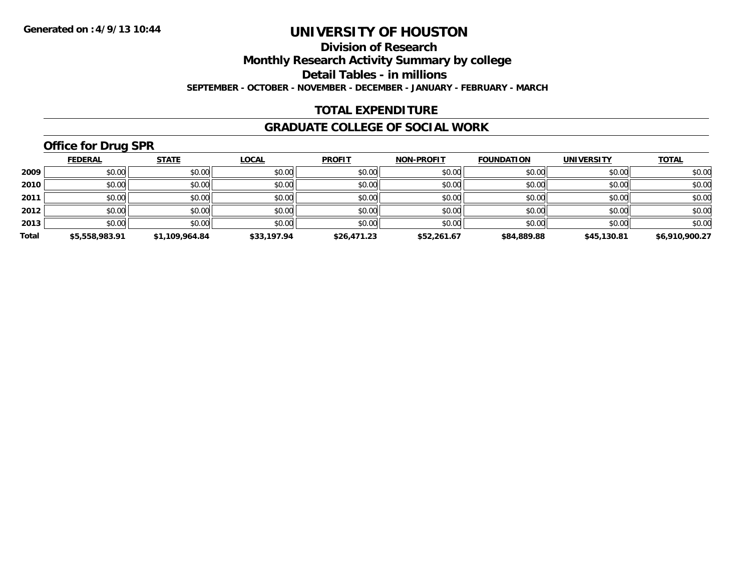**Division of Research**

**Monthly Research Activity Summary by college**

**Detail Tables - in millions**

**SEPTEMBER - OCTOBER - NOVEMBER - DECEMBER - JANUARY - FEBRUARY - MARCH**

### **TOTAL EXPENDITURE**

#### **GRADUATE COLLEGE OF SOCIAL WORK**

# **Office for Drug SPR**

|       | <b>FEDERAL</b> | <b>STATE</b>   | <b>LOCAL</b> | <b>PROFIT</b> | <b>NON-PROFIT</b> | <b>FOUNDATION</b> | <b>UNIVERSITY</b> | <b>TOTAL</b>   |
|-------|----------------|----------------|--------------|---------------|-------------------|-------------------|-------------------|----------------|
| 2009  | \$0.00         | \$0.00         | \$0.00       | \$0.00        | \$0.00            | \$0.00            | \$0.00            | \$0.00         |
| 2010  | \$0.00         | \$0.00         | \$0.00       | \$0.00        | \$0.00            | \$0.00            | \$0.00            | \$0.00         |
| 2011  | \$0.00         | \$0.00         | \$0.00       | \$0.00        | \$0.00            | \$0.00            | \$0.00            | \$0.00         |
| 2012  | \$0.00         | \$0.00         | \$0.00       | \$0.00        | \$0.00            | \$0.00            | \$0.00            | \$0.00         |
| 2013  | \$0.00         | \$0.00         | \$0.00       | \$0.00        | \$0.00            | \$0.00            | \$0.00            | \$0.00         |
| Total | \$5,558,983.91 | \$1.109.964.84 | \$33,197.94  | \$26,471.23   | \$52,261.67       | \$84,889.88       | \$45,130.81       | \$6,910,900.27 |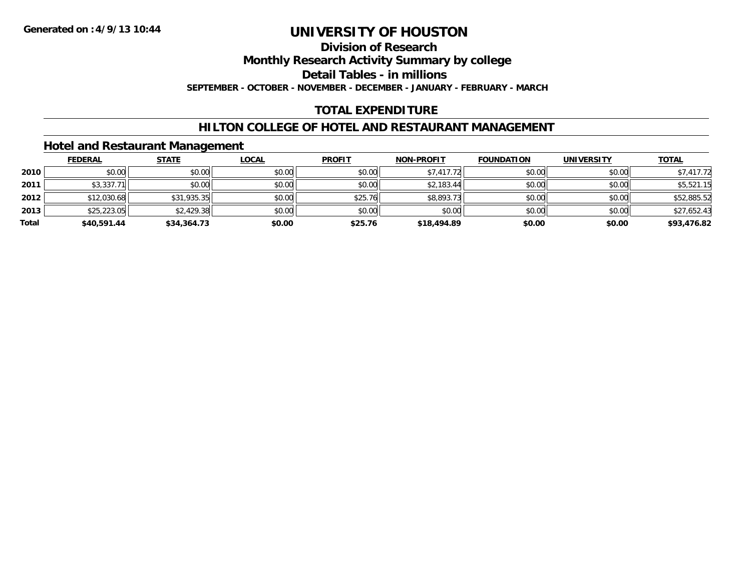# **Division of Research**

**Monthly Research Activity Summary by college**

**Detail Tables - in millions**

**SEPTEMBER - OCTOBER - NOVEMBER - DECEMBER - JANUARY - FEBRUARY - MARCH**

### **TOTAL EXPENDITURE**

#### **HILTON COLLEGE OF HOTEL AND RESTAURANT MANAGEMENT**

#### **Hotel and Restaurant Management**

|       | <b>FEDERAL</b> | <b>STATE</b> | <u>LOCAL</u> | <b>PROFIT</b> | <b>NON-PROFIT</b> | <b>FOUNDATION</b> | <b>UNIVERSITY</b> | <b>TOTAL</b> |
|-------|----------------|--------------|--------------|---------------|-------------------|-------------------|-------------------|--------------|
| 2010  | \$0.00         | \$0.00       | \$0.00       | \$0.00        | \$7,417.72        | \$0.00            | \$0.00            | \$7,417.72   |
| 2011  | $$3,337.71$    | \$0.00       | \$0.00       | \$0.00        | \$2,183.44        | \$0.00            | \$0.00            | \$5,521.15   |
| 2012  | \$12,030.68    | \$31,935.35  | \$0.00       | \$25.76       | \$8,893.73        | \$0.00            | \$0.00            | \$52,885.52  |
| 2013  | \$25,223.05    | \$2,429.38   | \$0.00       | \$0.00        | \$0.00            | \$0.00            | \$0.00            | \$27,652.43  |
| Total | \$40,591.44    | \$34,364.73  | \$0.00       | \$25.76       | \$18,494.89       | \$0.00            | \$0.00            | \$93,476.82  |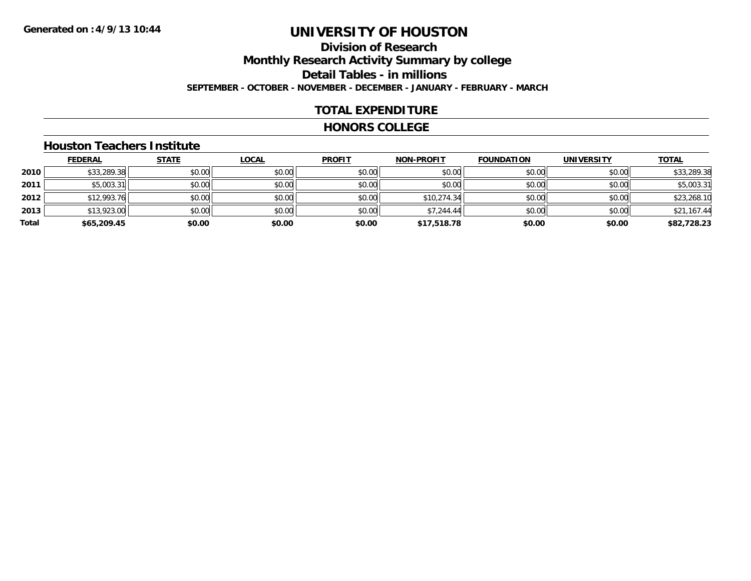# **Division of ResearchMonthly Research Activity Summary by college Detail Tables - in millions SEPTEMBER - OCTOBER - NOVEMBER - DECEMBER - JANUARY - FEBRUARY - MARCH**

#### **TOTAL EXPENDITURE**

#### **HONORS COLLEGE**

#### **Houston Teachers Institute**

|       | <b>FEDERAL</b> | <b>STATE</b> | <b>LOCAL</b> | <b>PROFIT</b> | <b>NON-PROFIT</b> | <b>FOUNDATION</b> | <b>UNIVERSITY</b> | <b>TOTAL</b> |
|-------|----------------|--------------|--------------|---------------|-------------------|-------------------|-------------------|--------------|
| 2010  | \$33,289.38    | \$0.00       | \$0.00       | \$0.00        | \$0.00            | \$0.00            | \$0.00            | \$33,289.38  |
| 2011  | \$5,003.31     | \$0.00       | \$0.00       | \$0.00        | \$0.00            | \$0.00            | \$0.00            | \$5,003.31   |
| 2012  | \$12,993.76    | \$0.00       | \$0.00       | \$0.00        | \$10,274.34       | \$0.00            | \$0.00            | \$23,268.10  |
| 2013  | \$13,923.00    | \$0.00       | \$0.00       | \$0.00        | \$7,244.44        | \$0.00            | \$0.00            | \$21,167.44  |
| Total | \$65,209.45    | \$0.00       | \$0.00       | \$0.00        | \$17,518.78       | \$0.00            | \$0.00            | \$82,728.23  |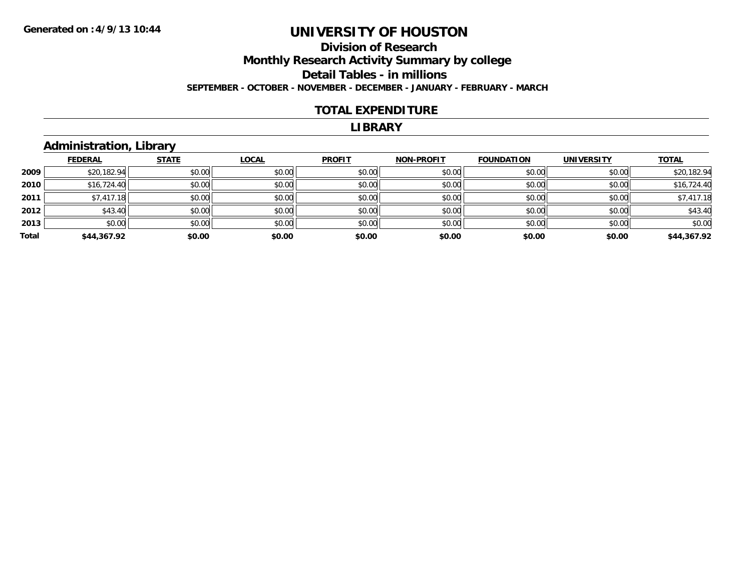# **Division of ResearchMonthly Research Activity Summary by college Detail Tables - in millions SEPTEMBER - OCTOBER - NOVEMBER - DECEMBER - JANUARY - FEBRUARY - MARCH**

#### **TOTAL EXPENDITURE**

#### **LIBRARY**

# **Administration, Library**

|       | <b>FEDERAL</b> | <b>STATE</b> | <b>LOCAL</b> | <b>PROFIT</b> | <b>NON-PROFIT</b> | <b>FOUNDATION</b> | <b>UNIVERSITY</b> | <b>TOTAL</b> |
|-------|----------------|--------------|--------------|---------------|-------------------|-------------------|-------------------|--------------|
| 2009  | \$20,182.94    | \$0.00       | \$0.00       | \$0.00        | \$0.00            | \$0.00            | \$0.00            | \$20,182.94  |
| 2010  | \$16,724.40    | \$0.00       | \$0.00       | \$0.00        | \$0.00            | \$0.00            | \$0.00            | \$16,724.40  |
| 2011  | \$7,417.18     | \$0.00       | \$0.00       | \$0.00        | \$0.00            | \$0.00            | \$0.00            | \$7,417.18   |
| 2012  | \$43.40        | \$0.00       | \$0.00       | \$0.00        | \$0.00            | \$0.00            | \$0.00            | \$43.40      |
| 2013  | \$0.00         | \$0.00       | \$0.00       | \$0.00        | \$0.00            | \$0.00            | \$0.00            | \$0.00       |
| Total | \$44,367.92    | \$0.00       | \$0.00       | \$0.00        | \$0.00            | \$0.00            | \$0.00            | \$44,367.92  |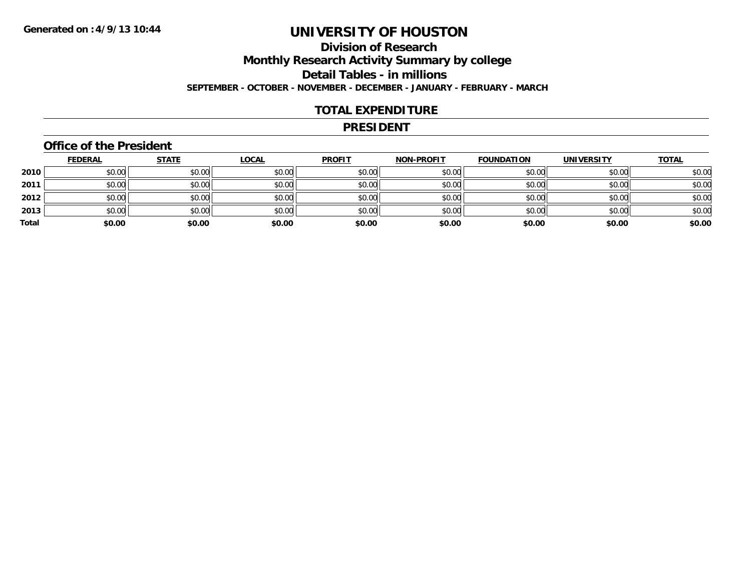# **Division of ResearchMonthly Research Activity Summary by college Detail Tables - in millions SEPTEMBER - OCTOBER - NOVEMBER - DECEMBER - JANUARY - FEBRUARY - MARCH**

#### **TOTAL EXPENDITURE**

#### **PRESIDENT**

#### **Office of the President**

|       | <b>FEDERAL</b> | <b>STATE</b> | <b>LOCAL</b> | <b>PROFIT</b> | <b>NON-PROFIT</b> | <b>FOUNDATION</b> | <b>UNIVERSITY</b> | <b>TOTAL</b> |
|-------|----------------|--------------|--------------|---------------|-------------------|-------------------|-------------------|--------------|
| 2010  | \$0.00         | \$0.00       | \$0.00       | \$0.00        | \$0.00            | \$0.00            | \$0.00            | \$0.00       |
| 2011  | \$0.00         | \$0.00       | \$0.00       | \$0.00        | \$0.00            | \$0.00            | \$0.00            | \$0.00       |
| 2012  | \$0.00         | \$0.00       | \$0.00       | \$0.00        | \$0.00            | \$0.00            | \$0.00            | \$0.00       |
| 2013  | \$0.00         | \$0.00       | \$0.00       | \$0.00        | \$0.00            | \$0.00            | \$0.00            | \$0.00       |
| Total | \$0.00         | \$0.00       | \$0.00       | \$0.00        | \$0.00            | \$0.00            | \$0.00            | \$0.00       |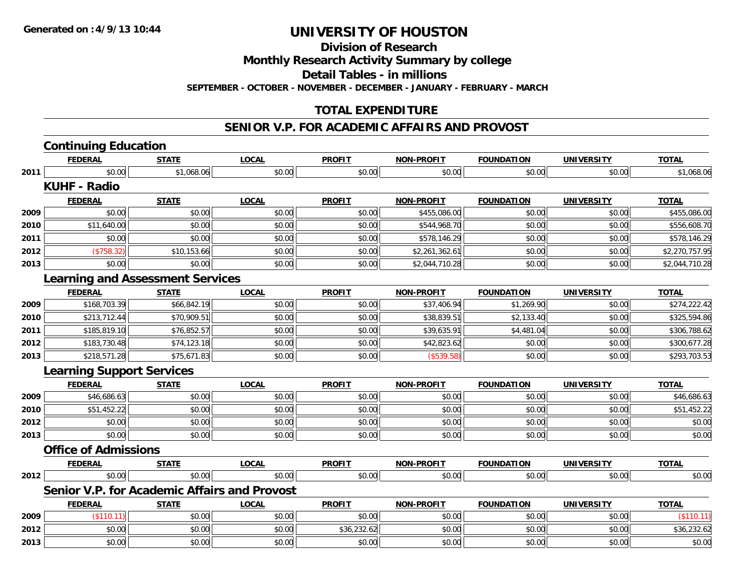**Division of Research**

**Monthly Research Activity Summary by college**

**Detail Tables - in millions**

**SEPTEMBER - OCTOBER - NOVEMBER - DECEMBER - JANUARY - FEBRUARY - MARCH**

# **TOTAL EXPENDITURE**

#### **SENIOR V.P. FOR ACADEMIC AFFAIRS AND PROVOST**

|      | <b>Continuing Education</b>                         |              |              |               |                   |                   |                   |                |
|------|-----------------------------------------------------|--------------|--------------|---------------|-------------------|-------------------|-------------------|----------------|
|      | <b>FEDERAL</b>                                      | <b>STATE</b> | <b>LOCAL</b> | <b>PROFIT</b> | <b>NON-PROFIT</b> | <b>FOUNDATION</b> | <b>UNIVERSITY</b> | <b>TOTAL</b>   |
| 2011 | \$0.00                                              | \$1,068.06   | \$0.00       | \$0.00        | \$0.00            | \$0.00            | \$0.00            | \$1,068.06     |
|      | <b>KUHF - Radio</b>                                 |              |              |               |                   |                   |                   |                |
|      | <b>FEDERAL</b>                                      | <b>STATE</b> | <b>LOCAL</b> | <b>PROFIT</b> | <b>NON-PROFIT</b> | <b>FOUNDATION</b> | <b>UNIVERSITY</b> | <b>TOTAL</b>   |
| 2009 | \$0.00                                              | \$0.00       | \$0.00       | \$0.00        | \$455,086.00      | \$0.00            | \$0.00            | \$455,086.00   |
| 2010 | \$11,640.00                                         | \$0.00       | \$0.00       | \$0.00        | \$544,968.70      | \$0.00            | \$0.00            | \$556,608.70   |
| 2011 | \$0.00                                              | \$0.00       | \$0.00       | \$0.00        | \$578,146.29      | \$0.00            | \$0.00            | \$578,146.29   |
| 2012 | (\$758.32)                                          | \$10,153.66  | \$0.00       | \$0.00        | \$2,261,362.61    | \$0.00            | \$0.00            | \$2,270,757.95 |
| 2013 | \$0.00                                              | \$0.00       | \$0.00       | \$0.00        | \$2,044,710.28    | \$0.00            | \$0.00            | \$2,044,710.28 |
|      | <b>Learning and Assessment Services</b>             |              |              |               |                   |                   |                   |                |
|      | <b>FEDERAL</b>                                      | <b>STATE</b> | <b>LOCAL</b> | <b>PROFIT</b> | <b>NON-PROFIT</b> | <b>FOUNDATION</b> | <b>UNIVERSITY</b> | <b>TOTAL</b>   |
| 2009 | \$168,703.39                                        | \$66,842.19  | \$0.00       | \$0.00        | \$37,406.94       | \$1,269.90        | \$0.00            | \$274,222.42   |
| 2010 | \$213,712.44                                        | \$70,909.51  | \$0.00       | \$0.00        | \$38,839.51       | \$2,133.40        | \$0.00            | \$325,594.86   |
| 2011 | \$185,819.10                                        | \$76,852.57  | \$0.00       | \$0.00        | \$39,635.91       | \$4,481.04        | \$0.00            | \$306,788.62   |
| 2012 | \$183,730.48                                        | \$74,123.18  | \$0.00       | \$0.00        | \$42,823.62       | \$0.00            | \$0.00            | \$300,677.28   |
| 2013 | \$218,571.28                                        | \$75,671.83  | \$0.00       | \$0.00        | (\$539.58)        | \$0.00            | \$0.00            | \$293,703.53   |
|      | <b>Learning Support Services</b>                    |              |              |               |                   |                   |                   |                |
|      | <b>FEDERAL</b>                                      | <b>STATE</b> | <b>LOCAL</b> | <b>PROFIT</b> | <b>NON-PROFIT</b> | <b>FOUNDATION</b> | <b>UNIVERSITY</b> | <b>TOTAL</b>   |
| 2009 | \$46,686.63                                         | \$0.00       | \$0.00       | \$0.00        | \$0.00            | \$0.00            | \$0.00            | \$46,686.63    |
| 2010 | \$51,452.22                                         | \$0.00       | \$0.00       | \$0.00        | \$0.00            | \$0.00            | \$0.00            | \$51,452.22    |
| 2012 | \$0.00                                              | \$0.00       | \$0.00       | \$0.00        | \$0.00            | \$0.00            | \$0.00            | \$0.00         |
| 2013 | \$0.00                                              | \$0.00       | \$0.00       | \$0.00        | \$0.00            | \$0.00            | \$0.00            | \$0.00         |
|      | <b>Office of Admissions</b>                         |              |              |               |                   |                   |                   |                |
|      | <b>FEDERAL</b>                                      | <b>STATE</b> | <b>LOCAL</b> | <b>PROFIT</b> | NON-PROFIT        | <b>FOUNDATION</b> | <b>UNIVERSITY</b> | <b>TOTAL</b>   |
| 2012 | \$0.00                                              | \$0.00       | \$0.00       | \$0.00        | \$0.00            | \$0.00            | \$0.00            | \$0.00         |
|      | <b>Senior V.P. for Academic Affairs and Provost</b> |              |              |               |                   |                   |                   |                |
|      | <b>FEDERAL</b>                                      | <b>STATE</b> | <b>LOCAL</b> | <b>PROFIT</b> | <b>NON-PROFIT</b> | <b>FOUNDATION</b> | <b>UNIVERSITY</b> | <b>TOTAL</b>   |
| 2009 | (\$110.11)                                          | \$0.00       | \$0.00       | \$0.00        | \$0.00            | \$0.00            | \$0.00            | (\$110.11)     |
| 2012 | \$0.00                                              | \$0.00       | \$0.00       | \$36,232.62   | \$0.00            | \$0.00            | \$0.00            | \$36,232.62    |
| 2013 | \$0.00                                              | \$0.00       | \$0.00       | \$0.00        | \$0.00            | \$0.00            | \$0.00            | \$0.00         |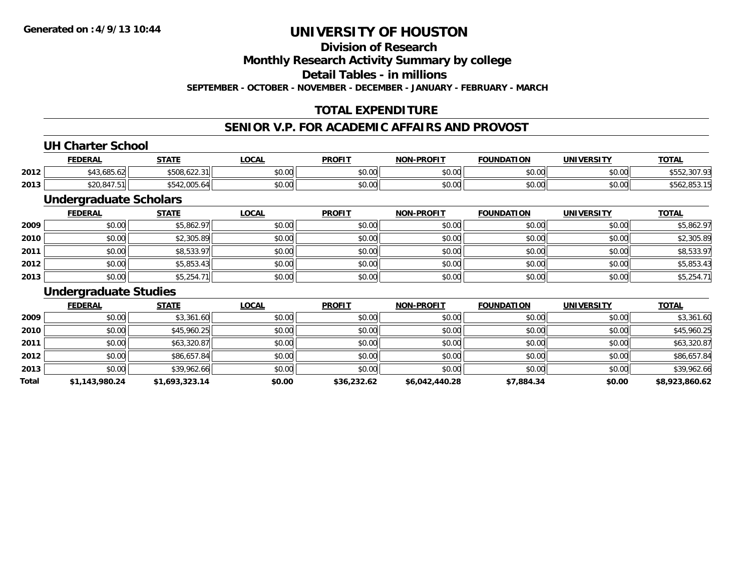### **Division of Research**

**Monthly Research Activity Summary by college**

**Detail Tables - in millions**

**SEPTEMBER - OCTOBER - NOVEMBER - DECEMBER - JANUARY - FEBRUARY - MARCH**

# **TOTAL EXPENDITURE**

### **SENIOR V.P. FOR ACADEMIC AFFAIRS AND PROVOST**

#### **UH Charter School**

|      | <b>FEDERAL</b>                  | <b>STATE</b>                     | LOCAL                | <b>PROFIT</b> | -PROFIT<br><b>NON</b> | <b>FOUNDATION</b> | UNIVERSITY | <u>TOTAL</u>           |
|------|---------------------------------|----------------------------------|----------------------|---------------|-----------------------|-------------------|------------|------------------------|
| 2012 | $\sqrt{2}$<br>$\sim$<br>.685.62 | 0.500<br>(0.0000)<br>508.622.3   | 0.00<br><b>DU.UU</b> | \$0.00        | ልስ ለሰ<br>JU.UU        | \$0.00            | \$0.00     | ົດຕ=<br>ו טע.<br>ے ب ب |
| 2013 | <b>COO O 47 E</b><br>,,,,,,,,,  | $\sim$<br>ተ ୮ ብ ኅ<br>"542.005.64 | \$0.00               | \$0.00        | ልስ ለሰ<br>JU.UU        | \$0.00            | \$0.00     | ა⊃o∠,ŏɔ <i>ડ</i> .     |

### **Undergraduate Scholars**

|      | <b>FEDERAL</b> | <b>STATE</b> | <u>LOCAL</u> | <b>PROFIT</b> | <b>NON-PROFIT</b> | <b>FOUNDATION</b> | <b>UNIVERSITY</b> | <b>TOTAL</b> |
|------|----------------|--------------|--------------|---------------|-------------------|-------------------|-------------------|--------------|
| 2009 | \$0.00         | \$5,862.97   | \$0.00       | \$0.00        | \$0.00            | \$0.00            | \$0.00            | \$5,862.97   |
| 2010 | \$0.00         | \$2,305.89   | \$0.00       | \$0.00        | \$0.00            | \$0.00            | \$0.00            | \$2,305.89   |
| 2011 | \$0.00         | \$8,533.97   | \$0.00       | \$0.00        | \$0.00            | \$0.00            | \$0.00            | \$8,533.97   |
| 2012 | \$0.00         | \$5,853.43   | \$0.00       | \$0.00        | \$0.00            | \$0.00            | \$0.00            | \$5,853.43   |
| 2013 | \$0.00         | \$5,254.71   | \$0.00       | \$0.00        | \$0.00            | \$0.00            | \$0.00            | \$5,254.71   |

#### **Undergraduate Studies**

|       | <b>FEDERAL</b> | <b>STATE</b>   | <b>LOCAL</b> | <b>PROFIT</b> | <b>NON-PROFIT</b> | <b>FOUNDATION</b> | <b>UNIVERSITY</b> | <b>TOTAL</b>   |
|-------|----------------|----------------|--------------|---------------|-------------------|-------------------|-------------------|----------------|
| 2009  | \$0.00         | \$3,361.60     | \$0.00       | \$0.00        | \$0.00            | \$0.00            | \$0.00            | \$3,361.60     |
| 2010  | \$0.00         | \$45,960.25    | \$0.00       | \$0.00        | \$0.00            | \$0.00            | \$0.00            | \$45,960.25    |
| 2011  | \$0.00         | \$63,320.87    | \$0.00       | \$0.00        | \$0.00            | \$0.00            | \$0.00            | \$63,320.87    |
| 2012  | \$0.00         | \$86,657.84    | \$0.00       | \$0.00        | \$0.00            | \$0.00            | \$0.00            | \$86,657.84    |
| 2013  | \$0.00         | \$39,962.66    | \$0.00       | \$0.00        | \$0.00            | \$0.00            | \$0.00            | \$39,962.66    |
| Total | \$1,143,980.24 | \$1,693,323.14 | \$0.00       | \$36,232.62   | \$6,042,440.28    | \$7,884.34        | \$0.00            | \$8,923,860.62 |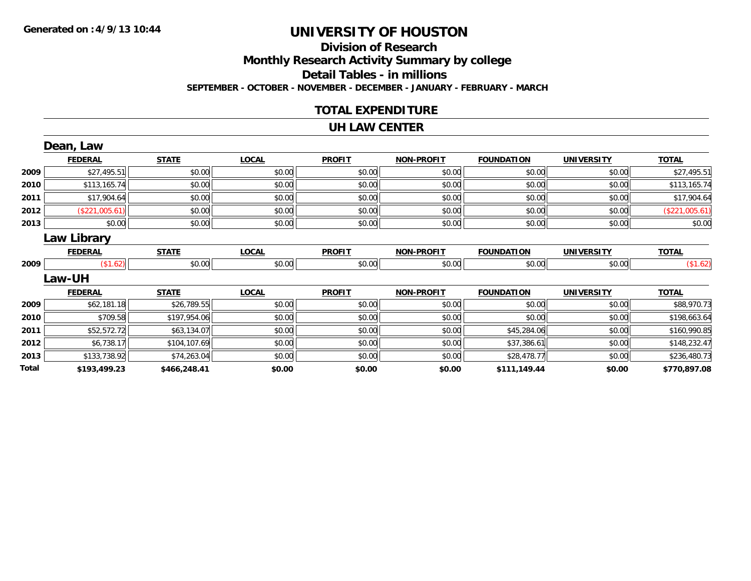# **Division of ResearchMonthly Research Activity Summary by college Detail Tables - in millions SEPTEMBER - OCTOBER - NOVEMBER - DECEMBER - JANUARY - FEBRUARY - MARCH**

#### **TOTAL EXPENDITURE**

#### **UH LAW CENTER**

|       | Dean, Law      |              |              |               |                   |                   |                   |                |
|-------|----------------|--------------|--------------|---------------|-------------------|-------------------|-------------------|----------------|
|       | <b>FEDERAL</b> | <b>STATE</b> | <b>LOCAL</b> | <b>PROFIT</b> | <b>NON-PROFIT</b> | <b>FOUNDATION</b> | <b>UNIVERSITY</b> | <b>TOTAL</b>   |
| 2009  | \$27,495.51    | \$0.00       | \$0.00       | \$0.00        | \$0.00            | \$0.00            | \$0.00            | \$27,495.51    |
| 2010  | \$113,165.74   | \$0.00       | \$0.00       | \$0.00        | \$0.00            | \$0.00            | \$0.00            | \$113,165.74   |
| 2011  | \$17,904.64    | \$0.00       | \$0.00       | \$0.00        | \$0.00            | \$0.00            | \$0.00            | \$17,904.64    |
| 2012  | (\$221,005.61) | \$0.00       | \$0.00       | \$0.00        | \$0.00            | \$0.00            | \$0.00            | (\$221,005.61) |
| 2013  | \$0.00         | \$0.00       | \$0.00       | \$0.00        | \$0.00            | \$0.00            | \$0.00            | \$0.00         |
|       | Law Library    |              |              |               |                   |                   |                   |                |
|       | <b>FEDERAL</b> | <b>STATE</b> | <b>LOCAL</b> | <b>PROFIT</b> | <b>NON-PROFIT</b> | <b>FOUNDATION</b> | <b>UNIVERSITY</b> | <b>TOTAL</b>   |
| 2009  | (\$1.62)       | \$0.00       | \$0.00       | \$0.00        | \$0.00            | \$0.00            | \$0.00            | (\$1.62)       |
|       | <b>Law-UH</b>  |              |              |               |                   |                   |                   |                |
|       | <b>FEDERAL</b> | <b>STATE</b> | <b>LOCAL</b> | <b>PROFIT</b> | <b>NON-PROFIT</b> | <b>FOUNDATION</b> | <b>UNIVERSITY</b> | <b>TOTAL</b>   |
| 2009  | \$62,181.18    | \$26,789.55  | \$0.00       | \$0.00        | \$0.00            | \$0.00            | \$0.00            | \$88,970.73    |
| 2010  | \$709.58       | \$197,954.06 | \$0.00       | \$0.00        | \$0.00            | \$0.00            | \$0.00            | \$198,663.64   |
| 2011  | \$52,572.72    | \$63,134.07  | \$0.00       | \$0.00        | \$0.00            | \$45,284.06       | \$0.00            | \$160,990.85   |
| 2012  | \$6,738.17     | \$104,107.69 | \$0.00       | \$0.00        | \$0.00            | \$37,386.61       | \$0.00            | \$148,232.47   |
| 2013  | \$133,738.92   | \$74,263.04  | \$0.00       | \$0.00        | \$0.00            | \$28,478.77       | \$0.00            | \$236,480.73   |
| Total | \$193,499.23   | \$466,248.41 | \$0.00       | \$0.00        | \$0.00            | \$111,149.44      | \$0.00            | \$770,897.08   |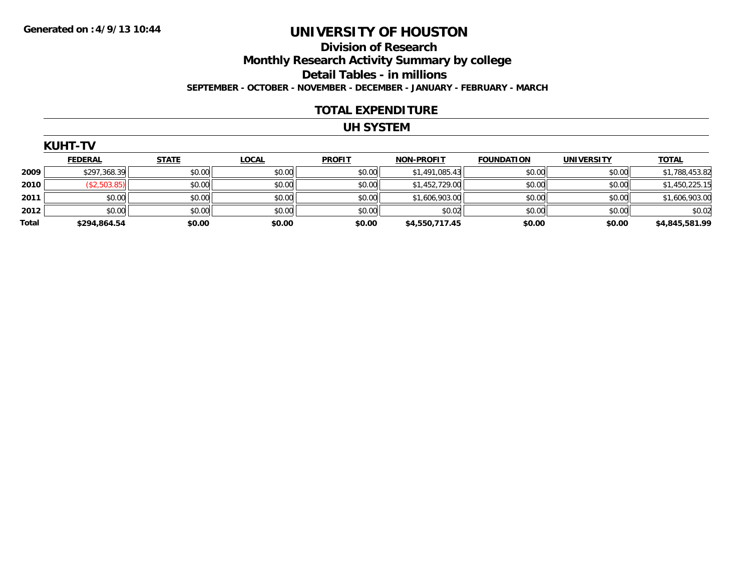### **Division of Research Monthly Research Activity Summary by college Detail Tables - in millions SEPTEMBER - OCTOBER - NOVEMBER - DECEMBER - JANUARY - FEBRUARY - MARCH**

#### **TOTAL EXPENDITURE**

### **UH SYSTEM**

| <b>KUHT</b> | . . |  |  |
|-------------|-----|--|--|
|             |     |  |  |

|       | <b>FEDERAL</b> | <b>STATE</b> | <b>LOCAL</b> | <b>PROFIT</b> | <b>NON-PROFIT</b> | <b>FOUNDATION</b> | <b>UNIVERSITY</b> |                |
|-------|----------------|--------------|--------------|---------------|-------------------|-------------------|-------------------|----------------|
|       |                |              |              |               |                   |                   |                   | <u>TOTAL</u>   |
| 2009  | \$297,368.39   | \$0.00       | \$0.00       | \$0.00        | \$1,491,085.43    | \$0.00            | \$0.00            | \$1,788,453.82 |
| 2010  | (\$2,503.85)   | \$0.00       | \$0.00       | \$0.00        | \$1,452,729.00    | \$0.00            | \$0.00            | \$1,450,225.15 |
| 2011  | \$0.00         | \$0.00       | \$0.00       | \$0.00        | \$1,606,903.00    | \$0.00            | \$0.00            | \$1,606,903.00 |
| 2012  | \$0.00         | \$0.00       | \$0.00       | \$0.00        | \$0.02            | \$0.00            | \$0.00            | \$0.02         |
| Total | \$294,864.54   | \$0.00       | \$0.00       | \$0.00        | \$4,550,717.45    | \$0.00            | \$0.00            | \$4,845,581.99 |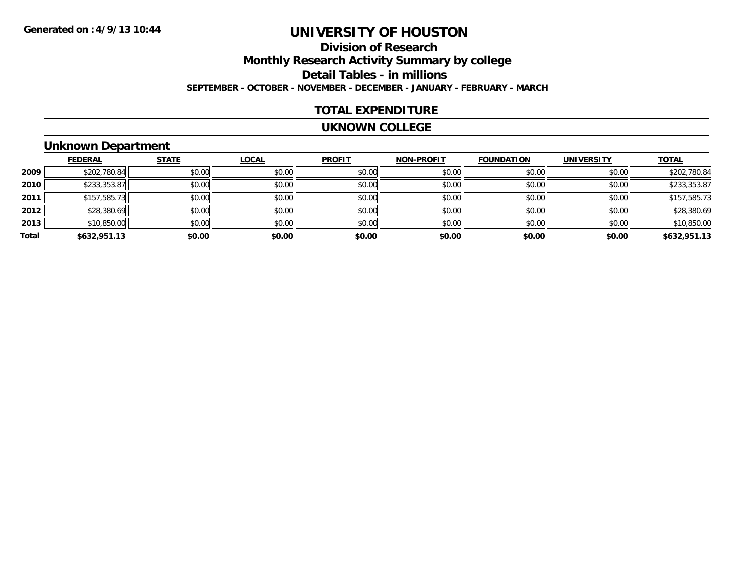# **Division of ResearchMonthly Research Activity Summary by college Detail Tables - in millions SEPTEMBER - OCTOBER - NOVEMBER - DECEMBER - JANUARY - FEBRUARY - MARCH**

#### **TOTAL EXPENDITURE**

#### **UKNOWN COLLEGE**

### **Unknown Department**

|       | <b>FEDERAL</b> | <b>STATE</b> | <b>LOCAL</b> | <b>PROFIT</b> | <b>NON-PROFIT</b> | <b>FOUNDATION</b> | <b>UNIVERSITY</b> | <b>TOTAL</b> |
|-------|----------------|--------------|--------------|---------------|-------------------|-------------------|-------------------|--------------|
| 2009  | \$202,780.84   | \$0.00       | \$0.00       | \$0.00        | \$0.00            | \$0.00            | \$0.00            | \$202,780.84 |
| 2010  | \$233,353.87   | \$0.00       | \$0.00       | \$0.00        | \$0.00            | \$0.00            | \$0.00            | \$233,353.87 |
| 2011  | \$157,585.73   | \$0.00       | \$0.00       | \$0.00        | \$0.00            | \$0.00            | \$0.00            | \$157,585.73 |
| 2012  | \$28,380.69    | \$0.00       | \$0.00       | \$0.00        | \$0.00            | \$0.00            | \$0.00            | \$28,380.69  |
| 2013  | \$10,850.00    | \$0.00       | \$0.00       | \$0.00        | \$0.00            | \$0.00            | \$0.00            | \$10,850.00  |
| Total | \$632,951.13   | \$0.00       | \$0.00       | \$0.00        | \$0.00            | \$0.00            | \$0.00            | \$632,951.13 |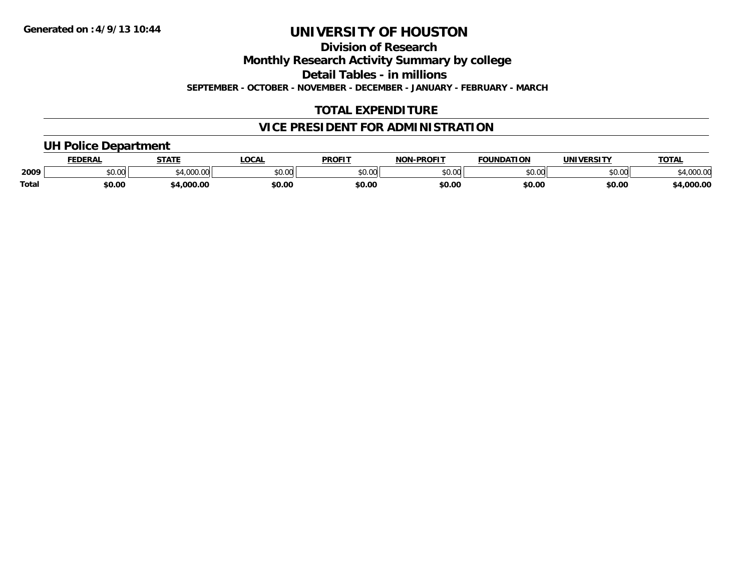**Division of Research**

**Monthly Research Activity Summary by college**

**Detail Tables - in millions**

**SEPTEMBER - OCTOBER - NOVEMBER - DECEMBER - JANUARY - FEBRUARY - MARCH**

# **TOTAL EXPENDITURE**

# **VICE PRESIDENT FOR ADMINISTRATION**

### **UH Police Department**

|              | <b>FEDERAL</b> | <b>STATE</b>                                | <b>LOCAL</b>  | <b>PROFIT</b>  | <b>J-PROFIT</b><br><b>NON</b> | <b>FOUNDATION</b> | UNIVERSITY | <b>TOTAL</b>      |
|--------------|----------------|---------------------------------------------|---------------|----------------|-------------------------------|-------------------|------------|-------------------|
| 2009         | vv.vv          | $\rightarrow$ 000.00 $\rightarrow$<br>uuu.u | 0000<br>PU.UU | 40.00<br>DU.UU | 0000<br>,u.uu                 | \$0.00            | \$0.00     | 00000<br>4,000.00 |
| <b>Total</b> | \$0.00         | .000.00                                     | \$0.00        | \$0.00         | \$0.00                        | \$0.00            | \$0.00     | 4,000.00          |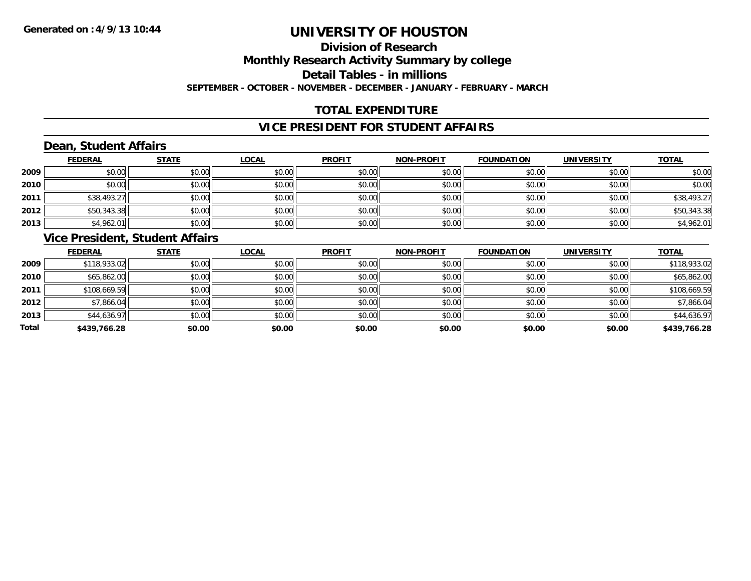# **Division of ResearchMonthly Research Activity Summary by college Detail Tables - in millions**

**SEPTEMBER - OCTOBER - NOVEMBER - DECEMBER - JANUARY - FEBRUARY - MARCH**

# **TOTAL EXPENDITURE**

#### **VICE PRESIDENT FOR STUDENT AFFAIRS**

# **Dean, Student Affairs**

|      | <b>FEDERAL</b> | <b>STATE</b> | <b>LOCAL</b> | <b>PROFIT</b> | <b>NON-PROFIT</b> | <b>FOUNDATION</b> | <b>UNIVERSITY</b> | <b>TOTAL</b> |
|------|----------------|--------------|--------------|---------------|-------------------|-------------------|-------------------|--------------|
| 2009 | \$0.00         | \$0.00       | \$0.00       | \$0.00        | \$0.00            | \$0.00            | \$0.00            | \$0.00       |
| 2010 | \$0.00         | \$0.00       | \$0.00       | \$0.00        | \$0.00            | \$0.00            | \$0.00            | \$0.00       |
| 2011 | \$38,493.27    | \$0.00       | \$0.00       | \$0.00        | \$0.00            | \$0.00            | \$0.00            | \$38,493.27  |
| 2012 | \$50,343.38    | \$0.00       | \$0.00       | \$0.00        | \$0.00            | \$0.00            | \$0.00            | \$50,343.38  |
| 2013 | \$4,962.01     | \$0.00       | \$0.00       | \$0.00        | \$0.00            | \$0.00            | \$0.00            | \$4,962.01   |

### **Vice President, Student Affairs**

|       | <b>FEDERAL</b> | <b>STATE</b> | <b>LOCAL</b> | <b>PROFIT</b> | <b>NON-PROFIT</b> | <b>FOUNDATION</b> | <b>UNIVERSITY</b> | <b>TOTAL</b> |
|-------|----------------|--------------|--------------|---------------|-------------------|-------------------|-------------------|--------------|
| 2009  | \$118,933.02   | \$0.00       | \$0.00       | \$0.00        | \$0.00            | \$0.00            | \$0.00            | \$118,933.02 |
| 2010  | \$65,862.00    | \$0.00       | \$0.00       | \$0.00        | \$0.00            | \$0.00            | \$0.00            | \$65,862.00  |
| 2011  | \$108,669.59   | \$0.00       | \$0.00       | \$0.00        | \$0.00            | \$0.00            | \$0.00            | \$108,669.59 |
| 2012  | \$7,866.04     | \$0.00       | \$0.00       | \$0.00        | \$0.00            | \$0.00            | \$0.00            | \$7,866.04   |
| 2013  | \$44,636.97    | \$0.00       | \$0.00       | \$0.00        | \$0.00            | \$0.00            | \$0.00            | \$44,636.97  |
| Total | \$439,766.28   | \$0.00       | \$0.00       | \$0.00        | \$0.00            | \$0.00            | \$0.00            | \$439,766.28 |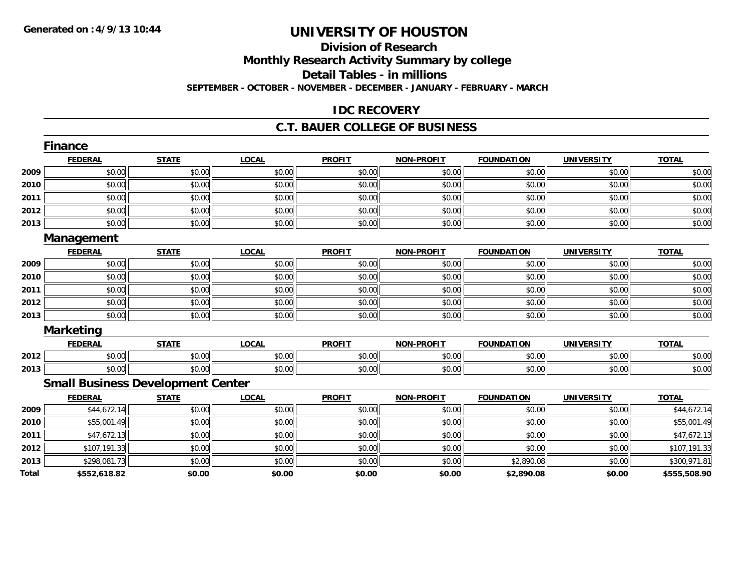# **Division of ResearchMonthly Research Activity Summary by college Detail Tables - in millions SEPTEMBER - OCTOBER - NOVEMBER - DECEMBER - JANUARY - FEBRUARY - MARCH**

#### **IDC RECOVERY**

#### **C.T. BAUER COLLEGE OF BUSINESS**

|       | <b>Finance</b>                           |              |              |               |                   |                   |                   |              |
|-------|------------------------------------------|--------------|--------------|---------------|-------------------|-------------------|-------------------|--------------|
|       | <b>FEDERAL</b>                           | <b>STATE</b> | <b>LOCAL</b> | <b>PROFIT</b> | NON-PROFIT        | <b>FOUNDATION</b> | <b>UNIVERSITY</b> | <b>TOTAL</b> |
| 2009  | \$0.00                                   | \$0.00       | \$0.00       | \$0.00        | \$0.00            | \$0.00            | \$0.00            | \$0.00       |
| 2010  | \$0.00                                   | \$0.00       | \$0.00       | \$0.00        | \$0.00            | \$0.00            | \$0.00            | \$0.00       |
| 2011  | \$0.00                                   | \$0.00       | \$0.00       | \$0.00        | \$0.00            | \$0.00            | \$0.00            | \$0.00       |
| 2012  | \$0.00                                   | \$0.00       | \$0.00       | \$0.00        | \$0.00            | \$0.00            | \$0.00            | \$0.00       |
| 2013  | \$0.00                                   | \$0.00       | \$0.00       | \$0.00        | \$0.00            | \$0.00            | \$0.00            | \$0.00       |
|       | Management                               |              |              |               |                   |                   |                   |              |
|       | <b>FEDERAL</b>                           | <b>STATE</b> | <b>LOCAL</b> | <b>PROFIT</b> | NON-PROFIT        | <b>FOUNDATION</b> | <b>UNIVERSITY</b> | <b>TOTAL</b> |
| 2009  | \$0.00                                   | \$0.00       | \$0.00       | \$0.00        | \$0.00            | \$0.00            | \$0.00            | \$0.00       |
| 2010  | \$0.00                                   | \$0.00       | \$0.00       | \$0.00        | \$0.00            | \$0.00            | \$0.00            | \$0.00       |
| 2011  | \$0.00                                   | \$0.00       | \$0.00       | \$0.00        | \$0.00            | \$0.00            | \$0.00            | \$0.00       |
| 2012  | \$0.00                                   | \$0.00       | \$0.00       | \$0.00        | \$0.00            | \$0.00            | \$0.00            | \$0.00       |
| 2013  | \$0.00                                   | \$0.00       | \$0.00       | \$0.00        | \$0.00            | \$0.00            | \$0.00            | \$0.00       |
|       | <b>Marketing</b>                         |              |              |               |                   |                   |                   |              |
|       | <b>FEDERAL</b>                           | <b>STATE</b> | <b>LOCAL</b> | <b>PROFIT</b> | NON-PROFIT        | <b>FOUNDATION</b> | <b>UNIVERSITY</b> | <b>TOTAL</b> |
| 2012  | \$0.00                                   | \$0.00       | \$0.00       | \$0.00        | \$0.00            | \$0.00            | \$0.00            | \$0.00       |
| 2013  | \$0.00                                   | \$0.00       | \$0.00       | \$0.00        | \$0.00            | \$0.00            | \$0.00            | \$0.00       |
|       | <b>Small Business Development Center</b> |              |              |               |                   |                   |                   |              |
|       | <b>FEDERAL</b>                           | <b>STATE</b> | <b>LOCAL</b> | <b>PROFIT</b> | <b>NON-PROFIT</b> | <b>FOUNDATION</b> | <b>UNIVERSITY</b> | <b>TOTAL</b> |
| 2009  | \$44,672.14                              | \$0.00       | \$0.00       | \$0.00        | \$0.00            | \$0.00            | \$0.00            | \$44,672.14  |
| 2010  | \$55,001.49                              | \$0.00       | \$0.00       | \$0.00        | \$0.00            | \$0.00            | \$0.00            | \$55,001.49  |
| 2011  | \$47,672.13                              | \$0.00       | \$0.00       | \$0.00        | \$0.00            | \$0.00            | \$0.00            | \$47,672.13  |
| 2012  | \$107,191.33                             | \$0.00       | \$0.00       | \$0.00        | \$0.00            | \$0.00            | \$0.00            | \$107,191.33 |
| 2013  | \$298,081.73                             | \$0.00       | \$0.00       | \$0.00        | \$0.00            | \$2,890.08        | \$0.00            | \$300,971.81 |
| Total | \$552,618.82                             | \$0.00       | \$0.00       | \$0.00        | \$0.00            | \$2,890.08        | \$0.00            | \$555,508.90 |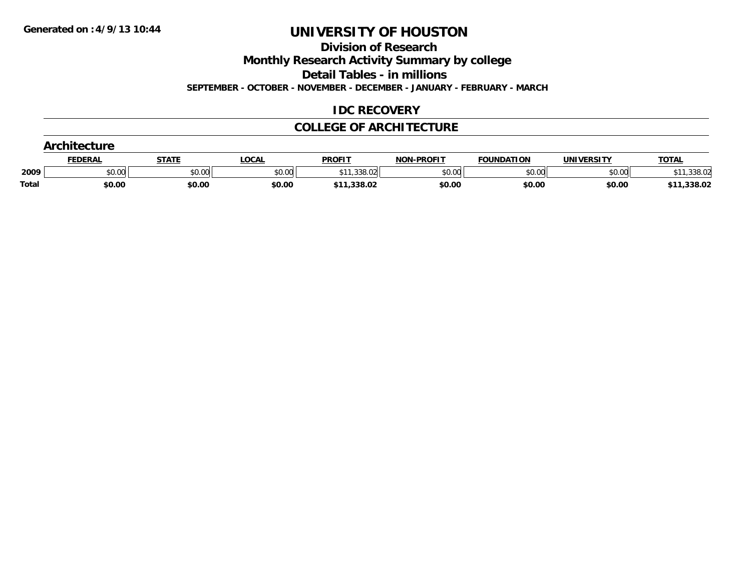**Division of Research**

**Monthly Research Activity Summary by college**

**Detail Tables - in millions**

**SEPTEMBER - OCTOBER - NOVEMBER - DECEMBER - JANUARY - FEBRUARY - MARCH**

# **IDC RECOVERY**

#### **COLLEGE OF ARCHITECTURE**

|              | Architecture   |              |              |               |                   |                   |                   |              |  |  |
|--------------|----------------|--------------|--------------|---------------|-------------------|-------------------|-------------------|--------------|--|--|
|              | <b>FEDERAL</b> | <b>STATE</b> | <b>LOCAL</b> | <b>PROFIT</b> | <b>NON-PROFIT</b> | <b>FOUNDATION</b> | <b>UNIVERSITY</b> | <b>TOTAL</b> |  |  |
| 2009         | \$0.00         | \$0.00       | \$0.00       | \$11.338.02   | \$0.00            | \$0.00            | \$0.00            | 11,338.02    |  |  |
| <b>Total</b> | \$0.00         | \$0.00       | \$0.00       | \$11,338.02   | \$0.00            | \$0.00            | \$0.00            | \$11,338.02  |  |  |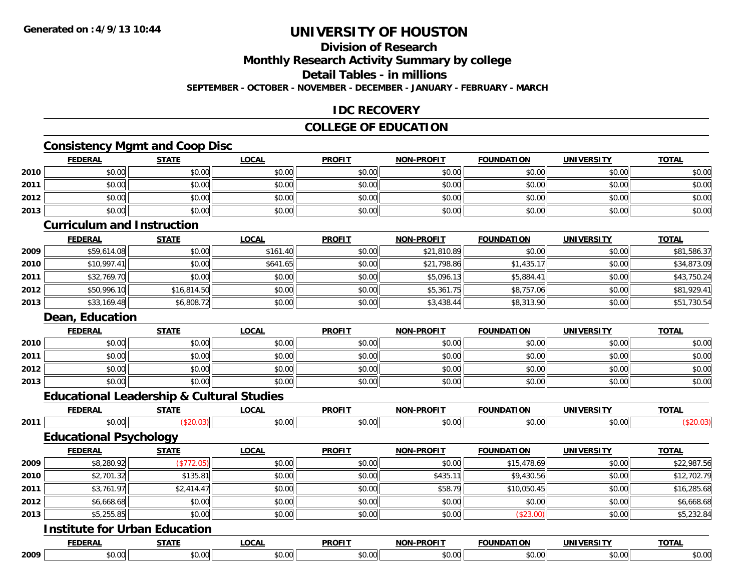# **Division of Research**

**Monthly Research Activity Summary by college**

**Detail Tables - in millions**

**SEPTEMBER - OCTOBER - NOVEMBER - DECEMBER - JANUARY - FEBRUARY - MARCH**

### **IDC RECOVERY**

### **COLLEGE OF EDUCATION**

# **Consistency Mgmt and Coop Disc**

|      | <b>FEDERAL</b>                       | <b>STATE</b>                                         | <b>LOCAL</b> | <b>PROFIT</b> | <b>NON-PROFIT</b> | <b>FOUNDATION</b> | <b>UNIVERSITY</b> | <b>TOTAL</b> |
|------|--------------------------------------|------------------------------------------------------|--------------|---------------|-------------------|-------------------|-------------------|--------------|
| 2010 | \$0.00                               | \$0.00                                               | \$0.00       | \$0.00        | \$0.00            | \$0.00            | \$0.00            | \$0.00       |
| 2011 | \$0.00                               | \$0.00                                               | \$0.00       | \$0.00        | \$0.00            | \$0.00            | \$0.00            | \$0.00       |
| 2012 | \$0.00                               | \$0.00                                               | \$0.00       | \$0.00        | \$0.00            | \$0.00            | \$0.00            | \$0.00       |
| 2013 | \$0.00                               | \$0.00                                               | \$0.00       | \$0.00        | \$0.00            | \$0.00            | \$0.00            | \$0.00       |
|      | <b>Curriculum and Instruction</b>    |                                                      |              |               |                   |                   |                   |              |
|      | <b>FEDERAL</b>                       | <b>STATE</b>                                         | <b>LOCAL</b> | <b>PROFIT</b> | <b>NON-PROFIT</b> | <b>FOUNDATION</b> | <b>UNIVERSITY</b> | <b>TOTAL</b> |
| 2009 | \$59,614.08                          | \$0.00                                               | \$161.40     | \$0.00        | \$21,810.89       | \$0.00            | \$0.00            | \$81,586.37  |
| 2010 | \$10,997.41                          | \$0.00                                               | \$641.65     | \$0.00        | \$21,798.86       | \$1,435.17        | \$0.00            | \$34,873.09  |
| 2011 | \$32,769.70                          | \$0.00                                               | \$0.00       | \$0.00        | \$5,096.13        | \$5,884.41        | \$0.00            | \$43,750.24  |
| 2012 | \$50,996.10                          | \$16,814.50                                          | \$0.00       | \$0.00        | \$5,361.75        | \$8,757.06        | \$0.00            | \$81,929.41  |
| 2013 | \$33,169.48                          | \$6,808.72                                           | \$0.00       | \$0.00        | \$3,438.44        | \$8,313.90        | \$0.00            | \$51,730.54  |
|      | <b>Dean, Education</b>               |                                                      |              |               |                   |                   |                   |              |
|      | <b>FEDERAL</b>                       | <b>STATE</b>                                         | <b>LOCAL</b> | <b>PROFIT</b> | <b>NON-PROFIT</b> | <b>FOUNDATION</b> | <b>UNIVERSITY</b> | <b>TOTAL</b> |
| 2010 | \$0.00                               | \$0.00                                               | \$0.00       | \$0.00        | \$0.00            | \$0.00            | \$0.00            | \$0.00       |
| 2011 | \$0.00                               | \$0.00                                               | \$0.00       | \$0.00        | \$0.00            | \$0.00            | \$0.00            | \$0.00       |
| 2012 | \$0.00                               | \$0.00                                               | \$0.00       | \$0.00        | \$0.00            | \$0.00            | \$0.00            | \$0.00       |
| 2013 | \$0.00                               | \$0.00                                               | \$0.00       | \$0.00        | \$0.00            | \$0.00            | \$0.00            | \$0.00       |
|      |                                      | <b>Educational Leadership &amp; Cultural Studies</b> |              |               |                   |                   |                   |              |
|      | <b>FEDERAL</b>                       | <b>STATE</b>                                         | <b>LOCAL</b> | <b>PROFIT</b> | <b>NON-PROFIT</b> | <b>FOUNDATION</b> | <b>UNIVERSITY</b> | <b>TOTAL</b> |
| 2011 | \$0.00                               | (\$20.03)                                            | \$0.00       | \$0.00        | \$0.00            | \$0.00            | \$0.00            | (\$20.03)    |
|      | <b>Educational Psychology</b>        |                                                      |              |               |                   |                   |                   |              |
|      | <b>FEDERAL</b>                       | <b>STATE</b>                                         | <b>LOCAL</b> | <b>PROFIT</b> | <b>NON-PROFIT</b> | <b>FOUNDATION</b> | <b>UNIVERSITY</b> | <b>TOTAL</b> |
| 2009 | \$8,280.92                           | (\$772.05)                                           | \$0.00       | \$0.00        | \$0.00            | \$15,478.69       | \$0.00            | \$22,987.56  |
| 2010 | \$2,701.32                           | \$135.81                                             | \$0.00       | \$0.00        | \$435.11          | \$9,430.56        | \$0.00            | \$12,702.79  |
| 2011 | \$3,761.97                           | \$2,414.47                                           | \$0.00       | \$0.00        | \$58.79           | \$10,050.45       | \$0.00            | \$16,285.68  |
| 2012 | \$6,668.68                           | \$0.00                                               | \$0.00       | \$0.00        | \$0.00            | \$0.00            | \$0.00            | \$6,668.68   |
| 2013 | \$5,255.85                           | \$0.00                                               | \$0.00       | \$0.00        | \$0.00            | (\$23.00)         | \$0.00            | \$5,232.84   |
|      | <b>Institute for Urban Education</b> |                                                      |              |               |                   |                   |                   |              |
|      | <b>FEDERAL</b>                       | <b>STATE</b>                                         | <b>LOCAL</b> | <b>PROFIT</b> | <b>NON-PROFIT</b> | <b>FOUNDATION</b> | <b>UNIVERSITY</b> | <b>TOTAL</b> |
| 2009 | \$0.00                               | \$0.00                                               | \$0.00       | \$0.00        | \$0.00            | \$0.00            | \$0.00            | \$0.00       |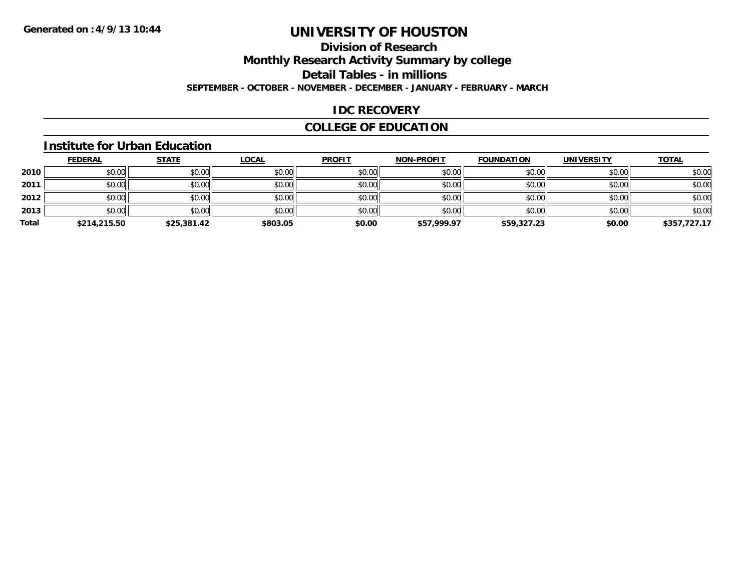# **Division of ResearchMonthly Research Activity Summary by college Detail Tables - in millions SEPTEMBER - OCTOBER - NOVEMBER - DECEMBER - JANUARY - FEBRUARY - MARCH**

#### **IDC RECOVERY**

# **COLLEGE OF EDUCATION**

#### **Institute for Urban Education**

|       | <b>FEDERAL</b> | <b>STATE</b> | <b>LOCAL</b> | <b>PROFIT</b> | <b>NON-PROFIT</b> | <b>FOUNDATION</b> | <b>UNIVERSITY</b> | <b>TOTAL</b> |
|-------|----------------|--------------|--------------|---------------|-------------------|-------------------|-------------------|--------------|
| 2010  | \$0.00         | \$0.00       | \$0.00       | \$0.00        | \$0.00            | \$0.00            | \$0.00            | \$0.00       |
| 2011  | \$0.00         | \$0.00       | \$0.00       | \$0.00        | \$0.00            | \$0.00            | \$0.00            | \$0.00       |
| 2012  | \$0.00         | \$0.00       | \$0.00       | \$0.00        | \$0.00            | \$0.00            | \$0.00            | \$0.00       |
| 2013  | \$0.00         | \$0.00       | \$0.00       | \$0.00        | \$0.00            | \$0.00            | \$0.00            | \$0.00       |
| Total | \$214,215.50   | \$25,381.42  | \$803.05     | \$0.00        | \$57,999.97       | \$59,327.23       | \$0.00            | \$357,727.17 |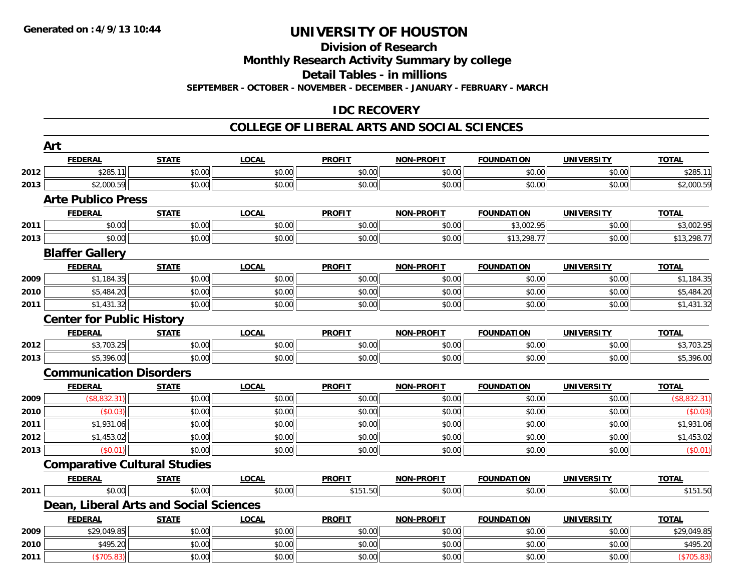#### **Division of Research**

**Monthly Research Activity Summary by college**

**Detail Tables - in millions**

**SEPTEMBER - OCTOBER - NOVEMBER - DECEMBER - JANUARY - FEBRUARY - MARCH**

### **IDC RECOVERY**

#### **COLLEGE OF LIBERAL ARTS AND SOCIAL SCIENCES**

|      | Art                                    |              |              |               |                   |                   |                   |              |
|------|----------------------------------------|--------------|--------------|---------------|-------------------|-------------------|-------------------|--------------|
|      | <b>FEDERAL</b>                         | <b>STATE</b> | <b>LOCAL</b> | <b>PROFIT</b> | <b>NON-PROFIT</b> | <b>FOUNDATION</b> | <b>UNIVERSITY</b> | <b>TOTAL</b> |
| 2012 | \$285.11                               | \$0.00       | \$0.00       | \$0.00        | \$0.00            | \$0.00            | \$0.00            | \$285.11     |
| 2013 | \$2,000.59                             | \$0.00       | \$0.00       | \$0.00        | \$0.00            | \$0.00            | \$0.00            | \$2,000.59   |
|      | <b>Arte Publico Press</b>              |              |              |               |                   |                   |                   |              |
|      | <b>FEDERAL</b>                         | <b>STATE</b> | <b>LOCAL</b> | <b>PROFIT</b> | NON-PROFIT        | <b>FOUNDATION</b> | <b>UNIVERSITY</b> | <b>TOTAL</b> |
| 2011 | \$0.00                                 | \$0.00       | \$0.00       | \$0.00        | \$0.00            | \$3,002.95        | \$0.00            | \$3,002.95   |
| 2013 | \$0.00                                 | \$0.00       | \$0.00       | \$0.00        | \$0.00            | \$13,298.77       | \$0.00            | \$13,298.77  |
|      | <b>Blaffer Gallery</b>                 |              |              |               |                   |                   |                   |              |
|      | <b>FEDERAL</b>                         | <b>STATE</b> | <b>LOCAL</b> | <b>PROFIT</b> | <b>NON-PROFIT</b> | <b>FOUNDATION</b> | <b>UNIVERSITY</b> | <b>TOTAL</b> |
| 2009 | \$1,184.35                             | \$0.00       | \$0.00       | \$0.00        | \$0.00            | \$0.00            | \$0.00            | \$1,184.35   |
| 2010 | \$5,484.20                             | \$0.00       | \$0.00       | \$0.00        | \$0.00            | \$0.00            | \$0.00            | \$5,484.20   |
| 2011 | \$1,431.32                             | \$0.00       | \$0.00       | \$0.00        | \$0.00            | \$0.00            | \$0.00            | \$1,431.32   |
|      | <b>Center for Public History</b>       |              |              |               |                   |                   |                   |              |
|      | <b>FEDERAL</b>                         | <b>STATE</b> | <b>LOCAL</b> | <b>PROFIT</b> | <b>NON-PROFIT</b> | <b>FOUNDATION</b> | <b>UNIVERSITY</b> | <b>TOTAL</b> |
| 2012 | \$3,703.25                             | \$0.00       | \$0.00       | \$0.00        | \$0.00            | \$0.00            | \$0.00            | \$3,703.25   |
| 2013 | \$5,396.00                             | \$0.00       | \$0.00       | \$0.00        | \$0.00            | \$0.00            | \$0.00            | \$5,396.00   |
|      | <b>Communication Disorders</b>         |              |              |               |                   |                   |                   |              |
|      | <b>FEDERAL</b>                         | <b>STATE</b> | <b>LOCAL</b> | <b>PROFIT</b> | NON-PROFIT        | <b>FOUNDATION</b> | <b>UNIVERSITY</b> | <b>TOTAL</b> |
| 2009 | (\$8,832.31)                           | \$0.00       | \$0.00       | \$0.00        | \$0.00            | \$0.00            | \$0.00            | (\$8,832.31) |
| 2010 | (S0.03)                                | \$0.00       | \$0.00       | \$0.00        | \$0.00            | \$0.00            | \$0.00            | (\$0.03)     |
| 2011 | \$1,931.06                             | \$0.00       | \$0.00       | \$0.00        | \$0.00            | \$0.00            | \$0.00            | \$1,931.06   |
| 2012 | \$1,453.02                             | \$0.00       | \$0.00       | \$0.00        | \$0.00            | \$0.00            | \$0.00            | \$1,453.02   |
| 2013 | (S0.01)                                | \$0.00       | \$0.00       | \$0.00        | \$0.00            | \$0.00            | \$0.00            | (\$0.01)     |
|      | <b>Comparative Cultural Studies</b>    |              |              |               |                   |                   |                   |              |
|      | <b>FEDERAL</b>                         | <b>STATE</b> | <b>LOCAL</b> | <b>PROFIT</b> | <b>NON-PROFIT</b> | <b>FOUNDATION</b> | <b>UNIVERSITY</b> | <b>TOTAL</b> |
| 2011 | \$0.00                                 | \$0.00       | \$0.00       | \$151.50      | \$0.00            | \$0.00            | \$0.00            | \$151.50     |
|      | Dean, Liberal Arts and Social Sciences |              |              |               |                   |                   |                   |              |
|      | <b>FEDERAL</b>                         | <b>STATE</b> | <b>LOCAL</b> | <b>PROFIT</b> | <b>NON-PROFIT</b> | <b>FOUNDATION</b> | <b>UNIVERSITY</b> | <b>TOTAL</b> |
| 2009 | \$29,049.85                            | \$0.00       | \$0.00       | \$0.00        | \$0.00            | \$0.00            | \$0.00            | \$29,049.85  |
| 2010 | \$495.20                               | \$0.00       | \$0.00       | \$0.00        | \$0.00            | \$0.00            | \$0.00            | \$495.20     |
| 2011 | (\$705.83)                             | \$0.00       | \$0.00       | \$0.00        | \$0.00            | \$0.00            | \$0.00            | (\$705.83)   |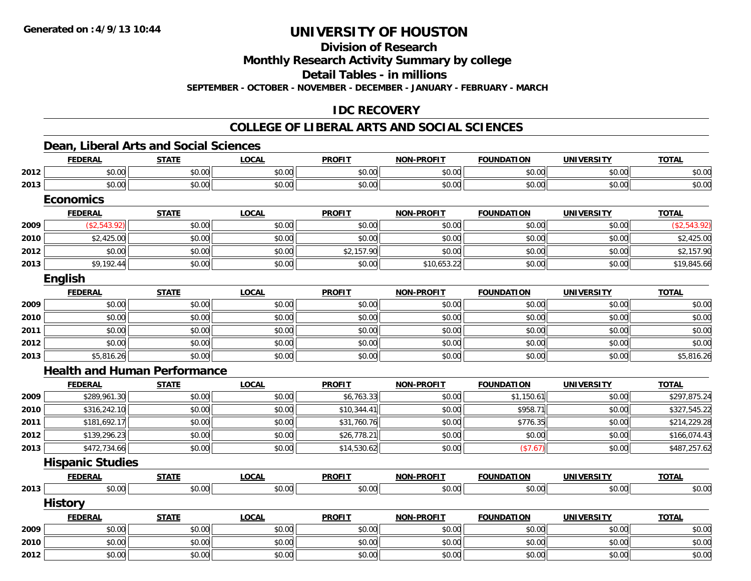**Division of Research**

**Monthly Research Activity Summary by college**

**Detail Tables - in millions**

**SEPTEMBER - OCTOBER - NOVEMBER - DECEMBER - JANUARY - FEBRUARY - MARCH**

# **IDC RECOVERY**

#### **COLLEGE OF LIBERAL ARTS AND SOCIAL SCIENCES**

### **Dean, Liberal Arts and Social Sciences**

|      | <b>FEDERAL</b>                      | <b>STATE</b> | <b>LOCAL</b> | <b>PROFIT</b> | <b>NON-PROFIT</b> | <b>FOUNDATION</b> | <b>UNIVERSITY</b> | <b>TOTAL</b> |
|------|-------------------------------------|--------------|--------------|---------------|-------------------|-------------------|-------------------|--------------|
| 2012 | \$0.00                              | \$0.00       | \$0.00       | \$0.00        | \$0.00            | \$0.00            | \$0.00            | \$0.00       |
| 2013 | \$0.00                              | \$0.00       | \$0.00       | \$0.00        | \$0.00            | \$0.00            | \$0.00            | \$0.00       |
|      | <b>Economics</b>                    |              |              |               |                   |                   |                   |              |
|      | <b>FEDERAL</b>                      | <b>STATE</b> | <b>LOCAL</b> | <b>PROFIT</b> | <b>NON-PROFIT</b> | <b>FOUNDATION</b> | <b>UNIVERSITY</b> | <b>TOTAL</b> |
| 2009 | (\$2,543.92)                        | \$0.00       | \$0.00       | \$0.00        | \$0.00            | \$0.00            | \$0.00            | (\$2,543.92) |
| 2010 | \$2,425.00                          | \$0.00       | \$0.00       | \$0.00        | \$0.00            | \$0.00            | \$0.00            | \$2,425.00   |
| 2012 | \$0.00                              | \$0.00       | \$0.00       | \$2,157.90    | \$0.00            | \$0.00            | \$0.00            | \$2,157.90   |
| 2013 | \$9,192.44                          | \$0.00       | \$0.00       | \$0.00        | \$10,653.22       | \$0.00            | \$0.00            | \$19,845.66  |
|      | English                             |              |              |               |                   |                   |                   |              |
|      | <b>FEDERAL</b>                      | <b>STATE</b> | <b>LOCAL</b> | <b>PROFIT</b> | <b>NON-PROFIT</b> | <b>FOUNDATION</b> | <b>UNIVERSITY</b> | <b>TOTAL</b> |
| 2009 | \$0.00                              | \$0.00       | \$0.00       | \$0.00        | \$0.00            | \$0.00            | \$0.00            | \$0.00       |
| 2010 | \$0.00                              | \$0.00       | \$0.00       | \$0.00        | \$0.00            | \$0.00            | \$0.00            | \$0.00       |
| 2011 | \$0.00                              | \$0.00       | \$0.00       | \$0.00        | \$0.00            | \$0.00            | \$0.00            | \$0.00       |
| 2012 | \$0.00                              | \$0.00       | \$0.00       | \$0.00        | \$0.00            | \$0.00            | \$0.00            | \$0.00       |
| 2013 | \$5,816.26                          | \$0.00       | \$0.00       | \$0.00        | \$0.00            | \$0.00            | \$0.00            | \$5,816.26   |
|      | <b>Health and Human Performance</b> |              |              |               |                   |                   |                   |              |
|      | <b>FEDERAL</b>                      | <b>STATE</b> | <b>LOCAL</b> | <b>PROFIT</b> | <b>NON-PROFIT</b> | <b>FOUNDATION</b> | <b>UNIVERSITY</b> | <b>TOTAL</b> |
| 2009 | \$289,961.30                        | \$0.00       | \$0.00       | \$6,763.33    | \$0.00            | \$1,150.61        | \$0.00            | \$297,875.24 |
| 2010 | \$316,242.10                        | \$0.00       | \$0.00       | \$10,344.41   | \$0.00            | \$958.71          | \$0.00            | \$327,545.22 |
| 2011 | \$181,692.17                        | \$0.00       | \$0.00       | \$31,760.76   | \$0.00            | \$776.35          | \$0.00            | \$214,229.28 |
| 2012 | \$139,296.23                        | \$0.00       | \$0.00       | \$26,778.21   | \$0.00            | \$0.00            | \$0.00            | \$166,074.43 |
| 2013 | \$472,734.66                        | \$0.00       | \$0.00       | \$14,530.62   | \$0.00            | (\$7.67)          | \$0.00            | \$487,257.62 |
|      | <b>Hispanic Studies</b>             |              |              |               |                   |                   |                   |              |
|      | <b>FEDERAL</b>                      | <b>STATE</b> | <b>LOCAL</b> | <b>PROFIT</b> | <b>NON-PROFIT</b> | <b>FOUNDATION</b> | <b>UNIVERSITY</b> | <b>TOTAL</b> |
| 2013 | \$0.00                              | \$0.00       | \$0.00       | \$0.00        | \$0.00            | \$0.00            | \$0.00            | \$0.00       |
|      | <b>History</b>                      |              |              |               |                   |                   |                   |              |
|      | <b>FEDERAL</b>                      | <b>STATE</b> | <b>LOCAL</b> | <b>PROFIT</b> | <b>NON-PROFIT</b> | <b>FOUNDATION</b> | <b>UNIVERSITY</b> | <b>TOTAL</b> |
| 2009 | \$0.00                              | \$0.00       | \$0.00       | \$0.00        | \$0.00            | \$0.00            | \$0.00            | \$0.00       |
| 2010 | \$0.00                              | \$0.00       | \$0.00       | \$0.00        | \$0.00            | \$0.00            | \$0.00            | \$0.00       |
| 2012 | \$0.00                              | \$0.00       | \$0.00       | \$0.00        | \$0.00            | \$0.00            | \$0.00            | \$0.00       |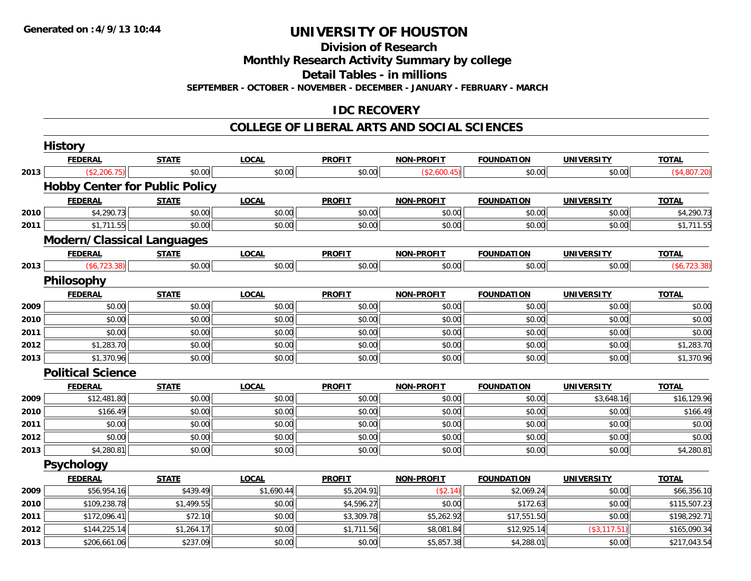**Division of Research**

**Monthly Research Activity Summary by college**

**Detail Tables - in millions**

**SEPTEMBER - OCTOBER - NOVEMBER - DECEMBER - JANUARY - FEBRUARY - MARCH**

# **IDC RECOVERY**

#### **COLLEGE OF LIBERAL ARTS AND SOCIAL SCIENCES**

|      | <b>History</b>                        |              |              |               |                   |                   |                   |              |
|------|---------------------------------------|--------------|--------------|---------------|-------------------|-------------------|-------------------|--------------|
|      | <b>FEDERAL</b>                        | <b>STATE</b> | <b>LOCAL</b> | <b>PROFIT</b> | <b>NON-PROFIT</b> | <b>FOUNDATION</b> | <b>UNIVERSITY</b> | <b>TOTAL</b> |
| 2013 | (\$2,206.75)                          | \$0.00       | \$0.00       | \$0.00        | (\$2,600.45)      | \$0.00            | \$0.00            | (\$4,807.20) |
|      | <b>Hobby Center for Public Policy</b> |              |              |               |                   |                   |                   |              |
|      | <b>FEDERAL</b>                        | <b>STATE</b> | <b>LOCAL</b> | <b>PROFIT</b> | <b>NON-PROFIT</b> | <b>FOUNDATION</b> | <b>UNIVERSITY</b> | <b>TOTAL</b> |
| 2010 | \$4,290.73                            | \$0.00       | \$0.00       | \$0.00        | \$0.00            | \$0.00            | \$0.00            | \$4,290.73   |
| 2011 | \$1,711.55                            | \$0.00       | \$0.00       | \$0.00        | \$0.00            | \$0.00            | \$0.00            | \$1,711.55   |
|      | <b>Modern/Classical Languages</b>     |              |              |               |                   |                   |                   |              |
|      | <b>FEDERAL</b>                        | <b>STATE</b> | <b>LOCAL</b> | <b>PROFIT</b> | <b>NON-PROFIT</b> | <b>FOUNDATION</b> | <b>UNIVERSITY</b> | <b>TOTAL</b> |
| 2013 | $(*6,723.38)$                         | \$0.00       | \$0.00       | \$0.00        | \$0.00            | \$0.00            | \$0.00            | (\$6,723.38) |
|      | Philosophy                            |              |              |               |                   |                   |                   |              |
|      | <b>FEDERAL</b>                        | <b>STATE</b> | <b>LOCAL</b> | <b>PROFIT</b> | <b>NON-PROFIT</b> | <b>FOUNDATION</b> | <b>UNIVERSITY</b> | <b>TOTAL</b> |
| 2009 | \$0.00                                | \$0.00       | \$0.00       | \$0.00        | \$0.00            | \$0.00            | \$0.00            | \$0.00       |
| 2010 | \$0.00                                | \$0.00       | \$0.00       | \$0.00        | \$0.00            | \$0.00            | \$0.00            | \$0.00       |
| 2011 | \$0.00                                | \$0.00       | \$0.00       | \$0.00        | \$0.00            | \$0.00            | \$0.00            | \$0.00       |
| 2012 | \$1,283.70                            | \$0.00       | \$0.00       | \$0.00        | \$0.00            | \$0.00            | \$0.00            | \$1,283.70   |
| 2013 | \$1,370.96                            | \$0.00       | \$0.00       | \$0.00        | \$0.00            | \$0.00            | \$0.00            | \$1,370.96   |
|      | <b>Political Science</b>              |              |              |               |                   |                   |                   |              |
|      | <b>FEDERAL</b>                        | <b>STATE</b> | <b>LOCAL</b> | <b>PROFIT</b> | <b>NON-PROFIT</b> | <b>FOUNDATION</b> | <b>UNIVERSITY</b> | <b>TOTAL</b> |
| 2009 | \$12,481.80                           | \$0.00       | \$0.00       | \$0.00        | \$0.00            | \$0.00            | \$3,648.16        | \$16,129.96  |
| 2010 | \$166.49                              | \$0.00       | \$0.00       | \$0.00        | \$0.00            | \$0.00            | \$0.00            | \$166.49     |
| 2011 | \$0.00                                | \$0.00       | \$0.00       | \$0.00        | \$0.00            | \$0.00            | \$0.00            | \$0.00       |
| 2012 | \$0.00                                | \$0.00       | \$0.00       | \$0.00        | \$0.00            | \$0.00            | \$0.00            | \$0.00       |
| 2013 | \$4,280.81                            | \$0.00       | \$0.00       | \$0.00        | \$0.00            | \$0.00            | \$0.00            | \$4,280.81   |
|      | <b>Psychology</b>                     |              |              |               |                   |                   |                   |              |
|      | <b>FEDERAL</b>                        | <b>STATE</b> | <b>LOCAL</b> | <b>PROFIT</b> | <b>NON-PROFIT</b> | <b>FOUNDATION</b> | <b>UNIVERSITY</b> | <b>TOTAL</b> |
| 2009 | \$56,954.16                           | \$439.49     | \$1,690.44   | \$5,204.91    | (\$2.14)          | \$2,069.24        | \$0.00            | \$66,356.10  |
| 2010 | \$109,238.78                          | \$1,499.55   | \$0.00       | \$4,596.27    | \$0.00            | \$172.63          | \$0.00            | \$115,507.23 |
| 2011 | \$172,096.41                          | \$72.10      | \$0.00       | \$3,309.78    | \$5,262.92        | \$17,551.50       | \$0.00            | \$198,292.71 |
| 2012 | \$144,225.14                          | \$1,264.17   | \$0.00       | \$1,711.56    | \$8,081.84        | \$12,925.14       | (\$3, 117.51)     | \$165,090.34 |
| 2013 | \$206,661.06                          | \$237.09     | \$0.00       | \$0.00        | \$5,857.38        | \$4,288.01        | \$0.00            | \$217,043.54 |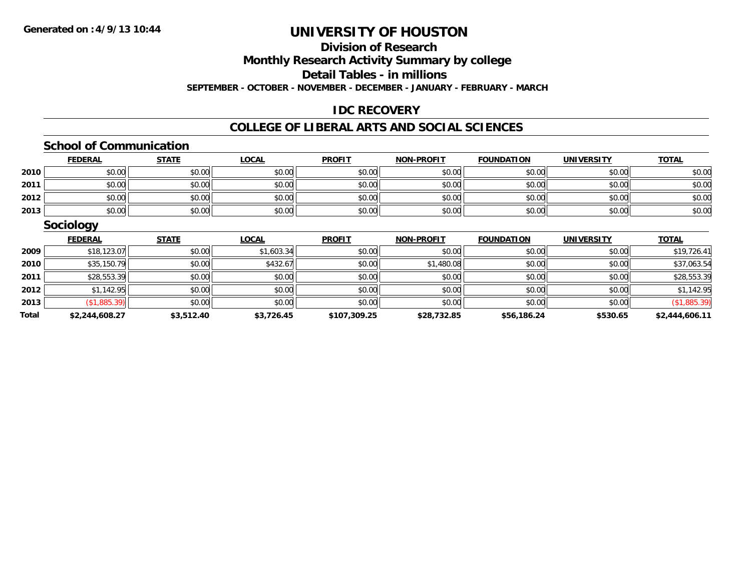# **Division of Research**

**Monthly Research Activity Summary by college**

**Detail Tables - in millions**

**SEPTEMBER - OCTOBER - NOVEMBER - DECEMBER - JANUARY - FEBRUARY - MARCH**

# **IDC RECOVERY**

#### **COLLEGE OF LIBERAL ARTS AND SOCIAL SCIENCES**

#### **School of Communication**

|      | <b>FEDERAL</b> | <b>STATE</b> | <u>LOCAL</u> | <b>PROFIT</b> | <b>NON-PROFIT</b> | <b>FOUNDATION</b> | <b>UNIVERSITY</b> | <b>TOTAL</b> |
|------|----------------|--------------|--------------|---------------|-------------------|-------------------|-------------------|--------------|
| 2010 | \$0.00         | \$0.00       | \$0.00       | \$0.00        | \$0.00            | \$0.00            | \$0.00            | \$0.00       |
| 2011 | \$0.00         | \$0.00       | \$0.00       | \$0.00        | \$0.00            | \$0.00            | \$0.00            | \$0.00       |
| 2012 | \$0.00         | \$0.00       | \$0.00       | \$0.00        | \$0.00            | \$0.00            | \$0.00            | \$0.00       |
| 2013 | \$0.00         | \$0.00       | \$0.00       | \$0.00        | \$0.00            | \$0.00            | \$0.00            | \$0.00       |

### **Sociology**

|              | <b>FEDERAL</b> | <b>STATE</b> | <u>LOCAL</u> | <b>PROFIT</b> | <b>NON-PROFIT</b> | <b>FOUNDATION</b> | <b>UNIVERSITY</b> | <b>TOTAL</b>   |
|--------------|----------------|--------------|--------------|---------------|-------------------|-------------------|-------------------|----------------|
| 2009         | \$18,123.07    | \$0.00       | \$1,603.34   | \$0.00        | \$0.00            | \$0.00            | \$0.00            | \$19,726.41    |
| 2010         | \$35,150.79    | \$0.00       | \$432.67     | \$0.00        | \$1,480.08        | \$0.00            | \$0.00            | \$37,063.54    |
| 2011         | \$28,553.39    | \$0.00       | \$0.00       | \$0.00        | \$0.00            | \$0.00            | \$0.00            | \$28,553.39    |
| 2012         | \$1,142.95     | \$0.00       | \$0.00       | \$0.00        | \$0.00            | \$0.00            | \$0.00            | \$1,142.95     |
| 2013         | (\$1,885.39)   | \$0.00       | \$0.00       | \$0.00        | \$0.00            | \$0.00            | \$0.00            | (\$1,885.39)   |
| <b>Total</b> | \$2,244,608.27 | \$3,512.40   | \$3,726.45   | \$107,309.25  | \$28,732.85       | \$56,186.24       | \$530.65          | \$2,444,606.11 |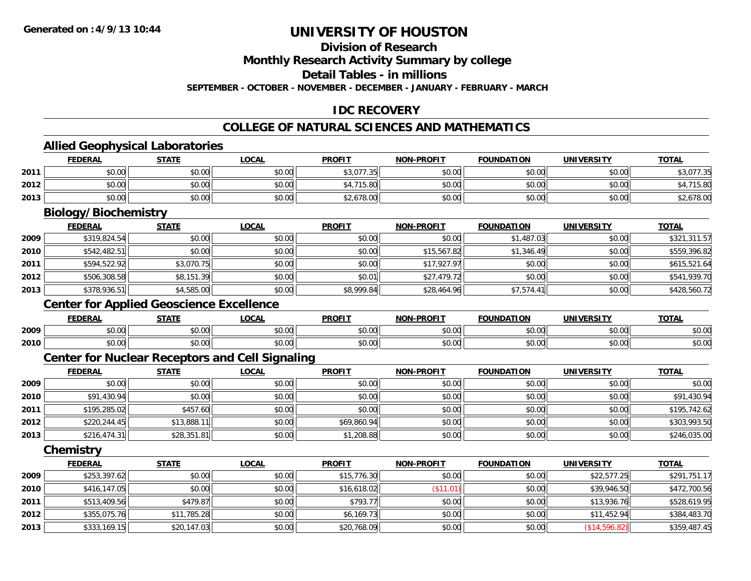# **Division of Research**

**Monthly Research Activity Summary by college**

**Detail Tables - in millions**

**SEPTEMBER - OCTOBER - NOVEMBER - DECEMBER - JANUARY - FEBRUARY - MARCH**

### **IDC RECOVERY**

### **COLLEGE OF NATURAL SCIENCES AND MATHEMATICS**

### **Allied Geophysical Laboratories**

|                             | <b>FEDERAL</b> | <b>STATE</b> | <b>LOCAL</b> | <b>PROFIT</b> | <b>NON-PROFIT</b> | <b>FOUNDATION</b> | UNIVERSITY | <b>TOTAL</b> |  |
|-----------------------------|----------------|--------------|--------------|---------------|-------------------|-------------------|------------|--------------|--|
| 2011                        | \$0.00         | \$0.00       | \$0.00       | \$3,077.35    | \$0.00            | \$0.00            | \$0.00     | \$3,077.35   |  |
| 2012                        | \$0.00         | \$0.00       | \$0.00       | \$4,715.80    | \$0.00            | \$0.00            | \$0.00     | \$4,715.80   |  |
| 2013                        | \$0.00         | \$0.00       | \$0.00       | \$2,678.00    | \$0.00            | \$0.00            | \$0.00     | \$2,678.00   |  |
| <b>Biology/Biochemistry</b> |                |              |              |               |                   |                   |            |              |  |

|      | <u>FEDERAL</u> | <u>STATE</u> | <u>LOCAL</u> | <b>PROFIT</b> | <b>NON-PROFIT</b> | <b>FOUNDATION</b> | <b>UNIVERSITY</b> | <b>TOTAL</b> |
|------|----------------|--------------|--------------|---------------|-------------------|-------------------|-------------------|--------------|
| 2009 | \$319,824.54   | \$0.00       | \$0.00       | \$0.00        | \$0.00            | \$1,487.03        | \$0.00            | \$321,311.57 |
| 2010 | \$542,482.51   | \$0.00       | \$0.00       | \$0.00        | \$15,567.82       | \$1,346.49        | \$0.00            | \$559,396.82 |
| 2011 | \$594,522.92   | \$3,070.75   | \$0.00       | \$0.00        | \$17,927.97       | \$0.00            | \$0.00            | \$615,521.64 |
| 2012 | \$506,308.58   | \$8,151.39   | \$0.00       | \$0.01        | \$27,479.72       | \$0.00            | \$0.00            | \$541,939.70 |
| 2013 | \$378,936.51   | \$4,585.00   | \$0.00       | \$8,999.84    | \$28,464.96       | \$7,574.41        | \$0.00            | \$428,560.72 |

# **Center for Applied Geoscience Excellence**

|      | <b>FEDERAL</b>           | <b>STATE</b>  | _OCAI              | <b>PROFIT</b> | <b>DDAFI7</b> | ---<br><b>'INDAT.</b><br>ron | <b>UNIVERSITY</b><br>3. J | <b>TOTAL</b> |
|------|--------------------------|---------------|--------------------|---------------|---------------|------------------------------|---------------------------|--------------|
| 2009 | $n \cap \Omega$<br>DU.UU | 0.00<br>JU.UU | 0000<br>PU.UU      | \$0.00        | \$0.00        | $n \cap \neg$<br>JU.UU       | \$0.00                    | \$0.00       |
| 2010 | $n \cap \Omega$<br>JU.UU | 0.00<br>JU.UU | $\sim$ 00<br>JU.UU | \$0.00        | \$0.00        | nn na<br>JU.UU               | \$0.00                    | \$0.00       |

### **Center for Nuclear Receptors and Cell Signaling**

|      | <u>FEDERAL</u> | <b>STATE</b> | <b>LOCAL</b> | <b>PROFIT</b> | <b>NON-PROFIT</b> | <b>FOUNDATION</b> | <b>UNIVERSITY</b> | <b>TOTAL</b> |
|------|----------------|--------------|--------------|---------------|-------------------|-------------------|-------------------|--------------|
| 2009 | \$0.00         | \$0.00       | \$0.00       | \$0.00        | \$0.00            | \$0.00            | \$0.00            | \$0.00       |
| 2010 | \$91,430.94    | \$0.00       | \$0.00       | \$0.00        | \$0.00            | \$0.00            | \$0.00            | \$91,430.94  |
| 2011 | \$195,285.02   | \$457.60     | \$0.00       | \$0.00        | \$0.00            | \$0.00            | \$0.00            | \$195,742.62 |
| 2012 | \$220,244.45   | \$13,888.11  | \$0.00       | \$69,860.94   | \$0.00            | \$0.00            | \$0.00            | \$303,993.50 |
| 2013 | \$216,474.31   | \$28,351.81  | \$0.00       | \$1,208.88    | \$0.00            | \$0.00            | \$0.00            | \$246,035.00 |

**Chemistry**

|      | <b>FEDERAL</b> | <b>STATE</b> | <u>LOCAL</u> | <b>PROFIT</b> | <b>NON-PROFIT</b> | <b>FOUNDATION</b> | <b>UNIVERSITY</b> | <b>TOTAL</b> |
|------|----------------|--------------|--------------|---------------|-------------------|-------------------|-------------------|--------------|
| 2009 | \$253,397.62   | \$0.00       | \$0.00       | \$15,776.30   | \$0.00            | \$0.00            | \$22,577.25       | \$291,751.17 |
| 2010 | \$416,147.05   | \$0.00       | \$0.00       | \$16,618.02   | \$11.01           | \$0.00            | \$39,946.50       | \$472,700.56 |
| 2011 | \$513,409.56   | \$479.87     | \$0.00       | \$793.77      | \$0.00            | \$0.00            | \$13,936.76       | \$528,619.95 |
| 2012 | \$355,075.76   | \$11,785.28  | \$0.00       | \$6,169.73    | \$0.00            | \$0.00            | \$11,452.94       | \$384,483.70 |
| 2013 | \$333,169.15   | \$20,147.03  | \$0.00       | \$20,768.09   | \$0.00            | \$0.00            | (S14, 596.82)     | \$359,487.45 |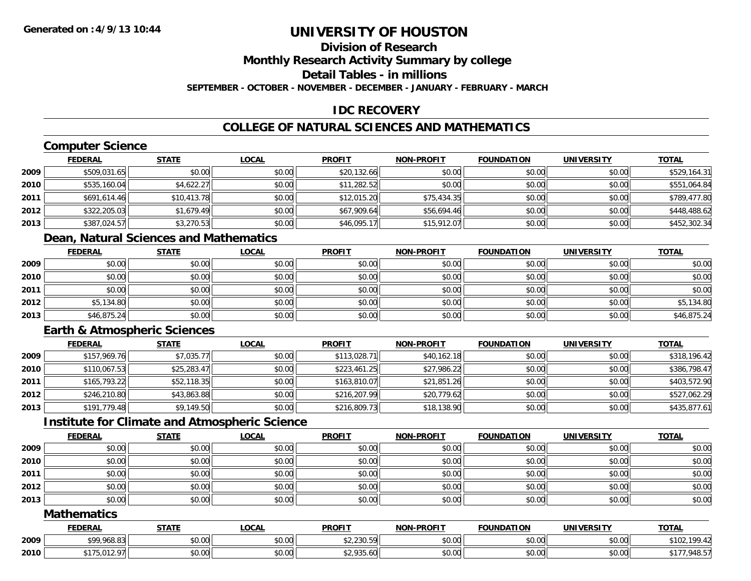## **Division of Research**

**Monthly Research Activity Summary by college**

**Detail Tables - in millions**

**SEPTEMBER - OCTOBER - NOVEMBER - DECEMBER - JANUARY - FEBRUARY - MARCH**

### **IDC RECOVERY**

### **COLLEGE OF NATURAL SCIENCES AND MATHEMATICS**

## **Computer Science**

|      | <b>FEDERAL</b> | <u>STATE</u> | <u>LOCAL</u> | <b>PROFIT</b> | <b>NON-PROFIT</b> | <b>FOUNDATION</b> | <b>UNIVERSITY</b> | <b>TOTAL</b> |
|------|----------------|--------------|--------------|---------------|-------------------|-------------------|-------------------|--------------|
| 2009 | \$509,031.65   | \$0.00       | \$0.00       | \$20,132.66   | \$0.00            | \$0.00            | \$0.00            | \$529,164.31 |
| 2010 | \$535,160.04   | \$4,622.27   | \$0.00       | \$11,282.52   | \$0.00            | \$0.00            | \$0.00            | \$551,064.84 |
| 2011 | \$691,614.46   | \$10,413.78  | \$0.00       | \$12,015.20   | \$75,434.35       | \$0.00            | \$0.00            | \$789,477.80 |
| 2012 | \$322,205.03   | \$1,679.49   | \$0.00       | \$67,909.64   | \$56,694.46       | \$0.00            | \$0.00            | \$448,488.62 |
| 2013 | \$387,024.57   | \$3,270.53   | \$0.00       | \$46,095.17   | \$15,912.07       | \$0.00            | \$0.00            | \$452,302.34 |

## **Dean, Natural Sciences and Mathematics**

|      | <b>FEDERAL</b> | <b>STATE</b> | <u>LOCAL</u> | <b>PROFIT</b> | NON-PROFIT | <b>FOUNDATION</b> | <b>UNIVERSITY</b> | <b>TOTAL</b> |
|------|----------------|--------------|--------------|---------------|------------|-------------------|-------------------|--------------|
| 2009 | \$0.00         | \$0.00       | \$0.00       | \$0.00        | \$0.00     | \$0.00            | \$0.00            | \$0.00       |
| 2010 | \$0.00         | \$0.00       | \$0.00       | \$0.00        | \$0.00     | \$0.00            | \$0.00            | \$0.00       |
| 2011 | \$0.00         | \$0.00       | \$0.00       | \$0.00        | \$0.00     | \$0.00            | \$0.00            | \$0.00       |
| 2012 | \$5,134.80     | \$0.00       | \$0.00       | \$0.00        | \$0.00     | \$0.00            | \$0.00            | \$5,134.80   |
| 2013 | \$46,875.24    | \$0.00       | \$0.00       | \$0.00        | \$0.00     | \$0.00            | \$0.00            | \$46,875.24  |

### **Earth & Atmospheric Sciences**

|      | <b>FEDERAL</b> | <u>STATE</u> | <b>LOCAL</b> | <b>PROFIT</b> | <b>NON-PROFIT</b> | <b>FOUNDATION</b> | <b>UNIVERSITY</b> | <b>TOTAL</b> |
|------|----------------|--------------|--------------|---------------|-------------------|-------------------|-------------------|--------------|
| 2009 | \$157,969.76   | \$7,035.77   | \$0.00       | \$113,028.71  | \$40,162.18       | \$0.00            | \$0.00            | \$318,196.42 |
| 2010 | \$110,067.53   | \$25,283.47  | \$0.00       | \$223,461.25  | \$27,986.22       | \$0.00            | \$0.00            | \$386,798.47 |
| 2011 | \$165,793.22   | \$52,118.35  | \$0.00       | \$163,810.07  | \$21,851.26       | \$0.00            | \$0.00            | \$403,572.90 |
| 2012 | \$246,210.80   | \$43,863.88  | \$0.00       | \$216,207.99  | \$20,779.62       | \$0.00            | \$0.00            | \$527,062.29 |
| 2013 | \$191.779.48   | \$9,149.50   | \$0.00       | \$216,809.73  | \$18,138.90       | \$0.00            | \$0.00            | \$435,877.61 |

### **Institute for Climate and Atmospheric Science**

|      | <b>FEDERAL</b> | <b>STATE</b> | <u>LOCAL</u> | <b>PROFIT</b> | <b>NON-PROFIT</b> | <b>FOUNDATION</b> | <b>UNIVERSITY</b> | <b>TOTAL</b> |
|------|----------------|--------------|--------------|---------------|-------------------|-------------------|-------------------|--------------|
| 2009 | \$0.00         | \$0.00       | \$0.00       | \$0.00        | \$0.00            | \$0.00            | \$0.00            | \$0.00       |
| 2010 | \$0.00         | \$0.00       | \$0.00       | \$0.00        | \$0.00            | \$0.00            | \$0.00            | \$0.00       |
| 2011 | \$0.00         | \$0.00       | \$0.00       | \$0.00        | \$0.00            | \$0.00            | \$0.00            | \$0.00       |
| 2012 | \$0.00         | \$0.00       | \$0.00       | \$0.00        | \$0.00            | \$0.00            | \$0.00            | \$0.00       |
| 2013 | \$0.00         | \$0.00       | \$0.00       | \$0.00        | \$0.00            | \$0.00            | \$0.00            | \$0.00       |

#### **Mathematics**

|      | <b>FEDERAL</b>                                                                                                                                                                                                     | <b>STATE</b> | .OCAI                               | <b>PROFIT</b>                 | <b>J-PROFIT</b><br>א∩ו | <b>FOUNDATION</b> | <b>IINIVERSIT</b> | <b>TOTAL</b>   |
|------|--------------------------------------------------------------------------------------------------------------------------------------------------------------------------------------------------------------------|--------------|-------------------------------------|-------------------------------|------------------------|-------------------|-------------------|----------------|
| 2009 | $\begin{array}{c} \n\text{A} & \text{A} & \text{A} & \text{A} & \text{A} \\ \text{A} & \text{A} & \text{A} & \text{A} & \text{A} \\ \text{A} & \text{A} & \text{A} & \text{A} & \text{A}\n\end{array}$<br>, 968.83 | \$0.00       | $\theta$ $\theta$ $\theta$<br>JU.UU | 0.00000<br>42, 200.0          | \$0.00                 | \$0.00            | ≮n nn∥<br>vu.vu   | \$10<br>100 12 |
| 2010 | 0.1007<br>. . <del>.</del> .<br>.012.97                                                                                                                                                                            | \$0.00       | ሶስ ስስ<br>JU.UU                      | <b>¢ ገ በጋ</b> ፔ<br>\$2,935.60 | \$0.00                 | \$0.00            | \$0.00            | 948.5          |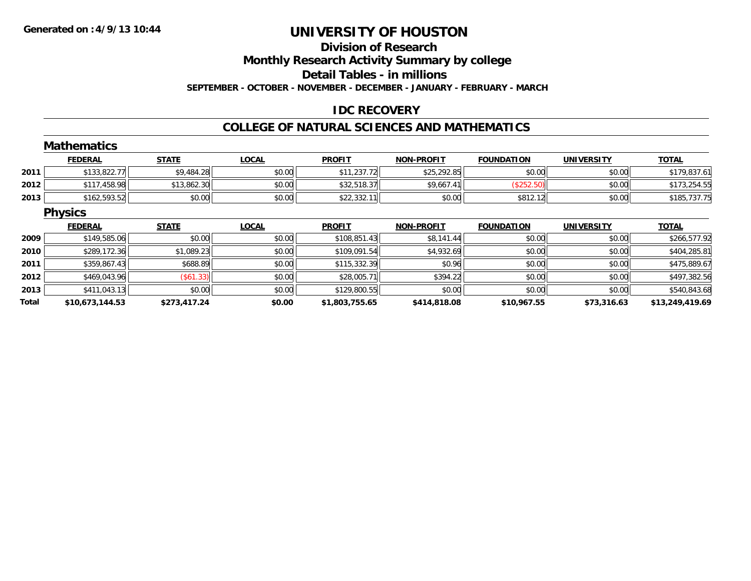# **Division of ResearchMonthly Research Activity Summary by college**

**Detail Tables - in millions**

**SEPTEMBER - OCTOBER - NOVEMBER - DECEMBER - JANUARY - FEBRUARY - MARCH**

### **IDC RECOVERY**

#### **COLLEGE OF NATURAL SCIENCES AND MATHEMATICS**

|       | <b>Mathematics</b> |              |              |                |                   |                   |                   |                 |
|-------|--------------------|--------------|--------------|----------------|-------------------|-------------------|-------------------|-----------------|
|       | <b>FEDERAL</b>     | <b>STATE</b> | <b>LOCAL</b> | <b>PROFIT</b>  | <b>NON-PROFIT</b> | <b>FOUNDATION</b> | <b>UNIVERSITY</b> | <b>TOTAL</b>    |
| 2011  | \$133,822.77       | \$9,484.28   | \$0.00       | \$11,237.72    | \$25,292.85       | \$0.00            | \$0.00            | \$179,837.61    |
| 2012  | \$117,458.98       | \$13,862.30  | \$0.00       | \$32,518.37    | \$9,667.41        | (\$252.50)        | \$0.00            | \$173,254.55    |
| 2013  | \$162,593.52       | \$0.00       | \$0.00       | \$22,332.11    | \$0.00            | \$812.12          | \$0.00            | \$185,737.75    |
|       | <b>Physics</b>     |              |              |                |                   |                   |                   |                 |
|       | <b>FEDERAL</b>     | <b>STATE</b> | <b>LOCAL</b> | <b>PROFIT</b>  | <b>NON-PROFIT</b> | <b>FOUNDATION</b> | <b>UNIVERSITY</b> | <b>TOTAL</b>    |
| 2009  | \$149,585.06       | \$0.00       | \$0.00       | \$108,851.43   | \$8,141.44        | \$0.00            | \$0.00            | \$266,577.92    |
| 2010  | \$289,172.36       | \$1,089.23   | \$0.00       | \$109,091.54   | \$4,932.69        | \$0.00            | \$0.00            | \$404,285.81    |
| 2011  | \$359,867.43       | \$688.89     | \$0.00       | \$115,332.39   | \$0.96            | \$0.00            | \$0.00            | \$475,889.67    |
| 2012  | \$469,043.96       | (\$61.33)    | \$0.00       | \$28,005.71    | \$394.22          | \$0.00            | \$0.00            | \$497,382.56    |
| 2013  | \$411,043.13       | \$0.00       | \$0.00       | \$129,800.55   | \$0.00            | \$0.00            | \$0.00            | \$540,843.68    |
| Total | \$10,673,144.53    | \$273,417.24 | \$0.00       | \$1,803,755.65 | \$414,818.08      | \$10,967.55       | \$73,316.63       | \$13,249,419.69 |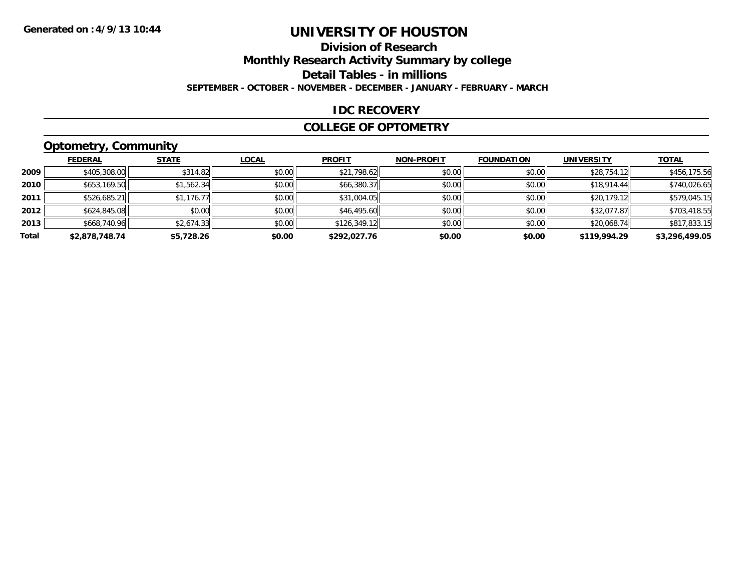## **Division of ResearchMonthly Research Activity Summary by college Detail Tables - in millions**

**SEPTEMBER - OCTOBER - NOVEMBER - DECEMBER - JANUARY - FEBRUARY - MARCH**

#### **IDC RECOVERY**

#### **COLLEGE OF OPTOMETRY**

## **Optometry, Community**

|       | .              |              |              |               |                   |                   |                   |                |
|-------|----------------|--------------|--------------|---------------|-------------------|-------------------|-------------------|----------------|
|       | <b>FEDERAL</b> | <b>STATE</b> | <b>LOCAL</b> | <b>PROFIT</b> | <b>NON-PROFIT</b> | <b>FOUNDATION</b> | <b>UNIVERSITY</b> | <b>TOTAL</b>   |
| 2009  | \$405,308.00   | \$314.82     | \$0.00       | \$21,798.62   | \$0.00            | \$0.00            | \$28,754.12       | \$456,175.56   |
| 2010  | \$653,169.50   | \$1,562.34   | \$0.00       | \$66,380.37   | \$0.00            | \$0.00            | \$18,914.44       | \$740,026.65   |
| 2011  | \$526,685.21   | \$1,176.77   | \$0.00       | \$31,004.05   | \$0.00            | \$0.00            | \$20,179.12       | \$579,045.15   |
| 2012  | \$624,845.08   | \$0.00       | \$0.00       | \$46,495.60   | \$0.00            | \$0.00            | \$32,077.87       | \$703,418.55   |
| 2013  | \$668,740.96   | \$2,674.33   | \$0.00       | \$126,349.12  | \$0.00            | \$0.00            | \$20,068.74       | \$817,833.15   |
| Total | \$2,878,748.74 | \$5,728.26   | \$0.00       | \$292,027.76  | \$0.00            | \$0.00            | \$119,994.29      | \$3,296,499.05 |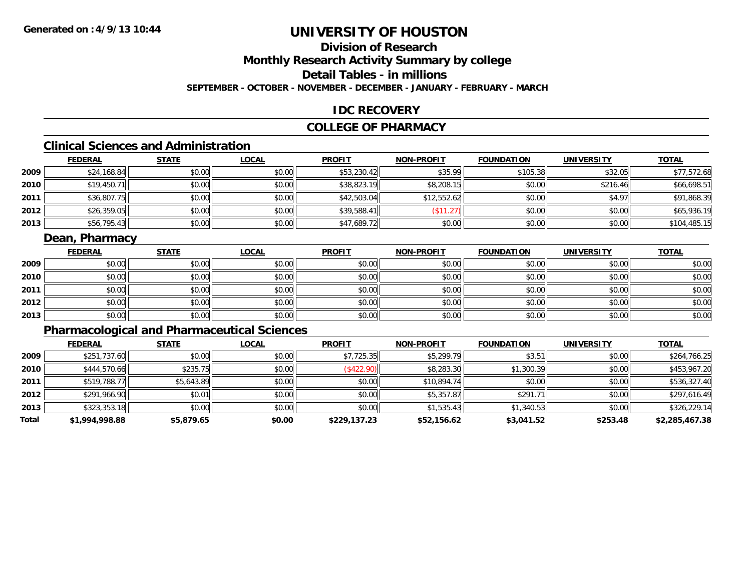# **Division of ResearchMonthly Research Activity Summary by college Detail Tables - in millions**

**SEPTEMBER - OCTOBER - NOVEMBER - DECEMBER - JANUARY - FEBRUARY - MARCH**

### **IDC RECOVERY**

### **COLLEGE OF PHARMACY**

## **Clinical Sciences and Administration**

|      | <b>FEDERAL</b> | <b>STATE</b> | <b>LOCAL</b> | <b>PROFIT</b> | <b>NON-PROFIT</b> | <b>FOUNDATION</b> | <b>UNIVERSITY</b> | <b>TOTAL</b> |
|------|----------------|--------------|--------------|---------------|-------------------|-------------------|-------------------|--------------|
| 2009 | \$24,168.84    | \$0.00       | \$0.00       | \$53,230.42   | \$35.99           | \$105.38          | \$32.05           | \$77,572.68  |
| 2010 | \$19,450.71    | \$0.00       | \$0.00       | \$38,823.19   | \$8,208.15        | \$0.00            | \$216.46          | \$66,698.51  |
| 2011 | \$36,807.75    | \$0.00       | \$0.00       | \$42,503.04   | \$12,552.62       | \$0.00            | \$4.97            | \$91,868.39  |
| 2012 | \$26,359.05    | \$0.00       | \$0.00       | \$39,588.41   | (\$11.27)         | \$0.00            | \$0.00            | \$65,936.19  |
| 2013 | \$56,795.43    | \$0.00       | \$0.00       | \$47,689.72   | \$0.00            | \$0.00            | \$0.00            | \$104,485.15 |

### **Dean, Pharmacy**

|      | <b>FEDERAL</b> | <b>STATE</b> | <u>LOCAL</u> | <b>PROFIT</b> | <b>NON-PROFIT</b> | <b>FOUNDATION</b> | <b>UNIVERSITY</b> | <b>TOTAL</b> |
|------|----------------|--------------|--------------|---------------|-------------------|-------------------|-------------------|--------------|
| 2009 | \$0.00         | \$0.00       | \$0.00       | \$0.00        | \$0.00            | \$0.00            | \$0.00            | \$0.00       |
| 2010 | \$0.00         | \$0.00       | \$0.00       | \$0.00        | \$0.00            | \$0.00            | \$0.00            | \$0.00       |
| 2011 | \$0.00         | \$0.00       | \$0.00       | \$0.00        | \$0.00            | \$0.00            | \$0.00            | \$0.00       |
| 2012 | \$0.00         | \$0.00       | \$0.00       | \$0.00        | \$0.00            | \$0.00            | \$0.00            | \$0.00       |
| 2013 | \$0.00         | \$0.00       | \$0.00       | \$0.00        | \$0.00            | \$0.00            | \$0.00            | \$0.00       |

## **Pharmacological and Pharmaceutical Sciences**

|       | <b>FEDERAL</b> | <b>STATE</b> | <b>LOCAL</b> | <b>PROFIT</b> | <b>NON-PROFIT</b> | <b>FOUNDATION</b> | <b>UNIVERSITY</b> | <b>TOTAL</b>   |
|-------|----------------|--------------|--------------|---------------|-------------------|-------------------|-------------------|----------------|
| 2009  | \$251,737.60   | \$0.00       | \$0.00       | \$7,725.35    | \$5,299.79        | \$3.51            | \$0.00            | \$264,766.25   |
| 2010  | \$444,570.66   | \$235.75     | \$0.00       | (\$422.90)    | \$8,283.30        | \$1,300.39        | \$0.00            | \$453,967.20   |
| 2011  | \$519,788.77   | \$5,643.89   | \$0.00       | \$0.00        | \$10,894.74       | \$0.00            | \$0.00            | \$536,327.40   |
| 2012  | \$291,966.90   | \$0.01       | \$0.00       | \$0.00        | \$5,357.87        | \$291.71          | \$0.00            | \$297,616.49   |
| 2013  | \$323,353.18   | \$0.00       | \$0.00       | \$0.00        | \$1,535.43        | \$1,340.53        | \$0.00            | \$326,229.14   |
| Total | \$1,994,998.88 | \$5,879.65   | \$0.00       | \$229,137.23  | \$52,156.62       | \$3,041.52        | \$253.48          | \$2,285,467.38 |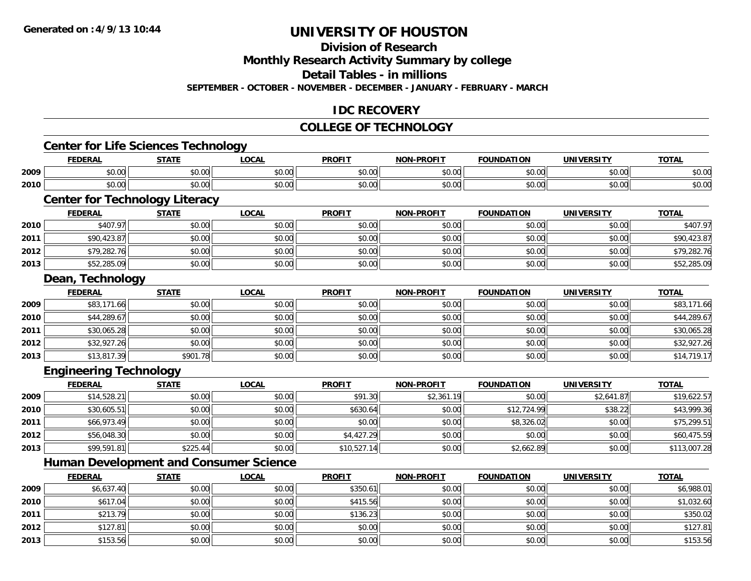**2013**

# **UNIVERSITY OF HOUSTON**

## **Division of Research**

**Monthly Research Activity Summary by college**

**Detail Tables - in millions**

**SEPTEMBER - OCTOBER - NOVEMBER - DECEMBER - JANUARY - FEBRUARY - MARCH**

### **IDC RECOVERY**

## **COLLEGE OF TECHNOLOGY**

|      | <b>Center for Life Sciences Technology</b>    |              |              |               |                   |                   |                   |              |
|------|-----------------------------------------------|--------------|--------------|---------------|-------------------|-------------------|-------------------|--------------|
|      | <b>FEDERAL</b>                                | <b>STATE</b> | <b>LOCAL</b> | <b>PROFIT</b> | <b>NON-PROFIT</b> | <b>FOUNDATION</b> | <b>UNIVERSITY</b> | <b>TOTAL</b> |
| 2009 | \$0.00                                        | \$0.00       | \$0.00       | \$0.00        | \$0.00            | \$0.00            | \$0.00            | \$0.00       |
| 2010 | \$0.00                                        | \$0.00       | \$0.00       | \$0.00        | \$0.00            | \$0.00            | \$0.00            | \$0.00       |
|      | <b>Center for Technology Literacy</b>         |              |              |               |                   |                   |                   |              |
|      | <b>FEDERAL</b>                                | <b>STATE</b> | <b>LOCAL</b> | <b>PROFIT</b> | <b>NON-PROFIT</b> | <b>FOUNDATION</b> | <b>UNIVERSITY</b> | <b>TOTAL</b> |
| 2010 | \$407.97                                      | \$0.00       | \$0.00       | \$0.00        | \$0.00            | \$0.00            | \$0.00            | \$407.97     |
| 2011 | \$90,423.87                                   | \$0.00       | \$0.00       | \$0.00        | \$0.00            | \$0.00            | \$0.00            | \$90,423.87  |
| 2012 | \$79,282.76                                   | \$0.00       | \$0.00       | \$0.00        | \$0.00            | \$0.00            | \$0.00            | \$79,282.76  |
| 2013 | \$52,285.09                                   | \$0.00       | \$0.00       | \$0.00        | \$0.00            | \$0.00            | \$0.00            | \$52,285.09  |
|      | Dean, Technology                              |              |              |               |                   |                   |                   |              |
|      | <b>FEDERAL</b>                                | <b>STATE</b> | <b>LOCAL</b> | <b>PROFIT</b> | <b>NON-PROFIT</b> | <b>FOUNDATION</b> | <b>UNIVERSITY</b> | <b>TOTAL</b> |
| 2009 | \$83,171.66                                   | \$0.00       | \$0.00       | \$0.00        | \$0.00            | \$0.00            | \$0.00            | \$83,171.66  |
| 2010 | \$44,289.67                                   | \$0.00       | \$0.00       | \$0.00        | \$0.00            | \$0.00            | \$0.00            | \$44,289.67  |
| 2011 | \$30,065.28                                   | \$0.00       | \$0.00       | \$0.00        | \$0.00            | \$0.00            | \$0.00            | \$30,065.28  |
| 2012 | \$32,927.26                                   | \$0.00       | \$0.00       | \$0.00        | \$0.00            | \$0.00            | \$0.00            | \$32,927.26  |
| 2013 | \$13,817.39                                   | \$901.78     | \$0.00       | \$0.00        | \$0.00            | \$0.00            | \$0.00            | \$14,719.17  |
|      | <b>Engineering Technology</b>                 |              |              |               |                   |                   |                   |              |
|      | <b>FEDERAL</b>                                | <b>STATE</b> | <b>LOCAL</b> | <b>PROFIT</b> | <b>NON-PROFIT</b> | <b>FOUNDATION</b> | <b>UNIVERSITY</b> | <b>TOTAL</b> |
| 2009 | \$14,528.21                                   | \$0.00       | \$0.00       | \$91.30       | \$2,361.19        | \$0.00            | \$2,641.87        | \$19,622.57  |
| 2010 | \$30,605.51                                   | \$0.00       | \$0.00       | \$630.64      | \$0.00            | \$12,724.99       | \$38.22           | \$43,999.36  |
| 2011 | \$66,973.49                                   | \$0.00       | \$0.00       | \$0.00        | \$0.00            | \$8,326.02        | \$0.00            | \$75,299.51  |
| 2012 | \$56,048.30                                   | \$0.00       | \$0.00       | \$4,427.29    | \$0.00            | \$0.00            | \$0.00            | \$60,475.59  |
| 2013 | \$99,591.81                                   | \$225.44     | \$0.00       | \$10,527.14   | \$0.00            | \$2,662.89        | \$0.00            | \$113,007.28 |
|      | <b>Human Development and Consumer Science</b> |              |              |               |                   |                   |                   |              |
|      | <b>FEDERAL</b>                                | <b>STATE</b> | <b>LOCAL</b> | <b>PROFIT</b> | <b>NON-PROFIT</b> | <b>FOUNDATION</b> | <b>UNIVERSITY</b> | <b>TOTAL</b> |
| 2009 | \$6,637.40                                    | \$0.00       | \$0.00       | \$350.61      | \$0.00            | \$0.00            | \$0.00            | \$6,988.01   |
| 2010 | \$617.04                                      | \$0.00       | \$0.00       | \$415.56      | \$0.00            | \$0.00            | \$0.00            | \$1,032.60   |
| 2011 | \$213.79                                      | \$0.00       | \$0.00       | \$136.23      | \$0.00            | \$0.00            | \$0.00            | \$350.02     |
| 2012 | \$127.81                                      | \$0.00       | \$0.00       | \$0.00        | \$0.00            | \$0.00            | \$0.00            | \$127.81     |

 $\bf{3} \hspace{15.5cm}$   $\bf{3} \hspace{15.5cm}$   $\bf{50.00} \hspace{15.5cm}$   $\bf{50.00} \hspace{15.5cm}$   $\bf{50.56}$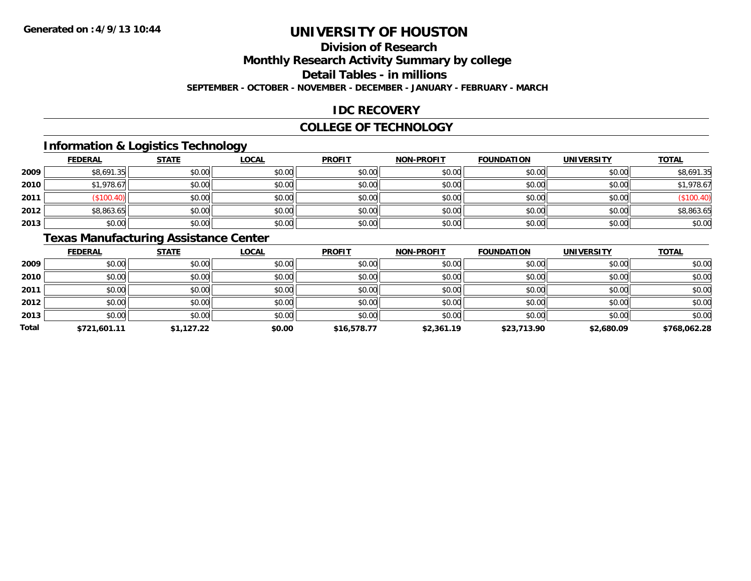# **Division of Research**

**Monthly Research Activity Summary by college**

**Detail Tables - in millions**

**SEPTEMBER - OCTOBER - NOVEMBER - DECEMBER - JANUARY - FEBRUARY - MARCH**

### **IDC RECOVERY**

#### **COLLEGE OF TECHNOLOGY**

## **Information & Logistics Technology**

|      | <b>FEDERAL</b> | <b>STATE</b> | <b>LOCAL</b> | <b>PROFIT</b> | <b>NON-PROFIT</b> | <b>FOUNDATION</b> | <b>UNIVERSITY</b> | <b>TOTAL</b> |
|------|----------------|--------------|--------------|---------------|-------------------|-------------------|-------------------|--------------|
| 2009 | \$8,691.35     | \$0.00       | \$0.00       | \$0.00        | \$0.00            | \$0.00            | \$0.00            | \$8,691.35   |
| 2010 | \$1,978.67     | \$0.00       | \$0.00       | \$0.00        | \$0.00            | \$0.00            | \$0.00            | \$1,978.67   |
| 2011 | \$100.40]      | \$0.00       | \$0.00       | \$0.00        | \$0.00            | \$0.00            | \$0.00            | (\$100.40)   |
| 2012 | \$8,863.65     | \$0.00       | \$0.00       | \$0.00        | \$0.00            | \$0.00            | \$0.00            | \$8,863.65   |
| 2013 | \$0.00         | \$0.00       | \$0.00       | \$0.00        | \$0.00            | \$0.00            | \$0.00            | \$0.00       |

## **Texas Manufacturing Assistance Center**

|              | <b>FEDERAL</b> | <b>STATE</b> | <b>LOCAL</b> | <b>PROFIT</b> | <b>NON-PROFIT</b> | <b>FOUNDATION</b> | <b>UNIVERSITY</b> | <b>TOTAL</b> |
|--------------|----------------|--------------|--------------|---------------|-------------------|-------------------|-------------------|--------------|
| 2009         | \$0.00         | \$0.00       | \$0.00       | \$0.00        | \$0.00            | \$0.00            | \$0.00            | \$0.00       |
| 2010         | \$0.00         | \$0.00       | \$0.00       | \$0.00        | \$0.00            | \$0.00            | \$0.00            | \$0.00       |
| 2011         | \$0.00         | \$0.00       | \$0.00       | \$0.00        | \$0.00            | \$0.00            | \$0.00            | \$0.00       |
| 2012         | \$0.00         | \$0.00       | \$0.00       | \$0.00        | \$0.00            | \$0.00            | \$0.00            | \$0.00       |
| 2013         | \$0.00         | \$0.00       | \$0.00       | \$0.00        | \$0.00            | \$0.00            | \$0.00            | \$0.00       |
| <b>Total</b> | \$721,601.11   | \$1,127.22   | \$0.00       | \$16,578.77   | \$2,361.19        | \$23,713.90       | \$2,680.09        | \$768,062.28 |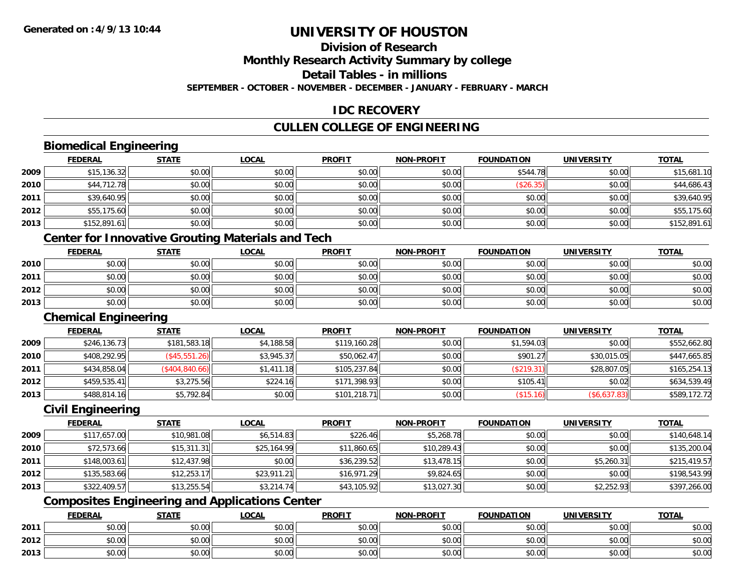## **Division of Research**

**Monthly Research Activity Summary by college**

**Detail Tables - in millions**

**SEPTEMBER - OCTOBER - NOVEMBER - DECEMBER - JANUARY - FEBRUARY - MARCH**

### **IDC RECOVERY**

### **CULLEN COLLEGE OF ENGINEERING**

### **Biomedical Engineering**

|      | <u>FEDERAL</u> | <b>STATE</b> | <u>LOCAL</u> | <b>PROFIT</b> | <b>NON-PROFIT</b> | <b>FOUNDATION</b> | <b>UNIVERSITY</b> | <u>TOTAL</u> |
|------|----------------|--------------|--------------|---------------|-------------------|-------------------|-------------------|--------------|
| 2009 | \$15,136.32    | \$0.00       | \$0.00       | \$0.00        | \$0.00            | \$544.78          | \$0.00            | \$15,681.10  |
| 2010 | \$44,712.78    | \$0.00       | \$0.00       | \$0.00        | \$0.00            | (\$26.35)         | \$0.00            | \$44,686.43  |
| 2011 | \$39,640.95    | \$0.00       | \$0.00       | \$0.00        | \$0.00            | \$0.00            | \$0.00            | \$39,640.95  |
| 2012 | \$55,175.60    | \$0.00       | \$0.00       | \$0.00        | \$0.00            | \$0.00            | \$0.00            | \$55,175.60  |
| 2013 | \$152,891.61   | \$0.00       | \$0.00       | \$0.00        | \$0.00            | \$0.00            | \$0.00            | \$152,891.61 |

### **Center for Innovative Grouting Materials and Tech**

|      | <u>FEDERAL</u> | <b>STATE</b> | <u>LOCAL</u> | <b>PROFIT</b> | <b>NON-PROFIT</b> | <b>FOUNDATION</b> | <b>UNIVERSITY</b> | <b>TOTAL</b> |
|------|----------------|--------------|--------------|---------------|-------------------|-------------------|-------------------|--------------|
| 2010 | \$0.00         | \$0.00       | \$0.00       | \$0.00        | \$0.00            | \$0.00            | \$0.00            | \$0.00       |
| 2011 | \$0.00         | \$0.00       | \$0.00       | \$0.00        | \$0.00            | \$0.00            | \$0.00            | \$0.00       |
| 2012 | \$0.00         | \$0.00       | \$0.00       | \$0.00        | \$0.00            | \$0.00            | \$0.00            | \$0.00       |
| 2013 | \$0.00         | \$0.00       | \$0.00       | \$0.00        | \$0.00            | \$0.00            | \$0.00            | \$0.00       |

#### **Chemical Engineering**

|      | <b>FEDERAL</b> | <b>STATE</b>                 | <u>LOCAL</u> | <b>PROFIT</b> | <b>NON-PROFIT</b> | <b>FOUNDATION</b> | UNIVERSITY   | <b>TOTAL</b> |
|------|----------------|------------------------------|--------------|---------------|-------------------|-------------------|--------------|--------------|
| 2009 | \$246,136.73   | \$181,583.18                 | \$4,188.58   | \$119,160.28  | \$0.00            | \$1,594.03        | \$0.00       | \$552,662.80 |
| 2010 | \$408,292.95   | $($ \$45,551.26) $\parallel$ | \$3,945.37   | \$50,062.47   | \$0.00            | \$901.27          | \$30,015.05  | \$447,665.85 |
| 2011 | \$434,858.04   | (\$404, 840.66)              | \$1,411.18   | \$105,237.84  | \$0.00            | (S219.31)         | \$28,807.05  | \$165,254.13 |
| 2012 | \$459,535.41   | \$3,275.56                   | \$224.16     | \$171,398.93  | \$0.00            | \$105.41          | \$0.02       | \$634,539.49 |
| 2013 | \$488,814.16   | \$5,792.84                   | \$0.00       | \$101,218.71  | \$0.00            | (\$15.16)         | (\$6,637.83) | \$589,172.72 |

### **Civil Engineering**

|      | <b>FEDERAL</b> | <b>STATE</b> | <b>LOCAL</b> | <b>PROFIT</b> | <b>NON-PROFIT</b> | <b>FOUNDATION</b> | <b>UNIVERSITY</b> | <b>TOTAL</b> |
|------|----------------|--------------|--------------|---------------|-------------------|-------------------|-------------------|--------------|
| 2009 | \$117,657.00   | \$10,981.08  | \$6,514.83   | \$226.46      | \$5,268.78        | \$0.00            | \$0.00            | \$140,648.14 |
| 2010 | \$72,573.66    | \$15,311.31  | \$25,164.99  | \$11,860.65   | \$10,289.43       | \$0.00            | \$0.00            | \$135,200.04 |
| 2011 | \$148,003.61   | \$12,437.98  | \$0.00       | \$36,239.52   | \$13,478.15       | \$0.00            | \$5,260.31        | \$215,419.57 |
| 2012 | \$135,583.66   | \$12,253.17  | \$23,911.21  | \$16,971.29   | \$9,824.65        | \$0.00            | \$0.00            | \$198,543.99 |
| 2013 | \$322,409.57   | \$13,255.54  | \$3,214.74   | \$43,105.92   | \$13,027.30       | \$0.00            | \$2,252.93        | \$397,266.00 |

## **Composites Engineering and Applications Center**

|      | <b>FEDERAL</b>  | <b>STATE</b> | LOCAL           | <b>PROFIT</b> | <b>NON-PROFIT</b> | <b>FOUNDATION</b> | <b>UNIVERSITY</b> | <b>TOTAL</b> |
|------|-----------------|--------------|-----------------|---------------|-------------------|-------------------|-------------------|--------------|
| 2011 | 0.00<br>vu.uu   | \$0.00       | \$0.00          | \$0.00        | \$0.00            | \$0.00            | \$0.00            | \$0.00       |
| 2012 | $\sim$<br>JU.UU | \$0.00       | ልስ ስስ<br>\$U.UU | \$0.00        | \$0.00            | \$0.00            | \$0.00            | \$0.00       |
| 2013 | 0.00<br>DU.UG   | \$0.00       | \$0.00          | \$0.00        | \$0.00            | \$0.00            | \$0.00            | \$0.00       |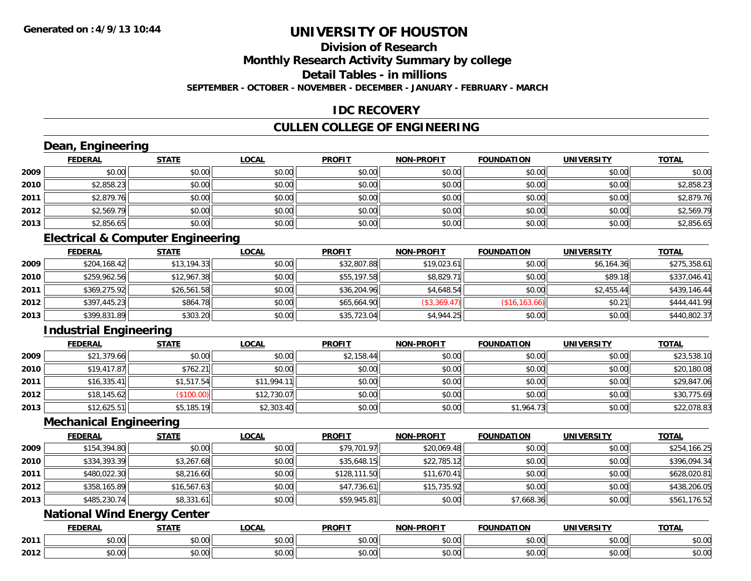## **Division of Research**

**Monthly Research Activity Summary by college**

**Detail Tables - in millions**

**SEPTEMBER - OCTOBER - NOVEMBER - DECEMBER - JANUARY - FEBRUARY - MARCH**

### **IDC RECOVERY**

### **CULLEN COLLEGE OF ENGINEERING**

## **Dean, Engineering**

|      | <b>FEDERAL</b> | <b>STATE</b> | <u>LOCAL</u> | <b>PROFIT</b> | <b>NON-PROFIT</b> | <b>FOUNDATION</b> | <b>UNIVERSITY</b> | <b>TOTAL</b> |
|------|----------------|--------------|--------------|---------------|-------------------|-------------------|-------------------|--------------|
| 2009 | \$0.00         | \$0.00       | \$0.00       | \$0.00        | \$0.00            | \$0.00            | \$0.00            | \$0.00       |
| 2010 | \$2,858.23     | \$0.00       | \$0.00       | \$0.00        | \$0.00            | \$0.00            | \$0.00            | \$2,858.23   |
| 2011 | \$2,879.76     | \$0.00       | \$0.00       | \$0.00        | \$0.00            | \$0.00            | \$0.00            | \$2,879.76   |
| 2012 | \$2,569.79     | \$0.00       | \$0.00       | \$0.00        | \$0.00            | \$0.00            | \$0.00            | \$2,569.79   |
| 2013 | \$2,856.65     | \$0.00       | \$0.00       | \$0.00        | \$0.00            | \$0.00            | \$0.00            | \$2,856.65   |

### **Electrical & Computer Engineering**

|      | <b>FEDERAL</b> | <u>STATE</u> | <b>LOCAL</b> | <b>PROFIT</b> | <b>NON-PROFIT</b> | <b>FOUNDATION</b> | <b>UNIVERSITY</b> | <b>TOTAL</b> |
|------|----------------|--------------|--------------|---------------|-------------------|-------------------|-------------------|--------------|
| 2009 | \$204,168.42   | \$13,194.33  | \$0.00       | \$32,807.88   | \$19,023.61       | \$0.00            | \$6.164.36        | \$275,358.61 |
| 2010 | \$259,962.56   | \$12,967.38  | \$0.00       | \$55,197.58   | \$8,829.71        | \$0.00            | \$89.18           | \$337,046.41 |
| 2011 | \$369,275.92   | \$26,561.58  | \$0.00       | \$36,204.96   | \$4,648.54        | \$0.00            | \$2,455.44        | \$439,146.44 |
| 2012 | \$397,445.23   | \$864.78     | \$0.00       | \$65,664.90   | (\$3,369.47)      | (\$16, 163.66)    | \$0.21            | \$444,441.99 |
| 2013 | \$399,831.89   | \$303.20     | \$0.00       | \$35,723.04   | \$4,944.25        | \$0.00            | \$0.00            | \$440,802.37 |

## **Industrial Engineering**

|      | <b>FEDERAL</b> | <u>STATE</u> | <u>LOCAL</u> | <b>PROFIT</b> | <b>NON-PROFIT</b> | <b>FOUNDATION</b> | <b>UNIVERSITY</b> | <b>TOTAL</b> |
|------|----------------|--------------|--------------|---------------|-------------------|-------------------|-------------------|--------------|
| 2009 | \$21,379.66    | \$0.00       | \$0.00       | \$2,158.44    | \$0.00            | \$0.00            | \$0.00            | \$23,538.10  |
| 2010 | \$19,417.87    | \$762.21     | \$0.00       | \$0.00        | \$0.00            | \$0.00            | \$0.00            | \$20,180.08  |
| 2011 | \$16,335.41    | \$1,517.54   | \$11.994.11  | \$0.00        | \$0.00            | \$0.00            | \$0.00            | \$29,847.06  |
| 2012 | \$18,145.62    | \$100.00     | \$12,730.07  | \$0.00        | \$0.00            | \$0.00            | \$0.00            | \$30,775.69  |
| 2013 | \$12,625.51    | \$5,185.19   | \$2,303.40   | \$0.00        | \$0.00            | \$1,964.73        | \$0.00            | \$22,078.83  |

#### **Mechanical Engineering**

|      | <b>FEDERAL</b> | <b>STATE</b> | <b>LOCAL</b> | <b>PROFIT</b> | <b>NON-PROFIT</b> | <b>FOUNDATION</b> | <b>UNIVERSITY</b> | <b>TOTAL</b> |
|------|----------------|--------------|--------------|---------------|-------------------|-------------------|-------------------|--------------|
| 2009 | \$154,394.80   | \$0.00       | \$0.00       | \$79,701.97   | \$20,069.48       | \$0.00            | \$0.00            | \$254,166.25 |
| 2010 | \$334,393.39   | \$3,267.68   | \$0.00       | \$35,648.15   | \$22,785.12       | \$0.00            | \$0.00            | \$396,094.34 |
| 2011 | \$480,022.30   | \$8,216.60   | \$0.00       | \$128,111.50  | \$11,670.41       | \$0.00            | \$0.00            | \$628,020.81 |
| 2012 | \$358,165.89   | \$16,567.63  | \$0.00       | \$47,736.61   | \$15,735.92       | \$0.00            | \$0.00            | \$438,206.05 |
| 2013 | \$485,230.74   | \$8,331.61   | \$0.00       | \$59,945.81   | \$0.00            | \$7,668.36        | \$0.00            | \$561,176.52 |

# **National Wind Energy Center**

|      | <b>FEDERAL</b> | 27.77              | 0 <sub>n</sub><br>.UGAI | <b>PROFIT</b> | <b>DDOFIT</b><br><b>NON</b> | <b>FOUNDATION</b> | UNIVERSITY<br>ERJI            | <b>TOTAL</b>  |
|------|----------------|--------------------|-------------------------|---------------|-----------------------------|-------------------|-------------------------------|---------------|
| 2011 | ሖጣ<br>טט.      | $\sim$ 00<br>JU.UU | 0000<br>vv.vv           | 0.00<br>DU.UU | 0000<br>JU.UU               | vv.vv             | \$0.00                        | JU.UU         |
| 2012 | vv.vv          | $\sim$ 00<br>ט.טע  | $\sim$ 00<br>PO.OO      | 0.00<br>JU.UU | 0000<br>PO.OO               | JU.UU             | $n \cap \neg$<br><b>JU.UU</b> | 0000<br>JU.UU |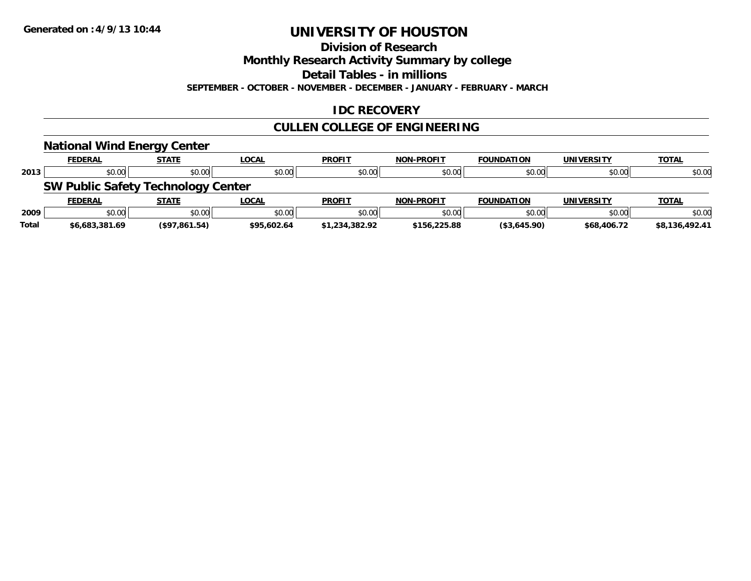**Division of Research**

**Monthly Research Activity Summary by college**

**Detail Tables - in millions**

**SEPTEMBER - OCTOBER - NOVEMBER - DECEMBER - JANUARY - FEBRUARY - MARCH**

### **IDC RECOVERY**

## **CULLEN COLLEGE OF ENGINEERING**

|              | <b>National Wind Energy Center</b>        |               |              |                |                   |                   |                   |                |
|--------------|-------------------------------------------|---------------|--------------|----------------|-------------------|-------------------|-------------------|----------------|
|              | <b>FEDERAL</b>                            | <b>STATE</b>  | <b>LOCAL</b> | <b>PROFIT</b>  | <b>NON-PROFIT</b> | <b>FOUNDATION</b> | <b>UNIVERSITY</b> | <b>TOTAL</b>   |
| 2013         | \$0.00                                    | \$0.00        | \$0.00       | \$0.00         | \$0.00            | \$0.00            | \$0.00            | \$0.00         |
|              | <b>SW Public Safety Technology Center</b> |               |              |                |                   |                   |                   |                |
|              | <b>FEDERAL</b>                            | <b>STATE</b>  | <b>LOCAL</b> | <b>PROFIT</b>  | <b>NON-PROFIT</b> | <b>FOUNDATION</b> | <b>UNIVERSITY</b> | <b>TOTAL</b>   |
| 2009         | \$0.00                                    | \$0.00        | \$0.00       | \$0.00         | \$0.00            | \$0.00            | \$0.00            | \$0.00         |
| <b>Total</b> | \$6,683,381.69                            | (\$97,861.54) | \$95,602.64  | \$1,234,382.92 | \$156,225.88      | (\$3,645.90)      | \$68,406.72       | \$8,136,492.41 |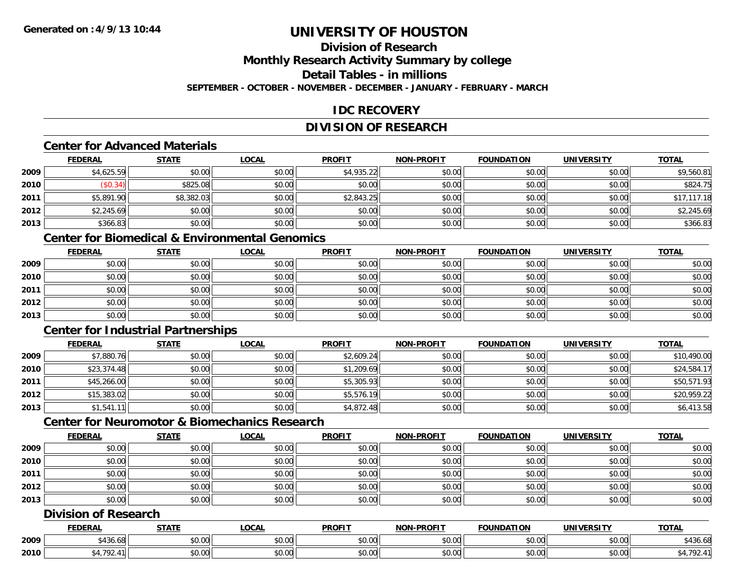### **Division of ResearchMonthly Research Activity Summary by college Detail Tables - in millions**

**SEPTEMBER - OCTOBER - NOVEMBER - DECEMBER - JANUARY - FEBRUARY - MARCH**

## **IDC RECOVERY**

## **DIVISION OF RESEARCH**

## **Center for Advanced Materials**

|      | <b>FEDERAL</b> | <b>STATE</b> | <b>LOCAL</b> | <b>PROFIT</b> | NON-PROFIT | <b>FOUNDATION</b> | <b>UNIVERSITY</b> | <b>TOTAL</b> |
|------|----------------|--------------|--------------|---------------|------------|-------------------|-------------------|--------------|
| 2009 | \$4,625.59     | \$0.00       | \$0.00       | \$4,935.22    | \$0.00     | \$0.00            | \$0.00            | \$9,560.81   |
| 2010 | \$0.34)        | \$825.08     | \$0.00       | \$0.00        | \$0.00     | \$0.00            | \$0.00            | \$824.75     |
| 2011 | \$5,891.90     | \$8,382.03   | \$0.00       | \$2,843.25    | \$0.00     | \$0.00            | \$0.00            | \$17,117.18  |
| 2012 | \$2,245.69     | \$0.00       | \$0.00       | \$0.00        | \$0.00     | \$0.00            | \$0.00            | \$2,245.69   |
| 2013 | \$366.83       | \$0.00       | \$0.00       | \$0.00        | \$0.00     | \$0.00            | \$0.00            | \$366.83     |

## **Center for Biomedical & Environmental Genomics**

|      | <u>FEDERAL</u> | <b>STATE</b> | <u>LOCAL</u> | <b>PROFIT</b> | <b>NON-PROFIT</b> | <b>FOUNDATION</b> | <b>UNIVERSITY</b> | <b>TOTAL</b> |
|------|----------------|--------------|--------------|---------------|-------------------|-------------------|-------------------|--------------|
| 2009 | \$0.00         | \$0.00       | \$0.00       | \$0.00        | \$0.00            | \$0.00            | \$0.00            | \$0.00       |
| 2010 | \$0.00         | \$0.00       | \$0.00       | \$0.00        | \$0.00            | \$0.00            | \$0.00            | \$0.00       |
| 2011 | \$0.00         | \$0.00       | \$0.00       | \$0.00        | \$0.00            | \$0.00            | \$0.00            | \$0.00       |
| 2012 | \$0.00         | \$0.00       | \$0.00       | \$0.00        | \$0.00            | \$0.00            | \$0.00            | \$0.00       |
| 2013 | \$0.00         | \$0.00       | \$0.00       | \$0.00        | \$0.00            | \$0.00            | \$0.00            | \$0.00       |

### **Center for Industrial Partnerships**

|      | <b>FEDERAL</b> | <b>STATE</b> | <b>LOCAL</b> | <b>PROFIT</b> | <b>NON-PROFIT</b> | <b>FOUNDATION</b> | <b>UNIVERSITY</b> | <b>TOTAL</b> |
|------|----------------|--------------|--------------|---------------|-------------------|-------------------|-------------------|--------------|
| 2009 | \$7,880.76     | \$0.00       | \$0.00       | \$2,609.24    | \$0.00            | \$0.00            | \$0.00            | \$10,490.00  |
| 2010 | \$23,374.48    | \$0.00       | \$0.00       | \$1,209.69    | \$0.00            | \$0.00            | \$0.00            | \$24,584.17  |
| 2011 | \$45,266.00    | \$0.00       | \$0.00       | \$5,305.93    | \$0.00            | \$0.00            | \$0.00            | \$50,571.93  |
| 2012 | \$15,383.02    | \$0.00       | \$0.00       | \$5,576.19    | \$0.00            | \$0.00            | \$0.00            | \$20,959.22  |
| 2013 | \$1,541.11     | \$0.00       | \$0.00       | \$4,872.48    | \$0.00            | \$0.00            | \$0.00            | \$6,413.58   |

## **Center for Neuromotor & Biomechanics Research**

|      | <b>FEDERAL</b> | <b>STATE</b> | <b>LOCAL</b> | <b>PROFIT</b> | <b>NON-PROFIT</b> | <b>FOUNDATION</b> | <b>UNIVERSITY</b> | <b>TOTAL</b> |
|------|----------------|--------------|--------------|---------------|-------------------|-------------------|-------------------|--------------|
| 2009 | \$0.00         | \$0.00       | \$0.00       | \$0.00        | \$0.00            | \$0.00            | \$0.00            | \$0.00       |
| 2010 | \$0.00         | \$0.00       | \$0.00       | \$0.00        | \$0.00            | \$0.00            | \$0.00            | \$0.00       |
| 2011 | \$0.00         | \$0.00       | \$0.00       | \$0.00        | \$0.00            | \$0.00            | \$0.00            | \$0.00       |
| 2012 | \$0.00         | \$0.00       | \$0.00       | \$0.00        | \$0.00            | \$0.00            | \$0.00            | \$0.00       |
| 2013 | \$0.00         | \$0.00       | \$0.00       | \$0.00        | \$0.00            | \$0.00            | \$0.00            | \$0.00       |

### **Division of Research**

|      | <b>DERAI</b>       | <b>STATI</b>                 | <b>_OCAI</b>       | <b>PROFIT</b> | <b>LPROFIT</b><br><b>NON</b> | $\sim$<br>$\sim$ וואוויר $\sim$                                                                                                                                                                                                                                                                                                                                                                                                                                      | TINIME<br>ne 1.    | TOTAL    |
|------|--------------------|------------------------------|--------------------|---------------|------------------------------|----------------------------------------------------------------------------------------------------------------------------------------------------------------------------------------------------------------------------------------------------------------------------------------------------------------------------------------------------------------------------------------------------------------------------------------------------------------------|--------------------|----------|
| 2009 | $+ 101$<br>,430.08 | <b>↑∩</b><br>₽∪.∪∪           | $\sim$ 00<br>DU.UU | 0000<br>DU.UU | \$0.00                       | $\mathsf{A}\cap\mathsf{A}\cap\mathsf{A}\cap\mathsf{A}\cap\mathsf{A}\cap\mathsf{A}\cap\mathsf{A}\cap\mathsf{A}\cap\mathsf{A}\cap\mathsf{A}\cap\mathsf{A}\cap\mathsf{A}\cap\mathsf{A}\cap\mathsf{A}\cap\mathsf{A}\cap\mathsf{A}\cap\mathsf{A}\cap\mathsf{A}\cap\mathsf{A}\cap\mathsf{A}\cap\mathsf{A}\cap\mathsf{A}\cap\mathsf{A}\cap\mathsf{A}\cap\mathsf{A}\cap\mathsf{A}\cap\mathsf{A}\cap\mathsf{A}\cap\mathsf{A}\cap\mathsf{A}\cap\mathsf{A}\cap\mathsf$<br>vv.vv | $\sim$ 00<br>40.00 | \$436.68 |
| 2010 | 701                | $\uparrow$ $\uparrow$<br>ט.ט | ሶስ ሰሰ<br>DU.UG     | 0.00<br>DU.UG | \$0.00                       | 0000<br>vv.vv                                                                                                                                                                                                                                                                                                                                                                                                                                                        | امہ مہ<br>vu.vu    | רמד      |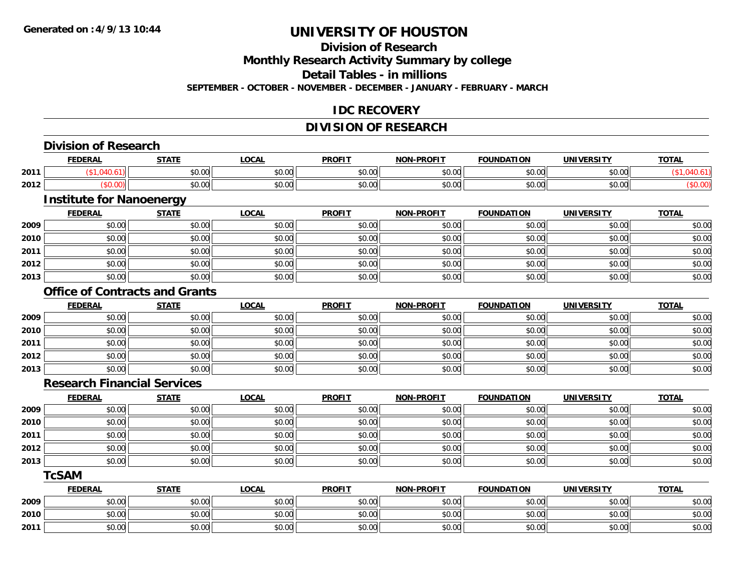## **Division of Research**

**Monthly Research Activity Summary by college**

**Detail Tables - in millions**

**SEPTEMBER - OCTOBER - NOVEMBER - DECEMBER - JANUARY - FEBRUARY - MARCH**

### **IDC RECOVERY**

### **DIVISION OF RESEARCH**

|      | <b>Division of Research</b>        |                                       |              |               |                   |                   |                   |              |
|------|------------------------------------|---------------------------------------|--------------|---------------|-------------------|-------------------|-------------------|--------------|
|      | <b>FEDERAL</b>                     | <b>STATE</b>                          | <b>LOCAL</b> | <b>PROFIT</b> | <b>NON-PROFIT</b> | <b>FOUNDATION</b> | <b>UNIVERSITY</b> | <b>TOTAL</b> |
| 2011 | (\$1,040.61)                       | \$0.00                                | \$0.00       | \$0.00        | \$0.00            | \$0.00            | \$0.00            | (\$1,040.61) |
| 2012 | (\$0.00)                           | \$0.00                                | \$0.00       | \$0.00        | \$0.00            | \$0.00            | \$0.00            | (\$0.00)     |
|      | <b>Institute for Nanoenergy</b>    |                                       |              |               |                   |                   |                   |              |
|      | <b>FEDERAL</b>                     | <b>STATE</b>                          | <b>LOCAL</b> | <b>PROFIT</b> | <b>NON-PROFIT</b> | <b>FOUNDATION</b> | <b>UNIVERSITY</b> | <b>TOTAL</b> |
| 2009 | \$0.00                             | \$0.00                                | \$0.00       | \$0.00        | \$0.00            | \$0.00            | \$0.00            | \$0.00       |
| 2010 | \$0.00                             | \$0.00                                | \$0.00       | \$0.00        | \$0.00            | \$0.00            | \$0.00            | \$0.00       |
| 2011 | \$0.00                             | \$0.00                                | \$0.00       | \$0.00        | \$0.00            | \$0.00            | \$0.00            | \$0.00       |
| 2012 | \$0.00                             | \$0.00                                | \$0.00       | \$0.00        | \$0.00            | \$0.00            | \$0.00            | \$0.00       |
| 2013 | \$0.00                             | \$0.00                                | \$0.00       | \$0.00        | \$0.00            | \$0.00            | \$0.00            | \$0.00       |
|      |                                    | <b>Office of Contracts and Grants</b> |              |               |                   |                   |                   |              |
|      | <b>FEDERAL</b>                     | <b>STATE</b>                          | <b>LOCAL</b> | <b>PROFIT</b> | <b>NON-PROFIT</b> | <b>FOUNDATION</b> | <b>UNIVERSITY</b> | <b>TOTAL</b> |
| 2009 | \$0.00                             | \$0.00                                | \$0.00       | \$0.00        | \$0.00            | \$0.00            | \$0.00            | \$0.00       |
| 2010 | \$0.00                             | \$0.00                                | \$0.00       | \$0.00        | \$0.00            | \$0.00            | \$0.00            | \$0.00       |
| 2011 | \$0.00                             | \$0.00                                | \$0.00       | \$0.00        | \$0.00            | \$0.00            | \$0.00            | \$0.00       |
| 2012 | \$0.00                             | \$0.00                                | \$0.00       | \$0.00        | \$0.00            | \$0.00            | \$0.00            | \$0.00       |
| 2013 | \$0.00                             | \$0.00                                | \$0.00       | \$0.00        | \$0.00            | \$0.00            | \$0.00            | \$0.00       |
|      | <b>Research Financial Services</b> |                                       |              |               |                   |                   |                   |              |
|      | <b>FEDERAL</b>                     | <b>STATE</b>                          | <b>LOCAL</b> | <b>PROFIT</b> | <b>NON-PROFIT</b> | <b>FOUNDATION</b> | <b>UNIVERSITY</b> | <b>TOTAL</b> |
| 2009 | \$0.00                             | \$0.00                                | \$0.00       | \$0.00        | \$0.00            | \$0.00            | \$0.00            | \$0.00       |
| 2010 | \$0.00                             | \$0.00                                | \$0.00       | \$0.00        | \$0.00            | \$0.00            | \$0.00            | \$0.00       |
| 2011 | \$0.00                             | \$0.00                                | \$0.00       | \$0.00        | \$0.00            | \$0.00            | \$0.00            | \$0.00       |
| 2012 | \$0.00                             | \$0.00                                | \$0.00       | \$0.00        | \$0.00            | \$0.00            | \$0.00            | \$0.00       |
| 2013 | \$0.00                             | \$0.00                                | \$0.00       | \$0.00        | \$0.00            | \$0.00            | \$0.00            | \$0.00       |
|      | <b>TcSAM</b>                       |                                       |              |               |                   |                   |                   |              |
|      | <b>FEDERAL</b>                     | <b>STATE</b>                          | <b>LOCAL</b> | <b>PROFIT</b> | <b>NON-PROFIT</b> | <b>FOUNDATION</b> | <b>UNIVERSITY</b> | <b>TOTAL</b> |
| 2009 | \$0.00                             | \$0.00                                | \$0.00       | \$0.00        | \$0.00            | \$0.00            | \$0.00            | \$0.00       |
| 2010 | \$0.00                             | \$0.00                                | \$0.00       | \$0.00        | \$0.00            | \$0.00            | \$0.00            | \$0.00       |
| 2011 | \$0.00                             | \$0.00                                | \$0.00       | \$0.00        | \$0.00            | \$0.00            | \$0.00            | \$0.00       |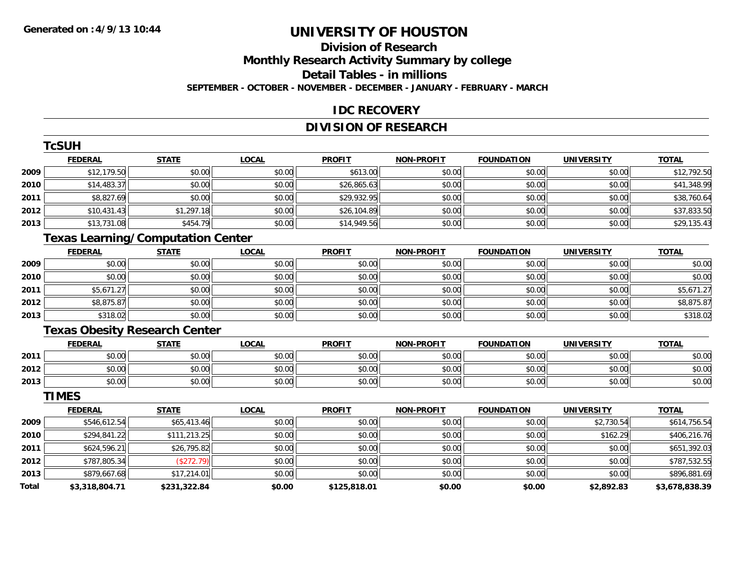**TCSUM** 

# **UNIVERSITY OF HOUSTON**

### **Division of ResearchMonthly Research Activity Summary by college Detail Tables - in millions SEPTEMBER - OCTOBER - NOVEMBER - DECEMBER - JANUARY - FEBRUARY - MARCH**

#### **IDC RECOVERY**

### **DIVISION OF RESEARCH**

|              | <b>ICSUH</b>                             |              |              |               |                   |                   |                   |                |
|--------------|------------------------------------------|--------------|--------------|---------------|-------------------|-------------------|-------------------|----------------|
|              | <b>FEDERAL</b>                           | <b>STATE</b> | <b>LOCAL</b> | <b>PROFIT</b> | <b>NON-PROFIT</b> | <b>FOUNDATION</b> | <b>UNIVERSITY</b> | <b>TOTAL</b>   |
| 2009         | \$12,179.50                              | \$0.00       | \$0.00       | \$613.00      | \$0.00            | \$0.00            | \$0.00            | \$12,792.50    |
| 2010         | \$14,483.37                              | \$0.00       | \$0.00       | \$26,865.63   | \$0.00            | \$0.00            | \$0.00            | \$41,348.99    |
| 2011         | \$8,827.69                               | \$0.00       | \$0.00       | \$29,932.95   | \$0.00            | \$0.00            | \$0.00            | \$38,760.64    |
| 2012         | \$10,431.43                              | \$1,297.18   | \$0.00       | \$26,104.89   | \$0.00            | \$0.00            | \$0.00            | \$37,833.50    |
| 2013         | \$13,731.08                              | \$454.79     | \$0.00       | \$14,949.56   | \$0.00            | \$0.00            | \$0.00            | \$29,135.43    |
|              | <b>Texas Learning/Computation Center</b> |              |              |               |                   |                   |                   |                |
|              | <b>FEDERAL</b>                           | <b>STATE</b> | <b>LOCAL</b> | <b>PROFIT</b> | <b>NON-PROFIT</b> | <b>FOUNDATION</b> | <b>UNIVERSITY</b> | <b>TOTAL</b>   |
| 2009         | \$0.00                                   | \$0.00       | \$0.00       | \$0.00        | \$0.00            | \$0.00            | \$0.00            | \$0.00         |
| 2010         | \$0.00                                   | \$0.00       | \$0.00       | \$0.00        | \$0.00            | \$0.00            | \$0.00            | \$0.00         |
| 2011         | \$5,671.27                               | \$0.00       | \$0.00       | \$0.00        | \$0.00            | \$0.00            | \$0.00            | \$5,671.27     |
| 2012         | \$8,875.87                               | \$0.00       | \$0.00       | \$0.00        | \$0.00            | \$0.00            | \$0.00            | \$8,875.87     |
| 2013         | \$318.02                                 | \$0.00       | \$0.00       | \$0.00        | \$0.00            | \$0.00            | \$0.00            | \$318.02       |
|              | <b>Texas Obesity Research Center</b>     |              |              |               |                   |                   |                   |                |
|              | <b>FEDERAL</b>                           | <b>STATE</b> | <b>LOCAL</b> | <b>PROFIT</b> | <b>NON-PROFIT</b> | <b>FOUNDATION</b> | <b>UNIVERSITY</b> | <b>TOTAL</b>   |
| 2011         | \$0.00                                   | \$0.00       | \$0.00       | \$0.00        | \$0.00            | \$0.00            | \$0.00            | \$0.00         |
| 2012         | \$0.00                                   | \$0.00       | \$0.00       | \$0.00        | \$0.00            | \$0.00            | \$0.00            | \$0.00         |
| 2013         | \$0.00                                   | \$0.00       | \$0.00       | \$0.00        | \$0.00            | \$0.00            | \$0.00            | \$0.00         |
|              | <b>TIMES</b>                             |              |              |               |                   |                   |                   |                |
|              | <b>FEDERAL</b>                           | <b>STATE</b> | <b>LOCAL</b> | <b>PROFIT</b> | <b>NON-PROFIT</b> | <b>FOUNDATION</b> | <b>UNIVERSITY</b> | <b>TOTAL</b>   |
| 2009         | \$546,612.54                             | \$65,413.46  | \$0.00       | \$0.00        | \$0.00            | \$0.00            | \$2,730.54        | \$614,756.54   |
| 2010         | \$294,841.22                             | \$111,213.25 | \$0.00       | \$0.00        | \$0.00            | \$0.00            | \$162.29          | \$406,216.76   |
| 2011         | \$624,596.21                             | \$26,795.82  | \$0.00       | \$0.00        | \$0.00            | \$0.00            | \$0.00            | \$651,392.03   |
| 2012         | \$787,805.34                             | (\$272.79)   | \$0.00       | \$0.00        | \$0.00            | \$0.00            | \$0.00            | \$787,532.55   |
| 2013         | \$879,667.68                             | \$17,214.01  | \$0.00       | \$0.00        | \$0.00            | \$0.00            | \$0.00            | \$896,881.69   |
| <b>Total</b> | \$3,318,804.71                           | \$231,322.84 | \$0.00       | \$125,818.01  | \$0.00            | \$0.00            | \$2,892.83        | \$3,678,838.39 |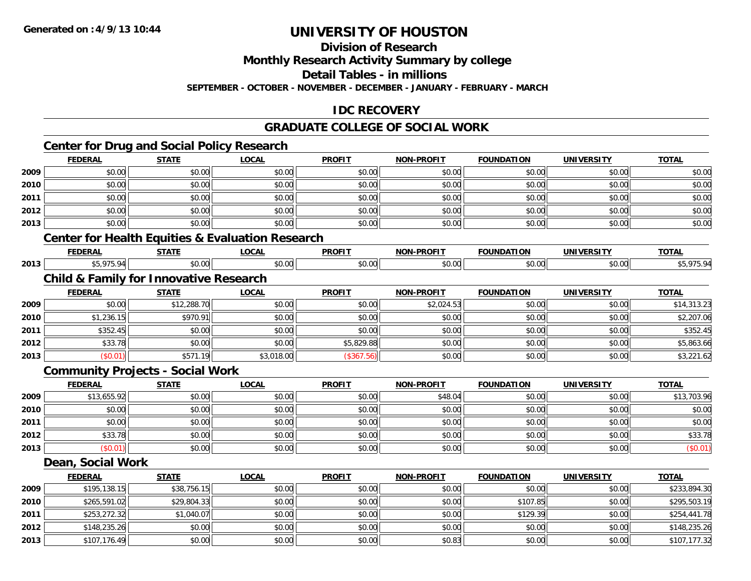**2013**

# **UNIVERSITY OF HOUSTON**

## **Division of Research**

**Monthly Research Activity Summary by college**

**Detail Tables - in millions**

**SEPTEMBER - OCTOBER - NOVEMBER - DECEMBER - JANUARY - FEBRUARY - MARCH**

### **IDC RECOVERY**

### **GRADUATE COLLEGE OF SOCIAL WORK**

## **Center for Drug and Social Policy Research**

|      | <b>FEDERAL</b>                                    | <b>STATE</b>                            | <b>LOCAL</b>                                                | <b>PROFIT</b> | <b>NON-PROFIT</b> | <b>FOUNDATION</b> | <b>UNIVERSITY</b> | <b>TOTAL</b> |
|------|---------------------------------------------------|-----------------------------------------|-------------------------------------------------------------|---------------|-------------------|-------------------|-------------------|--------------|
| 2009 | \$0.00                                            | \$0.00                                  | \$0.00                                                      | \$0.00        | \$0.00            | \$0.00            | \$0.00            | \$0.00       |
| 2010 | \$0.00                                            | \$0.00                                  | \$0.00                                                      | \$0.00        | \$0.00            | \$0.00            | \$0.00            | \$0.00       |
| 2011 | \$0.00                                            | \$0.00                                  | \$0.00                                                      | \$0.00        | \$0.00            | \$0.00            | \$0.00            | \$0.00       |
| 2012 | \$0.00                                            | \$0.00                                  | \$0.00                                                      | \$0.00        | \$0.00            | \$0.00            | \$0.00            | \$0.00       |
| 2013 | \$0.00                                            | \$0.00                                  | \$0.00                                                      | \$0.00        | \$0.00            | \$0.00            | \$0.00            | \$0.00       |
|      |                                                   |                                         | <b>Center for Health Equities &amp; Evaluation Research</b> |               |                   |                   |                   |              |
|      | <b>FEDERAL</b>                                    | <b>STATE</b>                            | <b>LOCAL</b>                                                | <b>PROFIT</b> | <b>NON-PROFIT</b> | <b>FOUNDATION</b> | <b>UNIVERSITY</b> | <b>TOTAL</b> |
| 2013 | \$5,975.94                                        | \$0.00                                  | \$0.00                                                      | \$0.00        | \$0.00            | \$0.00            | \$0.00            | \$5,975.94   |
|      | <b>Child &amp; Family for Innovative Research</b> |                                         |                                                             |               |                   |                   |                   |              |
|      | <b>FEDERAL</b>                                    | <b>STATE</b>                            | <b>LOCAL</b>                                                | <b>PROFIT</b> | <b>NON-PROFIT</b> | <b>FOUNDATION</b> | <b>UNIVERSITY</b> | <b>TOTAL</b> |
| 2009 | \$0.00                                            | \$12,288.70                             | \$0.00                                                      | \$0.00        | \$2,024.53        | \$0.00            | \$0.00            | \$14,313.23  |
| 2010 | \$1,236.15                                        | \$970.91                                | \$0.00                                                      | \$0.00        | \$0.00            | \$0.00            | \$0.00            | \$2,207.06   |
| 2011 | \$352.45                                          | \$0.00                                  | \$0.00                                                      | \$0.00        | \$0.00            | \$0.00            | \$0.00            | \$352.45     |
| 2012 | \$33.78                                           | \$0.00                                  | \$0.00                                                      | \$5,829.88    | \$0.00            | \$0.00            | \$0.00            | \$5,863.66   |
| 2013 | (\$0.01)                                          | \$571.19                                | \$3,018.00                                                  | (\$367.56)    | \$0.00            | \$0.00            | \$0.00            | \$3,221.62   |
|      |                                                   | <b>Community Projects - Social Work</b> |                                                             |               |                   |                   |                   |              |
|      | <b>FEDERAL</b>                                    | <b>STATE</b>                            | <b>LOCAL</b>                                                | <b>PROFIT</b> | <b>NON-PROFIT</b> | <b>FOUNDATION</b> | <b>UNIVERSITY</b> | <b>TOTAL</b> |
| 2009 | \$13,655.92                                       | \$0.00                                  | \$0.00                                                      | \$0.00        | \$48.04           | \$0.00            | \$0.00            | \$13,703.96  |
| 2010 | \$0.00                                            | \$0.00                                  | \$0.00                                                      | \$0.00        | \$0.00            | \$0.00            | \$0.00            | \$0.00       |
| 2011 | \$0.00                                            | \$0.00                                  | \$0.00                                                      | \$0.00        | \$0.00            | \$0.00            | \$0.00            | \$0.00       |
| 2012 | \$33.78                                           | \$0.00                                  | \$0.00                                                      | \$0.00        | \$0.00            | \$0.00            | \$0.00            | \$33.78      |
| 2013 | (\$0.01)                                          | \$0.00                                  | \$0.00                                                      | \$0.00        | \$0.00            | \$0.00            | \$0.00            | (\$0.01)     |
|      | Dean, Social Work                                 |                                         |                                                             |               |                   |                   |                   |              |
|      | <b>FEDERAL</b>                                    | <b>STATE</b>                            | <b>LOCAL</b>                                                | <b>PROFIT</b> | <b>NON-PROFIT</b> | <b>FOUNDATION</b> | <b>UNIVERSITY</b> | <b>TOTAL</b> |
| 2009 | \$195,138.15                                      | \$38,756.15                             | \$0.00                                                      | \$0.00        | \$0.00            | \$0.00            | \$0.00            | \$233,894.30 |
| 2010 | \$265,591.02                                      | \$29,804.33                             | \$0.00                                                      | \$0.00        | \$0.00            | \$107.85          | \$0.00            | \$295,503.19 |
| 2011 | \$253,272.32                                      | \$1,040.07                              | \$0.00                                                      | \$0.00        | \$0.00            | \$129.39          | \$0.00            | \$254,441.78 |
| 2012 | \$148,235.26                                      | \$0.00                                  | \$0.00                                                      | \$0.00        | \$0.00            | \$0.00            | \$0.00            | \$148,235.26 |

\$107,176.49 \$0.00 \$0.00 \$0.00 \$0.83 \$0.00 \$0.00 \$107,177.32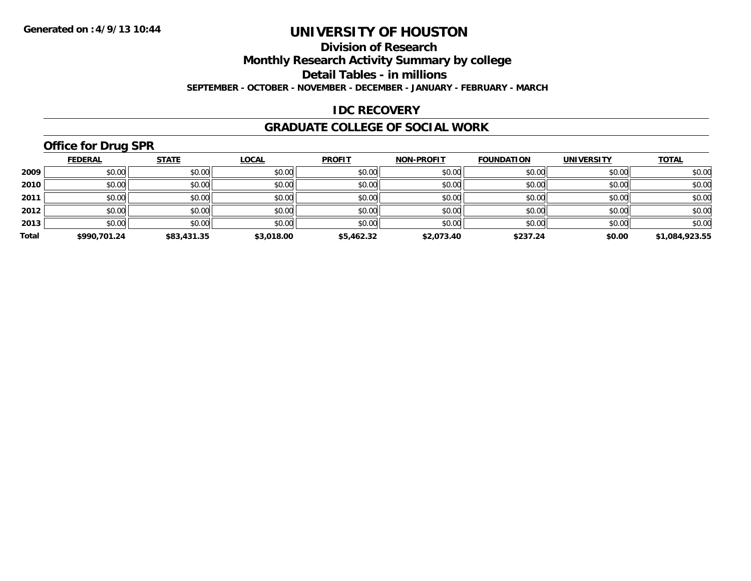## **Division of Research**

**Monthly Research Activity Summary by college**

**Detail Tables - in millions**

**SEPTEMBER - OCTOBER - NOVEMBER - DECEMBER - JANUARY - FEBRUARY - MARCH**

#### **IDC RECOVERY**

#### **GRADUATE COLLEGE OF SOCIAL WORK**

## **Office for Drug SPR**

|       | <b>FEDERAL</b> | <b>STATE</b> | <b>LOCAL</b> | <b>PROFIT</b> | <b>NON-PROFIT</b> | <b>FOUNDATION</b> | <b>UNIVERSITY</b> | <b>TOTAL</b>   |
|-------|----------------|--------------|--------------|---------------|-------------------|-------------------|-------------------|----------------|
| 2009  | \$0.00         | \$0.00       | \$0.00       | \$0.00        | \$0.00            | \$0.00            | \$0.00            | \$0.00         |
| 2010  | \$0.00         | \$0.00       | \$0.00       | \$0.00        | \$0.00            | \$0.00            | \$0.00            | \$0.00         |
| 2011  | \$0.00         | \$0.00       | \$0.00       | \$0.00        | \$0.00            | \$0.00            | \$0.00            | \$0.00         |
| 2012  | \$0.00         | \$0.00       | \$0.00       | \$0.00        | \$0.00            | \$0.00            | \$0.00            | \$0.00         |
| 2013  | \$0.00         | \$0.00       | \$0.00       | \$0.00        | \$0.00            | \$0.00            | \$0.00            | \$0.00         |
| Total | \$990,701.24   | \$83,431.35  | \$3,018.00   | \$5,462.32    | \$2,073.40        | \$237.24          | \$0.00            | \$1,084,923.55 |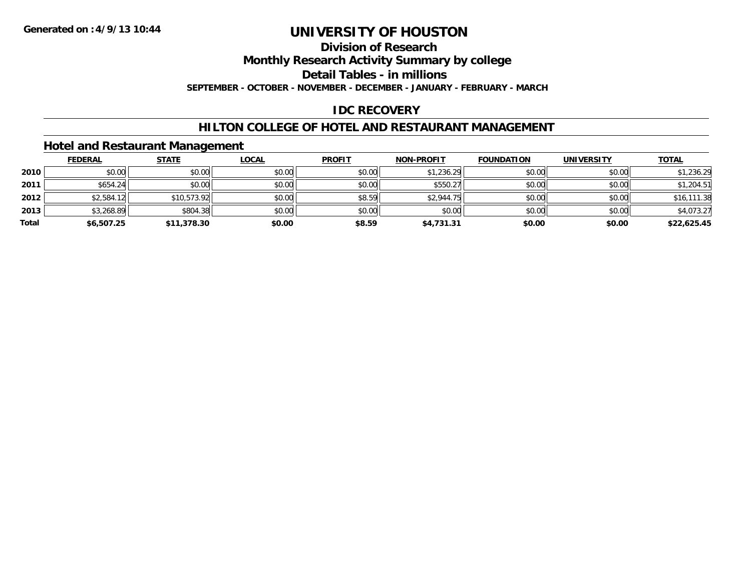## **Division of Research**

**Monthly Research Activity Summary by college**

**Detail Tables - in millions**

**SEPTEMBER - OCTOBER - NOVEMBER - DECEMBER - JANUARY - FEBRUARY - MARCH**

### **IDC RECOVERY**

### **HILTON COLLEGE OF HOTEL AND RESTAURANT MANAGEMENT**

### **Hotel and Restaurant Management**

|       | <b>FEDERAL</b> | <b>STATE</b> | <u>LOCAL</u> | <b>PROFIT</b> | <b>NON-PROFIT</b> | <b>FOUNDATION</b> | <b>UNIVERSITY</b> | <b>TOTAL</b> |
|-------|----------------|--------------|--------------|---------------|-------------------|-------------------|-------------------|--------------|
| 2010  | \$0.00         | \$0.00       | \$0.00       | \$0.00        | \$1,236.29        | \$0.00            | \$0.00            | \$1,236.29   |
| 2011  | \$654.24       | \$0.00       | \$0.00       | \$0.00        | \$550.27          | \$0.00            | \$0.00            | \$1,204.51   |
| 2012  | \$2,584.12     | \$10,573.92  | \$0.00       | \$8.59        | \$2,944.75        | \$0.00            | \$0.00            | \$16,111.38  |
| 2013  | \$3,268.89     | \$804.38     | \$0.00       | \$0.00        | \$0.00            | \$0.00            | \$0.00            | \$4,073.27   |
| Total | \$6,507.25     | \$11,378.30  | \$0.00       | \$8.59        | \$4,731.31        | \$0.00            | \$0.00            | \$22,625.45  |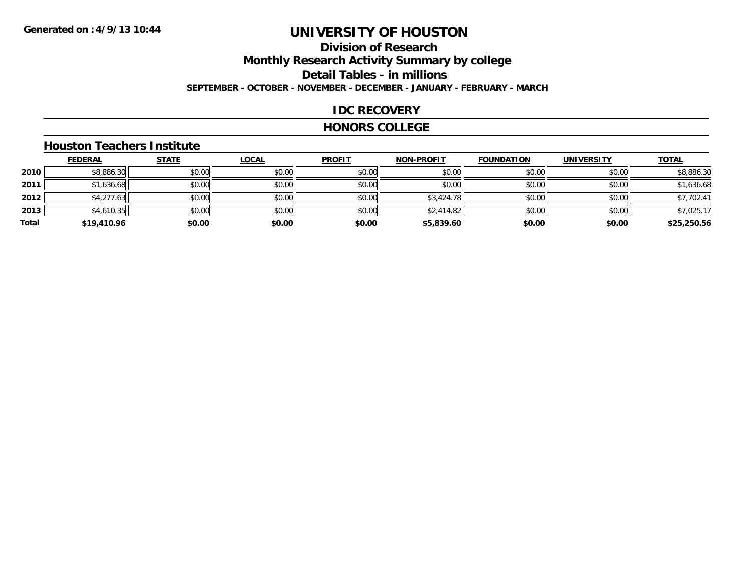## **Division of ResearchMonthly Research Activity Summary by college Detail Tables - in millions SEPTEMBER - OCTOBER - NOVEMBER - DECEMBER - JANUARY - FEBRUARY - MARCH**

#### **IDC RECOVERY**

#### **HONORS COLLEGE**

#### **Houston Teachers Institute**

|       | <b>FEDERAL</b> | <b>STATE</b> | <b>LOCAL</b> | <b>PROFIT</b> | <b>NON-PROFIT</b> | <b>FOUNDATION</b> | <b>UNIVERSITY</b> | <b>TOTAL</b> |
|-------|----------------|--------------|--------------|---------------|-------------------|-------------------|-------------------|--------------|
| 2010  | \$8,886.30     | \$0.00       | \$0.00       | \$0.00        | \$0.00            | \$0.00            | \$0.00            | \$8,886.30   |
| 2011  | \$1,636.68     | \$0.00       | \$0.00       | \$0.00        | \$0.00            | \$0.00            | \$0.00            | \$1,636.68   |
| 2012  | \$4,277.63     | \$0.00       | \$0.00       | \$0.00        | \$3,424.78        | \$0.00            | \$0.00            | \$7,702.41   |
| 2013  | \$4,610.35     | \$0.00       | \$0.00       | \$0.00        | \$2,414.82        | \$0.00            | \$0.00            | \$7,025.17   |
| Total | \$19,410.96    | \$0.00       | \$0.00       | \$0.00        | \$5,839.60        | \$0.00            | \$0.00            | \$25,250.56  |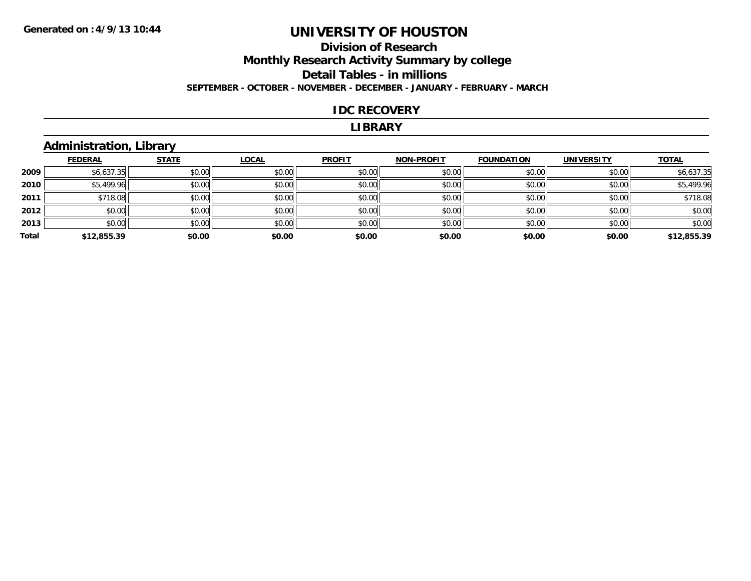### **Division of Research Monthly Research Activity Summary by college Detail Tables - in millions SEPTEMBER - OCTOBER - NOVEMBER - DECEMBER - JANUARY - FEBRUARY - MARCH**

#### **IDC RECOVERY**

#### **LIBRARY**

### **Administration, Library**

|       | <b>FEDERAL</b> | <b>STATE</b> | <b>LOCAL</b> | <b>PROFIT</b> | <b>NON-PROFIT</b> | <b>FOUNDATION</b> | <b>UNIVERSITY</b> | <b>TOTAL</b> |
|-------|----------------|--------------|--------------|---------------|-------------------|-------------------|-------------------|--------------|
| 2009  | \$6,637.35     | \$0.00       | \$0.00       | \$0.00        | \$0.00            | \$0.00            | \$0.00            | \$6,637.35   |
| 2010  | \$5,499.96     | \$0.00       | \$0.00       | \$0.00        | \$0.00            | \$0.00            | \$0.00            | \$5,499.96   |
| 2011  | \$718.08       | \$0.00       | \$0.00       | \$0.00        | \$0.00            | \$0.00            | \$0.00            | \$718.08     |
| 2012  | \$0.00         | \$0.00       | \$0.00       | \$0.00        | \$0.00            | \$0.00            | \$0.00            | \$0.00       |
| 2013  | \$0.00         | \$0.00       | \$0.00       | \$0.00        | \$0.00            | \$0.00            | \$0.00            | \$0.00       |
| Total | \$12,855.39    | \$0.00       | \$0.00       | \$0.00        | \$0.00            | \$0.00            | \$0.00            | \$12,855.39  |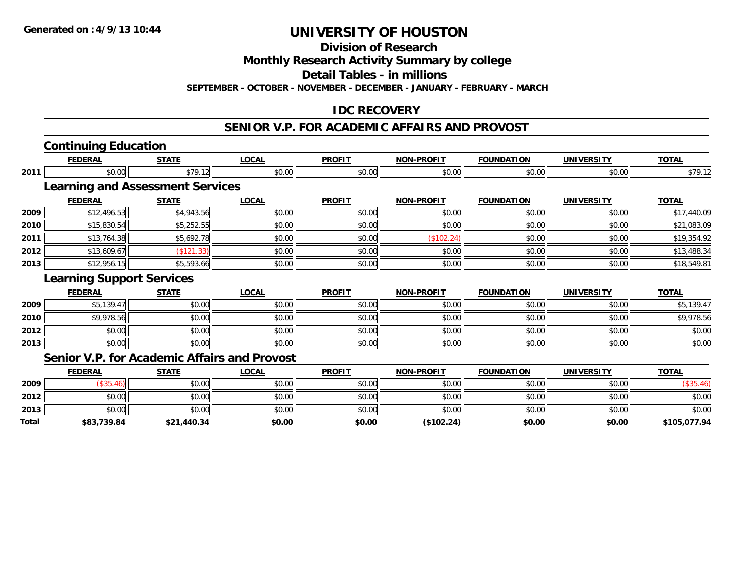**Division of Research**

**Monthly Research Activity Summary by college**

**Detail Tables - in millions**

**SEPTEMBER - OCTOBER - NOVEMBER - DECEMBER - JANUARY - FEBRUARY - MARCH**

### **IDC RECOVERY**

#### **SENIOR V.P. FOR ACADEMIC AFFAIRS AND PROVOST**

|       | <b>FEDERAL</b>                                      | <b>STATE</b> | <b>LOCAL</b> | <b>PROFIT</b> | <b>NON-PROFIT</b> | <b>FOUNDATION</b> | <b>UNIVERSITY</b> | <b>TOTAL</b> |
|-------|-----------------------------------------------------|--------------|--------------|---------------|-------------------|-------------------|-------------------|--------------|
| 2011  | \$0.00                                              | \$79.12      | \$0.00       | \$0.00        | \$0.00            | \$0.00            | \$0.00            | \$79.12      |
|       | <b>Learning and Assessment Services</b>             |              |              |               |                   |                   |                   |              |
|       | <b>FEDERAL</b>                                      | <b>STATE</b> | <b>LOCAL</b> | <b>PROFIT</b> | <b>NON-PROFIT</b> | <b>FOUNDATION</b> | <b>UNIVERSITY</b> | <b>TOTAL</b> |
| 2009  | \$12,496.53                                         | \$4,943.56   | \$0.00       | \$0.00        | \$0.00            | \$0.00            | \$0.00            | \$17,440.09  |
| 2010  | \$15,830.54                                         | \$5,252.55   | \$0.00       | \$0.00        | \$0.00            | \$0.00            | \$0.00            | \$21,083.09  |
| 2011  | \$13,764.38                                         | \$5,692.78   | \$0.00       | \$0.00        | (\$102.24)        | \$0.00            | \$0.00            | \$19,354.92  |
| 2012  | \$13,609.67                                         | (\$121.33)   | \$0.00       | \$0.00        | \$0.00            | \$0.00            | \$0.00            | \$13,488.34  |
| 2013  | \$12,956.15                                         | \$5,593.66   | \$0.00       | \$0.00        | \$0.00            | \$0.00            | \$0.00            | \$18,549.81  |
|       | <b>Learning Support Services</b>                    |              |              |               |                   |                   |                   |              |
|       | <b>FEDERAL</b>                                      | <b>STATE</b> | <b>LOCAL</b> | <b>PROFIT</b> | <b>NON-PROFIT</b> | <b>FOUNDATION</b> | <b>UNIVERSITY</b> | <b>TOTAL</b> |
| 2009  | \$5,139.47                                          | \$0.00       | \$0.00       | \$0.00        | \$0.00            | \$0.00            | \$0.00            | \$5,139.47   |
| 2010  | \$9,978.56                                          | \$0.00       | \$0.00       | \$0.00        | \$0.00            | \$0.00            | \$0.00            | \$9,978.56   |
| 2012  | \$0.00                                              | \$0.00       | \$0.00       | \$0.00        | \$0.00            | \$0.00            | \$0.00            | \$0.00       |
| 2013  | \$0.00                                              | \$0.00       | \$0.00       | \$0.00        | \$0.00            | \$0.00            | \$0.00            | \$0.00       |
|       | <b>Senior V.P. for Academic Affairs and Provost</b> |              |              |               |                   |                   |                   |              |
|       | <b>FEDERAL</b>                                      | <b>STATE</b> | <b>LOCAL</b> | <b>PROFIT</b> | <b>NON-PROFIT</b> | <b>FOUNDATION</b> | <b>UNIVERSITY</b> | <b>TOTAL</b> |
| 2009  | (\$35.46)                                           | \$0.00       | \$0.00       | \$0.00        | \$0.00            | \$0.00            | \$0.00            | (\$35.46)    |
| 2012  | \$0.00                                              | \$0.00       | \$0.00       | \$0.00        | \$0.00            | \$0.00            | \$0.00            | \$0.00       |
| 2013  | \$0.00                                              | \$0.00       | \$0.00       | \$0.00        | \$0.00            | \$0.00            | \$0.00            | \$0.00       |
| Total | \$83.739.84                                         | \$21,440.34  | \$0.00       | \$0.00        | (\$102.24)        | \$0.00            | \$0.00            | \$105,077.94 |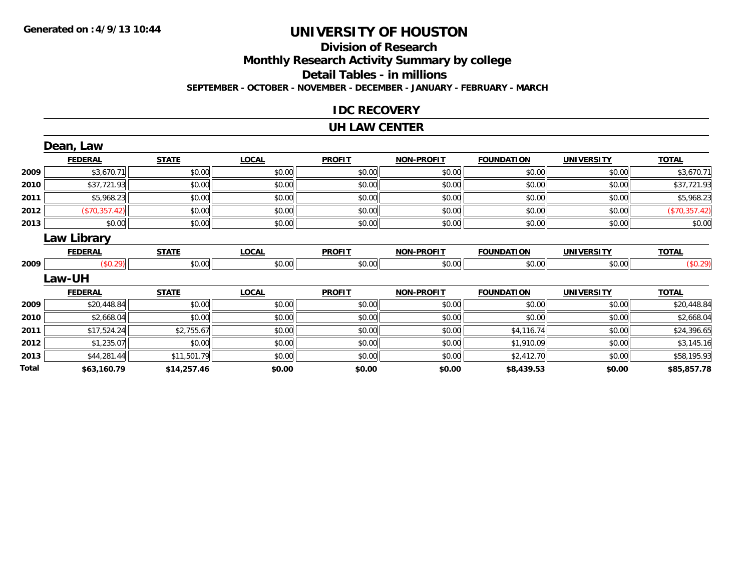### **Division of ResearchMonthly Research Activity Summary by college Detail Tables - in millions SEPTEMBER - OCTOBER - NOVEMBER - DECEMBER - JANUARY - FEBRUARY - MARCH**

#### **IDC RECOVERY**

#### **UH LAW CENTER**

|       | Dean, Law          |              |              |               |                   |                   |                   |               |
|-------|--------------------|--------------|--------------|---------------|-------------------|-------------------|-------------------|---------------|
|       | <b>FEDERAL</b>     | <b>STATE</b> | <b>LOCAL</b> | <b>PROFIT</b> | <b>NON-PROFIT</b> | <b>FOUNDATION</b> | <b>UNIVERSITY</b> | <b>TOTAL</b>  |
| 2009  | \$3,670.71         | \$0.00       | \$0.00       | \$0.00        | \$0.00            | \$0.00            | \$0.00            | \$3,670.71    |
| 2010  | \$37,721.93        | \$0.00       | \$0.00       | \$0.00        | \$0.00            | \$0.00            | \$0.00            | \$37,721.93   |
| 2011  | \$5,968.23         | \$0.00       | \$0.00       | \$0.00        | \$0.00            | \$0.00            | \$0.00            | \$5,968.23    |
| 2012  | (\$70,357.42)      | \$0.00       | \$0.00       | \$0.00        | \$0.00            | \$0.00            | \$0.00            | (\$70,357.42) |
| 2013  | \$0.00             | \$0.00       | \$0.00       | \$0.00        | \$0.00            | \$0.00            | \$0.00            | \$0.00        |
|       | <b>Law Library</b> |              |              |               |                   |                   |                   |               |
|       | <b>FEDERAL</b>     | <b>STATE</b> | <b>LOCAL</b> | <b>PROFIT</b> | <b>NON-PROFIT</b> | <b>FOUNDATION</b> | <b>UNIVERSITY</b> | <b>TOTAL</b>  |
| 2009  | (\$0.29)           | \$0.00       | \$0.00       | \$0.00        | \$0.00            | \$0.00            | \$0.00            | (\$0.29)      |
|       | Law-UH             |              |              |               |                   |                   |                   |               |
|       | <b>FEDERAL</b>     | <b>STATE</b> | <b>LOCAL</b> | <b>PROFIT</b> | <b>NON-PROFIT</b> | <b>FOUNDATION</b> | <b>UNIVERSITY</b> | <b>TOTAL</b>  |
| 2009  | \$20,448.84        | \$0.00       | \$0.00       | \$0.00        | \$0.00            | \$0.00            | \$0.00            | \$20,448.84   |
| 2010  | \$2,668.04         | \$0.00       | \$0.00       | \$0.00        | \$0.00            | \$0.00            | \$0.00            | \$2,668.04    |
| 2011  | \$17,524.24        | \$2,755.67   | \$0.00       | \$0.00        | \$0.00            | \$4,116.74        | \$0.00            | \$24,396.65   |
| 2012  | \$1,235.07         | \$0.00       | \$0.00       | \$0.00        | \$0.00            | \$1,910.09        | \$0.00            | \$3,145.16    |
| 2013  | \$44,281.44        | \$11,501.79  | \$0.00       | \$0.00        | \$0.00            | \$2,412.70        | \$0.00            | \$58,195.93   |
| Total | \$63,160.79        | \$14,257.46  | \$0.00       | \$0.00        | \$0.00            | \$8,439.53        | \$0.00            | \$85,857.78   |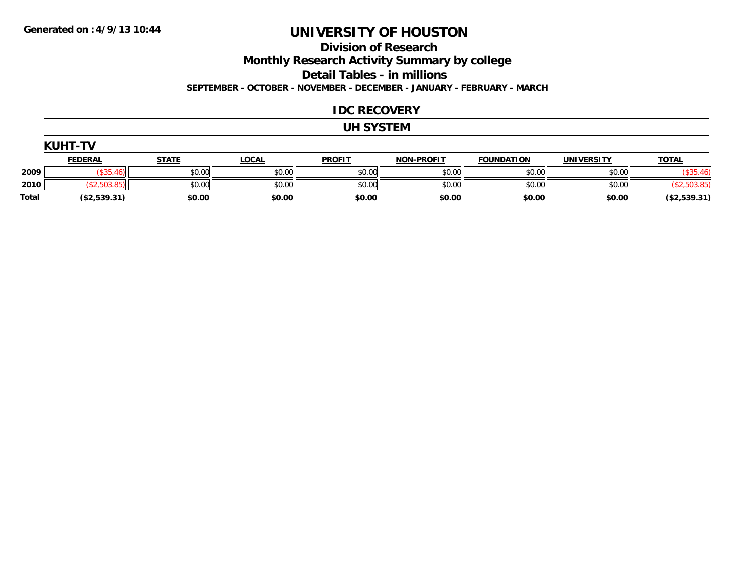#### **Division of Research Monthly Research Activity Summary by college**

**Detail Tables - in millions**

**SEPTEMBER - OCTOBER - NOVEMBER - DECEMBER - JANUARY - FEBRUARY - MARCH**

### **IDC RECOVERY**

### **UH SYSTEM**

|       | <b>KUHT-TV</b> |              |              |               |                   |                   |                   |              |
|-------|----------------|--------------|--------------|---------------|-------------------|-------------------|-------------------|--------------|
|       | <b>FEDERAL</b> | <b>STATE</b> | <u>LOCAL</u> | <b>PROFIT</b> | <b>NON-PROFIT</b> | <b>FOUNDATION</b> | <b>UNIVERSITY</b> | <b>TOTAL</b> |
| 2009  |                | \$0.00       | \$0.00       | \$0.00        | \$0.00            | \$0.00            | \$0.00            |              |
| 2010  |                | \$0.00       | \$0.00       | \$0.00        | \$0.00            | \$0.00            | \$0.00            |              |
| Total | (\$2,539.31)   | \$0.00       | \$0.00       | \$0.00        | \$0.00            | \$0.00            | \$0.00            | (\$2,539.31) |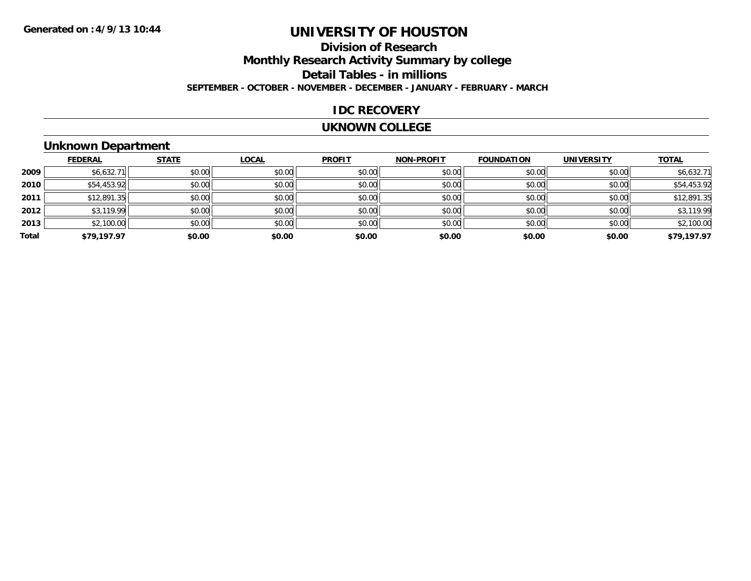## **Division of ResearchMonthly Research Activity Summary by college Detail Tables - in millions SEPTEMBER - OCTOBER - NOVEMBER - DECEMBER - JANUARY - FEBRUARY - MARCH**

#### **IDC RECOVERY**

#### **UKNOWN COLLEGE**

### **Unknown Department**

|       | <b>FEDERAL</b> | <b>STATE</b> | <b>LOCAL</b> | <b>PROFIT</b> | <b>NON-PROFIT</b> | <b>FOUNDATION</b> | <b>UNIVERSITY</b> | <b>TOTAL</b> |
|-------|----------------|--------------|--------------|---------------|-------------------|-------------------|-------------------|--------------|
| 2009  | \$6,632.71     | \$0.00       | \$0.00       | \$0.00        | \$0.00            | \$0.00            | \$0.00            | \$6,632.71   |
| 2010  | \$54,453.92    | \$0.00       | \$0.00       | \$0.00        | \$0.00            | \$0.00            | \$0.00            | \$54,453.92  |
| 2011  | \$12,891.35    | \$0.00       | \$0.00       | \$0.00        | \$0.00            | \$0.00            | \$0.00            | \$12,891.35  |
| 2012  | \$3,119.99     | \$0.00       | \$0.00       | \$0.00        | \$0.00            | \$0.00            | \$0.00            | \$3,119.99   |
| 2013  | \$2,100.00     | \$0.00       | \$0.00       | \$0.00        | \$0.00            | \$0.00            | \$0.00            | \$2,100.00   |
| Total | \$79,197.97    | \$0.00       | \$0.00       | \$0.00        | \$0.00            | \$0.00            | \$0.00            | \$79,197.97  |